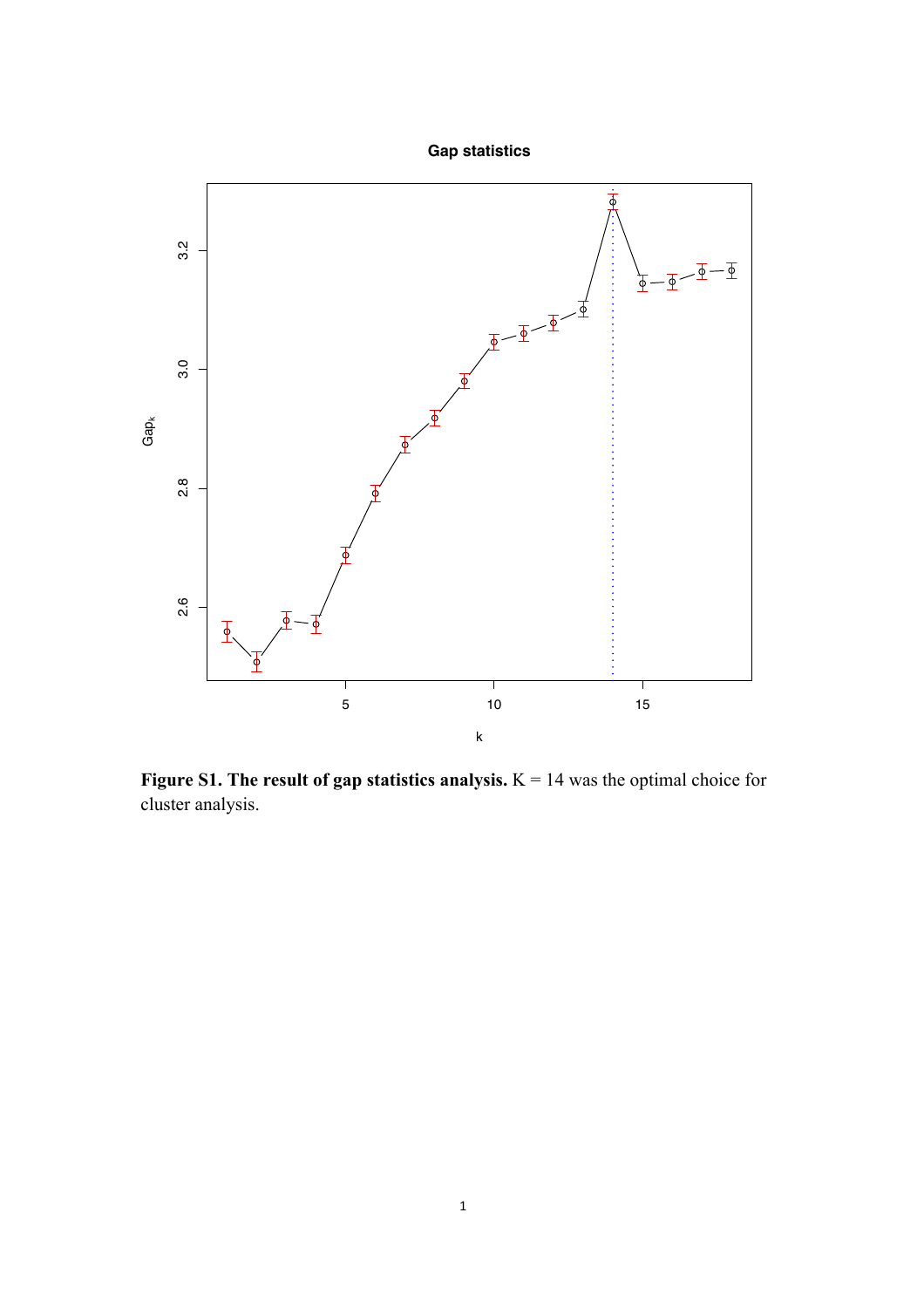



**Figure S1. The result of gap statistics analysis.** K = 14 was the optimal choice for cluster analysis.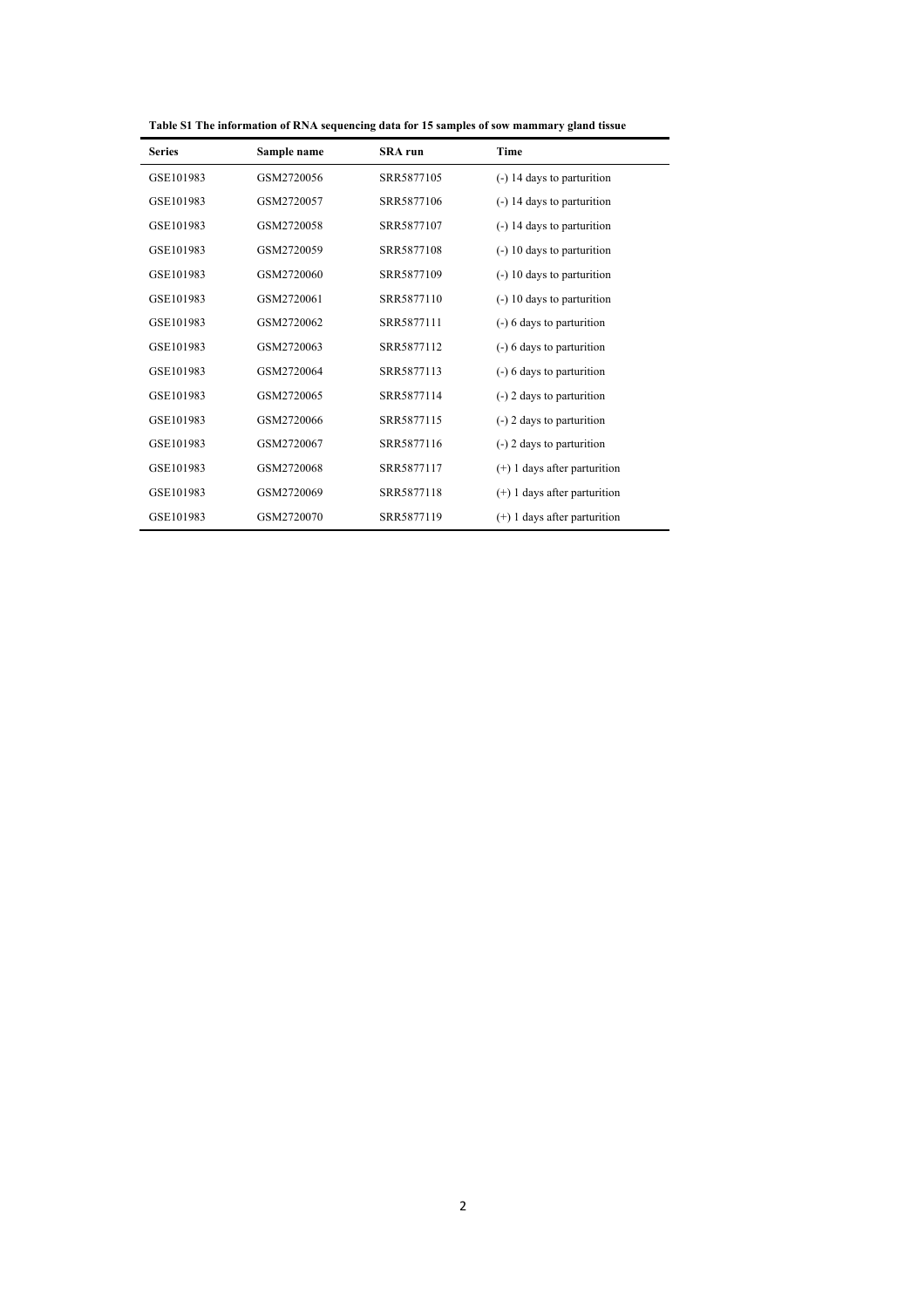| <b>Series</b> | Sample name | <b>SRA</b> run | Time                           |
|---------------|-------------|----------------|--------------------------------|
| GSE101983     | GSM2720056  | SRR5877105     | (-) 14 days to parturition     |
| GSE101983     | GSM2720057  | SRR5877106     | (-) 14 days to parturition     |
| GSE101983     | GSM2720058  | SRR5877107     | (-) 14 days to parturition     |
| GSE101983     | GSM2720059  | SRR5877108     | (-) 10 days to parturition     |
| GSE101983     | GSM2720060  | SRR5877109     | $(-)$ 10 days to parturition   |
| GSE101983     | GSM2720061  | SRR5877110     | (-) 10 days to parturition     |
| GSE101983     | GSM2720062  | SRR5877111     | (-) 6 days to parturition      |
| GSE101983     | GSM2720063  | SRR5877112     | (-) 6 days to parturition      |
| GSE101983     | GSM2720064  | SRR5877113     | (-) 6 days to parturition      |
| GSE101983     | GSM2720065  | SRR5877114     | (-) 2 days to parturition      |
| GSE101983     | GSM2720066  | SRR5877115     | $(-)$ 2 days to parturition    |
| GSE101983     | GSM2720067  | SRR5877116     | $(-)$ 2 days to parturition    |
| GSE101983     | GSM2720068  | SRR5877117     | $(+)$ 1 days after parturition |
| GSE101983     | GSM2720069  | SRR5877118     | $(+)$ 1 days after parturition |
| GSE101983     | GSM2720070  | SRR5877119     | $(+)$ 1 days after parturition |

**Table S1 The information of RNA sequencing data for 15 samples of sow mammary gland tissue**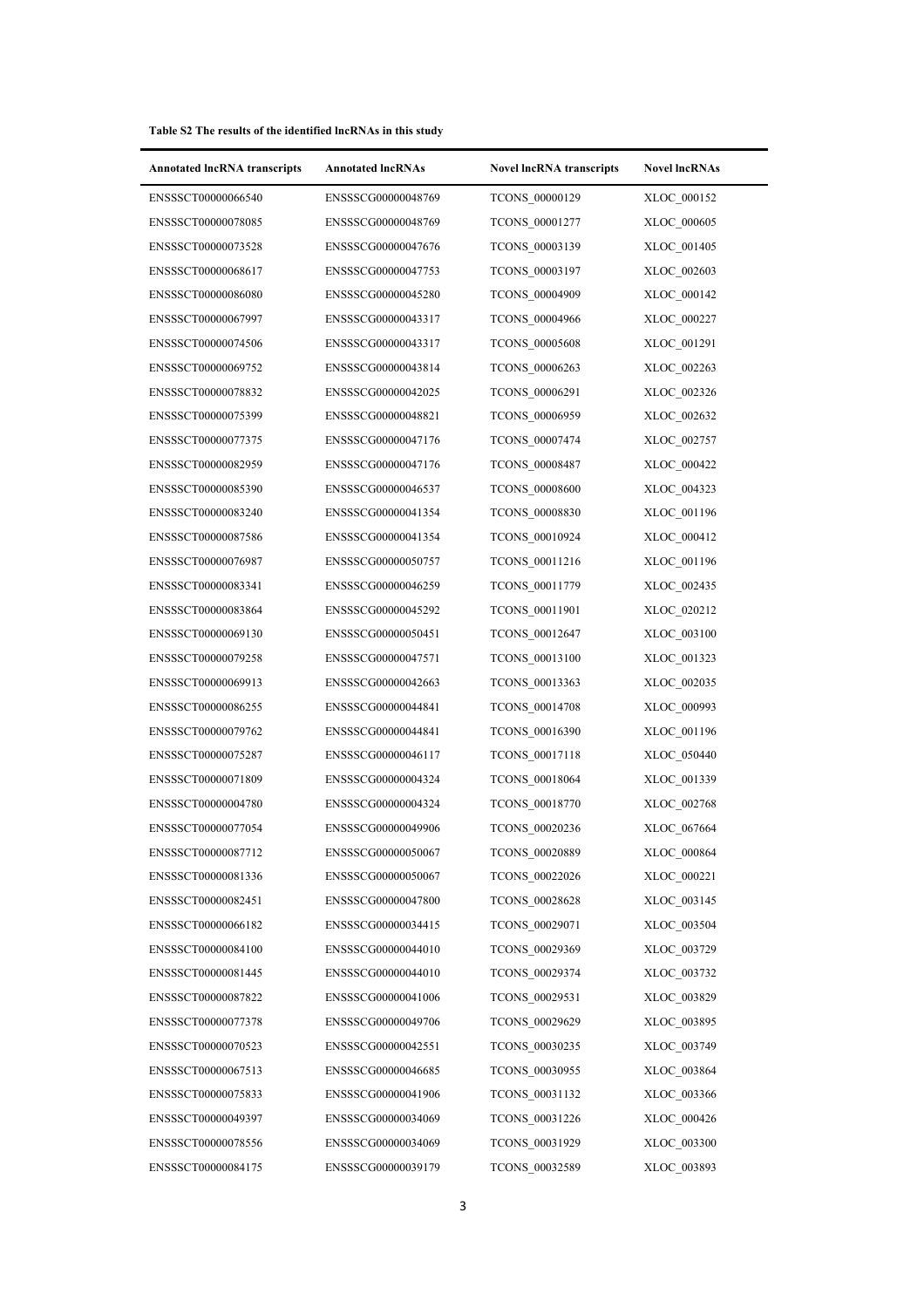## **Table S2 The results of the identified lncRNAs in this study**

| <b>Annotated lncRNA transcripts</b> | <b>Annotated IncRNAs</b> | <b>Novel IncRNA transcripts</b> | <b>Novel IncRNAs</b> |
|-------------------------------------|--------------------------|---------------------------------|----------------------|
| ENSSSCT00000066540                  | ENSSSCG00000048769       | TCONS_00000129                  | XLOC_000152          |
| ENSSSCT00000078085                  | ENSSSCG00000048769       | TCONS 00001277                  | XLOC 000605          |
| ENSSSCT00000073528                  | ENSSSCG00000047676       | TCONS 00003139                  | XLOC 001405          |
| ENSSSCT00000068617                  | ENSSSCG00000047753       | TCONS 00003197                  | XLOC 002603          |
| ENSSSCT00000086080                  | ENSSSCG00000045280       | TCONS_00004909                  | XLOC_000142          |
| ENSSSCT00000067997                  | ENSSSCG00000043317       | <b>TCONS 00004966</b>           | XLOC 000227          |
| ENSSSCT00000074506                  | ENSSSCG00000043317       | TCONS_00005608                  | XLOC 001291          |
| ENSSSCT00000069752                  | ENSSSCG00000043814       | TCONS_00006263                  | XLOC_002263          |
| ENSSSCT00000078832                  | ENSSSCG00000042025       | TCONS 00006291                  | XLOC 002326          |
| ENSSSCT00000075399                  | ENSSSCG00000048821       | <b>TCONS 00006959</b>           | XLOC 002632          |
| ENSSSCT00000077375                  | ENSSSCG00000047176       | TCONS 00007474                  | XLOC 002757          |
| ENSSSCT00000082959                  | ENSSSCG00000047176       | TCONS 00008487                  | XLOC 000422          |
| ENSSSCT00000085390                  | ENSSSCG00000046537       | <b>TCONS 00008600</b>           | XLOC 004323          |
| ENSSSCT00000083240                  | ENSSSCG00000041354       | <b>TCONS 00008830</b>           | XLOC 001196          |
| ENSSSCT00000087586                  | ENSSSCG00000041354       | TCONS_00010924                  | XLOC_000412          |
| ENSSSCT00000076987                  | ENSSSCG00000050757       | TCONS 00011216                  | XLOC 001196          |
| ENSSSCT00000083341                  | ENSSSCG00000046259       | TCONS 00011779                  | XLOC 002435          |
| ENSSSCT00000083864                  | ENSSSCG00000045292       | TCONS_00011901                  | XLOC_020212          |
| ENSSSCT00000069130                  | ENSSSCG00000050451       | TCONS 00012647                  | XLOC 003100          |
| ENSSSCT00000079258                  | ENSSSCG00000047571       | <b>TCONS 00013100</b>           | XLOC_001323          |
| ENSSSCT00000069913                  | ENSSSCG00000042663       | TCONS 00013363                  | XLOC_002035          |
| ENSSSCT00000086255                  | ENSSSCG00000044841       | <b>TCONS 00014708</b>           | XLOC 000993          |
| ENSSSCT00000079762                  | ENSSSCG00000044841       | TCONS_00016390                  | XLOC 001196          |
| ENSSSCT00000075287                  | ENSSSCG00000046117       | <b>TCONS 00017118</b>           | XLOC 050440          |
| ENSSSCT00000071809                  | ENSSSCG00000004324       | <b>TCONS 00018064</b>           | XLOC 001339          |
| ENSSSCT00000004780                  | ENSSSCG00000004324       | <b>TCONS 00018770</b>           | XLOC 002768          |
| ENSSSCT00000077054                  | ENSSSCG00000049906       | TCONS 00020236                  | XLOC 067664          |
| ENSSSCT00000087712                  | ENSSSCG00000050067       | TCONS_00020889                  | XLOC_000864          |
| ENSSSCT00000081336                  | ENSSSCG00000050067       | TCONS 00022026                  | XLOC_000221          |
| ENSSSCT00000082451                  | ENSSSCG00000047800       | <b>TCONS 00028628</b>           | XLOC 003145          |
| ENSSSCT00000066182                  | ENSSSCG00000034415       | TCONS_00029071                  | XLOC_003504          |
| ENSSSCT00000084100                  | ENSSSCG00000044010       | TCONS 00029369                  | XLOC 003729          |
| ENSSSCT00000081445                  | ENSSSCG00000044010       | TCONS_00029374                  | XLOC_003732          |
| ENSSSCT00000087822                  | ENSSSCG00000041006       | TCONS 00029531                  | XLOC_003829          |
| ENSSSCT00000077378                  | ENSSSCG00000049706       | TCONS 00029629                  | XLOC 003895          |
| ENSSSCT00000070523                  | ENSSSCG00000042551       | TCONS_00030235                  | XLOC_003749          |
| ENSSSCT00000067513                  | ENSSSCG00000046685       | TCONS_00030955                  | XLOC_003864          |
| ENSSSCT00000075833                  | ENSSSCG00000041906       | TCONS 00031132                  | XLOC_003366          |
| ENSSSCT00000049397                  | ENSSSCG00000034069       | TCONS 00031226                  | XLOC_000426          |
| ENSSSCT00000078556                  | ENSSSCG00000034069       | TCONS 00031929                  | XLOC_003300          |
| ENSSSCT00000084175                  | ENSSSCG00000039179       | TCONS_00032589                  | XLOC_003893          |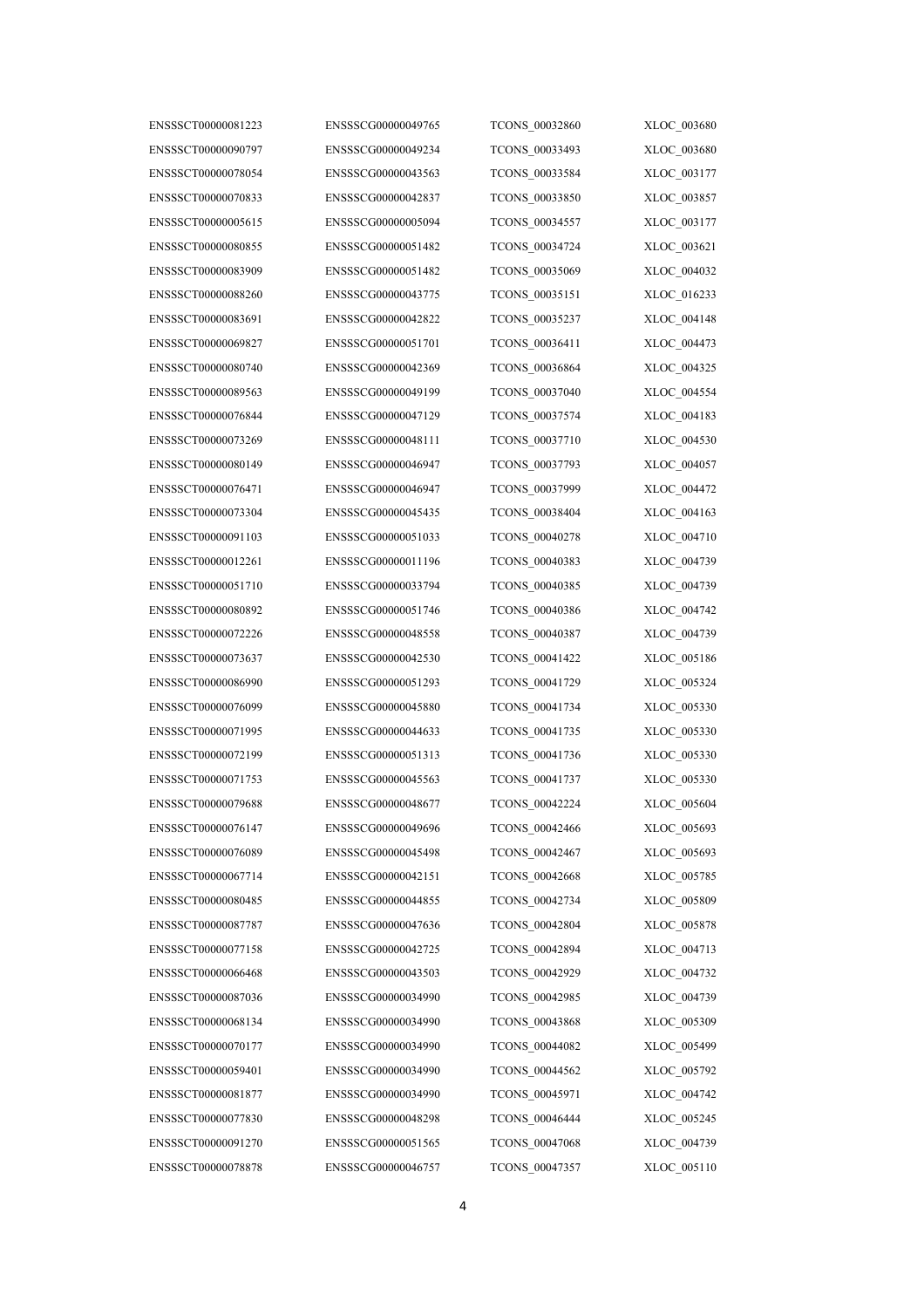ENSSSCT00000090797 ENSSSCG00000049234 TCONS\_00033493 XLOC\_003680 ENSSSCT00000078054 ENSSSCG00000043563 TCONS\_00033584 XLOC\_003177 ENSSSCT00000070833 ENSSSCG00000042837 TCONS\_00033850 XLOC\_003857 ENSSSCT00000005615 ENSSSCG00000005094 TCONS\_00034557 XLOC\_003177 ENSSSCT00000080855 ENSSSCG00000051482 TCONS\_00034724 XLOC\_003621 ENSSSCT00000083909 ENSSSCG00000051482 TCONS\_00035069 XLOC\_004032 ENSSSCT00000088260 ENSSSCG00000043775 TCONS\_00035151 XLOC\_016233 ENSSSCT00000083691 ENSSSCG00000042822 TCONS\_00035237 XLOC\_004148 ENSSSCT00000069827 ENSSSCG00000051701 TCONS\_00036411 XLOC\_004473 ENSSSCT00000080740 ENSSSCG0000042369 TCONS\_00036864 XLOC\_004325 ENSSSCT00000089563 ENSSSCG00000049199 TCONS\_00037040 XLOC\_004554 ENSSSCT00000076844 ENSSSCG00000047129 TCONS\_00037574 XLOC\_004183 ENSSSCT00000073269 ENSSSCG00000048111 TCONS\_00037710 XLOC\_004530 ENSSSCT00000080149 ENSSSCG00000046947 TCONS\_00037793 XLOC\_004057 ENSSSCT00000076471 ENSSSCG0000046947 TCONS\_00037999 XLOC\_004472 ENSSSCT00000073304 ENSSSCG00000045435 TCONS\_00038404 XLOC\_004163 ENSSSCT00000091103 ENSSSCG00000051033 TCONS\_00040278 XLOC\_004710 ENSSSCT00000012261 ENSSSCG00000011196 TCONS 00040383 XLOC 004739 ENSSSCT00000051710 ENSSSCG00000033794 TCONS\_00040385 XLOC\_004739 ENSSSCT00000080892 ENSSSCG00000051746 TCONS\_00040386 XLOC\_004742 ENSSSCT00000072226 ENSSSCG00000048558 TCONS\_00040387 XLOC\_004739 ENSSSCT00000073637 ENSSSCG00000042530 TCONS\_00041422 XLOC\_005186 ENSSSCT00000086990 ENSSSCG00000051293 TCONS\_00041729 XLOC\_005324 ENSSSCT00000076099 ENSSSCG00000045880 TCONS\_00041734 XLOC\_005330 ENSSSCT00000071995 ENSSSCG00000044633 TCONS\_00041735 XLOC\_005330 ENSSSCT00000072199 ENSSSCG00000051313 TCONS\_00041736 XLOC\_005330 ENSSSCT00000071753 ENSSSCG00000045563 TCONS\_00041737 XLOC\_005330 ENSSSCT00000079688 ENSSSCG00000048677 TCONS\_00042224 XLOC\_005604 ENSSSCT00000076147 ENSSSCG00000049696 TCONS\_00042466 XLOC\_005693 ENSSSCT00000076089 ENSSSCG00000045498 TCONS\_00042467 XLOC\_005693 ENSSSCT00000067714 ENSSSCG00000042151 TCONS\_00042668 XLOC\_005785 ENSSSCT00000080485 ENSSSCG00000044855 TCONS\_00042734 XLOC\_005809 ENSSSCT00000087787 ENSSSCG00000047636 TCONS\_00042804 XLOC\_005878 ENSSSCT00000077158 ENSSSCG00000042725 TCONS\_00042894 XLOC\_004713 ENSSSCT00000066468 ENSSSCG00000043503 TCONS\_00042929 XLOC\_004732 ENSSSCT00000087036 ENSSSCG00000034990 TCONS\_00042985 XLOC\_004739 ENSSSCT00000068134 ENSSSCG00000034990 TCONS\_00043868 XLOC\_005309 ENSSSCT00000070177 ENSSSCG00000034990 TCONS\_00044082 XLOC\_005499 ENSSSCT00000059401 ENSSSCG00000034990 TCONS\_00044562 XLOC\_005792 ENSSSCT00000081877 ENSSSCG00000034990 TCONS\_00045971 XLOC\_004742 ENSSSCT00000077830 ENSSSCG00000048298 TCONS\_00046444 XLOC\_005245 ENSSSCT00000091270 ENSSSCG00000051565 TCONS\_00047068 XLOC\_004739 ENSSSCT00000078878 ENSSSCG00000046757 TCONS\_00047357 XLOC\_005110

ENSSSCT00000081223 ENSSSCG00000049765 TCONS\_00032860 XLOC\_003680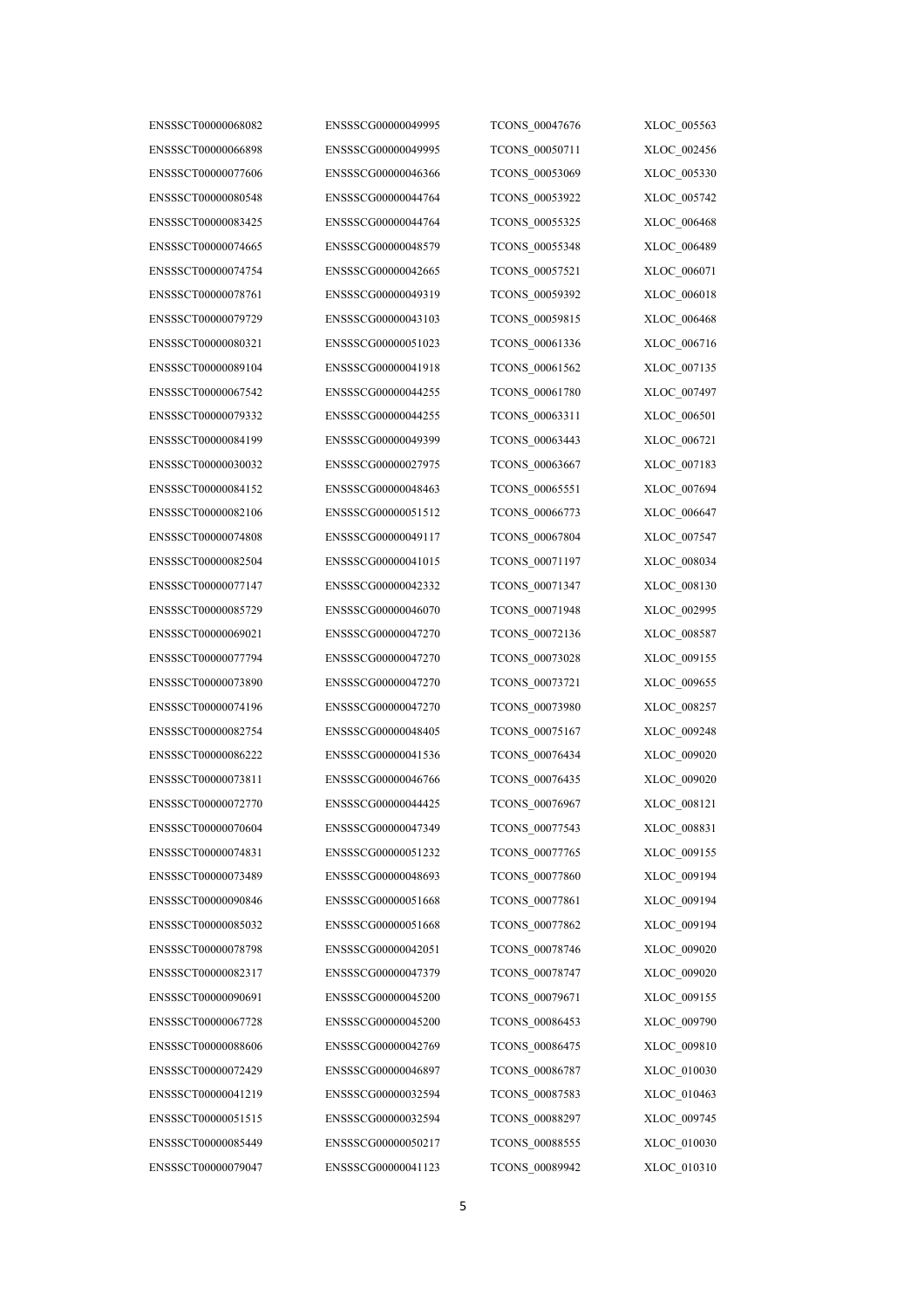ENSSSCT00000066898 ENSSSCG00000049995 TCONS\_00050711 XLOC\_002456 ENSSSCT00000077606 ENSSSCG00000046366 TCONS\_00053069 XLOC\_005330 ENSSSCT00000080548 ENSSSCG00000044764 TCONS\_00053922 XLOC\_005742 ENSSSCT00000083425 ENSSSCG00000044764 TCONS\_00055325 XLOC\_006468 ENSSSCT00000074665 ENSSSCG00000048579 TCONS\_00055348 XLOC\_006489 ENSSSCT00000074754 ENSSSCG00000042665 TCONS\_00057521 XLOC\_006071 ENSSSCT00000078761 ENSSSCG00000049319 TCONS\_00059392 XLOC\_006018 ENSSSCT00000079729 ENSSSCG00000043103 TCONS\_00059815 XLOC\_006468 ENSSSCT00000080321 ENSSSCG00000051023 TCONS\_00061336 XLOC\_006716 ENSSSCT00000089104 ENSSSCG0000041918 TCONS\_00061562 XLOC\_007135 ENSSSCT00000067542 ENSSSCG00000044255 TCONS\_00061780 XLOC\_007497 ENSSSCT00000079332 ENSSSCG00000044255 TCONS\_00063311 XLOC\_006501 ENSSSCT00000084199 ENSSSCG00000049399 TCONS\_00063443 XLOC\_006721 ENSSSCT00000030032 ENSSSCG00000027975 TCONS\_00063667 XLOC\_007183 ENSSSCT00000084152 ENSSSCG00000048463 TCONS\_00065551 XLOC\_007694 ENSSSCT00000082106 ENSSSCG00000051512 TCONS\_00066773 XLOC\_006647 ENSSSCT00000074808 ENSSSCG00000049117 TCONS\_00067804 XLOC\_007547 ENSSSCT00000082504 ENSSSCG00000041015 TCONS\_00071197 XLOC\_008034 ENSSSCT00000077147 ENSSSCG00000042332 TCONS\_00071347 XLOC\_008130 ENSSSCT00000085729 ENSSSCG00000046070 TCONS\_00071948 XLOC\_002995 ENSSSCT00000069021 ENSSSCG00000047270 TCONS\_00072136 XLOC\_008587 ENSSSCT00000077794 ENSSSCG00000047270 TCONS\_00073028 XLOC\_009155 ENSSSCT00000073890 ENSSSCG00000047270 TCONS\_00073721 XLOC\_009655 ENSSSCT00000074196 ENSSSCG00000047270 TCONS\_00073980 XLOC\_008257 ENSSSCT00000082754 ENSSSCG00000048405 TCONS\_00075167 XLOC\_009248 ENSSSCT00000086222 ENSSSCG00000041536 TCONS\_00076434 XLOC\_009020 ENSSSCT00000073811 ENSSSCG00000046766 TCONS\_00076435 XLOC\_009020 ENSSSCT00000072770 ENSSSCG00000044425 TCONS\_00076967 XLOC\_008121 ENSSSCT00000070604 ENSSSCG00000047349 TCONS\_00077543 XLOC\_008831 ENSSSCT00000074831 ENSSSCG00000051232 TCONS\_00077765 XLOC\_009155 ENSSSCT00000073489 ENSSSCG00000048693 TCONS\_00077860 XLOC\_009194 ENSSSCT00000090846 ENSSSCG00000051668 TCONS\_00077861 XLOC\_009194 ENSSSCT00000085032 ENSSSCG00000051668 TCONS\_00077862 XLOC\_009194 ENSSSCT00000078798 ENSSSCG00000042051 TCONS\_00078746 XLOC\_009020 ENSSSCT00000082317 ENSSSCG00000047379 TCONS\_00078747 XLOC\_009020 ENSSSCT00000090691 ENSSSCG00000045200 TCONS\_00079671 XLOC\_009155 ENSSSCT00000067728 ENSSSCG00000045200 TCONS\_00086453 XLOC\_009790 ENSSSCT00000088606 ENSSSCG00000042769 TCONS\_00086475 XLOC\_009810 ENSSSCT00000072429 ENSSSCG00000046897 TCONS\_00086787 XLOC\_010030 ENSSSCT00000041219 ENSSSCG00000032594 TCONS\_00087583 XLOC\_010463 ENSSSCT00000051515 ENSSSCG00000032594 TCONS\_00088297 XLOC\_009745 ENSSSCT00000085449 ENSSSCG00000050217 TCONS\_00088555 XLOC\_010030 ENSSSCT00000079047 ENSSSCG00000041123 TCONS\_00089942 XLOC\_010310

ENSSSCT00000068082 ENSSSCG00000049995 TCONS\_00047676 XLOC\_005563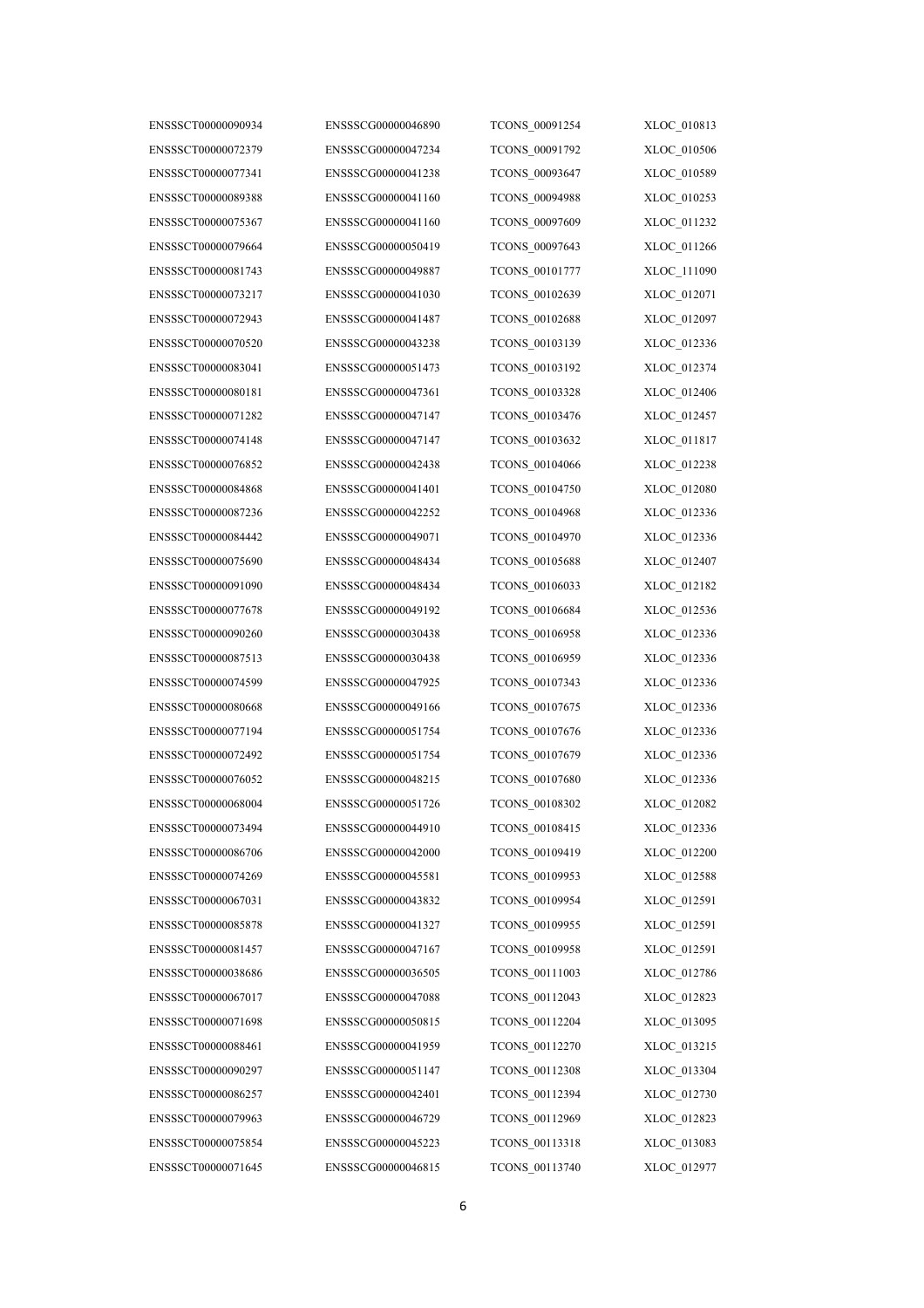ENSSSCT00000072379 ENSSSCG00000047234 TCONS\_00091792 XLOC\_010506 ENSSSCT00000077341 ENSSSCG00000041238 TCONS\_00093647 XLOC\_010589 ENSSSCT00000089388 ENSSSCG00000041160 TCONS\_00094988 XLOC\_010253 ENSSSCT00000075367 ENSSSCG00000041160 TCONS\_00097609 XLOC\_011232 ENSSSCT00000079664 ENSSSCG00000050419 TCONS\_00097643 XLOC\_011266 ENSSSCT00000081743 ENSSSCG00000049887 TCONS\_00101777 XLOC\_111090 ENSSSCT00000073217 ENSSSCG00000041030 TCONS\_00102639 XLOC\_012071 ENSSSCT00000072943 ENSSSCG00000041487 TCONS\_00102688 XLOC\_012097 ENSSSCT00000070520 ENSSSCG00000043238 TCONS\_00103139 XLOC\_012336 ENSSSCT00000083041 ENSSSCG00000051473 TCONS\_00103192 XLOC\_012374 ENSSSCT00000080181 ENSSSCG00000047361 TCONS\_00103328 XLOC\_012406 ENSSSCT00000071282 ENSSSCG00000047147 TCONS\_00103476 XLOC\_012457 ENSSSCT00000074148 ENSSSCG00000047147 TCONS\_00103632 XLOC\_011817 ENSSSCT00000076852 ENSSSCG00000042438 TCONS\_00104066 XLOC\_012238 ENSSSCT00000084868 ENSSSCG00000041401 TCONS\_00104750 XLOC\_012080 ENSSSCT00000087236 ENSSSCG00000042252 TCONS\_00104968 XLOC\_012336 ENSSSCT00000084442 ENSSSCG00000049071 TCONS\_00104970 XLOC\_012336 ENSSSCT00000075690 ENSSSCG00000048434 TCONS\_00105688 XLOC\_012407 ENSSSCT00000091090 ENSSSCG00000048434 TCONS\_00106033 XLOC\_012182 ENSSSCT00000077678 ENSSSCG00000049192 TCONS\_00106684 XLOC\_012536 ENSSSCT00000090260 ENSSSCG00000030438 TCONS\_00106958 XLOC\_012336 ENSSSCT00000087513 ENSSSCG00000030438 TCONS\_00106959 XLOC\_012336 ENSSSCT00000074599 ENSSSCG00000047925 TCONS\_00107343 XLOC\_012336 ENSSSCT0000080668 ENSSSCG00000049166 TCONS\_00107675 XLOC\_012336 ENSSSCT00000077194 ENSSSCG00000051754 TCONS\_00107676 XLOC\_012336 ENSSSCT00000072492 ENSSSCG00000051754 TCONS\_00107679 XLOC\_012336 ENSSSCT00000076052 ENSSSCG00000048215 TCONS\_00107680 XLOC\_012336 ENSSSCT00000068004 ENSSSCG00000051726 TCONS\_00108302 XLOC\_012082 ENSSSCT00000073494 ENSSSCG00000044910 TCONS\_00108415 XLOC\_012336 ENSSSCT00000086706 ENSSSCG00000042000 TCONS\_00109419 XLOC\_012200 ENSSSCT00000074269 ENSSSCG00000045581 TCONS\_00109953 XLOC\_012588 ENSSSCT00000067031 ENSSSCG00000043832 TCONS\_00109954 XLOC\_012591 ENSSSCT00000085878 ENSSSCG00000041327 TCONS\_00109955 XLOC\_012591 ENSSSCT00000081457 ENSSSCG00000047167 TCONS\_00109958 XLOC\_012591 ENSSSCT00000038686 ENSSSCG00000036505 TCONS\_00111003 XLOC\_012786 ENSSSCT00000067017 ENSSSCG00000047088 TCONS\_00112043 XLOC\_012823 ENSSSCT00000071698 ENSSSCG00000050815 TCONS\_00112204 XLOC\_013095 ENSSSCT00000088461 ENSSSCG00000041959 TCONS\_00112270 XLOC\_013215 ENSSSCT00000090297 ENSSSCG00000051147 TCONS\_00112308 XLOC\_013304 ENSSSCT00000086257 ENSSSCG00000042401 TCONS\_00112394 XLOC\_012730 ENSSSCT00000079963 ENSSSCG00000046729 TCONS\_00112969 XLOC\_012823 ENSSSCT00000075854 ENSSSCG00000045223 TCONS\_00113318 XLOC\_013083 ENSSSCT00000071645 ENSSSCG00000046815 TCONS\_00113740 XLOC\_012977

ENSSSCT00000090934 ENSSSCG00000046890 TCONS\_00091254 XLOC\_010813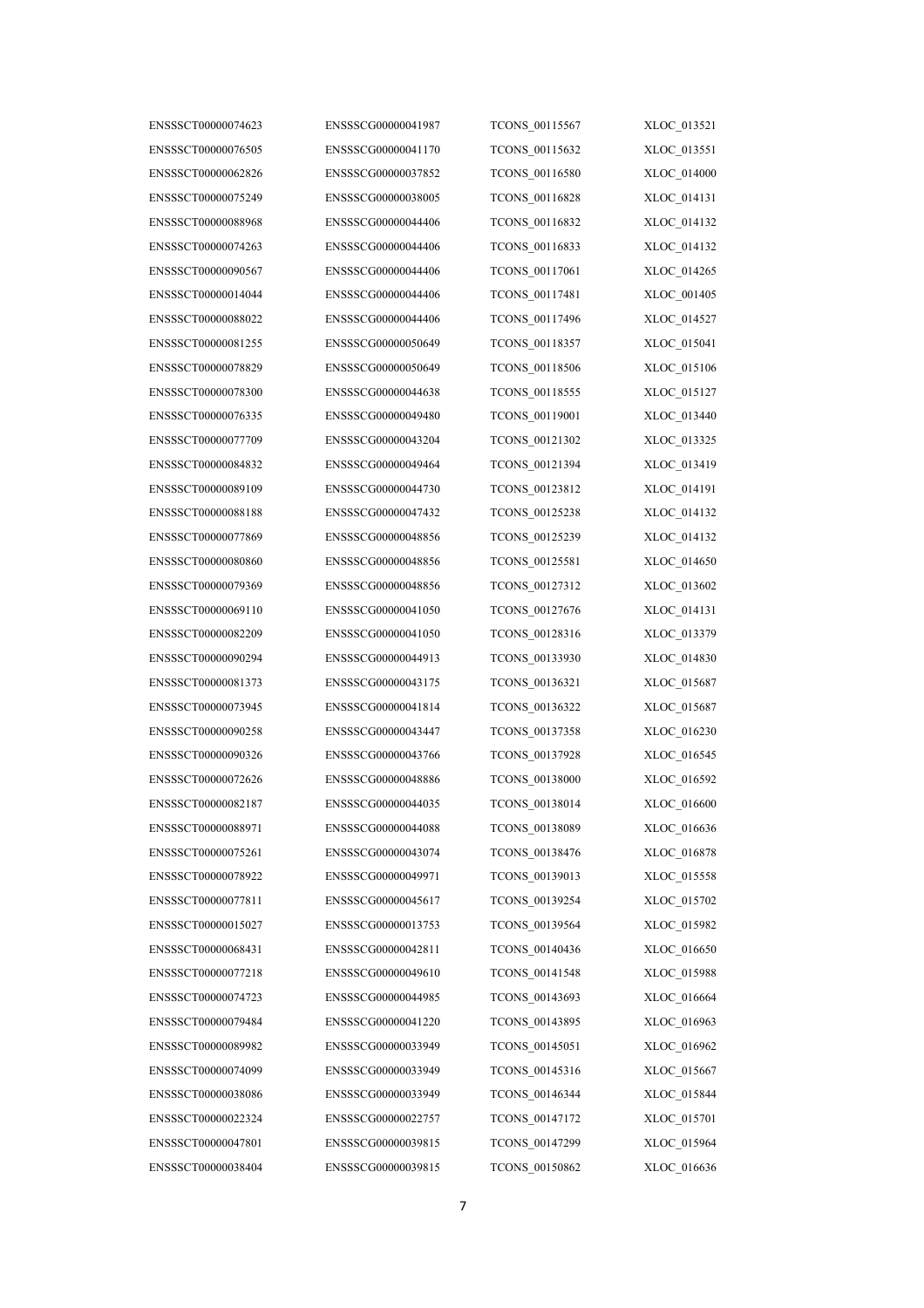ENSSSCT00000076505 ENSSSCG00000041170 TCONS\_00115632 XLOC\_013551 ENSSSCT00000062826 ENSSSCG00000037852 TCONS\_00116580 XLOC\_014000 ENSSSCT00000075249 ENSSSCG00000038005 TCONS\_00116828 XLOC\_014131 ENSSSCT00000088968 ENSSSCG00000044406 TCONS\_00116832 XLOC\_014132 ENSSSCT00000074263 ENSSSCG00000044406 TCONS\_00116833 XLOC\_014132 ENSSSCT00000090567 ENSSSCG0000044406 TCONS\_00117061 XLOC\_014265 ENSSSCT00000014044 ENSSSCG00000044406 TCONS\_00117481 XLOC\_001405 ENSSSCT00000088022 ENSSSCG00000044406 TCONS\_00117496 XLOC\_014527 ENSSSCT00000081255 ENSSSCG00000050649 TCONS\_00118357 XLOC\_015041 ENSSSCT00000078829 ENSSSCG00000050649 TCONS\_00118506 XLOC\_015106 ENSSSCT00000078300 ENSSSCG00000044638 TCONS\_00118555 XLOC\_015127 ENSSSCT00000076335 ENSSSCG00000049480 TCONS\_00119001 XLOC\_013440 ENSSSCT00000077709 ENSSSCG00000043204 TCONS\_00121302 XLOC\_013325 ENSSSCT00000084832 ENSSSCG00000049464 TCONS\_00121394 XLOC\_013419 ENSSSCT00000089109 ENSSSCG00000044730 TCONS\_00123812 XLOC\_014191 ENSSSCT00000088188 ENSSSCG00000047432 TCONS\_00125238 XLOC\_014132 ENSSSCT00000077869 ENSSSCG00000048856 TCONS\_00125239 XLOC\_014132 ENSSSCT00000080860 ENSSSCG00000048856 TCONS\_00125581 XLOC\_014650 ENSSSCT00000079369 ENSSSCG00000048856 TCONS\_00127312 XLOC\_013602 ENSSSCT00000069110 ENSSSCG00000041050 TCONS\_00127676 XLOC\_014131 ENSSSCT00000082209 ENSSSCG00000041050 TCONS\_00128316 XLOC\_013379 ENSSSCT00000090294 ENSSSCG00000044913 TCONS\_00133930 XLOC\_014830 ENSSSCT00000081373 ENSSSCG00000043175 TCONS\_00136321 XLOC\_015687 ENSSSCT00000073945 ENSSSCG00000041814 TCONS\_00136322 XLOC\_015687 ENSSSCT00000090258 ENSSSCG00000043447 TCONS\_00137358 XLOC\_016230 ENSSSCT00000090326 ENSSSCG00000043766 TCONS\_00137928 XLOC\_016545 ENSSSCT00000072626 ENSSSCG00000048886 TCONS\_00138000 XLOC\_016592 ENSSSCT00000082187 ENSSSCG00000044035 TCONS\_00138014 XLOC\_016600 ENSSSCT00000088971 ENSSSCG00000044088 TCONS\_00138089 XLOC\_016636 ENSSSCT00000075261 ENSSSCG00000043074 TCONS\_00138476 XLOC\_016878 ENSSSCT00000078922 ENSSSCG00000049971 TCONS\_00139013 XLOC\_015558 ENSSSCT00000077811 ENSSSCG00000045617 TCONS\_00139254 XLOC\_015702 ENSSSCT00000015027 ENSSSCG00000013753 TCONS\_00139564 XLOC\_015982 ENSSSCT00000068431 ENSSSCG00000042811 TCONS\_00140436 XLOC\_016650 ENSSSCT00000077218 ENSSSCG00000049610 TCONS\_00141548 XLOC\_015988 ENSSSCT00000074723 ENSSSCG00000044985 TCONS\_00143693 XLOC\_016664 ENSSSCT00000079484 ENSSSCG00000041220 TCONS\_00143895 XLOC\_016963 ENSSSCT00000089982 ENSSSCG00000033949 TCONS\_00145051 XLOC\_016962 ENSSSCT00000074099 ENSSSCG00000033949 TCONS\_00145316 XLOC\_015667 ENSSSCT00000038086 ENSSSCG00000033949 TCONS\_00146344 XLOC\_015844 ENSSSCT00000022324 ENSSSCG00000022757 TCONS\_00147172 XLOC\_015701 ENSSSCT00000047801 ENSSSCG00000039815 TCONS\_00147299 XLOC\_015964 ENSSSCT00000038404 ENSSSCG00000039815 TCONS\_00150862 XLOC\_016636

ENSSSCT00000074623 ENSSSCG00000041987 TCONS\_00115567 XLOC\_013521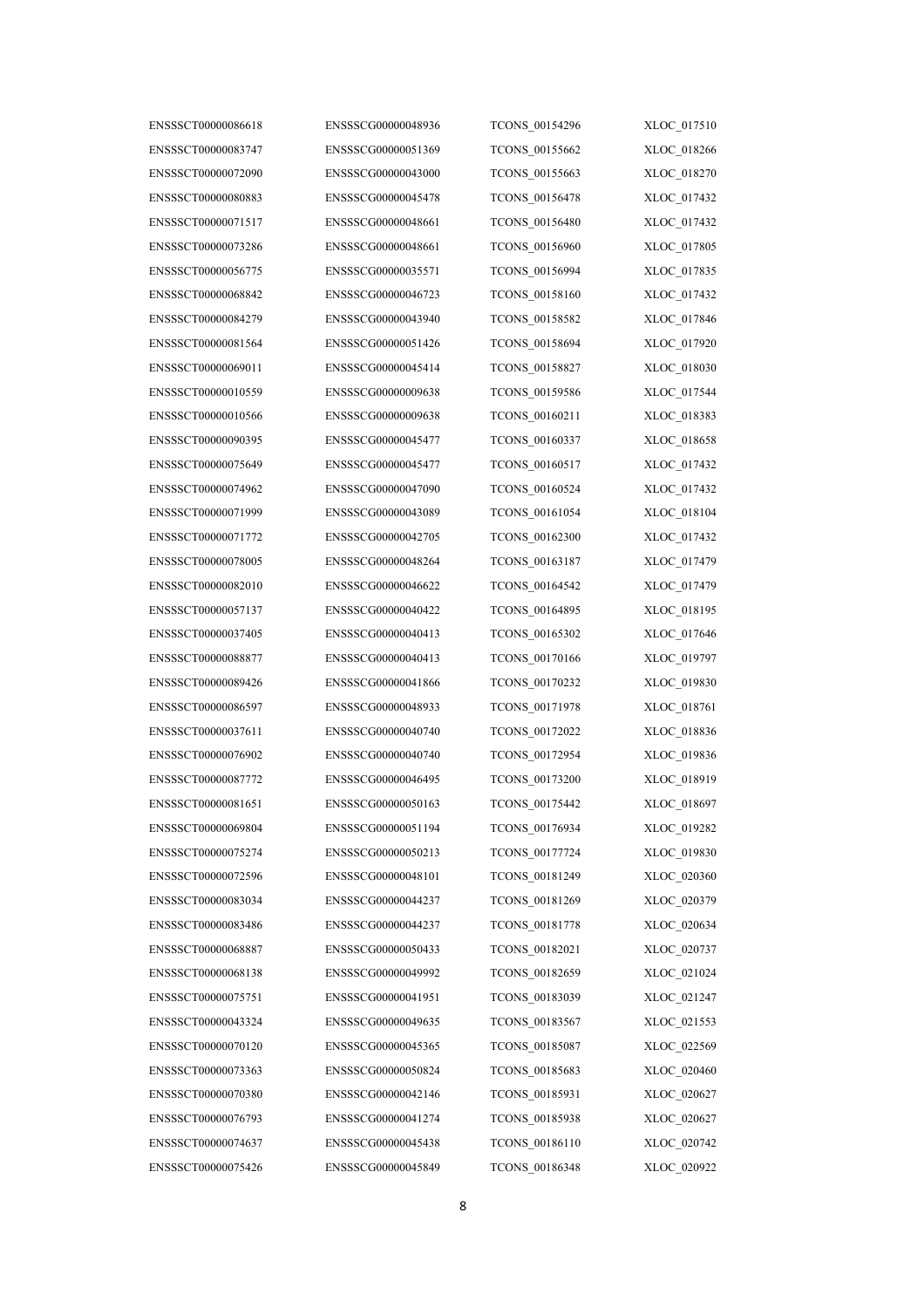ENSSSCT00000083747 ENSSSCG00000051369 TCONS\_00155662 XLOC\_018266 ENSSSCT00000072090 ENSSSCG00000043000 TCONS\_00155663 XLOC\_018270 ENSSSCT00000080883 ENSSSCG00000045478 TCONS\_00156478 XLOC\_017432 ENSSSCT00000071517 ENSSSCG00000048661 TCONS\_00156480 XLOC\_017432 ENSSSCT00000073286 ENSSSCG00000048661 TCONS\_00156960 XLOC\_017805 ENSSSCT00000056775 ENSSSCG00000035571 TCONS\_00156994 XLOC\_017835 ENSSSCT00000068842 ENSSSCG00000046723 TCONS\_00158160 XLOC\_017432 ENSSSCT00000084279 ENSSSCG00000043940 TCONS\_00158582 XLOC\_017846 ENSSSCT00000081564 ENSSSCG00000051426 TCONS\_00158694 XLOC\_017920 ENSSSCT00000069011 ENSSSCG00000045414 TCONS\_00158827 XLOC\_018030 ENSSSCT00000010559 ENSSSCG00000009638 TCONS\_00159586 XLOC\_017544 ENSSSCT00000010566 ENSSSCG00000009638 TCONS\_00160211 XLOC\_018383 ENSSSCT00000090395 ENSSSCG00000045477 TCONS\_00160337 XLOC\_018658 ENSSSCT00000075649 ENSSSCG00000045477 TCONS\_00160517 XLOC\_017432 ENSSSCT00000074962 ENSSSCG00000047090 TCONS\_00160524 XLOC\_017432 ENSSSCT00000071999 ENSSSCG00000043089 TCONS\_00161054 XLOC\_018104 ENSSSCT00000071772 ENSSSCG00000042705 TCONS\_00162300 XLOC\_017432 ENSSSCT00000078005 ENSSSCG00000048264 TCONS\_00163187 XLOC\_017479 ENSSSCT00000082010 ENSSSCG00000046622 TCONS\_00164542 XLOC\_017479 ENSSSCT00000057137 ENSSSCG00000040422 TCONS\_00164895 XLOC\_018195 ENSSSCT00000037405 ENSSSCG00000040413 TCONS\_00165302 XLOC\_017646 ENSSSCT00000088877 ENSSSCG00000040413 TCONS\_00170166 XLOC\_019797 ENSSSCT00000089426 ENSSSCG00000041866 TCONS\_00170232 XLOC\_019830 ENSSSCT00000086597 ENSSSCG00000048933 TCONS\_00171978 XLOC\_018761 ENSSSCT00000037611 ENSSSCG00000040740 TCONS\_00172022 XLOC\_018836 ENSSSCT00000076902 ENSSSCG00000040740 TCONS\_00172954 XLOC\_019836 ENSSSCT00000087772 ENSSSCG00000046495 TCONS\_00173200 XLOC\_018919 ENSSSCT00000081651 ENSSSCG00000050163 TCONS\_00175442 XLOC\_018697 ENSSSCT00000069804 ENSSSCG00000051194 TCONS\_00176934 XLOC\_019282 ENSSSCT00000075274 ENSSSCG00000050213 TCONS\_00177724 XLOC\_019830 ENSSSCT00000072596 ENSSSCG00000048101 TCONS\_00181249 XLOC\_020360 ENSSSCT00000083034 ENSSSCG00000044237 TCONS\_00181269 XLOC\_020379 ENSSSCT00000083486 ENSSSCG00000044237 TCONS\_00181778 XLOC\_020634 ENSSSCT00000068887 ENSSSCG00000050433 TCONS\_00182021 XLOC\_020737 ENSSSCT00000068138 ENSSSCG00000049992 TCONS\_00182659 XLOC\_021024 ENSSSCT00000075751 ENSSSCG00000041951 TCONS\_00183039 XLOC\_021247 ENSSSCT00000043324 ENSSSCG00000049635 TCONS\_00183567 XLOC\_021553 ENSSSCT00000070120 ENSSSCG00000045365 TCONS\_00185087 XLOC\_022569 ENSSSCT00000073363 ENSSSCG00000050824 TCONS\_00185683 XLOC\_020460 ENSSSCT00000070380 ENSSSCG00000042146 TCONS\_00185931 XLOC\_020627 ENSSSCT00000076793 ENSSSCG00000041274 TCONS\_00185938 XLOC\_020627 ENSSSCT00000074637 ENSSSCG00000045438 TCONS\_00186110 XLOC\_020742 ENSSSCT00000075426 ENSSSCG00000045849 TCONS\_00186348 XLOC\_020922

ENSSSCT00000086618 ENSSSCG00000048936 TCONS\_00154296 XLOC\_017510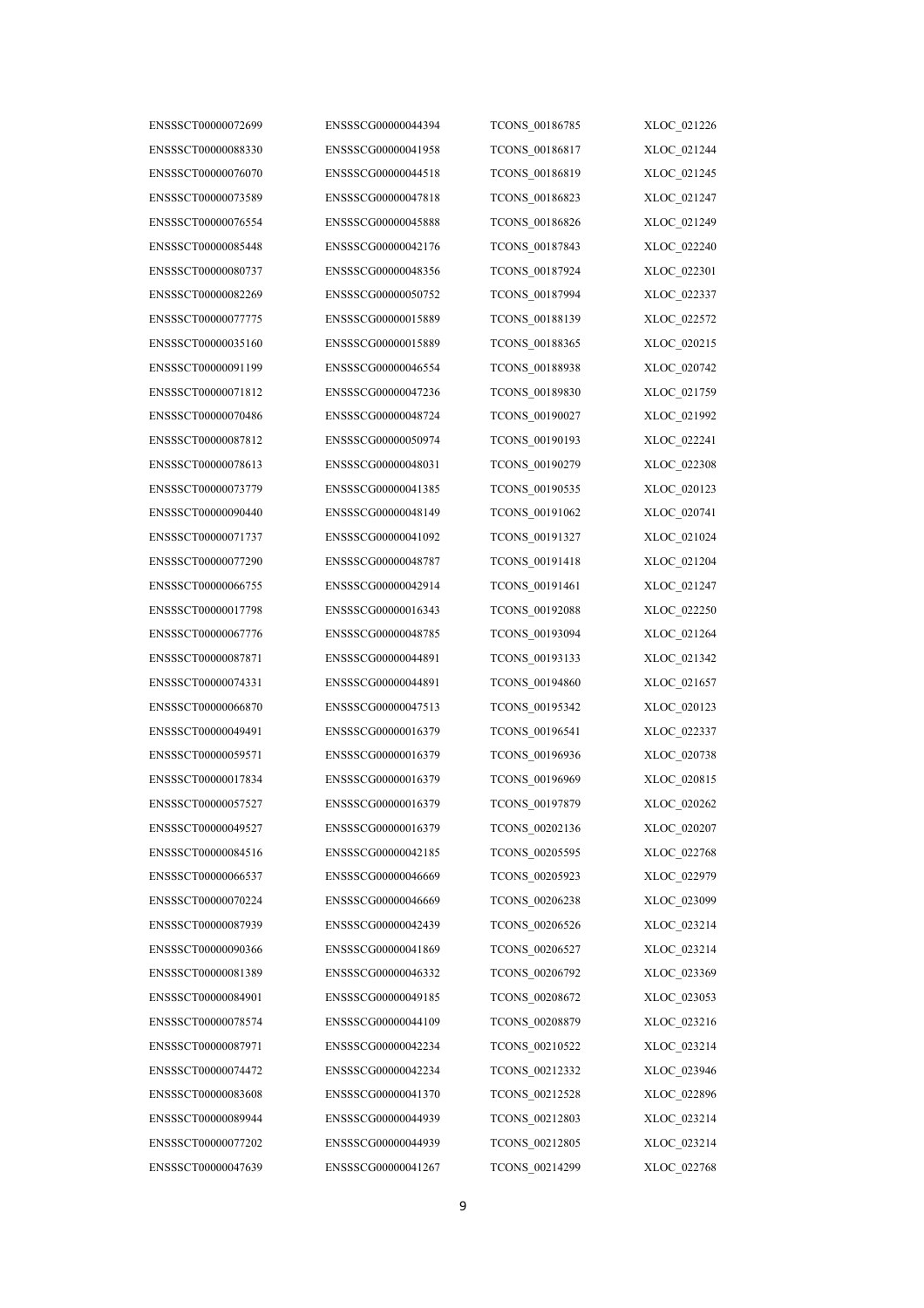ENSSSCT00000088330 ENSSSCG00000041958 TCONS\_00186817 XLOC\_021244 ENSSSCT00000076070 ENSSSCG00000044518 TCONS\_00186819 XLOC\_021245 ENSSSCT00000073589 ENSSSCG00000047818 TCONS\_00186823 XLOC\_021247 ENSSSCT00000076554 ENSSSCG00000045888 TCONS\_00186826 XLOC\_021249 ENSSSCT00000085448 ENSSSCG00000042176 TCONS\_00187843 XLOC\_022240 ENSSSCT00000080737 ENSSSCG00000048356 TCONS\_00187924 XLOC\_022301 ENSSSCT00000082269 ENSSSCG00000050752 TCONS\_00187994 XLOC\_022337 ENSSSCT00000077775 ENSSSCG00000015889 TCONS\_00188139 XLOC\_022572 ENSSSCT00000035160 ENSSSCG00000015889 TCONS\_00188365 XLOC\_020215 ENSSSCT00000091199 ENSSSCG00000046554 TCONS\_00188938 XLOC\_020742 ENSSSCT00000071812 ENSSSCG00000047236 TCONS\_00189830 XLOC\_021759 ENSSSCT00000070486 ENSSSCG00000048724 TCONS\_00190027 XLOC\_021992 ENSSSCT00000087812 ENSSSCG00000050974 TCONS\_00190193 XLOC\_022241 ENSSSCT00000078613 ENSSSCG00000048031 TCONS\_00190279 XLOC\_022308 ENSSSCT00000073779 ENSSSCG00000041385 TCONS\_00190535 XLOC\_020123 ENSSSCT00000090440 ENSSSCG00000048149 TCONS\_00191062 XLOC\_020741 ENSSSCT00000071737 ENSSSCG00000041092 TCONS\_00191327 XLOC\_021024 ENSSSCT00000077290 ENSSSCG00000048787 TCONS\_00191418 XLOC\_021204 ENSSSCT00000066755 ENSSSCG00000042914 TCONS\_00191461 XLOC\_021247 ENSSSCT00000017798 ENSSSCG00000016343 TCONS\_00192088 XLOC\_022250 ENSSSCT00000067776 ENSSSCG00000048785 TCONS\_00193094 XLOC\_021264 ENSSSCT00000087871 ENSSSCG00000044891 TCONS\_00193133 XLOC\_021342 ENSSSCT00000074331 ENSSSCG00000044891 TCONS\_00194860 XLOC\_021657 ENSSSCT00000066870 ENSSSCG00000047513 TCONS\_00195342 XLOC\_020123 ENSSSCT00000049491 ENSSSCG00000016379 TCONS\_00196541 XLOC\_022337 ENSSSCT00000059571 ENSSSCG00000016379 TCONS\_00196936 XLOC\_020738 ENSSSCT00000017834 ENSSSCG00000016379 TCONS\_00196969 XLOC\_020815 ENSSSCT00000057527 ENSSSCG00000016379 TCONS\_00197879 XLOC\_020262 ENSSSCT00000049527 ENSSSCG00000016379 TCONS\_00202136 XLOC\_020207 ENSSSCT00000084516 ENSSSCG00000042185 TCONS\_00205595 XLOC\_022768 ENSSSCT00000066537 ENSSSCG00000046669 TCONS\_00205923 XLOC\_022979 ENSSSCT00000070224 ENSSSCG00000046669 TCONS\_00206238 XLOC\_023099 ENSSSCT00000087939 ENSSSCG00000042439 TCONS\_00206526 XLOC\_023214 ENSSSCT00000090366 ENSSSCG00000041869 TCONS\_00206527 XLOC\_023214 ENSSSCT00000081389 ENSSSCG00000046332 TCONS\_00206792 XLOC\_023369 ENSSSCT00000084901 ENSSSCG00000049185 TCONS\_00208672 XLOC\_023053 ENSSSCT00000078574 ENSSSCG00000044109 TCONS\_00208879 XLOC\_023216 ENSSSCT00000087971 ENSSSCG00000042234 TCONS\_00210522 XLOC\_023214 ENSSSCT00000074472 ENSSSCG00000042234 TCONS\_00212332 XLOC\_023946 ENSSSCT00000083608 ENSSSCG00000041370 TCONS\_00212528 XLOC\_022896 ENSSSCT00000089944 ENSSSCG00000044939 TCONS\_00212803 XLOC\_023214 ENSSSCT00000077202 ENSSSCG00000044939 TCONS\_00212805 XLOC\_023214 ENSSSCT00000047639 ENSSSCG00000041267 TCONS\_00214299 XLOC\_022768

ENSSSCT00000072699 ENSSSCG00000044394 TCONS\_00186785 XLOC\_021226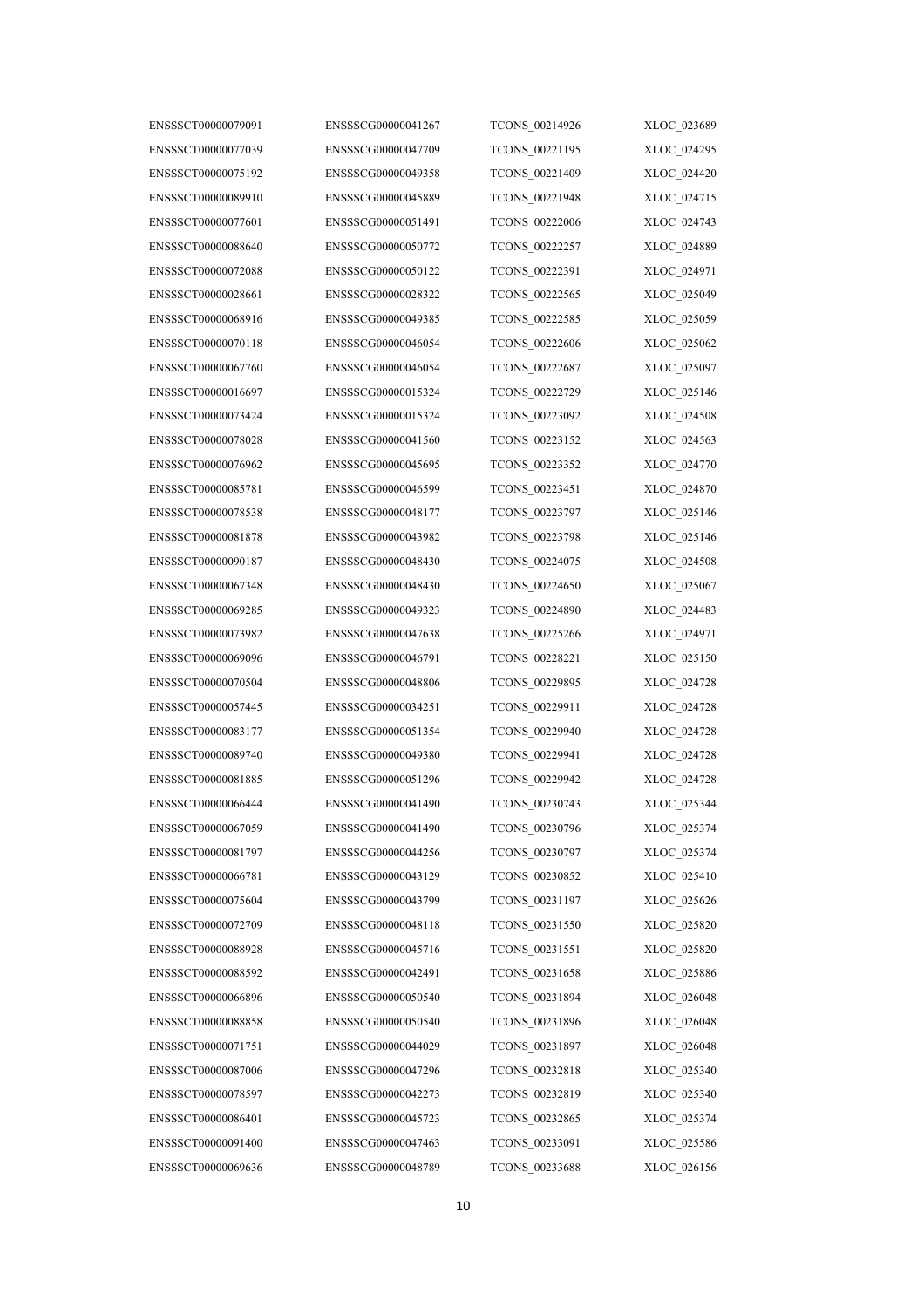ENSSSCT00000077039 ENSSSCG00000047709 TCONS\_00221195 XLOC\_024295 ENSSSCT00000075192 ENSSSCG00000049358 TCONS\_00221409 XLOC\_024420 ENSSSCT00000089910 ENSSSCG00000045889 TCONS\_00221948 XLOC\_024715 ENSSSCT00000077601 ENSSSCG00000051491 TCONS\_00222006 XLOC\_024743 ENSSSCT00000088640 ENSSSCG00000050772 TCONS\_00222257 XLOC\_024889 ENSSSCT00000072088 ENSSSCG00000050122 TCONS\_00222391 XLOC\_024971 ENSSSCT00000028661 ENSSSCG00000028322 TCONS\_00222565 XLOC\_025049 ENSSSCT00000068916 ENSSSCG00000049385 TCONS\_00222585 XLOC\_025059 ENSSSCT00000070118 ENSSSCG00000046054 TCONS\_00222606 XLOC\_025062 ENSSSCT00000067760 ENSSSCG00000046054 TCONS\_00222687 XLOC\_025097 ENSSSCT00000016697 ENSSSCG00000015324 TCONS\_00222729 XLOC\_025146 ENSSSCT00000073424 ENSSSCG00000015324 TCONS\_00223092 XLOC\_024508 ENSSSCT00000078028 ENSSSCG00000041560 TCONS\_00223152 XLOC\_024563 ENSSSCT00000076962 ENSSSCG00000045695 TCONS\_00223352 XLOC\_024770 ENSSSCT00000085781 ENSSSCG00000046599 TCONS\_00223451 XLOC\_024870 ENSSSCT00000078538 ENSSSCG00000048177 TCONS\_00223797 XLOC\_025146 ENSSSCT00000081878 ENSSSCG00000043982 TCONS\_00223798 XLOC\_025146 ENSSSCT00000090187 ENSSSCG00000048430 TCONS\_00224075 XLOC\_024508 ENSSSCT00000067348 ENSSSCG00000048430 TCONS\_00224650 XLOC\_025067 ENSSSCT00000069285 ENSSSCG00000049323 TCONS\_00224890 XLOC\_024483 ENSSSCT00000073982 ENSSSCG00000047638 TCONS\_00225266 XLOC\_024971 ENSSSCT00000069096 ENSSSCG00000046791 TCONS\_00228221 XLOC\_025150 ENSSSCT00000070504 ENSSSCG00000048806 TCONS\_00229895 XLOC\_024728 ENSSSCT00000057445 ENSSSCG00000034251 TCONS\_00229911 XLOC\_024728 ENSSSCT00000083177 ENSSSCG00000051354 TCONS\_00229940 XLOC\_024728 ENSSSCT00000089740 ENSSSCG00000049380 TCONS\_00229941 XLOC\_024728 ENSSSCT00000081885 ENSSSCG00000051296 TCONS\_00229942 XLOC\_024728 ENSSSCT00000066444 ENSSSCG00000041490 TCONS\_00230743 XLOC\_025344 ENSSSCT00000067059 ENSSSCG00000041490 TCONS\_00230796 XLOC\_025374 ENSSSCT00000081797 ENSSSCG00000044256 TCONS\_00230797 XLOC\_025374 ENSSSCT00000066781 ENSSSCG00000043129 TCONS\_00230852 XLOC\_025410 ENSSSCT00000075604 ENSSSCG00000043799 TCONS\_00231197 XLOC\_025626 ENSSSCT00000072709 ENSSSCG00000048118 TCONS\_00231550 XLOC\_025820 ENSSSCT00000088928 ENSSSCG00000045716 TCONS\_00231551 XLOC\_025820 ENSSSCT00000088592 ENSSSCG00000042491 TCONS\_00231658 XLOC\_025886 ENSSSCT00000066896 ENSSSCG00000050540 TCONS\_00231894 XLOC\_026048 ENSSSCT00000088858 ENSSSCG00000050540 TCONS\_00231896 XLOC\_026048 ENSSSCT00000071751 ENSSSCG00000044029 TCONS\_00231897 XLOC\_026048 ENSSSCT00000087006 ENSSSCG00000047296 TCONS\_00232818 XLOC\_025340 ENSSSCT00000078597 ENSSSCG00000042273 TCONS\_00232819 XLOC\_025340 ENSSSCT00000086401 ENSSSCG00000045723 TCONS\_00232865 XLOC\_025374 ENSSSCT00000091400 ENSSSCG00000047463 TCONS\_00233091 XLOC\_025586 ENSSSCT00000069636 ENSSSCG00000048789 TCONS\_00233688 XLOC\_026156

ENSSSCT00000079091 ENSSSCG00000041267 TCONS\_00214926 XLOC\_023689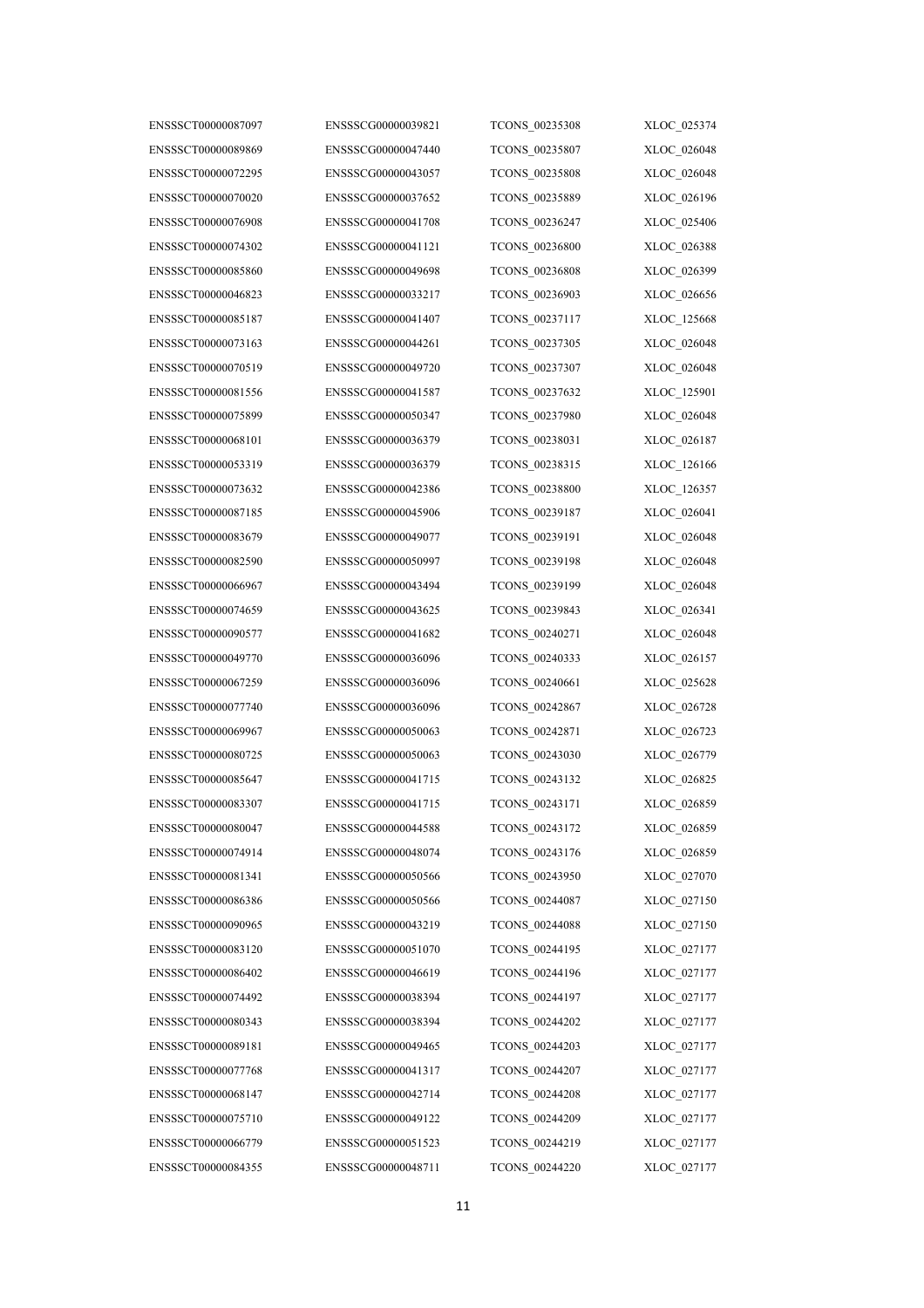ENSSSCT00000089869 ENSSSCG00000047440 TCONS\_00235807 XLOC\_026048 ENSSSCT00000072295 ENSSSCG00000043057 TCONS\_00235808 XLOC\_026048 ENSSSCT00000070020 ENSSSCG00000037652 TCONS\_00235889 XLOC\_026196 ENSSSCT00000076908 ENSSSCG00000041708 TCONS\_00236247 XLOC\_025406 ENSSSCT00000074302 ENSSSCG00000041121 TCONS\_00236800 XLOC\_026388 ENSSSCT00000085860 ENSSSCG00000049698 TCONS\_00236808 XLOC\_026399 ENSSSCT00000046823 ENSSSCG00000033217 TCONS\_00236903 XLOC\_026656 ENSSSCT00000085187 ENSSSCG00000041407 TCONS\_00237117 XLOC\_125668 ENSSSCT00000073163 ENSSSCG00000044261 TCONS\_00237305 XLOC\_026048 ENSSSCT00000070519 ENSSSCG00000049720 TCONS\_00237307 XLOC\_026048 ENSSSCT00000081556 ENSSSCG00000041587 TCONS\_00237632 XLOC\_125901 ENSSSCT00000075899 ENSSSCG00000050347 TCONS\_00237980 XLOC\_026048 ENSSSCT00000068101 ENSSSCG00000036379 TCONS\_00238031 XLOC\_026187 ENSSSCT00000053319 ENSSSCG00000036379 TCONS\_00238315 XLOC\_126166 ENSSSCT00000073632 ENSSSCG00000042386 TCONS\_00238800 XLOC\_126357 ENSSSCT00000087185 ENSSSCG00000045906 TCONS\_00239187 XLOC\_026041 ENSSSCT00000083679 ENSSSCG00000049077 TCONS\_00239191 XLOC\_026048 ENSSSCT00000082590 ENSSSCG00000050997 TCONS\_00239198 XLOC\_026048 ENSSSCT00000066967 ENSSSCG00000043494 TCONS\_00239199 XLOC\_026048 ENSSSCT00000074659 ENSSSCG00000043625 TCONS\_00239843 XLOC\_026341 ENSSSCT00000090577 ENSSSCG00000041682 TCONS\_00240271 XLOC\_026048 ENSSSCT00000049770 ENSSSCG00000036096 TCONS\_00240333 XLOC\_026157 ENSSSCT00000067259 ENSSSCG00000036096 TCONS\_00240661 XLOC\_025628 ENSSSCT00000077740 ENSSSCG00000036096 TCONS\_00242867 XLOC\_026728 ENSSSCT00000069967 ENSSSCG00000050063 TCONS\_00242871 XLOC\_026723 ENSSSCT00000080725 ENSSSCG00000050063 TCONS\_00243030 XLOC\_026779 ENSSSCT00000085647 ENSSSCG00000041715 TCONS\_00243132 XLOC\_026825 ENSSSCT00000083307 ENSSSCG00000041715 TCONS\_00243171 XLOC\_026859 ENSSSCT00000080047 ENSSSCG00000044588 TCONS\_00243172 XLOC\_026859 ENSSSCT00000074914 ENSSSCG00000048074 TCONS\_00243176 XLOC\_026859 ENSSSCT00000081341 ENSSSCG00000050566 TCONS\_00243950 XLOC\_027070 ENSSSCT00000086386 ENSSSCG00000050566 TCONS\_00244087 XLOC\_027150 ENSSSCT00000090965 ENSSSCG00000043219 TCONS\_00244088 XLOC\_027150 ENSSSCT00000083120 ENSSSCG00000051070 TCONS\_00244195 XLOC\_027177 ENSSSCT00000086402 ENSSSCG00000046619 TCONS\_00244196 XLOC\_027177 ENSSSCT00000074492 ENSSSCG00000038394 TCONS\_00244197 XLOC\_027177 ENSSSCT00000080343 ENSSSCG00000038394 TCONS\_00244202 XLOC\_027177 ENSSSCT00000089181 ENSSSCG00000049465 TCONS\_00244203 XLOC\_027177 ENSSSCT00000077768 ENSSSCG00000041317 TCONS\_00244207 XLOC\_027177 ENSSSCT00000068147 ENSSSCG00000042714 TCONS\_00244208 XLOC\_027177 ENSSSCT00000075710 ENSSSCG00000049122 TCONS\_00244209 XLOC\_027177 ENSSSCT00000066779 ENSSSCG00000051523 TCONS\_00244219 XLOC\_027177 ENSSSCT00000084355 ENSSSCG00000048711 TCONS\_00244220 XLOC\_027177

ENSSSCT00000087097 ENSSSCG00000039821 TCONS\_00235308 XLOC\_025374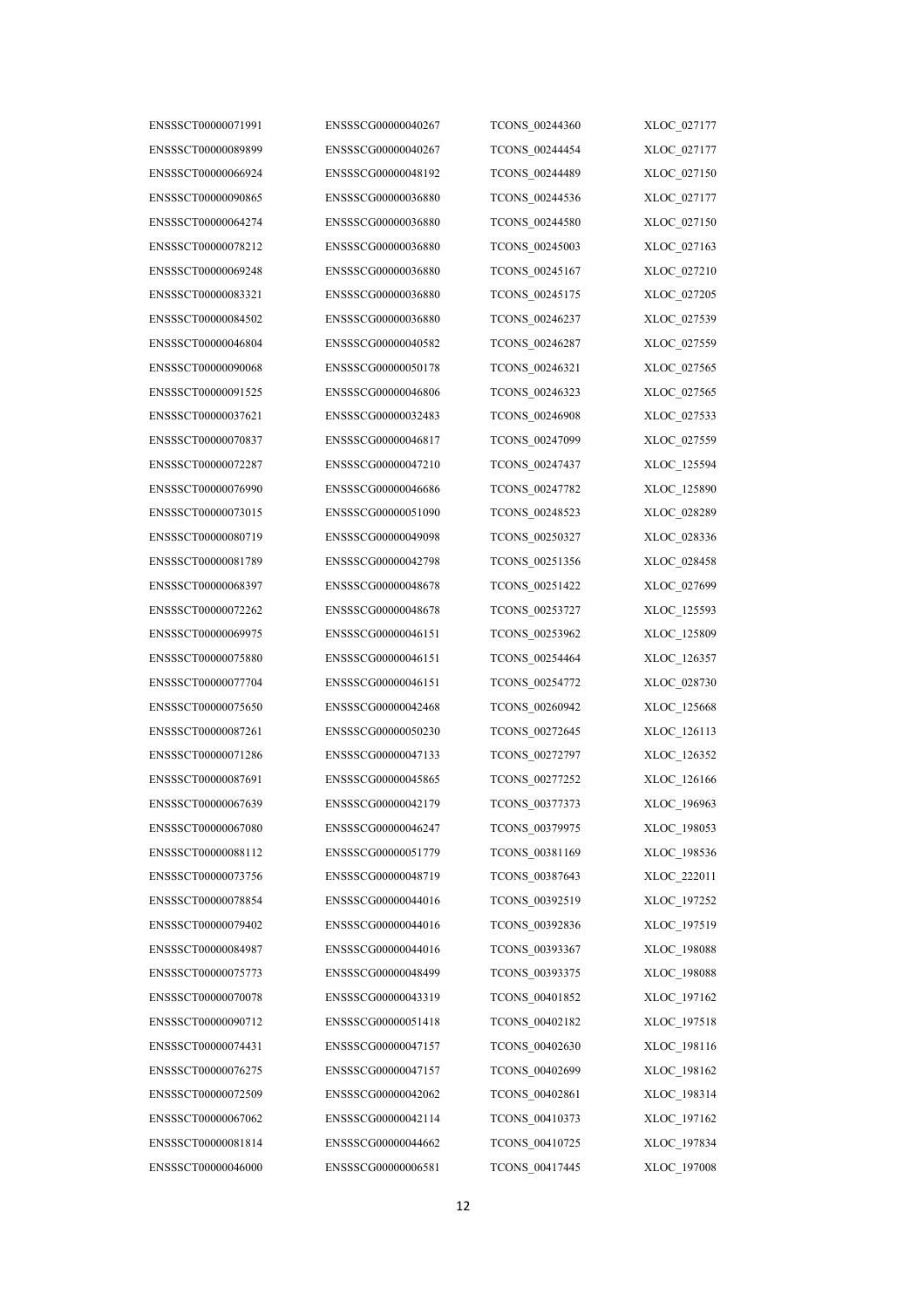ENSSSCT00000046000 ENSSSCG00000006581 TCONS\_00417445 XLOC\_197008

ENSSSCT00000071991 ENSSSCG00000040267 TCONS\_00244360 XLOC\_027177 ENSSSCT00000089899 ENSSSCG00000040267 TCONS\_00244454 XLOC\_027177 ENSSSCT00000066924 ENSSSCG00000048192 TCONS\_00244489 XLOC\_027150 ENSSSCT00000090865 ENSSSCG00000036880 TCONS\_00244536 XLOC\_027177 ENSSSCT00000064274 ENSSSCG00000036880 TCONS\_00244580 XLOC\_027150 ENSSSCT00000078212 ENSSSCG00000036880 TCONS\_00245003 XLOC\_027163 ENSSSCT00000069248 ENSSSCG00000036880 TCONS\_00245167 XLOC\_027210 ENSSSCT00000083321 ENSSSCG00000036880 TCONS\_00245175 XLOC\_027205 ENSSSCT00000084502 ENSSSCG00000036880 TCONS\_00246237 XLOC\_027539 ENSSSCT00000046804 ENSSSCG00000040582 TCONS\_00246287 XLOC\_027559 ENSSSCT00000090068 ENSSSCG0000050178 TCONS\_00246321 XLOC\_027565 ENSSSCT00000091525 ENSSSCG00000046806 TCONS\_00246323 XLOC\_027565 ENSSSCT00000037621 ENSSSCG00000032483 TCONS\_00246908 XLOC\_027533 ENSSSCT00000070837 ENSSSCG00000046817 TCONS\_00247099 XLOC\_027559 ENSSSCT00000072287 ENSSSCG00000047210 TCONS\_00247437 XLOC\_125594 ENSSSCT00000076990 ENSSSCG00000046686 TCONS\_00247782 XLOC\_125890 ENSSSCT00000073015 ENSSSCG00000051090 TCONS\_00248523 XLOC\_028289 ENSSSCT00000080719 ENSSSCG00000049098 TCONS\_00250327 XLOC\_028336 ENSSSCT00000081789 ENSSSCG00000042798 TCONS\_00251356 XLOC\_028458 ENSSSCT00000068397 ENSSSCG00000048678 TCONS\_00251422 XLOC\_027699 ENSSSCT00000072262 ENSSSCG00000048678 TCONS\_00253727 XLOC\_125593 ENSSSCT00000069975 ENSSSCG00000046151 TCONS\_00253962 XLOC\_125809 ENSSSCT00000075880 ENSSSCG00000046151 TCONS\_00254464 XLOC\_126357 ENSSSCT00000077704 ENSSSCG00000046151 TCONS\_00254772 XLOC\_028730 ENSSSCT00000075650 ENSSSCG00000042468 TCONS\_00260942 XLOC\_125668 ENSSSCT00000087261 ENSSSCG00000050230 TCONS\_00272645 XLOC\_126113 ENSSSCT00000071286 ENSSSCG00000047133 TCONS\_00272797 XLOC\_126352 ENSSSCT00000087691 ENSSSCG00000045865 TCONS\_00277252 XLOC\_126166 ENSSSCT00000067639 ENSSSCG00000042179 TCONS\_00377373 XLOC\_196963 ENSSSCT00000067080 ENSSSCG00000046247 TCONS\_00379975 XLOC\_198053 ENSSSCT00000088112 ENSSSCG00000051779 TCONS\_00381169 XLOC\_198536 ENSSSCT00000073756 ENSSSCG00000048719 TCONS\_00387643 XLOC\_222011 ENSSSCT00000078854 ENSSSCG00000044016 TCONS\_00392519 XLOC\_197252 ENSSSCT00000079402 ENSSSCG00000044016 TCONS\_00392836 XLOC\_197519 ENSSSCT00000084987 ENSSSCG00000044016 TCONS\_00393367 XLOC\_198088 ENSSSCT00000075773 ENSSSCG00000048499 TCONS\_00393375 XLOC\_198088 ENSSSCT00000070078 ENSSSCG00000043319 TCONS\_00401852 XLOC\_197162 ENSSSCT00000090712 ENSSSCG00000051418 TCONS\_00402182 XLOC\_197518 ENSSSCT00000074431 ENSSSCG00000047157 TCONS\_00402630 XLOC\_198116 ENSSSCT00000076275 ENSSSCG00000047157 TCONS\_00402699 XLOC\_198162 ENSSSCT00000072509 ENSSSCG00000042062 TCONS\_00402861 XLOC\_198314 ENSSSCT00000067062 ENSSSCG00000042114 TCONS\_00410373 XLOC\_197162 ENSSSCT00000081814 ENSSSCG00000044662 TCONS\_00410725 XLOC\_197834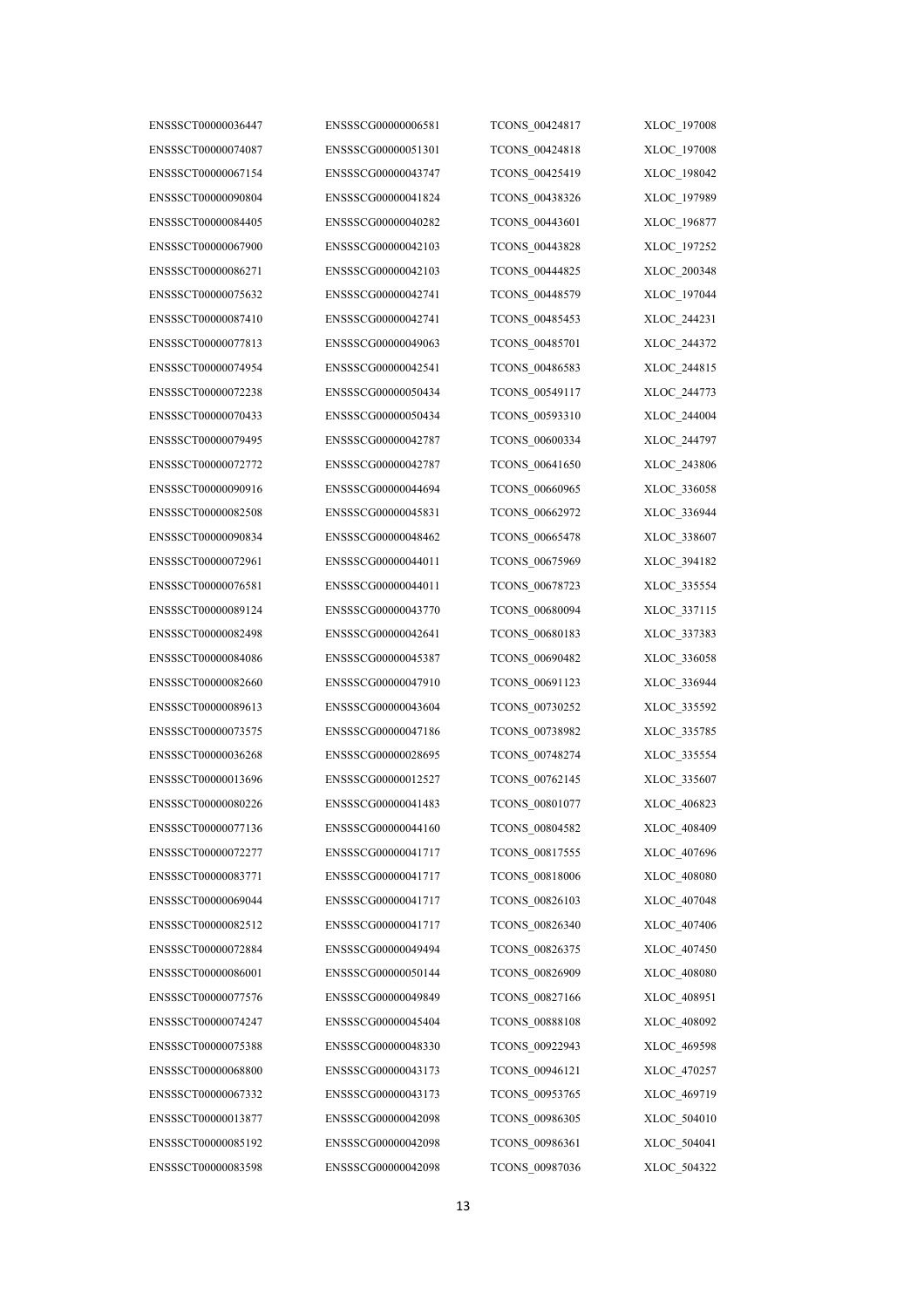ENSSSCT00000074087 ENSSSCG00000051301 TCONS\_00424818 XLOC\_197008 ENSSSCT00000067154 ENSSSCG00000043747 TCONS\_00425419 XLOC\_198042 ENSSSCT00000090804 ENSSSCG00000041824 TCONS\_00438326 XLOC\_197989 ENSSSCT00000084405 ENSSSCG00000040282 TCONS\_00443601 XLOC\_196877 ENSSSCT00000067900 ENSSSCG00000042103 TCONS\_00443828 XLOC\_197252 ENSSSCT00000086271 ENSSSCG00000042103 TCONS\_00444825 XLOC\_200348 ENSSSCT00000075632 ENSSSCG00000042741 TCONS\_00448579 XLOC\_197044 ENSSSCT00000087410 ENSSSCG00000042741 TCONS\_00485453 XLOC\_244231 ENSSSCT00000077813 ENSSSCG00000049063 TCONS\_00485701 XLOC\_244372 ENSSSCT00000074954 ENSSSCG00000042541 TCONS\_00486583 XLOC\_244815 ENSSSCT00000072238 ENSSSCG00000050434 TCONS\_00549117 XLOC\_244773 ENSSSCT00000070433 ENSSSCG00000050434 TCONS\_00593310 XLOC\_244004 ENSSSCT00000079495 ENSSSCG00000042787 TCONS\_00600334 XLOC\_244797 ENSSSCT00000072772 ENSSSCG00000042787 TCONS\_00641650 XLOC\_243806 ENSSSCT00000090916 ENSSSCG0000044694 TCONS\_00660965 XLOC\_336058 ENSSSCT00000082508 ENSSSCG00000045831 TCONS\_00662972 XLOC\_336944 ENSSSCT00000090834 ENSSSCG00000048462 TCONS\_00665478 XLOC\_338607 ENSSSCT00000072961 ENSSSCG00000044011 TCONS\_00675969 XLOC\_394182 ENSSSCT00000076581 ENSSSCG00000044011 TCONS\_00678723 XLOC\_335554 ENSSSCT00000089124 ENSSSCG00000043770 TCONS\_00680094 XLOC\_337115 ENSSSCT00000082498 ENSSSCG00000042641 TCONS\_00680183 XLOC\_337383 ENSSSCT00000084086 ENSSSCG00000045387 TCONS\_00690482 XLOC\_336058 ENSSSCT00000082660 ENSSSCG00000047910 TCONS\_00691123 XLOC\_336944 ENSSSCT00000089613 ENSSSCG00000043604 TCONS\_00730252 XLOC\_335592 ENSSSCT00000073575 ENSSSCG00000047186 TCONS\_00738982 XLOC\_335785 ENSSSCT00000036268 ENSSSCG00000028695 TCONS\_00748274 XLOC\_335554 ENSSSCT00000013696 ENSSSCG00000012527 TCONS\_00762145 XLOC\_335607 ENSSSCT00000080226 ENSSSCG00000041483 TCONS\_00801077 XLOC\_406823 ENSSSCT00000077136 ENSSSCG00000044160 TCONS\_00804582 XLOC\_408409 ENSSSCT00000072277 ENSSSCG00000041717 TCONS\_00817555 XLOC\_407696 ENSSSCT00000083771 ENSSSCG00000041717 TCONS\_00818006 XLOC\_408080 ENSSSCT00000069044 ENSSSCG00000041717 TCONS\_00826103 XLOC\_407048 ENSSSCT00000082512 ENSSSCG00000041717 TCONS\_00826340 XLOC\_407406 ENSSSCT00000072884 ENSSSCG00000049494 TCONS\_00826375 XLOC\_407450 ENSSSCT00000086001 ENSSSCG00000050144 TCONS\_00826909 XLOC\_408080 ENSSSCT00000077576 ENSSSCG00000049849 TCONS\_00827166 XLOC\_408951 ENSSSCT00000074247 ENSSSCG00000045404 TCONS\_00888108 XLOC\_408092 ENSSSCT00000075388 ENSSSCG00000048330 TCONS\_00922943 XLOC\_469598 ENSSSCT00000068800 ENSSSCG00000043173 TCONS\_00946121 XLOC\_470257 ENSSSCT00000067332 ENSSSCG00000043173 TCONS\_00953765 XLOC\_469719 ENSSSCT00000013877 ENSSSCG00000042098 TCONS\_00986305 XLOC\_504010 ENSSSCT00000085192 ENSSSCG00000042098 TCONS\_00986361 XLOC\_504041 ENSSSCT00000083598 ENSSSCG00000042098 TCONS\_00987036 XLOC\_504322

ENSSSCT00000036447 ENSSSCG00000006581 TCONS\_00424817 XLOC\_197008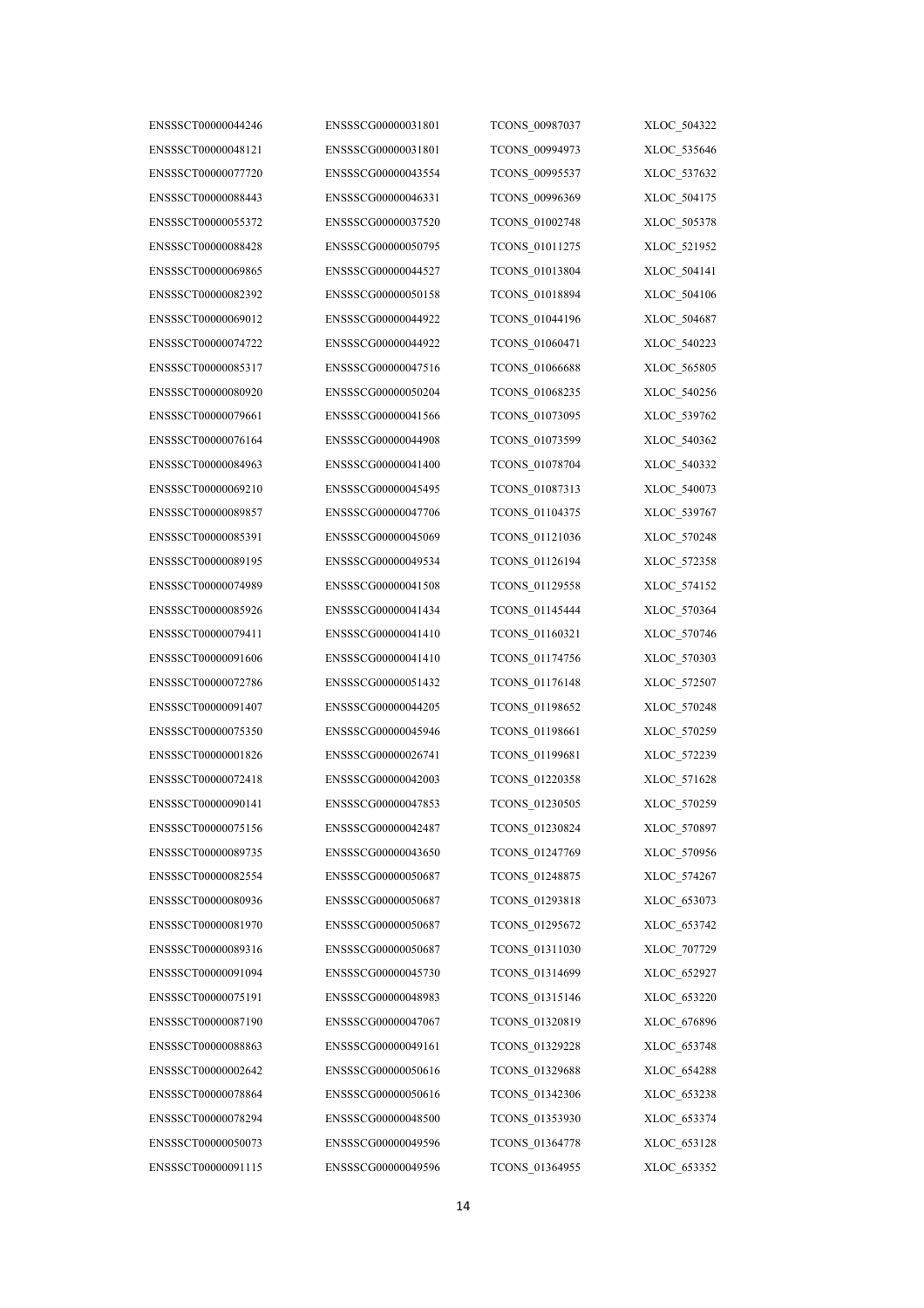ENSSSCT00000091115 ENSSSCG00000049596 TCONS\_01364955 XLOC\_653352

ENSSSCT00000044246 ENSSSCG00000031801 TCONS\_00987037 XLOC\_504322 ENSSSCT0000048121 ENSSSCG00000031801 TCONS\_00994973 XLOC\_535646 ENSSSCT00000077720 ENSSSCG00000043554 TCONS\_00995537 XLOC\_537632 ENSSSCT00000088443 ENSSSCG00000046331 TCONS\_00996369 XLOC\_504175 ENSSSCT00000055372 ENSSSCG00000037520 TCONS\_01002748 XLOC\_505378 ENSSSCT00000088428 ENSSSCG00000050795 TCONS\_01011275 XLOC\_521952 ENSSSCT00000069865 ENSSSCG00000044527 TCONS\_01013804 XLOC\_504141 ENSSSCT00000082392 ENSSSCG00000050158 TCONS\_01018894 XLOC\_504106 ENSSSCT00000069012 ENSSSCG00000044922 TCONS\_01044196 XLOC\_504687 ENSSSCT00000074722 ENSSSCG00000044922 TCONS\_01060471 XLOC\_540223 ENSSSCT00000085317 ENSSSCG0000047516 TCONS\_01066688 XLOC\_565805 ENSSSCT00000080920 ENSSSCG00000050204 TCONS\_01068235 XLOC\_540256 ENSSSCT00000079661 ENSSSCG00000041566 TCONS\_01073095 XLOC\_539762 ENSSSCT00000076164 ENSSSCG00000044908 TCONS\_01073599 XLOC\_540362 ENSSSCT00000084963 ENSSSCG00000041400 TCONS\_01078704 XLOC\_540332 ENSSSCT00000069210 ENSSSCG0000045495 TCONS\_01087313 XLOC\_540073 ENSSSCT00000089857 ENSSSCG00000047706 TCONS\_01104375 XLOC\_539767 ENSSSCT00000085391 ENSSSCG00000045069 TCONS\_01121036 XLOC\_570248 ENSSSCT00000089195 ENSSSCG00000049534 TCONS\_01126194 XLOC\_572358 ENSSSCT00000074989 ENSSSCG00000041508 TCONS\_01129558 XLOC\_574152 ENSSSCT00000085926 ENSSSCG00000041434 TCONS\_01145444 XLOC\_570364 ENSSSCT00000079411 ENSSSCG00000041410 TCONS\_01160321 XLOC\_570746 ENSSSCT00000091606 ENSSSCG00000041410 TCONS\_01174756 XLOC\_570303 ENSSSCT00000072786 ENSSSCG00000051432 TCONS\_01176148 XLOC\_572507 ENSSSCT00000091407 ENSSSCG0000044205 TCONS\_01198652 XLOC\_570248 ENSSSCT00000075350 ENSSSCG00000045946 TCONS\_01198661 XLOC\_570259 ENSSSCT00000001826 ENSSSCG00000026741 TCONS\_01199681 XLOC\_572239 ENSSSCT00000072418 ENSSSCG00000042003 TCONS\_01220358 XLOC\_571628 ENSSSCT00000090141 ENSSSCG00000047853 TCONS\_01230505 XLOC\_570259 ENSSSCT00000075156 ENSSSCG00000042487 TCONS\_01230824 XLOC\_570897 ENSSSCT00000089735 ENSSSCG00000043650 TCONS\_01247769 XLOC\_570956 ENSSSCT00000082554 ENSSSCG00000050687 TCONS\_01248875 XLOC\_574267 ENSSSCT00000080936 ENSSSCG00000050687 TCONS\_01293818 XLOC\_653073 ENSSSCT00000081970 ENSSSCG00000050687 TCONS\_01295672 XLOC\_653742 ENSSSCT00000089316 ENSSSCG00000050687 TCONS\_01311030 XLOC\_707729 ENSSSCT00000091094 ENSSSCG00000045730 TCONS\_01314699 XLOC\_652927 ENSSSCT00000075191 ENSSSCG00000048983 TCONS\_01315146 XLOC\_653220 ENSSSCT00000087190 ENSSSCG00000047067 TCONS\_01320819 XLOC\_676896 ENSSSCT00000088863 ENSSSCG00000049161 TCONS\_01329228 XLOC\_653748 ENSSSCT00000002642 ENSSSCG00000050616 TCONS\_01329688 XLOC\_654288 ENSSSCT00000078864 ENSSSCG00000050616 TCONS\_01342306 XLOC\_653238 ENSSSCT00000078294 ENSSSCG00000048500 TCONS\_01353930 XLOC\_653374 ENSSSCT00000050073 ENSSSCG00000049596 TCONS\_01364778 XLOC\_653128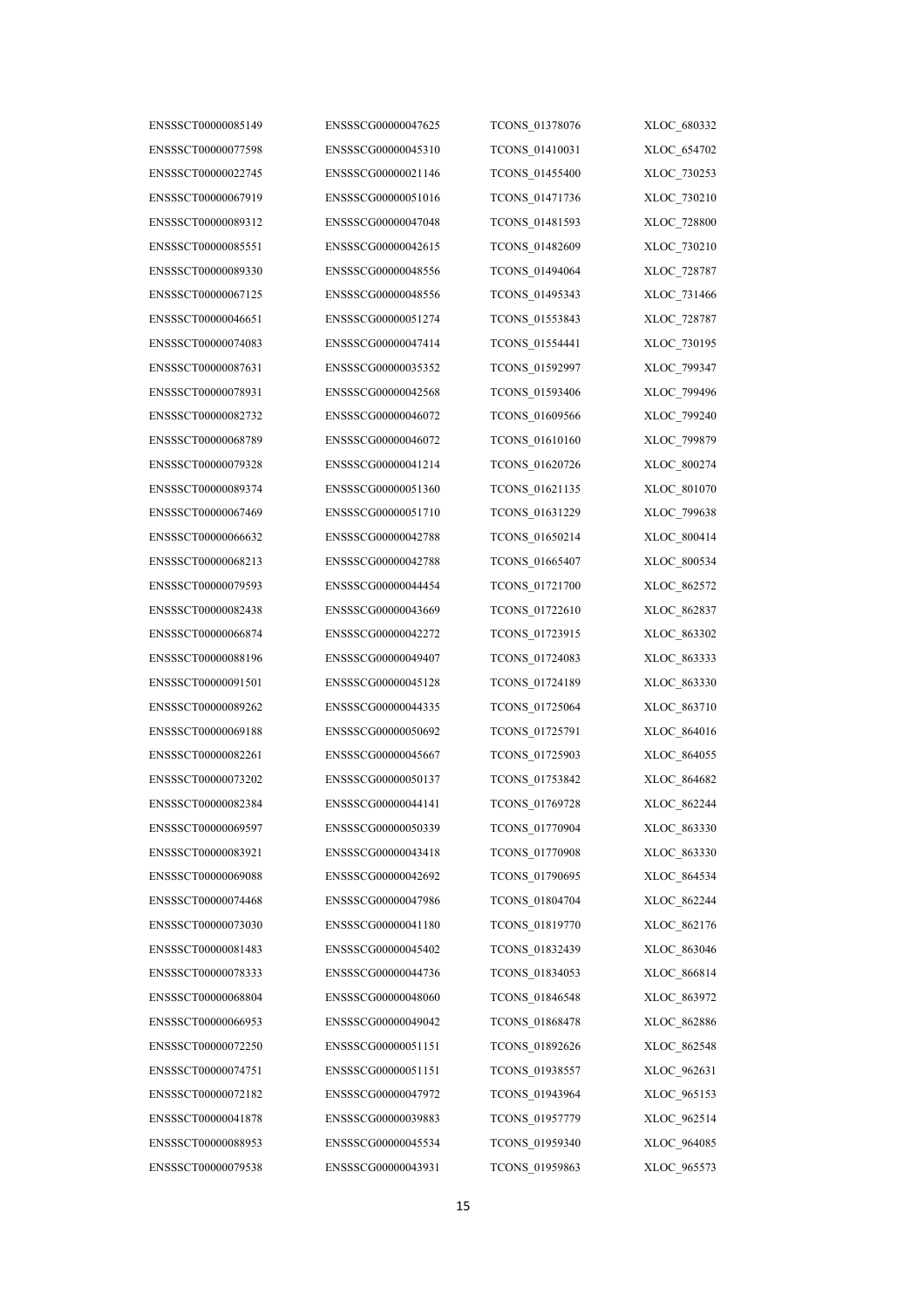ENSSSCT00000077598 ENSSSCG00000045310 TCONS\_01410031 XLOC\_654702 ENSSSCT00000022745 ENSSSCG00000021146 TCONS\_01455400 XLOC\_730253 ENSSSCT00000067919 ENSSSCG00000051016 TCONS\_01471736 XLOC\_730210 ENSSSCT00000089312 ENSSSCG00000047048 TCONS\_01481593 XLOC\_728800 ENSSSCT00000085551 ENSSSCG00000042615 TCONS\_01482609 XLOC\_730210 ENSSSCT00000089330 ENSSSCG00000048556 TCONS\_01494064 XLOC\_728787 ENSSSCT00000067125 ENSSSCG00000048556 TCONS\_01495343 XLOC\_731466 ENSSSCT00000046651 ENSSSCG00000051274 TCONS\_01553843 XLOC\_728787 ENSSSCT00000074083 ENSSSCG00000047414 TCONS\_01554441 XLOC\_730195 ENSSSCT00000087631 ENSSSCG00000035352 TCONS\_01592997 XLOC\_799347 ENSSSCT00000078931 ENSSSCG00000042568 TCONS\_01593406 XLOC\_799496 ENSSSCT00000082732 ENSSSCG00000046072 TCONS\_01609566 XLOC\_799240 ENSSSCT00000068789 ENSSSCG00000046072 TCONS\_01610160 XLOC\_799879 ENSSSCT00000079328 ENSSSCG00000041214 TCONS\_01620726 XLOC\_800274 ENSSSCT00000089374 ENSSSCG00000051360 TCONS\_01621135 XLOC\_801070 ENSSSCT00000067469 ENSSSCG00000051710 TCONS\_01631229 XLOC\_799638 ENSSSCT00000066632 ENSSSCG00000042788 TCONS\_01650214 XLOC\_800414 ENSSSCT00000068213 ENSSSCG00000042788 TCONS\_01665407 XLOC\_800534 ENSSSCT00000079593 ENSSSCG00000044454 TCONS\_01721700 XLOC\_862572 ENSSSCT00000082438 ENSSSCG00000043669 TCONS\_01722610 XLOC\_862837 ENSSSCT00000066874 ENSSSCG00000042272 TCONS\_01723915 XLOC\_863302 ENSSSCT00000088196 ENSSSCG00000049407 TCONS\_01724083 XLOC\_863333 ENSSSCT00000091501 ENSSSCG00000045128 TCONS\_01724189 XLOC\_863330 ENSSSCT00000089262 ENSSSCG00000044335 TCONS\_01725064 XLOC\_863710 ENSSSCT00000069188 ENSSSCG00000050692 TCONS\_01725791 XLOC\_864016 ENSSSCT00000082261 ENSSSCG00000045667 TCONS\_01725903 XLOC\_864055 ENSSSCT00000073202 ENSSSCG00000050137 TCONS\_01753842 XLOC\_864682 ENSSSCT00000082384 ENSSSCG00000044141 TCONS\_01769728 XLOC\_862244 ENSSSCT00000069597 ENSSSCG00000050339 TCONS\_01770904 XLOC\_863330 ENSSSCT00000083921 ENSSSCG00000043418 TCONS\_01770908 XLOC\_863330 ENSSSCT00000069088 ENSSSCG00000042692 TCONS\_01790695 XLOC\_864534 ENSSSCT00000074468 ENSSSCG00000047986 TCONS\_01804704 XLOC\_862244 ENSSSCT00000073030 ENSSSCG00000041180 TCONS\_01819770 XLOC\_862176 ENSSSCT00000081483 ENSSSCG00000045402 TCONS\_01832439 XLOC\_863046 ENSSSCT00000078333 ENSSSCG00000044736 TCONS\_01834053 XLOC\_866814 ENSSSCT00000068804 ENSSSCG00000048060 TCONS\_01846548 XLOC\_863972 ENSSSCT00000066953 ENSSSCG00000049042 TCONS\_01868478 XLOC\_862886 ENSSSCT00000072250 ENSSSCG00000051151 TCONS\_01892626 XLOC\_862548 ENSSSCT00000074751 ENSSSCG00000051151 TCONS\_01938557 XLOC\_962631 ENSSSCT00000072182 ENSSSCG00000047972 TCONS\_01943964 XLOC\_965153 ENSSSCT00000041878 ENSSSCG00000039883 TCONS\_01957779 XLOC\_962514 ENSSSCT00000088953 ENSSSCG00000045534 TCONS\_01959340 XLOC\_964085 ENSSSCT00000079538 ENSSSCG00000043931 TCONS\_01959863 XLOC\_965573

ENSSSCT00000085149 ENSSSCG00000047625 TCONS\_01378076 XLOC\_680332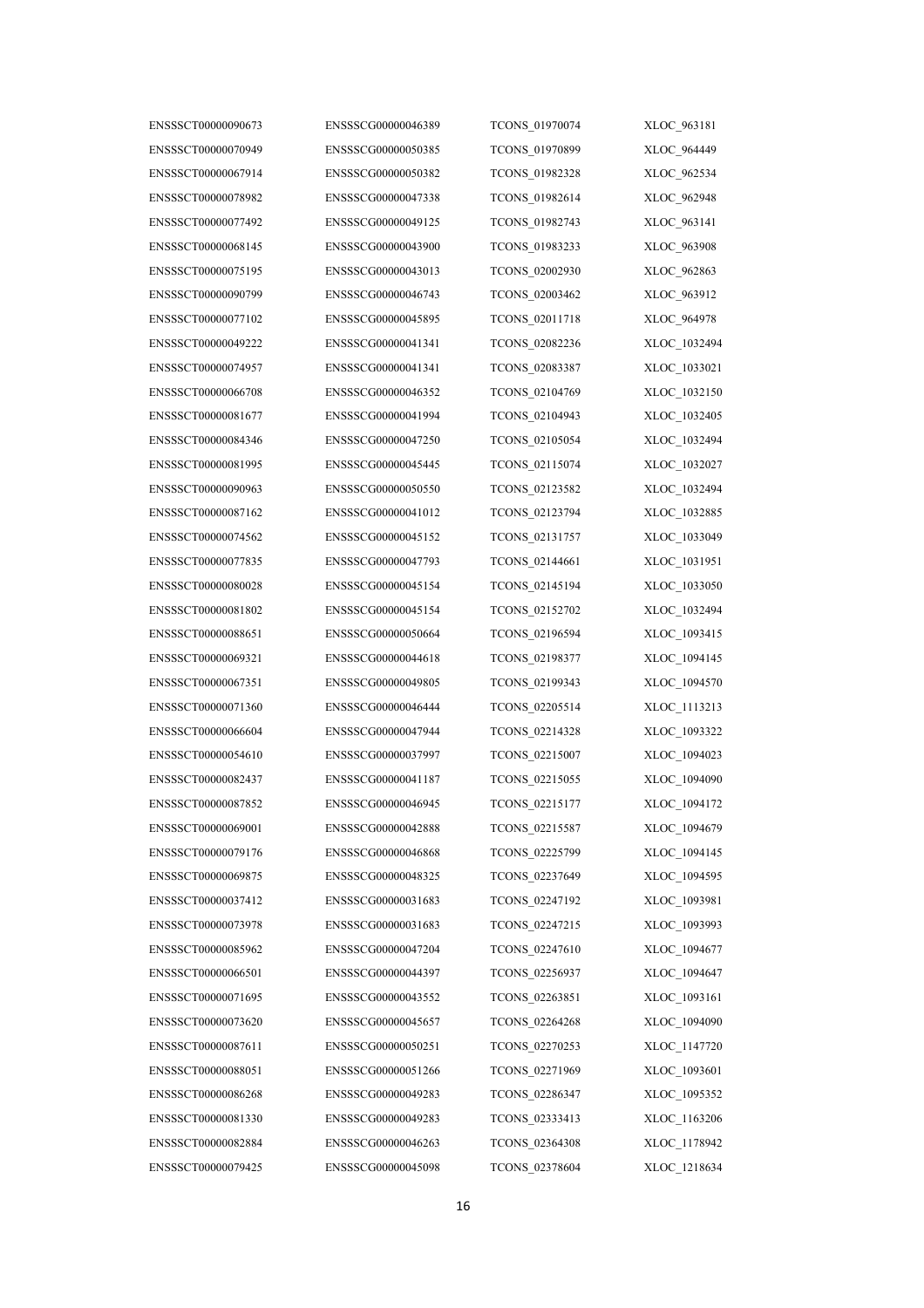ENSSSCT00000070949 ENSSSCG00000050385 TCONS\_01970899 XLOC\_964449 ENSSSCT00000067914 ENSSSCG00000050382 TCONS\_01982328 XLOC\_962534 ENSSSCT00000078982 ENSSSCG00000047338 TCONS\_01982614 XLOC\_962948 ENSSSCT00000077492 ENSSSCG00000049125 TCONS\_01982743 XLOC\_963141 ENSSSCT00000068145 ENSSSCG00000043900 TCONS\_01983233 XLOC\_963908 ENSSSCT00000075195 ENSSSCG00000043013 TCONS\_02002930 XLOC\_962863 ENSSSCT00000090799 ENSSSCG00000046743 TCONS\_02003462 XLOC\_963912 ENSSSCT00000077102 ENSSSCG00000045895 TCONS\_02011718 XLOC\_964978 ENSSSCT00000049222 ENSSSCG00000041341 TCONS\_02082236 XLOC\_1032494 ENSSSCT00000074957 ENSSSCG00000041341 TCONS\_02083387 XLOC\_1033021 ENSSSCT00000066708 ENSSSCG00000046352 TCONS\_02104769 XLOC\_1032150 ENSSSCT00000081677 ENSSSCG00000041994 TCONS\_02104943 XLOC\_1032405 ENSSSCT00000084346 ENSSSCG00000047250 TCONS\_02105054 XLOC\_1032494 ENSSSCT00000081995 ENSSSCG00000045445 TCONS\_02115074 XLOC\_1032027 ENSSSCT00000090963 ENSSSCG00000050550 TCONS\_02123582 XLOC\_1032494 ENSSSCT00000087162 ENSSSCG00000041012 TCONS\_02123794 XLOC\_1032885 ENSSSCT00000074562 ENSSSCG00000045152 TCONS\_02131757 XLOC\_1033049 ENSSSCT00000077835 ENSSSCG00000047793 TCONS\_02144661 XLOC\_1031951 ENSSSCT00000080028 ENSSSCG00000045154 TCONS\_02145194 XLOC\_1033050 ENSSSCT00000081802 ENSSSCG00000045154 TCONS\_02152702 XLOC\_1032494 ENSSSCT00000088651 ENSSSCG00000050664 TCONS\_02196594 XLOC\_1093415 ENSSSCT00000069321 ENSSSCG00000044618 TCONS\_02198377 XLOC\_1094145 ENSSSCT00000067351 ENSSSCG00000049805 TCONS\_02199343 XLOC\_1094570 ENSSSCT00000071360 ENSSSCG00000046444 TCONS\_02205514 XLOC\_1113213 ENSSSCT00000066604 ENSSSCG00000047944 TCONS\_02214328 XLOC\_1093322 ENSSSCT00000054610 ENSSSCG00000037997 TCONS\_02215007 XLOC\_1094023 ENSSSCT00000082437 ENSSSCG00000041187 TCONS\_02215055 XLOC\_1094090 ENSSSCT00000087852 ENSSSCG00000046945 TCONS\_02215177 XLOC\_1094172 ENSSSCT00000069001 ENSSSCG00000042888 TCONS\_02215587 XLOC\_1094679 ENSSSCT00000079176 ENSSSCG00000046868 TCONS\_02225799 XLOC\_1094145 ENSSSCT00000069875 ENSSSCG00000048325 TCONS\_02237649 XLOC\_1094595 ENSSSCT00000037412 ENSSSCG00000031683 TCONS\_02247192 XLOC\_1093981 ENSSSCT00000073978 ENSSSCG00000031683 TCONS\_02247215 XLOC\_1093993 ENSSSCT00000085962 ENSSSCG00000047204 TCONS\_02247610 XLOC\_1094677 ENSSSCT00000066501 ENSSSCG00000044397 TCONS\_02256937 XLOC\_1094647 ENSSSCT00000071695 ENSSSCG00000043552 TCONS\_02263851 XLOC\_1093161 ENSSSCT00000073620 ENSSSCG00000045657 TCONS\_02264268 XLOC\_1094090 ENSSSCT00000087611 ENSSSCG00000050251 TCONS\_02270253 XLOC\_1147720 ENSSSCT00000088051 ENSSSCG00000051266 TCONS\_02271969 XLOC\_1093601 ENSSSCT00000086268 ENSSSCG00000049283 TCONS\_02286347 XLOC\_1095352 ENSSSCT00000081330 ENSSSCG00000049283 TCONS\_02333413 XLOC\_1163206 ENSSSCT00000082884 ENSSSCG00000046263 TCONS\_02364308 XLOC\_1178942 ENSSSCT00000079425 ENSSSCG00000045098 TCONS\_02378604 XLOC\_1218634

ENSSSCT00000090673 ENSSSCG00000046389 TCONS\_01970074 XLOC\_963181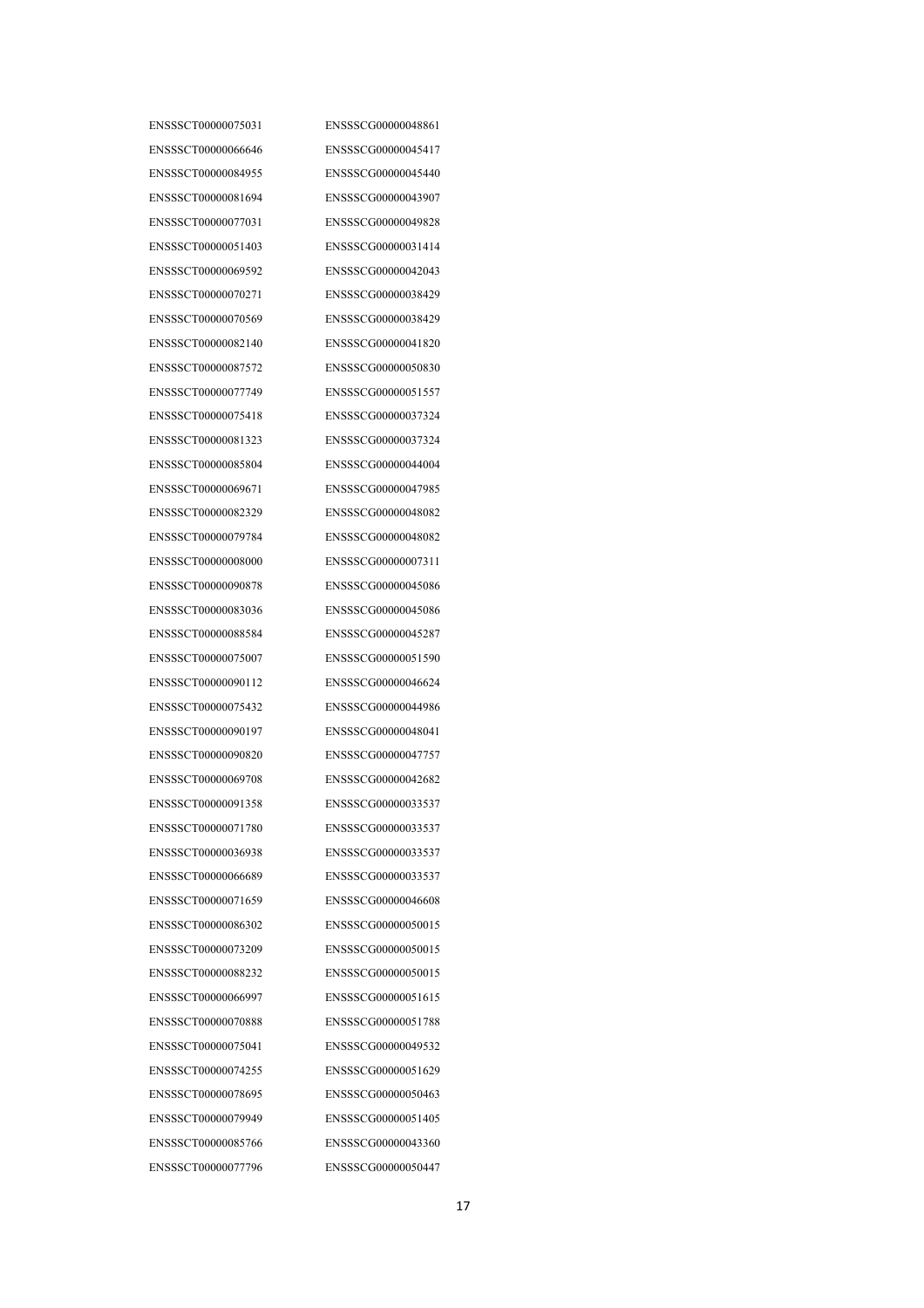ENSSSCT00000066646 ENSSSCG00000045417 ENSSSCT00000084955 ENSSSCG00000045440 ENSSSCT00000081694 ENSSSCG00000043907 ENSSSCT00000077031 ENSSSCG00000049828 ENSSSCT00000051403 ENSSSCG00000031414 ENSSSCT00000069592 ENSSSCG00000042043 ENSSSCT00000070271 ENSSSCG00000038429 ENSSSCT00000070569 ENSSSCG00000038429 ENSSSCT00000082140 ENSSSCG00000041820 ENSSSCT00000087572 ENSSSCG00000050830 ENSSSCT00000077749 ENSSSCG00000051557 ENSSSCT00000075418 ENSSSCG00000037324 ENSSSCT00000081323 ENSSSCG00000037324 ENSSSCT00000085804 ENSSSCG00000044004 ENSSSCT00000069671 ENSSSCG00000047985 ENSSSCT00000082329 ENSSSCG00000048082 ENSSSCT00000079784 ENSSSCG00000048082 ENSSSCT00000008000 ENSSSCG00000007311 ENSSSCT00000090878 ENSSSCG00000045086 ENSSSCT00000083036 ENSSSCG00000045086 ENSSSCT00000088584 ENSSSCG00000045287 ENSSSCT00000075007 ENSSSCG00000051590 ENSSSCT00000090112 ENSSSCG00000046624 ENSSSCT00000075432 ENSSSCG00000044986 ENSSSCT00000090197 ENSSSCG00000048041 ENSSSCT00000090820 ENSSSCG00000047757 ENSSSCT00000069708 ENSSSCG00000042682 ENSSSCT00000091358 ENSSSCG00000033537 ENSSSCT00000071780 ENSSSCG00000033537 ENSSSCT00000036938 ENSSSCG00000033537 ENSSSCT00000066689 ENSSSCG00000033537 ENSSSCT00000071659 ENSSSCG00000046608 ENSSSCT00000086302 ENSSSCG00000050015 ENSSSCT00000073209 ENSSSCG00000050015 ENSSSCT00000088232 ENSSSCG00000050015 ENSSSCT00000066997 ENSSSCG00000051615 ENSSSCT00000070888 ENSSSCG00000051788 ENSSSCT00000075041 ENSSSCG00000049532 ENSSSCT00000074255 ENSSSCG00000051629 ENSSSCT00000078695 ENSSSCG00000050463 ENSSSCT00000079949 ENSSSCG00000051405 ENSSSCT00000085766 ENSSSCG00000043360 ENSSSCT00000077796 ENSSSCG00000050447

ENSSSCT00000075031 ENSSSCG00000048861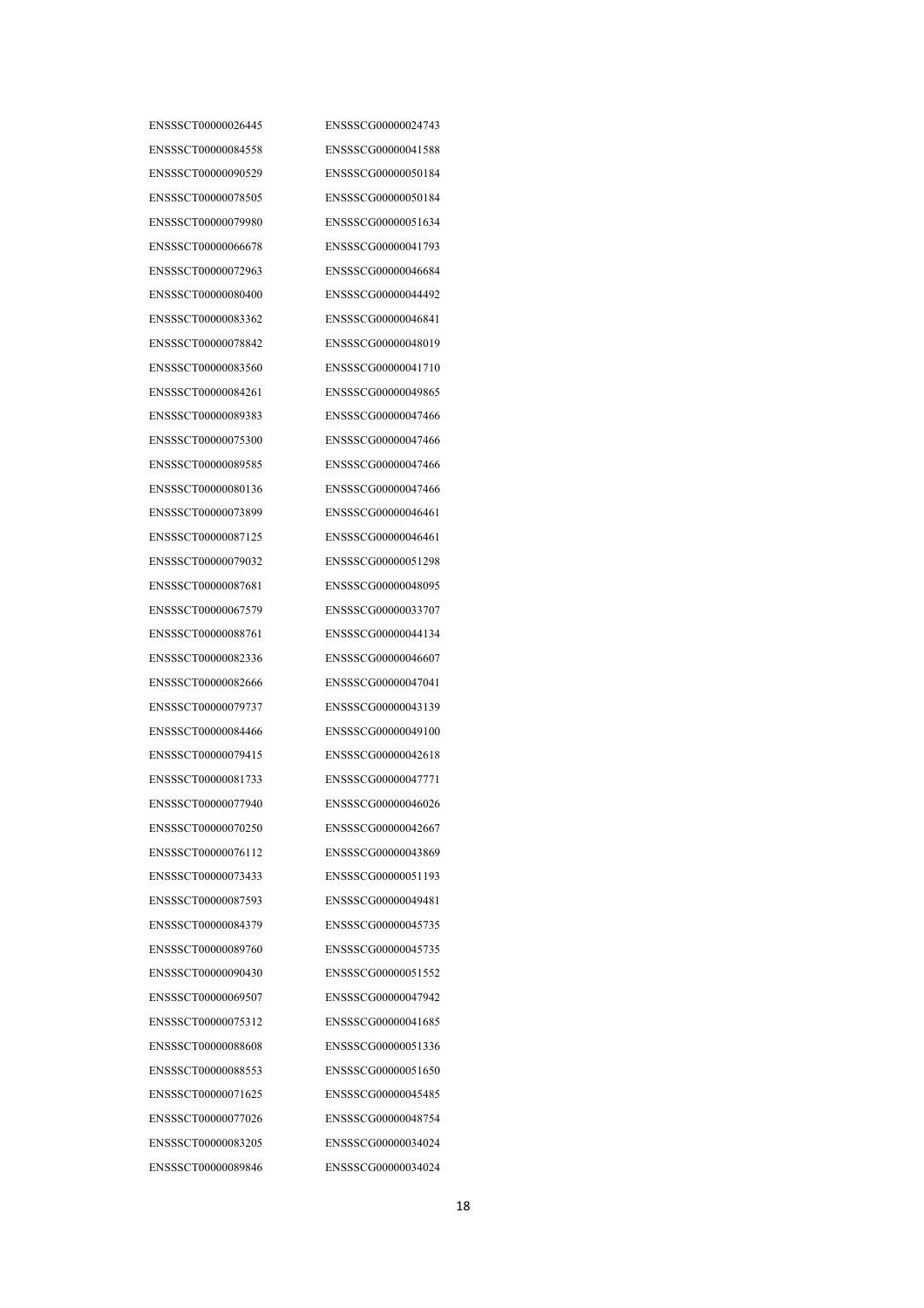ENSSSCT00000084558 ENSSSCG00000041588 ENSSSCT00000090529 ENSSSCG00000050184 ENSSSCT00000078505 ENSSSCG00000050184 ENSSSCT00000079980 ENSSSCG00000051634 ENSSSCT00000066678 ENSSSCG00000041793 ENSSSCT00000072963 ENSSSCG00000046684 ENSSSCT00000080400 ENSSSCG00000044492 ENSSSCT00000083362 ENSSSCG00000046841 ENSSSCT00000078842 ENSSSCG00000048019 ENSSSCT00000083560 ENSSSCG00000041710 ENSSSCT00000084261 ENSSSCG00000049865 ENSSSCT00000089383 ENSSSCG00000047466 ENSSSCT00000075300 ENSSSCG00000047466 ENSSSCT00000089585 ENSSSCG00000047466 ENSSSCT00000080136 ENSSSCG00000047466 ENSSSCT00000073899 ENSSSCG00000046461 ENSSSCT00000087125 ENSSSCG00000046461 ENSSSCT00000079032 ENSSSCG00000051298 ENSSSCT00000087681 ENSSSCG00000048095 ENSSSCT00000067579 ENSSSCG00000033707 ENSSSCT00000088761 ENSSSCG00000044134 ENSSSCT00000082336 ENSSSCG00000046607 ENSSSCT00000082666 ENSSSCG00000047041 ENSSSCT00000079737 ENSSSCG00000043139 ENSSSCT00000084466 ENSSSCG00000049100 ENSSSCT00000079415 ENSSSCG00000042618 ENSSSCT00000081733 ENSSSCG00000047771 ENSSSCT00000077940 ENSSSCG00000046026 ENSSSCT00000070250 ENSSSCG00000042667 ENSSSCT00000076112 ENSSSCG00000043869 ENSSSCT00000073433 ENSSSCG00000051193 ENSSSCT00000087593 ENSSSCG00000049481 ENSSSCT00000084379 ENSSSCG00000045735 ENSSSCT00000089760 ENSSSCG00000045735 ENSSSCT00000090430 ENSSSCG00000051552 ENSSSCT00000069507 ENSSSCG00000047942 ENSSSCT00000075312 ENSSSCG00000041685 ENSSSCT00000088608 ENSSSCG00000051336 ENSSSCT00000088553 ENSSSCG00000051650 ENSSSCT00000071625 ENSSSCG00000045485 ENSSSCT00000077026 ENSSSCG00000048754 ENSSSCT00000083205 ENSSSCG00000034024 ENSSSCT00000089846 ENSSSCG00000034024

ENSSSCT00000026445 ENSSSCG00000024743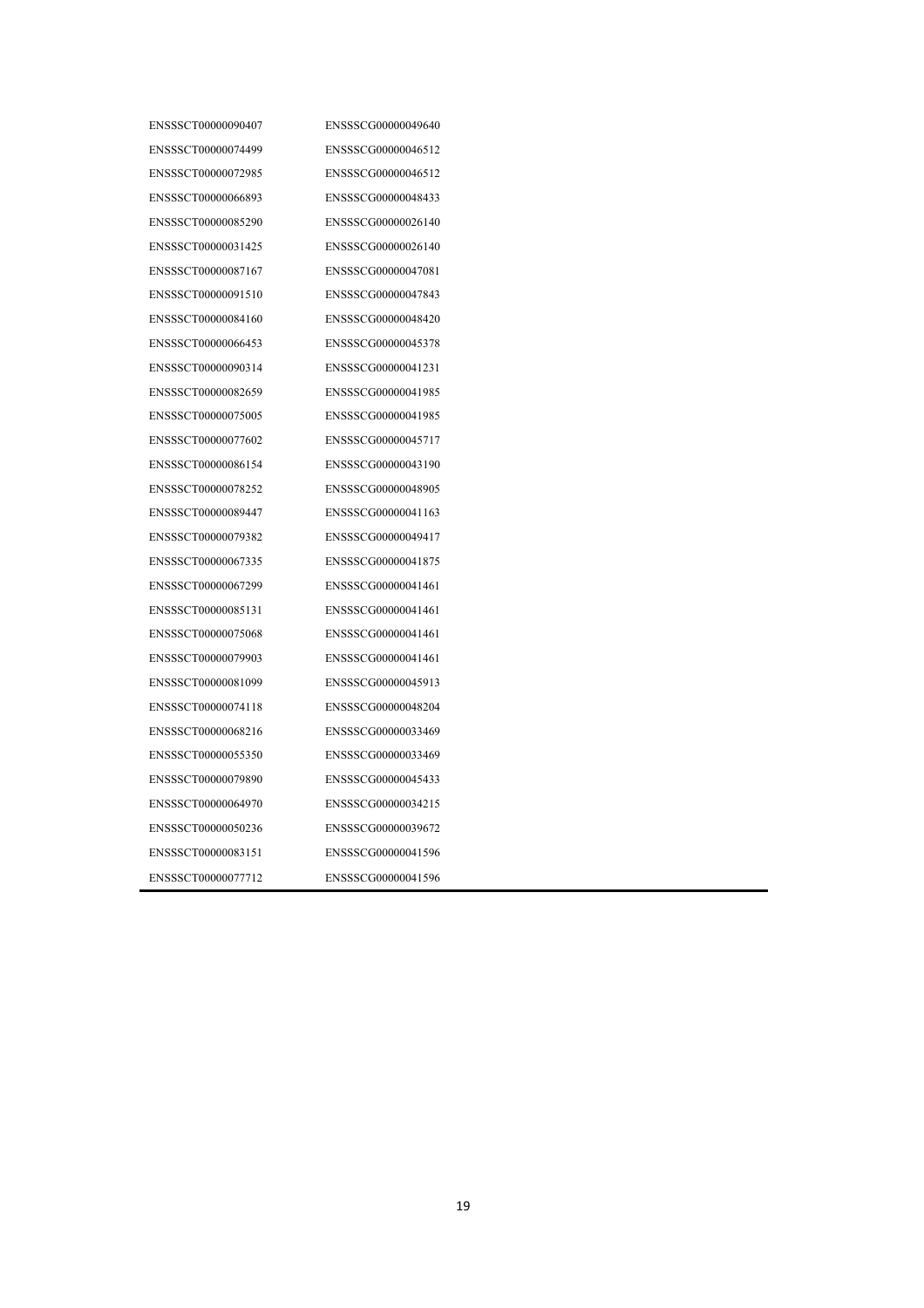ENSSSCT00000090407 ENSSSCG00000049640 ENSSSCT00000074499 ENSSSCG00000046512 ENSSSCT00000072985 ENSSSCG00000046512 ENSSSCT00000066893 ENSSSCG00000048433 ENSSSCT00000085290 ENSSSCG00000026140 ENSSSCT00000031425 ENSSSCG00000026140 ENSSSCT00000087167 ENSSSCG00000047081 ENSSSCT00000091510 ENSSSCG00000047843 ENSSSCT00000084160 ENSSSCG00000048420 ENSSSCT00000066453 ENSSSCG00000045378 ENSSSCT00000090314 ENSSSCG00000041231 ENSSSCT00000082659 ENSSSCG00000041985 ENSSSCT00000075005 ENSSSCG00000041985 ENSSSCT00000077602 ENSSSCG00000045717 ENSSSCT00000086154 ENSSSCG00000043190 ENSSSCT00000078252 ENSSSCG00000048905 ENSSSCT00000089447 ENSSSCG00000041163 ENSSSCT00000079382 ENSSSCG00000049417 ENSSSCT00000067335 ENSSSCG00000041875 ENSSSCT00000067299 ENSSSCG00000041461 ENSSSCT00000085131 ENSSSCG00000041461 ENSSSCT00000075068 ENSSSCG00000041461 ENSSSCT00000079903 ENSSSCG00000041461 ENSSSCT00000081099 ENSSSCG00000045913 ENSSSCT00000074118 ENSSSCG00000048204 ENSSSCT00000068216 ENSSSCG00000033469 ENSSSCT00000055350 ENSSSCG00000033469 ENSSSCT00000079890 ENSSSCG00000045433 ENSSSCT00000064970 ENSSSCG00000034215 ENSSSCT00000050236 ENSSSCG00000039672 ENSSSCT00000083151 ENSSSCG00000041596 ENSSSCT00000077712 ENSSSCG00000041596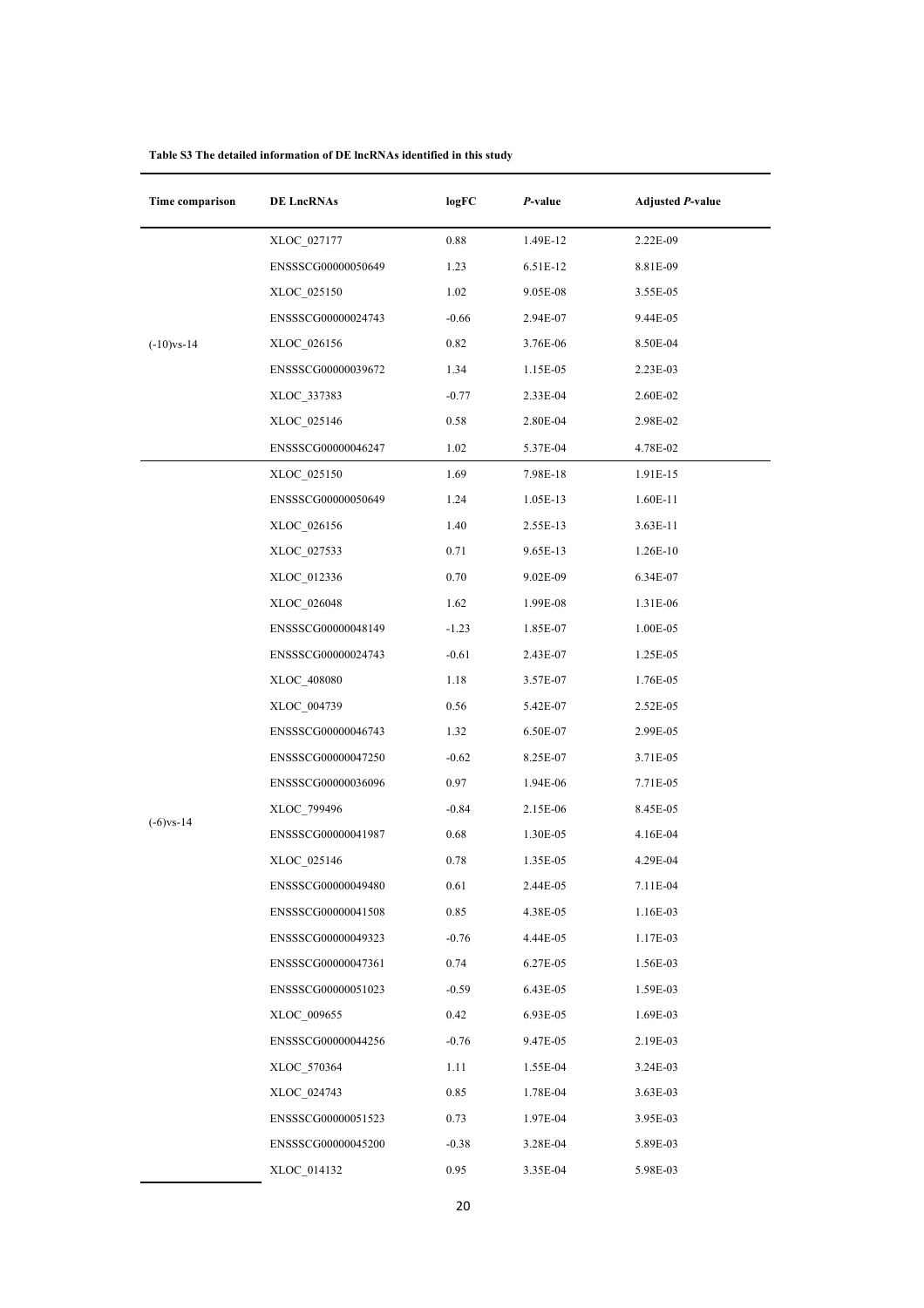| Time comparison | <b>DE LncRNAs</b>  | logFC   | <i>P</i> -value | <b>Adjusted P-value</b> |
|-----------------|--------------------|---------|-----------------|-------------------------|
|                 | XLOC_027177        | 0.88    | 1.49E-12        | 2.22E-09                |
|                 | ENSSSCG00000050649 | 1.23    | 6.51E-12        | 8.81E-09                |
|                 | XLOC_025150        | 1.02    | 9.05E-08        | 3.55E-05                |
|                 | ENSSSCG00000024743 | $-0.66$ | 2.94E-07        | 9.44E-05                |
| $(-10)$ vs-14   | XLOC 026156        | 0.82    | 3.76E-06        | 8.50E-04                |
|                 | ENSSSCG00000039672 | 1.34    | 1.15E-05        | 2.23E-03                |
|                 | XLOC_337383        | $-0.77$ | 2.33E-04        | 2.60E-02                |
|                 | XLOC 025146        | 0.58    | 2.80E-04        | 2.98E-02                |
|                 | ENSSSCG00000046247 | 1.02    | 5.37E-04        | 4.78E-02                |
|                 | XLOC 025150        | 1.69    | 7.98E-18        | 1.91E-15                |
|                 | ENSSSCG00000050649 | 1.24    | 1.05E-13        | 1.60E-11                |
|                 | XLOC_026156        | 1.40    | 2.55E-13        | $3.63E-11$              |
|                 | XLOC 027533        | 0.71    | 9.65E-13        | 1.26E-10                |
|                 | XLOC 012336        | 0.70    | 9.02E-09        | 6.34E-07                |
|                 | XLOC 026048        | 1.62    | 1.99E-08        | 1.31E-06                |
|                 | ENSSSCG00000048149 | $-1.23$ | 1.85E-07        | 1.00E-05                |
|                 | ENSSSCG00000024743 | $-0.61$ | 2.43E-07        | 1.25E-05                |
|                 | XLOC 408080        | 1.18    | 3.57E-07        | 1.76E-05                |
|                 | XLOC 004739        | 0.56    | 5.42E-07        | 2.52E-05                |
|                 | ENSSSCG00000046743 | 1.32    | 6.50E-07        | 2.99E-05                |
|                 | ENSSSCG00000047250 | $-0.62$ | 8.25E-07        | 3.71E-05                |
|                 | ENSSSCG00000036096 | 0.97    | 1.94E-06        | 7.71E-05                |
|                 | XLOC 799496        | $-0.84$ | 2.15E-06        | 8.45E-05                |
| $(-6)$ vs-14    | ENSSSCG00000041987 | 0.68    | 1.30E-05        | 4.16E-04                |
|                 | XLOC 025146        | 0.78    | 1.35E-05        | 4.29E-04                |
|                 | ENSSSCG00000049480 | 0.61    | 2.44E-05        | 7.11E-04                |
|                 | ENSSSCG00000041508 | 0.85    | 4.38E-05        | 1.16E-03                |
|                 | ENSSSCG00000049323 | $-0.76$ | 4.44E-05        | 1.17E-03                |
|                 | ENSSSCG00000047361 | 0.74    | 6.27E-05        | 1.56E-03                |
|                 | ENSSSCG00000051023 | $-0.59$ | 6.43E-05        | 1.59E-03                |
|                 | XLOC 009655        | 0.42    | 6.93E-05        | 1.69E-03                |
|                 | ENSSSCG00000044256 | $-0.76$ | 9.47E-05        | 2.19E-03                |
|                 | XLOC 570364        | 1.11    | 1.55E-04        | 3.24E-03                |
|                 | XLOC 024743        | 0.85    | 1.78E-04        | 3.63E-03                |
|                 | ENSSSCG00000051523 | 0.73    | 1.97E-04        | 3.95E-03                |
|                 | ENSSSCG00000045200 | $-0.38$ | 3.28E-04        | 5.89E-03                |
|                 | XLOC 014132        | 0.95    | 3.35E-04        | 5.98E-03                |

**Table S3 The detailed information of DE lncRNAs identified in this study**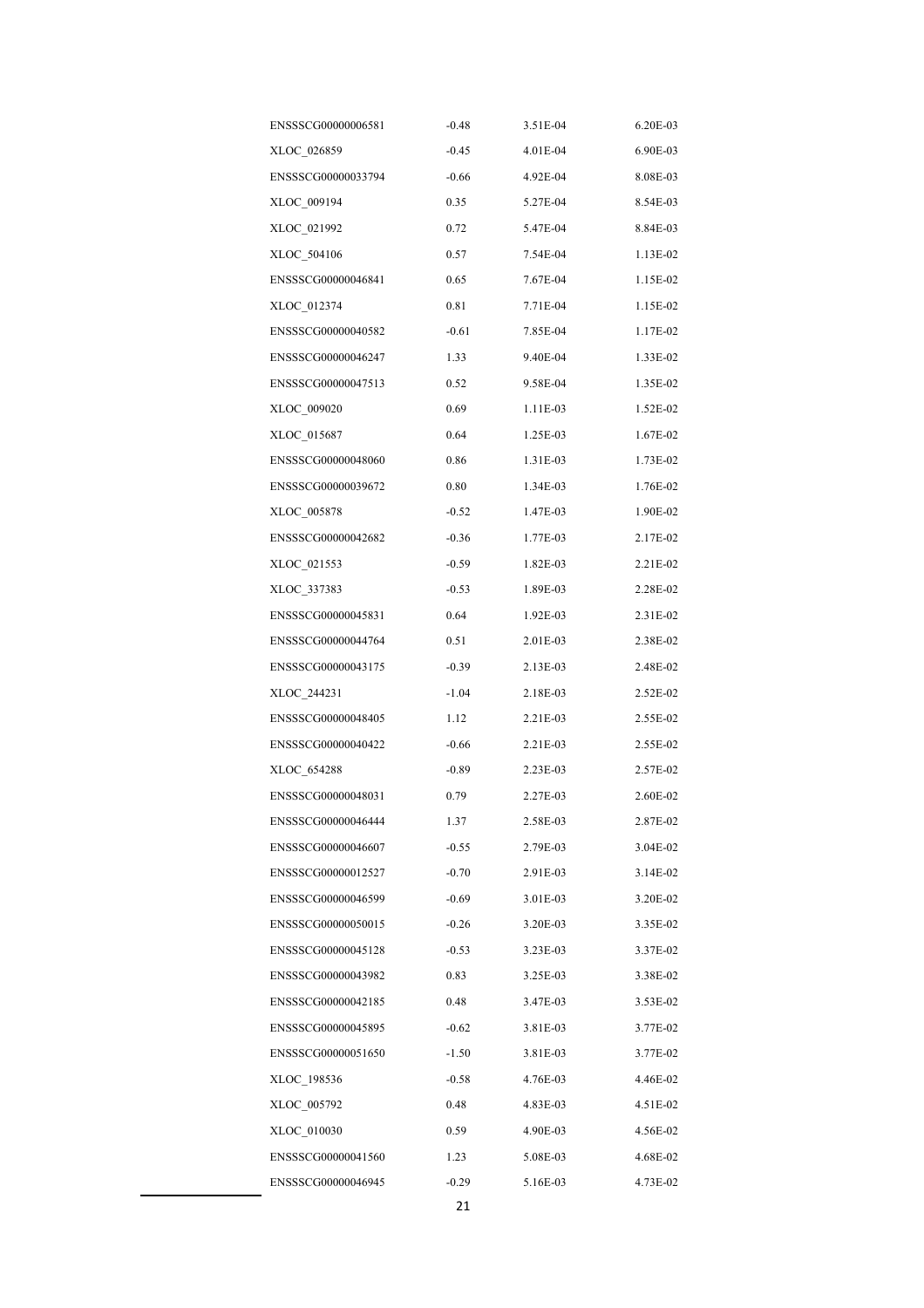| $-0.48$ | 3.51E-04 | 6.20E-03 |
|---------|----------|----------|
| $-0.45$ | 4.01E-04 | 6.90E-03 |
| $-0.66$ | 4.92E-04 | 8.08E-03 |
| 0.35    | 5.27E-04 | 8.54E-03 |
| 0.72    | 5.47E-04 | 8.84E-03 |
| 0.57    | 7.54E-04 | 1.13E-02 |
| 0.65    | 7.67E-04 | 1.15E-02 |
| 0.81    | 7.71E-04 | 1.15E-02 |
| $-0.61$ | 7.85E-04 | 1.17E-02 |
| 1.33    | 9.40E-04 | 1.33E-02 |
| 0.52    | 9.58E-04 | 1.35E-02 |
| 0.69    | 1.11E-03 | 1.52E-02 |
| 0.64    | 1.25E-03 | 1.67E-02 |
| 0.86    | 1.31E-03 | 1.73E-02 |
| 0.80    | 1.34E-03 | 1.76E-02 |
| $-0.52$ | 1.47E-03 | 1.90E-02 |
| $-0.36$ | 1.77E-03 | 2.17E-02 |
| $-0.59$ | 1.82E-03 | 2.21E-02 |
| $-0.53$ | 1.89E-03 | 2.28E-02 |
| 0.64    | 1.92E-03 | 2.31E-02 |
| 0.51    | 2.01E-03 | 2.38E-02 |
| $-0.39$ | 2.13E-03 | 2.48E-02 |
| $-1.04$ | 2.18E-03 | 2.52E-02 |
| 1.12    | 2.21E-03 | 2.55E-02 |
| $-0.66$ | 2.21E-03 | 2.55E-02 |
| $-0.89$ | 2.23E-03 | 2.57E-02 |
| 0.79    | 2.27E-03 | 2.60E-02 |
| 1.37    | 2.58E-03 | 2.87E-02 |
| $-0.55$ | 2.79E-03 | 3.04E-02 |
| $-0.70$ | 2.91E-03 | 3.14E-02 |
| $-0.69$ | 3.01E-03 | 3.20E-02 |
| $-0.26$ | 3.20E-03 | 3.35E-02 |
| $-0.53$ | 3.23E-03 | 3.37E-02 |
| 0.83    | 3.25E-03 | 3.38E-02 |
| 0.48    | 3.47E-03 | 3.53E-02 |
| $-0.62$ | 3.81E-03 | 3.77E-02 |
|         |          |          |
| $-1.50$ | 3.81E-03 | 3.77E-02 |
| $-0.58$ | 4.76E-03 | 4.46E-02 |
| 0.48    | 4.83E-03 | 4.51E-02 |
| 0.59    | 4.90E-03 | 4.56E-02 |
| 1.23    | 5.08E-03 | 4.68E-02 |
|         |          |          |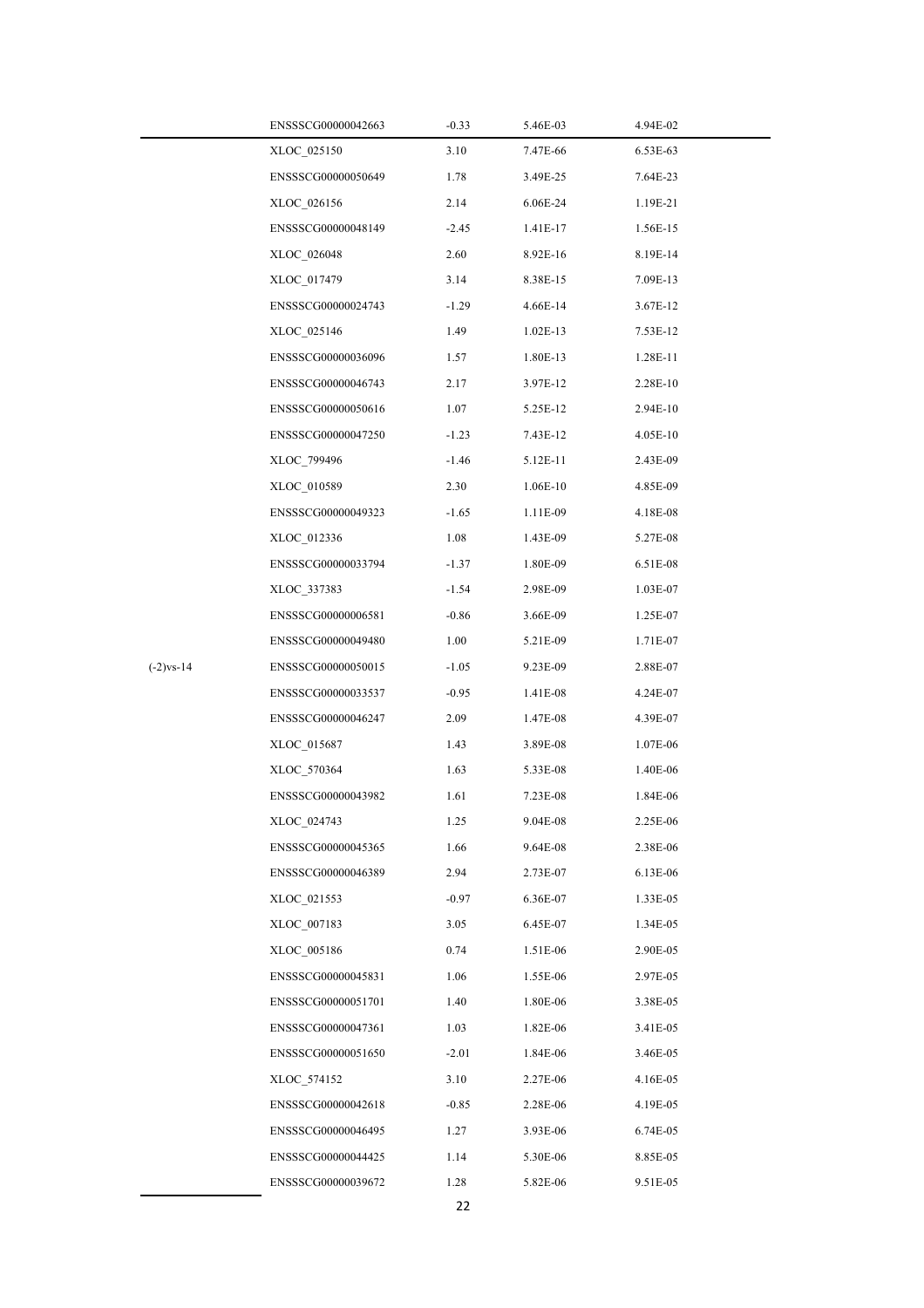|              | ENSSSCG00000042663 | $-0.33$ | 5.46E-03   | 4.94E-02   |
|--------------|--------------------|---------|------------|------------|
|              | XLOC 025150        | 3.10    | 7.47E-66   | 6.53E-63   |
|              | ENSSSCG00000050649 | 1.78    | 3.49E-25   | 7.64E-23   |
|              | XLOC_026156        | 2.14    | 6.06E-24   | 1.19E-21   |
|              | ENSSSCG00000048149 | $-2.45$ | 1.41E-17   | 1.56E-15   |
|              | XLOC_026048        | 2.60    | 8.92E-16   | 8.19E-14   |
|              | XLOC 017479        | 3.14    | 8.38E-15   | 7.09E-13   |
|              | ENSSSCG00000024743 | $-1.29$ | 4.66E-14   | 3.67E-12   |
|              | XLOC 025146        | 1.49    | $1.02E-13$ | 7.53E-12   |
|              | ENSSSCG00000036096 | 1.57    | 1.80E-13   | 1.28E-11   |
|              | ENSSSCG00000046743 | 2.17    | 3.97E-12   | 2.28E-10   |
|              | ENSSSCG00000050616 | 1.07    | 5.25E-12   | 2.94E-10   |
|              | ENSSSCG00000047250 | $-1.23$ | 7.43E-12   | 4.05E-10   |
|              | XLOC 799496        | $-1.46$ | 5.12E-11   | 2.43E-09   |
|              | XLOC 010589        | 2.30    | 1.06E-10   | 4.85E-09   |
|              | ENSSSCG00000049323 | $-1.65$ | 1.11E-09   | 4.18E-08   |
|              | XLOC_012336        | 1.08    | 1.43E-09   | 5.27E-08   |
|              | ENSSSCG00000033794 | $-1.37$ | 1.80E-09   | 6.51E-08   |
|              | XLOC_337383        | $-1.54$ | 2.98E-09   | 1.03E-07   |
|              | ENSSSCG00000006581 | $-0.86$ | 3.66E-09   | 1.25E-07   |
|              | ENSSSCG00000049480 | 1.00    | 5.21E-09   | 1.71E-07   |
| $(-2)$ vs-14 | ENSSSCG00000050015 | $-1.05$ | 9.23E-09   | 2.88E-07   |
|              | ENSSSCG00000033537 | $-0.95$ | 1.41E-08   | 4.24E-07   |
|              | ENSSSCG00000046247 | 2.09    | 1.47E-08   | 4.39E-07   |
|              | XLOC 015687        | 1.43    | 3.89E-08   | 1.07E-06   |
|              | XLOC 570364        | 1.63    | 5.33E-08   | 1.40E-06   |
|              | ENSSSCG00000043982 | 1.61    | 7.23E-08   | 1.84E-06   |
|              | XLOC 024743        | 1.25    | 9.04E-08   | 2.25E-06   |
|              | ENSSSCG00000045365 | 1.66    | 9.64E-08   | 2.38E-06   |
|              | ENSSSCG00000046389 | 2.94    | 2.73E-07   | 6.13E-06   |
|              | XLOC 021553        | $-0.97$ | 6.36E-07   | 1.33E-05   |
|              | XLOC 007183        | 3.05    | 6.45E-07   | 1.34E-05   |
|              | XLOC 005186        | 0.74    | 1.51E-06   | 2.90E-05   |
|              | ENSSSCG00000045831 | 1.06    | 1.55E-06   | 2.97E-05   |
|              | ENSSSCG00000051701 | 1.40    | 1.80E-06   | 3.38E-05   |
|              | ENSSSCG00000047361 | 1.03    | 1.82E-06   | 3.41E-05   |
|              | ENSSSCG00000051650 | $-2.01$ | 1.84E-06   | $3.46E-05$ |
|              | XLOC 574152        | 3.10    | 2.27E-06   | 4.16E-05   |
|              | ENSSSCG00000042618 | $-0.85$ | 2.28E-06   | 4.19E-05   |
|              | ENSSSCG00000046495 | 1.27    | 3.93E-06   | 6.74E-05   |
|              | ENSSSCG00000044425 | 1.14    | 5.30E-06   | 8.85E-05   |
|              | ENSSSCG00000039672 | 1.28    | 5.82E-06   | 9.51E-05   |
|              |                    | 22      |            |            |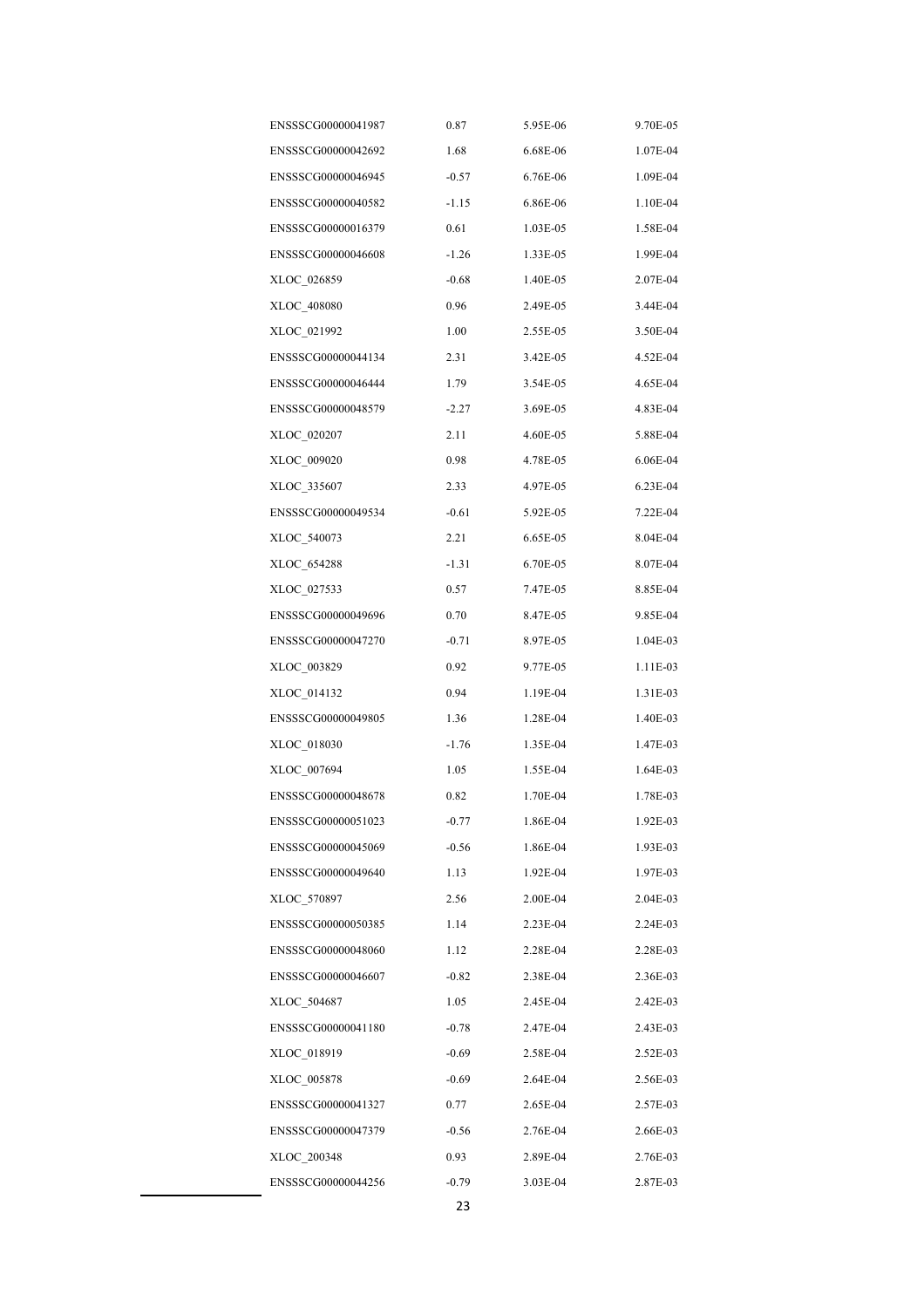| ENSSSCG00000041987 | 0.87    | 5.95E-06 | 9.70E-05 |
|--------------------|---------|----------|----------|
| ENSSSCG00000042692 | 1.68    | 6.68E-06 | 1.07E-04 |
| ENSSSCG00000046945 | $-0.57$ | 6.76E-06 | 1.09E-04 |
| ENSSSCG00000040582 | $-1.15$ | 6.86E-06 | 1.10E-04 |
| ENSSSCG00000016379 | 0.61    | 1.03E-05 | 1.58E-04 |
| ENSSSCG00000046608 | $-1.26$ | 1.33E-05 | 1.99E-04 |
| XLOC 026859        | $-0.68$ | 1.40E-05 | 2.07E-04 |
| XLOC 408080        | 0.96    | 2.49E-05 | 3.44E-04 |
| XLOC_021992        | 1.00    | 2.55E-05 | 3.50E-04 |
| ENSSSCG00000044134 | 2.31    | 3.42E-05 | 4.52E-04 |
| ENSSSCG00000046444 | 1.79    | 3.54E-05 | 4.65E-04 |
| ENSSSCG00000048579 | $-2.27$ | 3.69E-05 | 4.83E-04 |
| XLOC 020207        | 2.11    | 4.60E-05 | 5.88E-04 |
| XLOC_009020        | 0.98    | 4.78E-05 | 6.06E-04 |
| XLOC_335607        | 2.33    | 4.97E-05 | 6.23E-04 |
| ENSSSCG00000049534 | $-0.61$ | 5.92E-05 | 7.22E-04 |
| XLOC_540073        | 2.21    | 6.65E-05 | 8.04E-04 |
| XLOC 654288        | $-1.31$ | 6.70E-05 | 8.07E-04 |
| XLOC_027533        | 0.57    | 7.47E-05 | 8.85E-04 |
| ENSSSCG00000049696 | 0.70    | 8.47E-05 | 9.85E-04 |
| ENSSSCG00000047270 | $-0.71$ | 8.97E-05 | 1.04E-03 |
| XLOC 003829        | 0.92    | 9.77E-05 | 1.11E-03 |
| XLOC_014132        | 0.94    | 1.19E-04 | 1.31E-03 |
| ENSSSCG00000049805 | 1.36    | 1.28E-04 | 1.40E-03 |
| XLOC_018030        | $-1.76$ | 1.35E-04 | 1.47E-03 |
| XLOC_007694        | 1.05    | 1.55E-04 | 1.64E-03 |
| ENSSSCG00000048678 | 0.82    | 1.70E-04 | 1.78E-03 |
| ENSSSCG00000051023 | $-0.77$ | 1.86E-04 | 1.92E-03 |
| ENSSSCG00000045069 | $-0.56$ | 1.86E-04 | 1.93E-03 |
| ENSSSCG00000049640 | 1.13    | 1.92E-04 | 1.97E-03 |
| XLOC_570897        | 2.56    | 2.00E-04 | 2.04E-03 |
| ENSSSCG00000050385 | 1.14    | 2.23E-04 | 2.24E-03 |
| ENSSSCG00000048060 | 1.12    | 2.28E-04 | 2.28E-03 |
| ENSSSCG00000046607 | $-0.82$ | 2.38E-04 | 2.36E-03 |
| XLOC 504687        | 1.05    | 2.45E-04 | 2.42E-03 |
| ENSSSCG00000041180 | $-0.78$ | 2.47E-04 | 2.43E-03 |
| XLOC 018919        | $-0.69$ | 2.58E-04 | 2.52E-03 |
| XLOC 005878        | $-0.69$ | 2.64E-04 | 2.56E-03 |
| ENSSSCG00000041327 | 0.77    | 2.65E-04 | 2.57E-03 |
| ENSSSCG00000047379 | $-0.56$ | 2.76E-04 | 2.66E-03 |
| XLOC 200348        | 0.93    | 2.89E-04 | 2.76E-03 |
| ENSSSCG00000044256 | $-0.79$ | 3.03E-04 | 2.87E-03 |
|                    | 23      |          |          |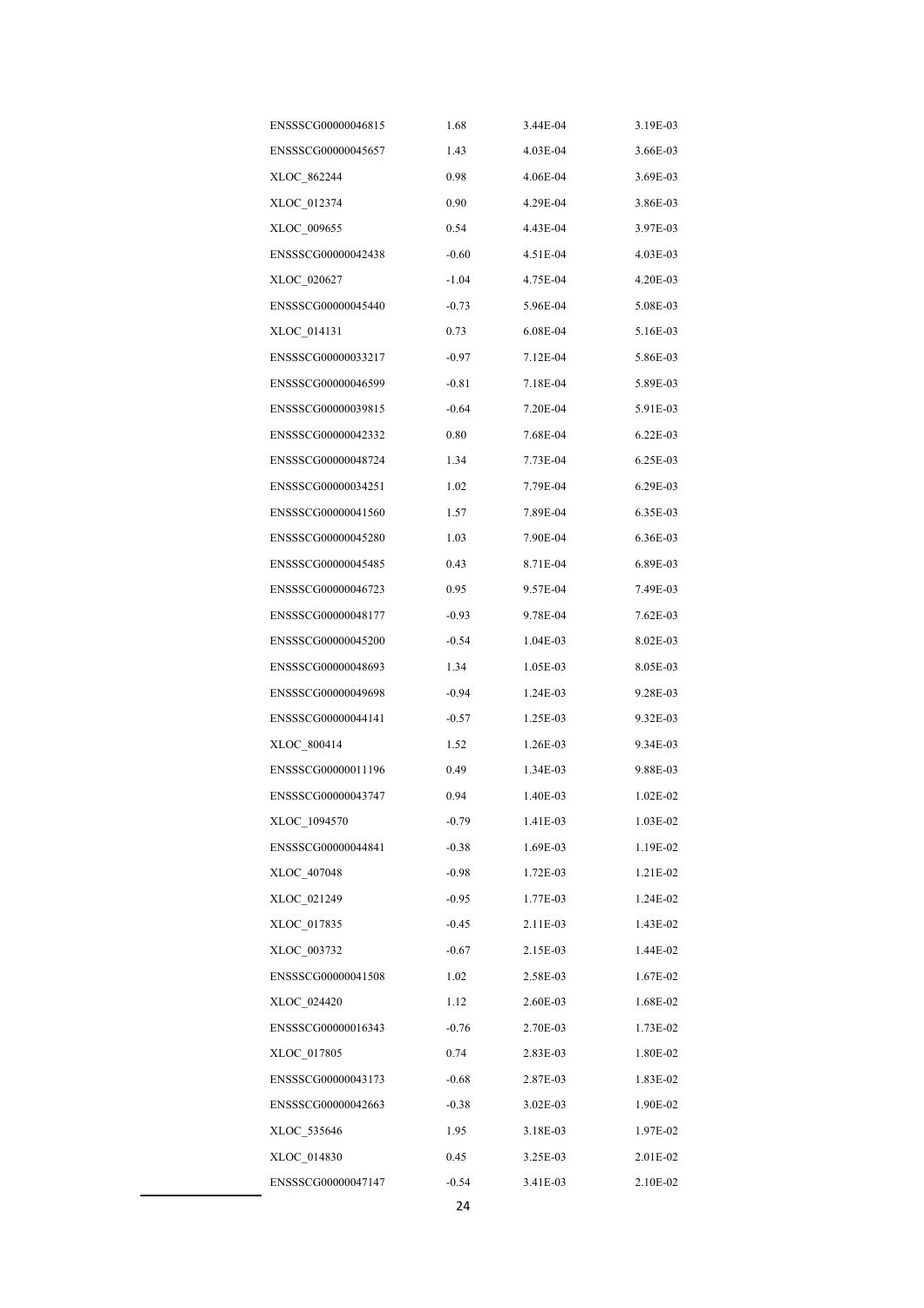| ENSSSCG00000046815 | 1.68    | 3.44E-04 | 3.19E-03 |
|--------------------|---------|----------|----------|
| ENSSSCG00000045657 | 1.43    | 4.03E-04 | 3.66E-03 |
| XLOC_862244        | 0.98    | 4.06E-04 | 3.69E-03 |
| XLOC_012374        | 0.90    | 4.29E-04 | 3.86E-03 |
| XLOC_009655        | 0.54    | 4.43E-04 | 3.97E-03 |
| ENSSSCG00000042438 | $-0.60$ | 4.51E-04 | 4.03E-03 |
| XLOC 020627        | $-1.04$ | 4.75E-04 | 4.20E-03 |
| ENSSSCG00000045440 | $-0.73$ | 5.96E-04 | 5.08E-03 |
| XLOC_014131        | 0.73    | 6.08E-04 | 5.16E-03 |
| ENSSSCG00000033217 | $-0.97$ | 7.12E-04 | 5.86E-03 |
| ENSSSCG00000046599 | $-0.81$ | 7.18E-04 | 5.89E-03 |
| ENSSSCG00000039815 | $-0.64$ | 7.20E-04 | 5.91E-03 |
| ENSSSCG00000042332 | 0.80    | 7.68E-04 | 6.22E-03 |
| ENSSSCG00000048724 | 1.34    | 7.73E-04 | 6.25E-03 |
| ENSSSCG00000034251 | 1.02    | 7.79E-04 | 6.29E-03 |
| ENSSSCG00000041560 | 1.57    | 7.89E-04 | 6.35E-03 |
| ENSSSCG00000045280 | 1.03    | 7.90E-04 | 6.36E-03 |
| ENSSSCG00000045485 | 0.43    | 8.71E-04 | 6.89E-03 |
| ENSSSCG00000046723 | 0.95    | 9.57E-04 | 7.49E-03 |
| ENSSSCG00000048177 | $-0.93$ | 9.78E-04 | 7.62E-03 |
| ENSSSCG00000045200 | $-0.54$ | 1.04E-03 | 8.02E-03 |
| ENSSSCG00000048693 | 1.34    | 1.05E-03 | 8.05E-03 |
| ENSSSCG00000049698 | $-0.94$ | 1.24E-03 | 9.28E-03 |
| ENSSSCG00000044141 | $-0.57$ | 1.25E-03 | 9.32E-03 |
| XLOC_800414        | 1.52    | 1.26E-03 | 9.34E-03 |
| ENSSSCG00000011196 | 0.49    | 1.34E-03 | 9.88E-03 |
| ENSSSCG00000043747 | 0.94    | 1.40E-03 | 1.02E-02 |
| XLOC_1094570       | $-0.79$ | 1.41E-03 | 1.03E-02 |
| ENSSSCG00000044841 | $-0.38$ | 1.69E-03 | 1.19E-02 |
| XLOC 407048        | $-0.98$ | 1.72E-03 | 1.21E-02 |
| XLOC 021249        | $-0.95$ | 1.77E-03 | 1.24E-02 |
| XLOC 017835        | $-0.45$ | 2.11E-03 | 1.43E-02 |
| XLOC 003732        | $-0.67$ | 2.15E-03 | 1.44E-02 |
| ENSSSCG00000041508 | 1.02    | 2.58E-03 | 1.67E-02 |
| XLOC 024420        | 1.12    | 2.60E-03 | 1.68E-02 |
| ENSSSCG00000016343 | $-0.76$ | 2.70E-03 | 1.73E-02 |
| XLOC 017805        | 0.74    | 2.83E-03 | 1.80E-02 |
| ENSSSCG00000043173 | $-0.68$ | 2.87E-03 | 1.83E-02 |
| ENSSSCG00000042663 | $-0.38$ | 3.02E-03 | 1.90E-02 |
| XLOC 535646        | 1.95    | 3.18E-03 | 1.97E-02 |
| XLOC 014830        | 0.45    | 3.25E-03 | 2.01E-02 |
| ENSSSCG00000047147 | $-0.54$ | 3.41E-03 | 2.10E-02 |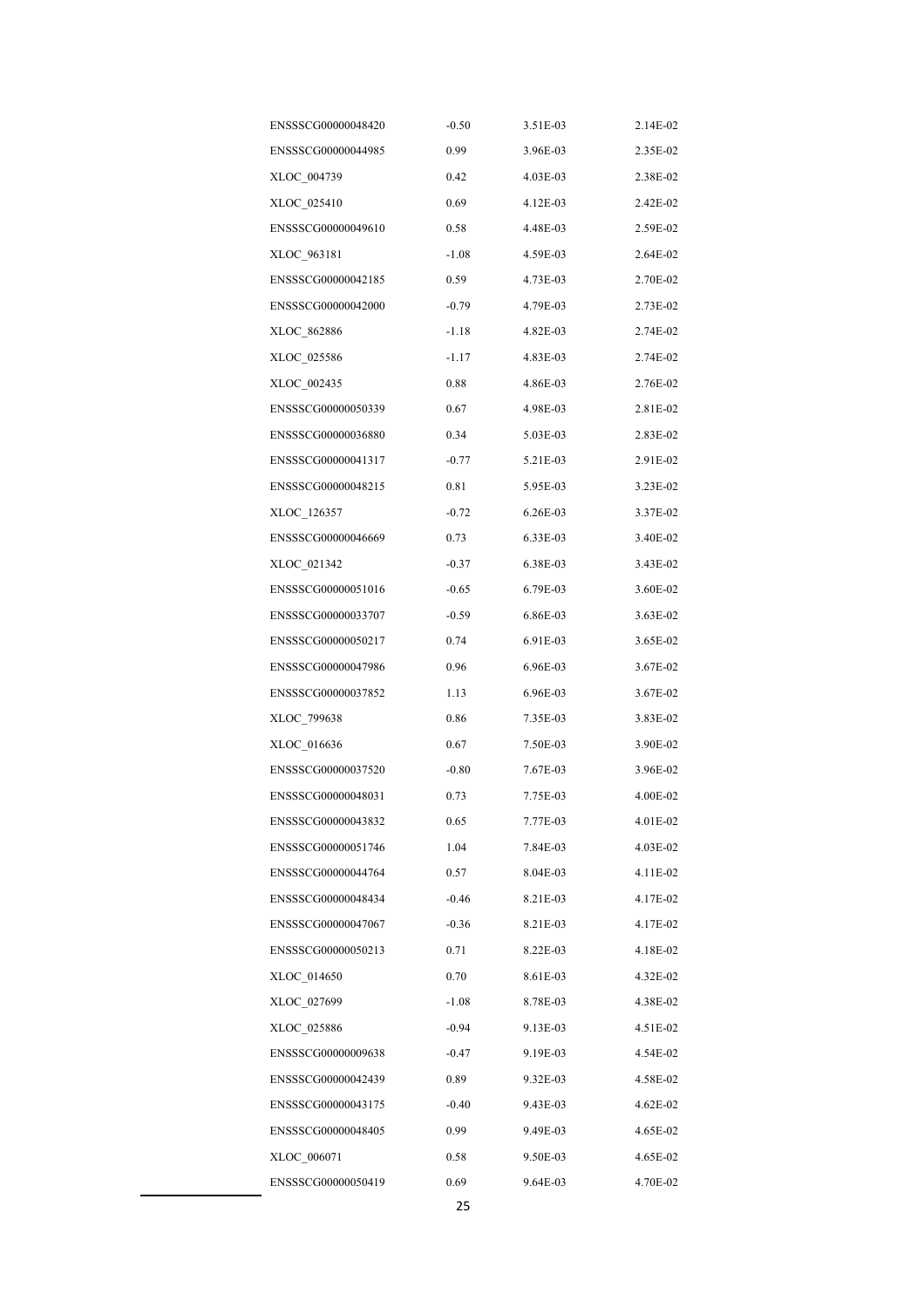| ENSSSCG00000048420 | $-0.50$ | 3.51E-03 | 2.14E-02 |
|--------------------|---------|----------|----------|
| ENSSSCG00000044985 | 0.99    | 3.96E-03 | 2.35E-02 |
| XLOC_004739        | 0.42    | 4.03E-03 | 2.38E-02 |
| XLOC_025410        | 0.69    | 4.12E-03 | 2.42E-02 |
| ENSSSCG00000049610 | 0.58    | 4.48E-03 | 2.59E-02 |
| XLOC_963181        | $-1.08$ | 4.59E-03 | 2.64E-02 |
| ENSSSCG00000042185 | 0.59    | 4.73E-03 | 2.70E-02 |
| ENSSSCG00000042000 | $-0.79$ | 4.79E-03 | 2.73E-02 |
| XLOC_862886        | $-1.18$ | 4.82E-03 | 2.74E-02 |
| XLOC_025586        | -1.17   | 4.83E-03 | 2.74E-02 |
| XLOC_002435        | 0.88    | 4.86E-03 | 2.76E-02 |
| ENSSSCG00000050339 | 0.67    | 4.98E-03 | 2.81E-02 |
| ENSSSCG00000036880 | 0.34    | 5.03E-03 | 2.83E-02 |
| ENSSSCG00000041317 | $-0.77$ | 5.21E-03 | 2.91E-02 |
| ENSSSCG00000048215 | 0.81    | 5.95E-03 | 3.23E-02 |
| XLOC 126357        | $-0.72$ | 6.26E-03 | 3.37E-02 |
| ENSSSCG00000046669 | 0.73    | 6.33E-03 | 3.40E-02 |
| XLOC 021342        | $-0.37$ | 6.38E-03 | 3.43E-02 |
| ENSSSCG00000051016 | $-0.65$ | 6.79E-03 | 3.60E-02 |
| ENSSSCG00000033707 | $-0.59$ | 6.86E-03 | 3.63E-02 |
| ENSSSCG00000050217 | 0.74    | 6.91E-03 | 3.65E-02 |
| ENSSSCG00000047986 | 0.96    | 6.96E-03 | 3.67E-02 |
| ENSSSCG00000037852 | 1.13    | 6.96E-03 | 3.67E-02 |
| XLOC 799638        | 0.86    | 7.35E-03 | 3.83E-02 |
| XLOC_016636        | 0.67    | 7.50E-03 | 3.90E-02 |
| ENSSSCG00000037520 | $-0.80$ | 7.67E-03 | 3.96E-02 |
| ENSSSCG00000048031 | 0.73    | 7.75E-03 | 4.00E-02 |
| ENSSSCG00000043832 | 0.65    | 7.77E-03 | 4.01E-02 |
| ENSSSCG00000051746 | 1.04    | 7.84E-03 | 4.03E-02 |
| ENSSSCG00000044764 | 0.57    | 8.04E-03 | 4.11E-02 |
| ENSSSCG00000048434 | $-0.46$ | 8.21E-03 | 4.17E-02 |
| ENSSSCG00000047067 | $-0.36$ | 8.21E-03 | 4.17E-02 |
| ENSSSCG00000050213 | 0.71    | 8.22E-03 | 4.18E-02 |
| XLOC 014650        | 0.70    | 8.61E-03 | 4.32E-02 |
| XLOC 027699        | $-1.08$ | 8.78E-03 | 4.38E-02 |
| XLOC_025886        | $-0.94$ | 9.13E-03 | 4.51E-02 |
| ENSSSCG00000009638 | $-0.47$ | 9.19E-03 | 4.54E-02 |
| ENSSSCG00000042439 | 0.89    | 9.32E-03 | 4.58E-02 |
| ENSSSCG00000043175 | $-0.40$ | 9.43E-03 | 4.62E-02 |
| ENSSSCG00000048405 | 0.99    | 9.49E-03 | 4.65E-02 |
| XLOC 006071        | 0.58    | 9.50E-03 | 4.65E-02 |
| ENSSSCG00000050419 | 0.69    | 9.64E-03 | 4.70E-02 |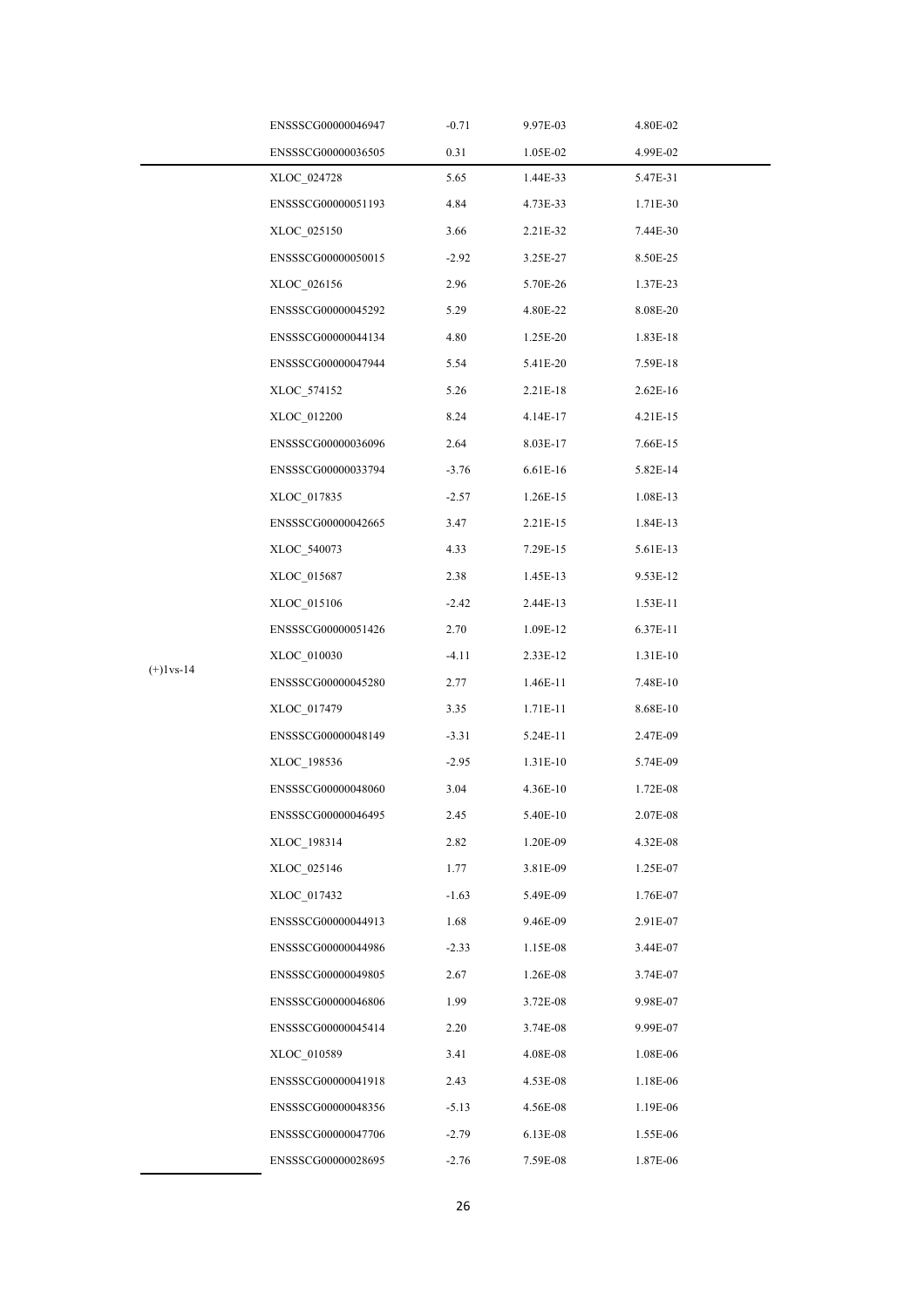|               | ENSSSCG00000046947 | $-0.71$ | 9.97E-03 | 4.80E-02   |
|---------------|--------------------|---------|----------|------------|
|               | ENSSSCG00000036505 | 0.31    | 1.05E-02 | 4.99E-02   |
|               | XLOC 024728        | 5.65    | 1.44E-33 | 5.47E-31   |
|               | ENSSSCG00000051193 | 4.84    | 4.73E-33 | 1.71E-30   |
|               | XLOC 025150        | 3.66    | 2.21E-32 | 7.44E-30   |
|               | ENSSSCG00000050015 | $-2.92$ | 3.25E-27 | 8.50E-25   |
|               | XLOC 026156        | 2.96    | 5.70E-26 | 1.37E-23   |
|               | ENSSSCG00000045292 | 5.29    | 4.80E-22 | 8.08E-20   |
|               | ENSSSCG00000044134 | 4.80    | 1.25E-20 | 1.83E-18   |
|               | ENSSSCG00000047944 | 5.54    | 5.41E-20 | 7.59E-18   |
|               | XLOC 574152        | 5.26    | 2.21E-18 | $2.62E-16$ |
|               | XLOC 012200        | 8.24    | 4.14E-17 | 4.21E-15   |
|               | ENSSSCG00000036096 | 2.64    | 8.03E-17 | 7.66E-15   |
|               | ENSSSCG00000033794 | $-3.76$ | 6.61E-16 | 5.82E-14   |
|               | XLOC 017835        | $-2.57$ | 1.26E-15 | 1.08E-13   |
|               | ENSSSCG00000042665 | 3.47    | 2.21E-15 | 1.84E-13   |
|               | XLOC 540073        | 4.33    | 7.29E-15 | 5.61E-13   |
|               | XLOC 015687        | 2.38    | 1.45E-13 | 9.53E-12   |
|               | XLOC 015106        | $-2.42$ | 2.44E-13 | 1.53E-11   |
|               | ENSSSCG00000051426 | 2.70    | 1.09E-12 | 6.37E-11   |
|               | XLOC_010030        | $-4.11$ | 2.33E-12 | 1.31E-10   |
| $(+)$ l vs-14 | ENSSSCG00000045280 | 2.77    | 1.46E-11 | 7.48E-10   |
|               | XLOC 017479        | 3.35    | 1.71E-11 | 8.68E-10   |
|               | ENSSSCG00000048149 | $-3.31$ | 5.24E-11 | 2.47E-09   |
|               | XLOC_198536        | $-2.95$ | 1.31E-10 | 5.74E-09   |
|               | ENSSSCG00000048060 | 3.04    | 4.36E-10 | 1.72E-08   |
|               | ENSSSCG00000046495 | 2.45    | 5.40E-10 | 2.07E-08   |
|               | XLOC 198314        | 2.82    | 1.20E-09 | 4.32E-08   |
|               | XLOC 025146        | 1.77    | 3.81E-09 | 1.25E-07   |
|               | XLOC 017432        | $-1.63$ | 5.49E-09 | 1.76E-07   |
|               | ENSSSCG00000044913 | 1.68    | 9.46E-09 | 2.91E-07   |
|               | ENSSSCG00000044986 | $-2.33$ | 1.15E-08 | 3.44E-07   |
|               | ENSSSCG00000049805 | 2.67    | 1.26E-08 | 3.74E-07   |
|               | ENSSSCG00000046806 | 1.99    | 3.72E-08 | 9.98E-07   |
|               | ENSSSCG00000045414 | 2.20    | 3.74E-08 | 9.99E-07   |
|               | XLOC 010589        | 3.41    | 4.08E-08 | 1.08E-06   |
|               | ENSSSCG00000041918 | 2.43    | 4.53E-08 | 1.18E-06   |
|               | ENSSSCG00000048356 | $-5.13$ | 4.56E-08 | 1.19E-06   |
|               | ENSSSCG00000047706 | $-2.79$ | 6.13E-08 | 1.55E-06   |
|               | ENSSSCG00000028695 | $-2.76$ | 7.59E-08 | 1.87E-06   |
|               |                    |         |          |            |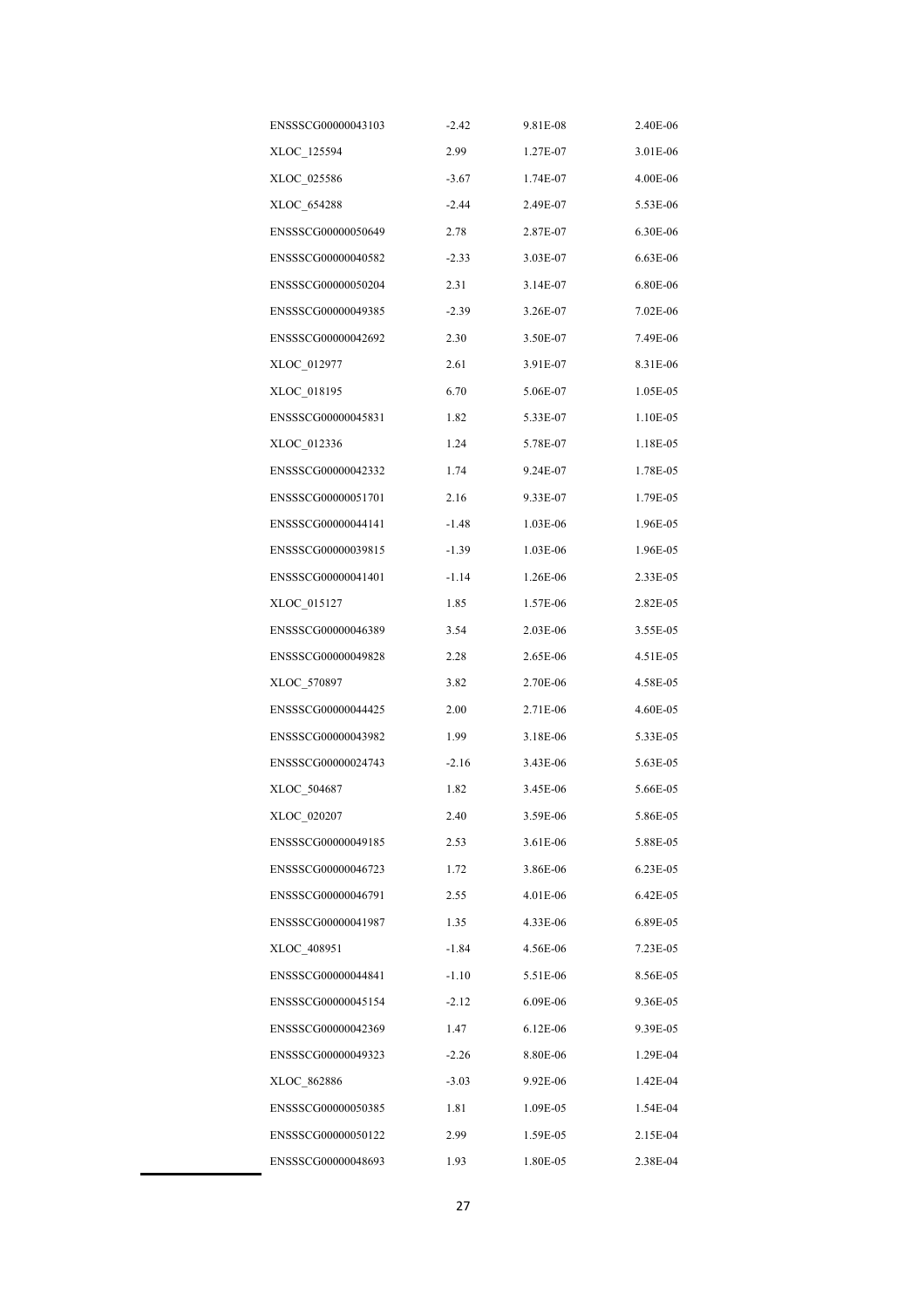| ENSSSCG00000043103 | $-2.42$ | 9.81E-08 | 2.40E-06 |
|--------------------|---------|----------|----------|
| XLOC_125594        | 2.99    | 1.27E-07 | 3.01E-06 |
| XLOC 025586        | $-3.67$ | 1.74E-07 | 4.00E-06 |
| XLOC_654288        | $-2.44$ | 2.49E-07 | 5.53E-06 |
| ENSSSCG00000050649 | 2.78    | 2.87E-07 | 6.30E-06 |
| ENSSSCG00000040582 | $-2.33$ | 3.03E-07 | 6.63E-06 |
| ENSSSCG00000050204 | 2.31    | 3.14E-07 | 6.80E-06 |
| ENSSSCG00000049385 | $-2.39$ | 3.26E-07 | 7.02E-06 |
| ENSSSCG00000042692 | 2.30    | 3.50E-07 | 7.49E-06 |
| XLOC_012977        | 2.61    | 3.91E-07 | 8.31E-06 |
| XLOC_018195        | 6.70    | 5.06E-07 | 1.05E-05 |
| ENSSSCG00000045831 | 1.82    | 5.33E-07 | 1.10E-05 |
| XLOC 012336        | 1.24    | 5.78E-07 | 1.18E-05 |
| ENSSSCG00000042332 | 1.74    | 9.24E-07 | 1.78E-05 |
| ENSSSCG00000051701 | 2.16    | 9.33E-07 | 1.79E-05 |
| ENSSSCG00000044141 | $-1.48$ | 1.03E-06 | 1.96E-05 |
| ENSSSCG00000039815 | $-1.39$ | 1.03E-06 | 1.96E-05 |
| ENSSSCG00000041401 | $-1.14$ | 1.26E-06 | 2.33E-05 |
| XLOC_015127        | 1.85    | 1.57E-06 | 2.82E-05 |
| ENSSSCG00000046389 | 3.54    | 2.03E-06 | 3.55E-05 |
| ENSSSCG00000049828 | 2.28    | 2.65E-06 | 4.51E-05 |
| XLOC_570897        | 3.82    | 2.70E-06 | 4.58E-05 |
| ENSSSCG00000044425 | 2.00    | 2.71E-06 | 4.60E-05 |
| ENSSSCG00000043982 | 1.99    | 3.18E-06 | 5.33E-05 |
| ENSSSCG00000024743 | $-2.16$ | 3.43E-06 | 5.63E-05 |
| XLOC_504687        | 1.82    | 3.45E-06 | 5.66E-05 |
| XLOC_020207        | 2.40    | 3.59E-06 | 5.86E-05 |
| ENSSSCG00000049185 | 2.53    | 3.61E-06 | 5.88E-05 |
| ENSSSCG00000046723 | 1.72    | 3.86E-06 | 6.23E-05 |
| ENSSSCG00000046791 | 2.55    | 4.01E-06 | 6.42E-05 |
| ENSSSCG00000041987 | 1.35    | 4.33E-06 | 6.89E-05 |
| XLOC 408951        | $-1.84$ | 4.56E-06 | 7.23E-05 |
| ENSSSCG00000044841 | $-1.10$ | 5.51E-06 | 8.56E-05 |
| ENSSSCG00000045154 | $-2.12$ | 6.09E-06 | 9.36E-05 |
| ENSSSCG00000042369 | 1.47    | 6.12E-06 | 9.39E-05 |
| ENSSSCG00000049323 | $-2.26$ | 8.80E-06 | 1.29E-04 |
| XLOC 862886        | $-3.03$ | 9.92E-06 | 1.42E-04 |
| ENSSSCG00000050385 | 1.81    | 1.09E-05 | 1.54E-04 |
| ENSSSCG00000050122 | 2.99    | 1.59E-05 | 2.15E-04 |
| ENSSSCG00000048693 | 1.93    | 1.80E-05 | 2.38E-04 |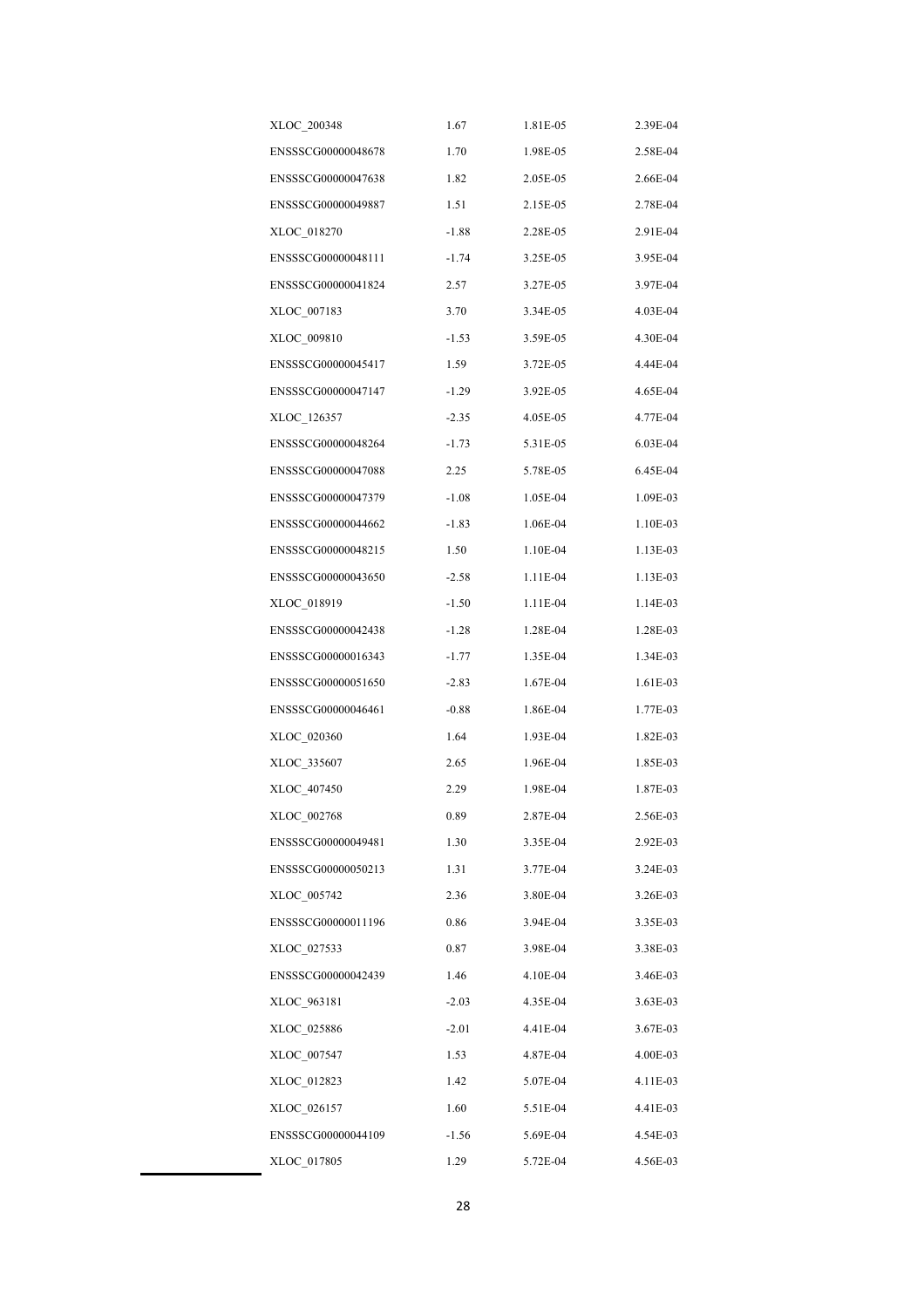| XLOC_200348        | 1.67    | 1.81E-05 | 2.39E-04 |
|--------------------|---------|----------|----------|
| ENSSSCG00000048678 | 1.70    | 1.98E-05 | 2.58E-04 |
| ENSSSCG00000047638 | 1.82    | 2.05E-05 | 2.66E-04 |
| ENSSSCG00000049887 | 1.51    | 2.15E-05 | 2.78E-04 |
| XLOC_018270        | $-1.88$ | 2.28E-05 | 2.91E-04 |
| ENSSSCG00000048111 | $-1.74$ | 3.25E-05 | 3.95E-04 |
| ENSSSCG00000041824 | 2.57    | 3.27E-05 | 3.97E-04 |
| XLOC 007183        | 3.70    | 3.34E-05 | 4.03E-04 |
| XLOC 009810        | $-1.53$ | 3.59E-05 | 4.30E-04 |
| ENSSSCG00000045417 | 1.59    | 3.72E-05 | 4.44E-04 |
| ENSSSCG00000047147 | $-1.29$ | 3.92E-05 | 4.65E-04 |
| XLOC_126357        | $-2.35$ | 4.05E-05 | 4.77E-04 |
| ENSSSCG00000048264 | $-1.73$ | 5.31E-05 | 6.03E-04 |
| ENSSSCG00000047088 | 2.25    | 5.78E-05 | 6.45E-04 |
| ENSSSCG00000047379 | $-1.08$ | 1.05E-04 | 1.09E-03 |
| ENSSSCG00000044662 | $-1.83$ | 1.06E-04 | 1.10E-03 |
| ENSSSCG00000048215 | 1.50    | 1.10E-04 | 1.13E-03 |
| ENSSSCG00000043650 | $-2.58$ | 1.11E-04 | 1.13E-03 |
| XLOC_018919        | $-1.50$ | 1.11E-04 | 1.14E-03 |
| ENSSSCG00000042438 | $-1.28$ | 1.28E-04 | 1.28E-03 |
| ENSSSCG00000016343 | $-1.77$ | 1.35E-04 | 1.34E-03 |
| ENSSSCG00000051650 | $-2.83$ | 1.67E-04 | 1.61E-03 |
| ENSSSCG00000046461 | $-0.88$ | 1.86E-04 | 1.77E-03 |
| XLOC_020360        | 1.64    | 1.93E-04 | 1.82E-03 |
| XLOC_335607        | 2.65    | 1.96E-04 | 1.85E-03 |
| XLOC_407450        | 2.29    | 1.98E-04 | 1.87E-03 |
| XLOC_002768        | 0.89    | 2.87E-04 | 2.56E-03 |
| ENSSSCG00000049481 | 1.30    | 3.35E-04 | 2.92E-03 |
| ENSSSCG00000050213 | 1.31    | 3.77E-04 | 3.24E-03 |
| XLOC 005742        | 2.36    | 3.80E-04 | 3.26E-03 |
| ENSSSCG00000011196 | 0.86    | 3.94E-04 | 3.35E-03 |
| XLOC 027533        | 0.87    | 3.98E-04 | 3.38E-03 |
| ENSSSCG00000042439 | 1.46    | 4.10E-04 | 3.46E-03 |
| XLOC 963181        | $-2.03$ | 4.35E-04 | 3.63E-03 |
| XLOC 025886        | $-2.01$ | 4.41E-04 | 3.67E-03 |
| XLOC 007547        | 1.53    | 4.87E-04 | 4.00E-03 |
| XLOC_012823        | 1.42    | 5.07E-04 | 4.11E-03 |
| XLOC 026157        | 1.60    | 5.51E-04 | 4.41E-03 |
| ENSSSCG00000044109 | $-1.56$ | 5.69E-04 | 4.54E-03 |
| XLOC 017805        | 1.29    | 5.72E-04 | 4.56E-03 |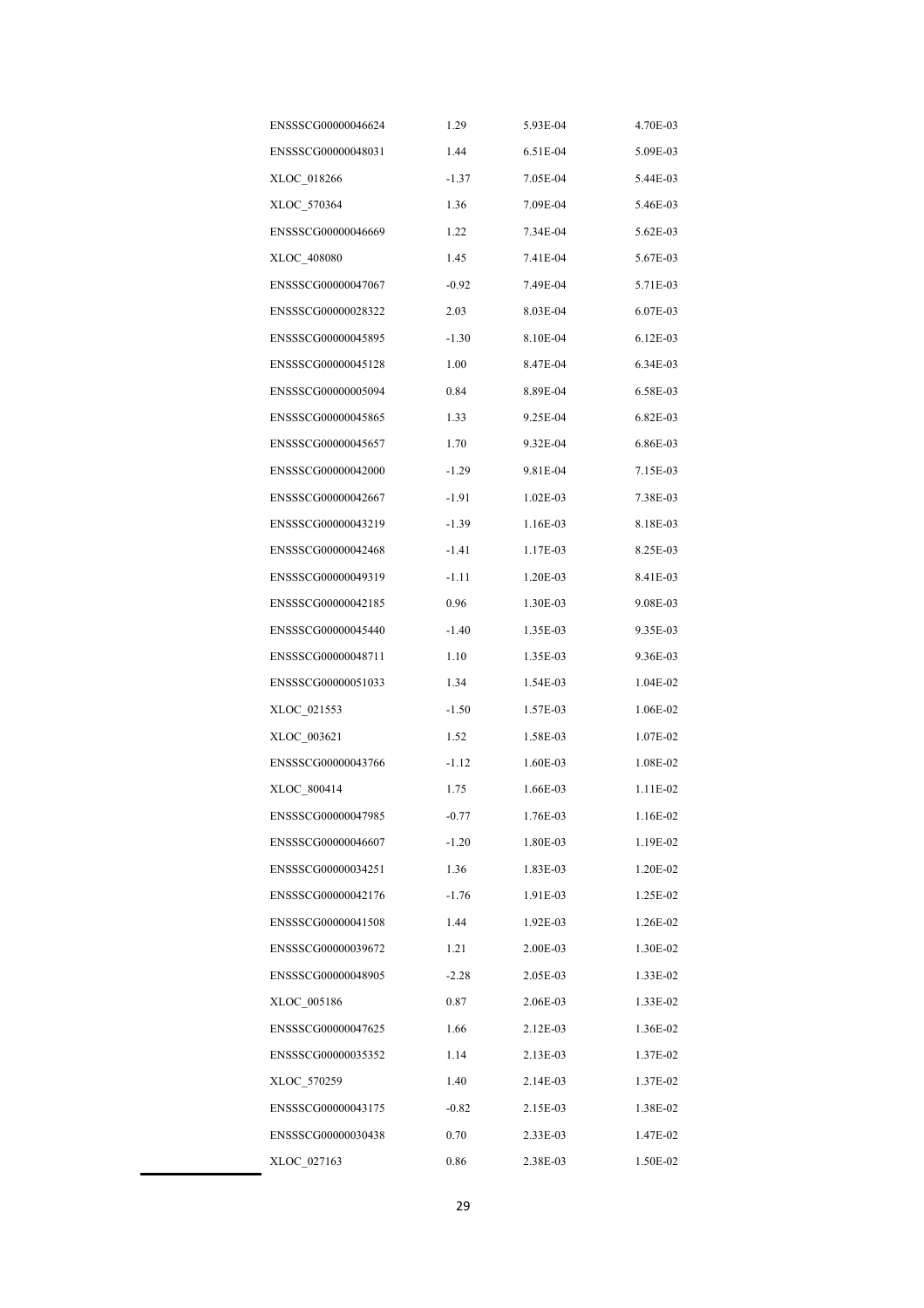| ENSSSCG00000046624 | 1.29    | 5.93E-04 | 4.70E-03 |
|--------------------|---------|----------|----------|
| ENSSSCG00000048031 | 1.44    | 6.51E-04 | 5.09E-03 |
| XLOC_018266        | -1.37   | 7.05E-04 | 5.44E-03 |
| XLOC_570364        | 1.36    | 7.09E-04 | 5.46E-03 |
| ENSSSCG00000046669 | 1.22    | 7.34E-04 | 5.62E-03 |
| XLOC_408080        | 1.45    | 7.41E-04 | 5.67E-03 |
| ENSSSCG00000047067 | $-0.92$ | 7.49E-04 | 5.71E-03 |
| ENSSSCG00000028322 | 2.03    | 8.03E-04 | 6.07E-03 |
| ENSSSCG00000045895 | $-1.30$ | 8.10E-04 | 6.12E-03 |
| ENSSSCG00000045128 | 1.00    | 8.47E-04 | 6.34E-03 |
| ENSSSCG00000005094 | 0.84    | 8.89E-04 | 6.58E-03 |
| ENSSSCG00000045865 | 1.33    | 9.25E-04 | 6.82E-03 |
| ENSSSCG00000045657 | 1.70    | 9.32E-04 | 6.86E-03 |
| ENSSSCG00000042000 | $-1.29$ | 9.81E-04 | 7.15E-03 |
| ENSSSCG00000042667 | $-1.91$ | 1.02E-03 | 7.38E-03 |
| ENSSSCG00000043219 | $-1.39$ | 1.16E-03 | 8.18E-03 |
| ENSSSCG00000042468 | $-1.41$ | 1.17E-03 | 8.25E-03 |
| ENSSSCG00000049319 | $-1.11$ | 1.20E-03 | 8.41E-03 |
| ENSSSCG00000042185 | 0.96    | 1.30E-03 | 9.08E-03 |
| ENSSSCG00000045440 | $-1.40$ | 1.35E-03 | 9.35E-03 |
| ENSSSCG00000048711 | 1.10    | 1.35E-03 | 9.36E-03 |
| ENSSSCG00000051033 | 1.34    | 1.54E-03 | 1.04E-02 |
| XLOC 021553        | $-1.50$ | 1.57E-03 | 1.06E-02 |
| XLOC_003621        | 1.52    | 1.58E-03 | 1.07E-02 |
| ENSSSCG00000043766 | $-1.12$ | 1.60E-03 | 1.08E-02 |
| XLOC_800414        | 1.75    | 1.66E-03 | 1.11E-02 |
| ENSSSCG00000047985 | $-0.77$ | 1.76E-03 | 1.16E-02 |
| ENSSSCG00000046607 | $-1.20$ | 1.80E-03 | 1.19E-02 |
| ENSSSCG00000034251 | 1.36    | 1.83E-03 | 1.20E-02 |
| ENSSSCG00000042176 | $-1.76$ | 1.91E-03 | 1.25E-02 |
| ENSSSCG00000041508 | 1.44    | 1.92E-03 | 1.26E-02 |
| ENSSSCG00000039672 | 1.21    | 2.00E-03 | 1.30E-02 |
| ENSSSCG00000048905 | $-2.28$ | 2.05E-03 | 1.33E-02 |
| XLOC 005186        | 0.87    | 2.06E-03 | 1.33E-02 |
| ENSSSCG00000047625 | 1.66    | 2.12E-03 | 1.36E-02 |
| ENSSSCG00000035352 | 1.14    | 2.13E-03 | 1.37E-02 |
| XLOC 570259        | 1.40    | 2.14E-03 | 1.37E-02 |
| ENSSSCG00000043175 | $-0.82$ | 2.15E-03 | 1.38E-02 |
| ENSSSCG00000030438 | 0.70    | 2.33E-03 | 1.47E-02 |
| XLOC 027163        | 0.86    | 2.38E-03 | 1.50E-02 |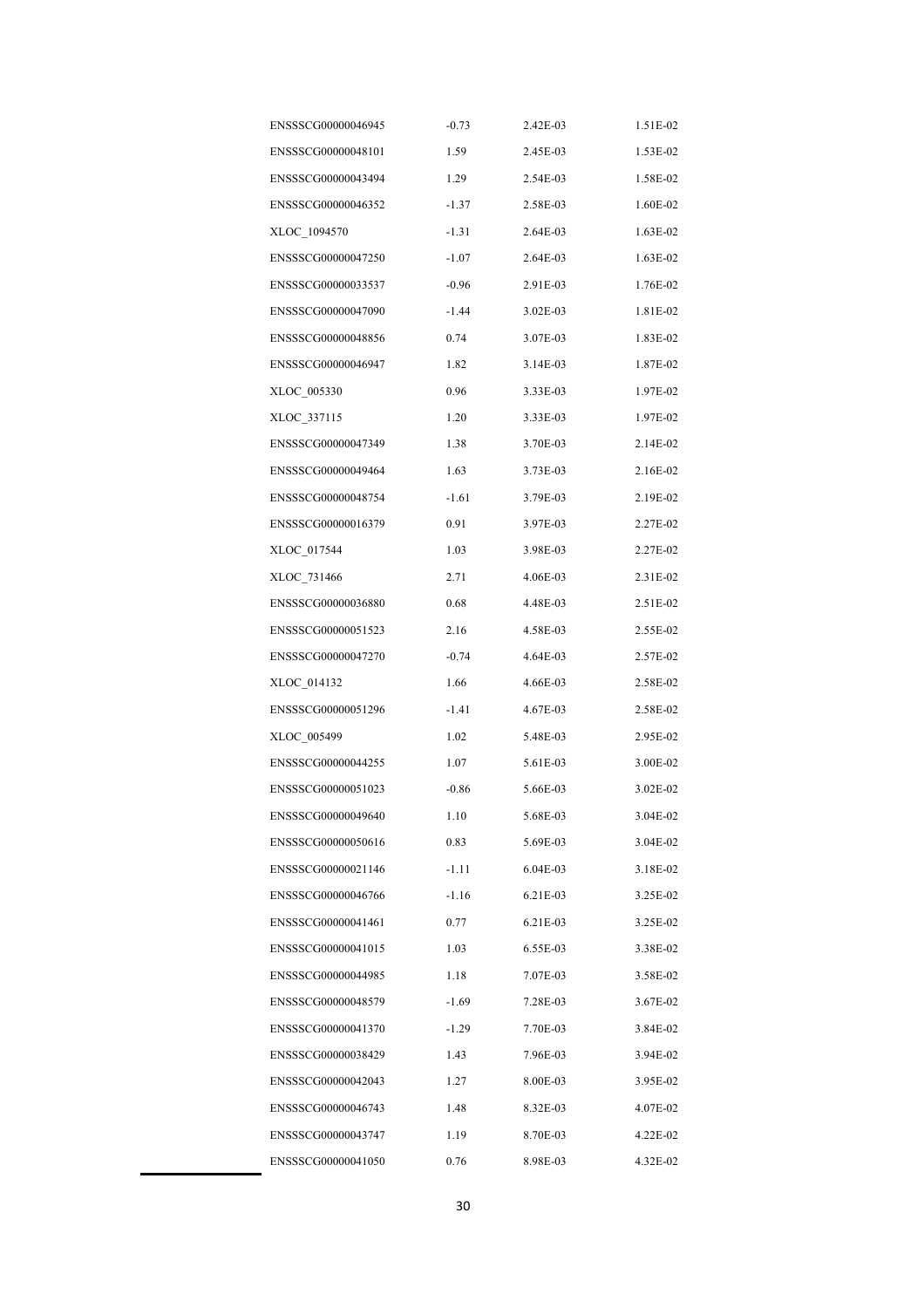| ENSSSCG00000046945 | $-0.73$ | 2.42E-03   | 1.51E-02 |
|--------------------|---------|------------|----------|
| ENSSSCG00000048101 | 1.59    | 2.45E-03   | 1.53E-02 |
| ENSSSCG00000043494 | 1.29    | 2.54E-03   | 1.58E-02 |
| ENSSSCG00000046352 | $-1.37$ | 2.58E-03   | 1.60E-02 |
| XLOC 1094570       | $-1.31$ | 2.64E-03   | 1.63E-02 |
| ENSSSCG00000047250 | $-1.07$ | 2.64E-03   | 1.63E-02 |
| ENSSSCG00000033537 | $-0.96$ | 2.91E-03   | 1.76E-02 |
| ENSSSCG00000047090 | $-1.44$ | 3.02E-03   | 1.81E-02 |
| ENSSSCG00000048856 | 0.74    | 3.07E-03   | 1.83E-02 |
| ENSSSCG00000046947 | 1.82    | 3.14E-03   | 1.87E-02 |
| XLOC_005330        | 0.96    | 3.33E-03   | 1.97E-02 |
| XLOC_337115        | 1.20    | 3.33E-03   | 1.97E-02 |
| ENSSSCG00000047349 | 1.38    | 3.70E-03   | 2.14E-02 |
| ENSSSCG00000049464 | 1.63    | 3.73E-03   | 2.16E-02 |
| ENSSSCG00000048754 | $-1.61$ | 3.79E-03   | 2.19E-02 |
| ENSSSCG00000016379 | 0.91    | 3.97E-03   | 2.27E-02 |
| XLOC 017544        | 1.03    | 3.98E-03   | 2.27E-02 |
| XLOC_731466        | 2.71    | 4.06E-03   | 2.31E-02 |
| ENSSSCG00000036880 | 0.68    | 4.48E-03   | 2.51E-02 |
| ENSSSCG00000051523 | 2.16    | 4.58E-03   | 2.55E-02 |
| ENSSSCG00000047270 | $-0.74$ | 4.64E-03   | 2.57E-02 |
| XLOC_014132        | 1.66    | 4.66E-03   | 2.58E-02 |
| ENSSSCG00000051296 | -1.41   | 4.67E-03   | 2.58E-02 |
| XLOC_005499        | 1.02    | 5.48E-03   | 2.95E-02 |
| ENSSSCG00000044255 | 1.07    | 5.61E-03   | 3.00E-02 |
| ENSSSCG00000051023 | $-0.86$ | 5.66E-03   | 3.02E-02 |
| ENSSSCG00000049640 | 1.10    | 5.68E-03   | 3.04E-02 |
| ENSSSCG00000050616 | 0.83    | 5.69E-03   | 3.04E-02 |
| ENSSSCG00000021146 | -1.11   | $6.04E-03$ | 3.18E-02 |
| ENSSSCG00000046766 | $-1.16$ | 6.21E-03   | 3.25E-02 |
| ENSSSCG00000041461 | 0.77    | 6.21E-03   | 3.25E-02 |
| ENSSSCG00000041015 | 1.03    | 6.55E-03   | 3.38E-02 |
| ENSSSCG00000044985 | 1.18    | 7.07E-03   | 3.58E-02 |
| ENSSSCG00000048579 | -1.69   | 7.28E-03   | 3.67E-02 |
| ENSSSCG00000041370 | $-1.29$ | 7.70E-03   | 3.84E-02 |
| ENSSSCG00000038429 | 1.43    | 7.96E-03   | 3.94E-02 |
| ENSSSCG00000042043 | 1.27    | 8.00E-03   | 3.95E-02 |
| ENSSSCG00000046743 | 1.48    | 8.32E-03   | 4.07E-02 |
| ENSSSCG00000043747 | 1.19    | 8.70E-03   | 4.22E-02 |
| ENSSSCG00000041050 | 0.76    | 8.98E-03   | 4.32E-02 |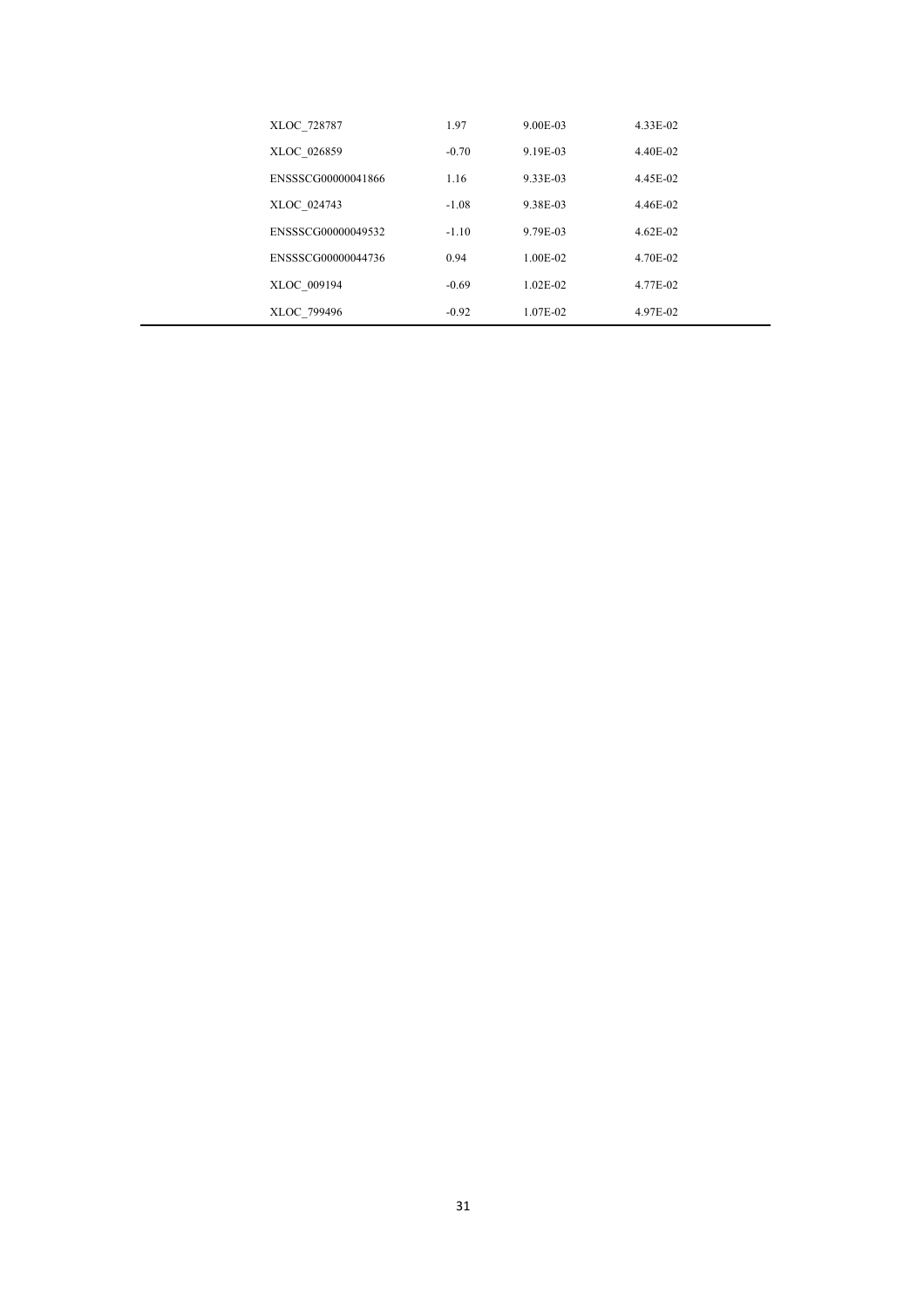| XLOC 728787        | 1.97    | 9.00E-03   | 4.33E-02     |
|--------------------|---------|------------|--------------|
| XLOC 026859        | $-0.70$ | 9.19E-03   | 4.40E-02     |
| ENSSSCG00000041866 | 1.16    | 9.33E-03   | 4.45E-02     |
| XLOC 024743        | $-1.08$ | 9.38E-03   | 4.46E-02     |
| ENSSSCG00000049532 | $-1.10$ | 9.79E-03   | $4.62E - 02$ |
| ENSSSCG00000044736 | 0.94    | 1.00E-02   | 4.70E-02     |
| XLOC 009194        | $-0.69$ | $1.02E-02$ | 4.77E-02     |
| XLOC 799496        | $-0.92$ | 1.07E-02   | 4.97E-02     |
|                    |         |            |              |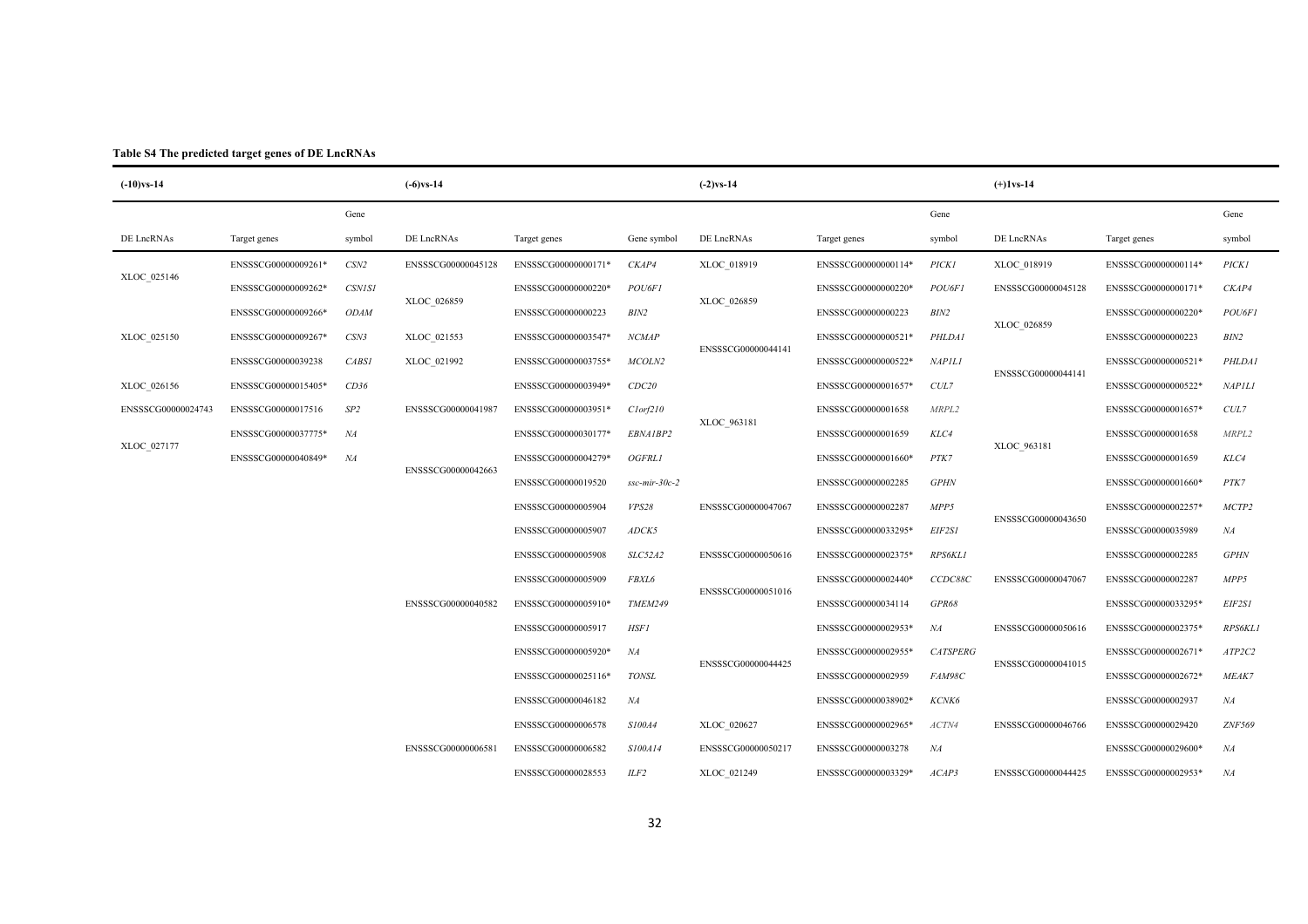**Table S4 The predicted target genes of DE LncRNAs**

| $(-10)$ vs-14      |                     |               | $(-6)$ vs-14       |                     |                      | $(-2)$ vs-14                      |                     |                 | $(+)1$ vs-14                      |                     |               |  |  |                    |    |  |                     |       |  |                    |    |
|--------------------|---------------------|---------------|--------------------|---------------------|----------------------|-----------------------------------|---------------------|-----------------|-----------------------------------|---------------------|---------------|--|--|--------------------|----|--|---------------------|-------|--|--------------------|----|
|                    |                     | Gene          |                    |                     |                      |                                   |                     | Gene            |                                   |                     | Gene          |  |  |                    |    |  |                     |       |  |                    |    |
| DE LncRNAs         | Target genes        | symbol        | DE LncRNAs         | Target genes        | Gene symbol          | DE LncRNAs                        | Target genes        | symbol          | DE LncRNAs                        | Target genes        | symbol        |  |  |                    |    |  |                     |       |  |                    |    |
|                    | ENSSSCG00000009261* | CSN2          | ENSSSCG00000045128 | ENSSSCG00000000171* | CKAP4                | XLOC 018919                       | ENSSSCG00000000114* | <b>PICK1</b>    | XLOC 018919                       | ENSSSCG00000000114* | <b>PICK1</b>  |  |  |                    |    |  |                     |       |  |                    |    |
| XLOC 025146        | ENSSSCG00000009262* | <b>CSN1S1</b> |                    | ENSSSCG00000000220* | POU6F1               |                                   | ENSSSCG00000000220* | POU6F1          | ENSSSCG00000045128                | ENSSSCG00000000171* | CKAP4         |  |  |                    |    |  |                     |       |  |                    |    |
|                    | ENSSSCG00000009266* | <b>ODAM</b>   | XLOC 026859        | ENSSSCG00000000223  | BIN2                 | XLOC 026859                       | ENSSSCG00000000223  | BIN2            |                                   | ENSSSCG00000000220* | POU6F1        |  |  |                    |    |  |                     |       |  |                    |    |
| XLOC 025150        | ENSSSCG00000009267* | CSN3          | XLOC 021553        | ENSSSCG00000003547* | <b>NCMAP</b>         |                                   | ENSSSCG00000000521* | PHLDA1          | XLOC 026859                       | ENSSSCG00000000223  | BIN2          |  |  |                    |    |  |                     |       |  |                    |    |
|                    | ENSSSCG00000039238  | <b>CABS1</b>  | XLOC 021992        | ENSSSCG00000003755* | <i>MCOLN2</i>        | ENSSSCG00000044141                | ENSSSCG00000000522* | <b>NAPILI</b>   |                                   | ENSSSCG00000000521* | PHLDA1        |  |  |                    |    |  |                     |       |  |                    |    |
| XLOC 026156        | ENSSSCG00000015405* | CD36          |                    | ENSSSCG00000003949* | CDC20                |                                   | ENSSSCG00000001657* | CUL7            | ENSSSCG00000044141                | ENSSSCG00000000522* | <b>NAPILI</b> |  |  |                    |    |  |                     |       |  |                    |    |
| ENSSSCG00000024743 | ENSSSCG00000017516  | SP2           | ENSSSCG00000041987 | ENSSSCG00000003951* | Clorf210             |                                   | ENSSSCG00000001658  | MRPL2           |                                   | ENSSSCG00000001657* | CUL7          |  |  |                    |    |  |                     |       |  |                    |    |
|                    | ENSSSCG00000037775* | NA            | ENSSSCG00000042663 | ENSSSCG00000030177* | EBNA1BP2             | XLOC 963181<br>ENSSSCG00000047067 | ENSSSCG00000001659  | KLC4            | XLOC_963181<br>ENSSSCG00000043650 | ENSSSCG00000001658  | MRPL2         |  |  |                    |    |  |                     |       |  |                    |    |
| XLOC_027177        | ENSSSCG00000040849* | NA            |                    | ENSSSCG00000004279* | <b>OGFRL1</b>        |                                   | ENSSSCG00000001660* | PTK7            |                                   | ENSSSCG00000001659  | KLC4          |  |  |                    |    |  |                     |       |  |                    |    |
|                    |                     |               |                    | ENSSSCG00000019520  | $ssc$ -mir-30 $c$ -2 |                                   | ENSSSCG00000002285  | <b>GPHN</b>     |                                   | ENSSSCG00000001660* | PTK7          |  |  |                    |    |  |                     |       |  |                    |    |
|                    |                     |               |                    | ENSSSCG00000005904  | VPS28                |                                   | ENSSSCG00000002287  | MPP5            |                                   | ENSSSCG00000002257* | MCTP2         |  |  |                    |    |  |                     |       |  |                    |    |
|                    |                     |               |                    | ENSSSCG00000005907  | ADCK5                |                                   | ENSSSCG00000033295* | EIF2S1          |                                   | ENSSSCG00000035989  | NA            |  |  |                    |    |  |                     |       |  |                    |    |
|                    |                     |               |                    | ENSSSCG00000005908  | <i>SLC52A2</i>       | ENSSSCG00000050616                | ENSSSCG00000002375* | <b>RPS6KL1</b>  |                                   | ENSSSCG00000002285  | <b>GPHN</b>   |  |  |                    |    |  |                     |       |  |                    |    |
|                    |                     |               |                    | ENSSSCG00000005909  | FBXL6                | ENSSSCG00000051016                | ENSSSCG00000002440* | CCDC88C         | ENSSSCG00000047067                | ENSSSCG00000002287  | MPP5          |  |  |                    |    |  |                     |       |  |                    |    |
|                    |                     |               | ENSSSCG00000040582 | ENSSSCG00000005910* | <b>TMEM249</b>       |                                   | ENSSSCG00000034114  | GPR68           |                                   | ENSSSCG00000033295* | EIF2S1        |  |  |                    |    |  |                     |       |  |                    |    |
|                    |                     |               |                    | ENSSSCG00000005917  | <b>HSF1</b>          |                                   | ENSSSCG00000002953* | NA              | ENSSSCG00000050616                | ENSSSCG00000002375* | RPS6KL1       |  |  |                    |    |  |                     |       |  |                    |    |
|                    |                     |               |                    | ENSSSCG00000005920* | NA                   |                                   | ENSSSCG00000002955* | <b>CATSPERG</b> |                                   | ENSSSCG00000002671* | ATP2C2        |  |  |                    |    |  |                     |       |  |                    |    |
|                    |                     |               |                    | ENSSSCG00000025116* | TONSL                | ENSSSCG00000044425                | ENSSSCG00000002959  | FAM98C          | ENSSSCG00000041015                | ENSSSCG00000002672* | MEAK7         |  |  |                    |    |  |                     |       |  |                    |    |
|                    |                     |               |                    |                     |                      |                                   |                     |                 |                                   |                     |               |  |  | ENSSSCG00000046182 | NA |  | ENSSSCG00000038902* | KCNK6 |  | ENSSSCG00000002937 | NA |
|                    |                     |               |                    | ENSSSCG00000006578  | S100A4               | XLOC_020627                       | ENSSSCG00000002965* | ACTN4           | ENSSSCG00000046766                | ENSSSCG00000029420  | ZNF569        |  |  |                    |    |  |                     |       |  |                    |    |
|                    |                     |               | ENSSSCG00000006581 | ENSSSCG00000006582  | S100A14              | ENSSSCG00000050217                | ENSSSCG00000003278  | NA              |                                   | ENSSSCG00000029600* | NA            |  |  |                    |    |  |                     |       |  |                    |    |
|                    |                     |               |                    | ENSSSCG00000028553  | ILF2                 | XLOC 021249                       | ENSSSCG00000003329* | ACAP3           | ENSSSCG00000044425                | ENSSSCG00000002953* | NA            |  |  |                    |    |  |                     |       |  |                    |    |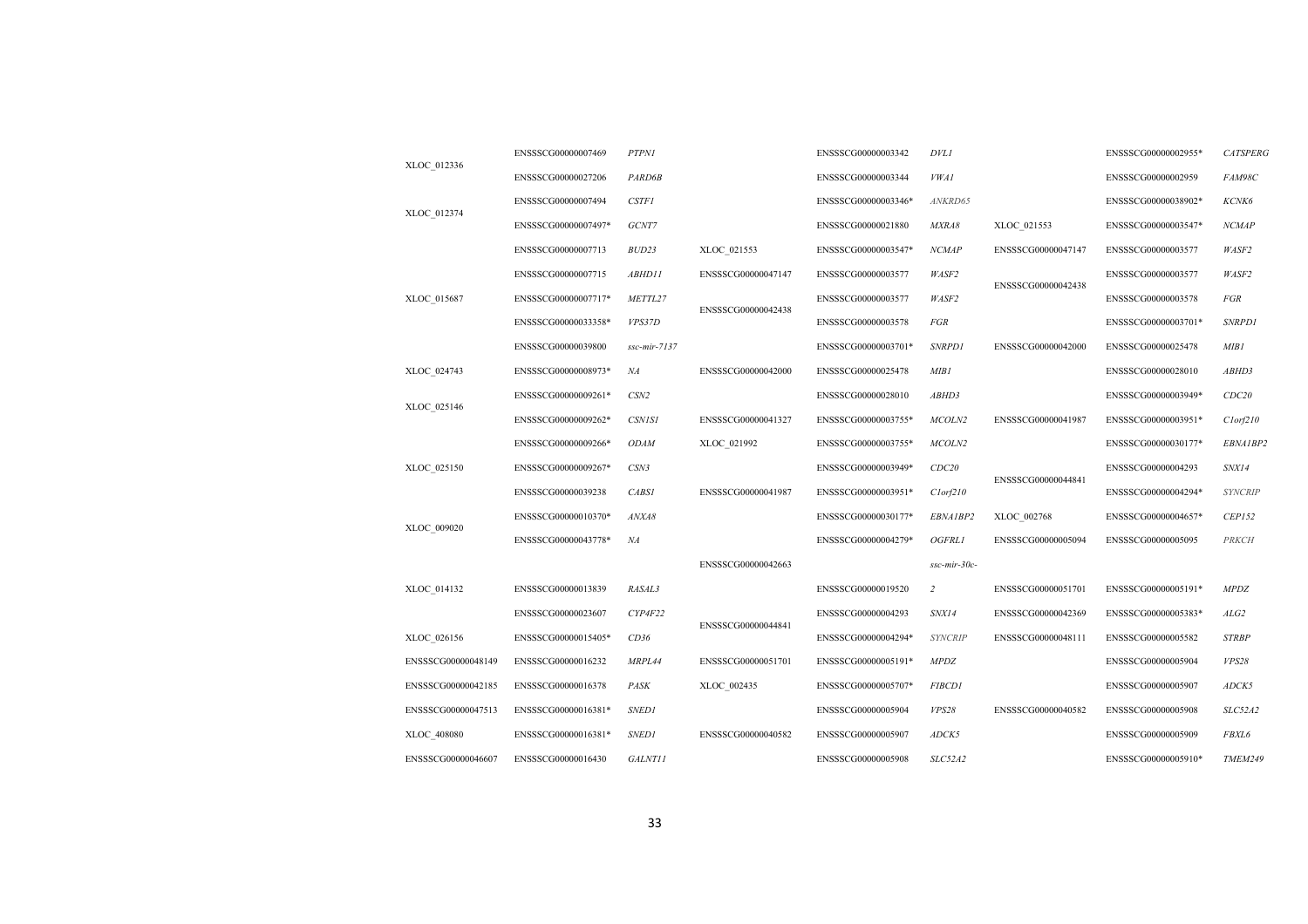|                    | ENSSSCG00000007469  | <b>PTPNI</b>    |                    | ENSSSCG00000003342  | <b>DVL1</b>         |                    | ENSSSCG00000002955* | <b>CATSPERG</b> |
|--------------------|---------------------|-----------------|--------------------|---------------------|---------------------|--------------------|---------------------|-----------------|
| XLOC_012336        | ENSSSCG00000027206  | PARD6B          |                    | ENSSSCG00000003344  | VWA1                |                    | ENSSSCG00000002959  | FAM98C          |
| XLOC 012374        | ENSSSCG00000007494  | <b>CSTF1</b>    |                    | ENSSSCG00000003346* | ANKRD65             |                    | ENSSSCG00000038902* | KCNK6           |
|                    | ENSSSCG00000007497* | GCNT7           |                    | ENSSSCG00000021880  | MXRA8               | XLOC_021553        | ENSSSCG00000003547* | <b>NCMAP</b>    |
|                    | ENSSSCG00000007713  | BUD23           | XLOC_021553        | ENSSSCG00000003547* | <b>NCMAP</b>        | ENSSSCG00000047147 | ENSSSCG00000003577  | WASF2           |
|                    | ENSSSCG00000007715  | <i>ABHD11</i>   | ENSSSCG00000047147 | ENSSSCG00000003577  | WASF2               | ENSSSCG00000042438 | ENSSSCG00000003577  | WASF2           |
| XLOC_015687        | ENSSSCG00000007717* | METTL27         | ENSSSCG00000042438 | ENSSSCG00000003577  | WASF2               |                    | ENSSSCG00000003578  | <b>FGR</b>      |
|                    | ENSSSCG00000033358* | VPS37D          |                    | ENSSSCG00000003578  | ${\it FGR}$         |                    | ENSSSCG00000003701* | SNRPD1          |
|                    | ENSSSCG00000039800  | $ssc$ -mir-7137 |                    | ENSSSCG00000003701* | <b>SNRPD1</b>       | ENSSSCG00000042000 | ENSSSCG00000025478  | MIBI            |
| XLOC_024743        | ENSSSCG00000008973* | NA              | ENSSSCG00000042000 | ENSSSCG00000025478  | MIBI                |                    | ENSSSCG00000028010  | ABHD3           |
| XLOC 025146        | ENSSSCG00000009261* | CSN2            |                    | ENSSSCG00000028010  | ABHD3               |                    | ENSSSCG00000003949* | CDC20           |
|                    | ENSSSCG00000009262* | <b>CSN1S1</b>   | ENSSSCG00000041327 | ENSSSCG00000003755* | MCOLN2              | ENSSSCG00000041987 | ENSSSCG00000003951* | Clorf210        |
|                    | ENSSSCG00000009266* | <b>ODAM</b>     | XLOC 021992        | ENSSSCG00000003755* | MCOLN2              |                    | ENSSSCG00000030177* | EBNA1BP2        |
| XLOC_025150        | ENSSSCG00000009267* | CSN3            |                    | ENSSSCG00000003949* | CDC20               | ENSSSCG00000044841 | ENSSSCG00000004293  | SNX14           |
|                    | ENSSSCG00000039238  | <b>CABS1</b>    | ENSSSCG00000041987 | ENSSSCG00000003951* | Clorf210            |                    | ENSSSCG00000004294* | <b>SYNCRIP</b>  |
| XLOC 009020        | ENSSSCG00000010370* | ANXA8           |                    | ENSSSCG00000030177* | EBNA1BP2            | XLOC 002768        | ENSSSCG00000004657* | <b>CEP152</b>   |
|                    | ENSSSCG00000043778* | NA              |                    | ENSSSCG00000004279* | <b>OGFRL1</b>       | ENSSSCG00000005094 | ENSSSCG00000005095  | PRKCH           |
|                    |                     |                 | ENSSSCG00000042663 |                     | $ssc$ -mir- $30c$ - |                    |                     |                 |
| XLOC_014132        | ENSSSCG00000013839  | RASAL3          |                    | ENSSSCG00000019520  | $\overline{c}$      | ENSSSCG00000051701 | ENSSSCG00000005191* | <b>MPDZ</b>     |
|                    | ENSSSCG00000023607  | CYP4F22         | ENSSSCG00000044841 | ENSSSCG00000004293  | SNX14               | ENSSSCG00000042369 | ENSSSCG00000005383* | ALG2            |
| XLOC_026156        | ENSSSCG00000015405* | CD36            |                    | ENSSSCG00000004294* | <b>SYNCRIP</b>      | ENSSSCG00000048111 | ENSSSCG00000005582  | <b>STRBP</b>    |
| ENSSSCG00000048149 | ENSSSCG00000016232  | MRPL44          | ENSSSCG00000051701 | ENSSSCG00000005191* | <b>MPDZ</b>         |                    | ENSSSCG00000005904  | VPS28           |
| ENSSSCG00000042185 | ENSSSCG00000016378  | PASK            | XLOC_002435        | ENSSSCG00000005707* | <b>FIBCD1</b>       |                    | ENSSSCG00000005907  | ADCK5           |
| ENSSSCG00000047513 | ENSSSCG00000016381* | SNED1           |                    | ENSSSCG00000005904  | VPS28               | ENSSSCG00000040582 | ENSSSCG00000005908  | SLC52A2         |
| XLOC_408080        | ENSSSCG00000016381* | <b>SNED1</b>    | ENSSSCG00000040582 | ENSSSCG00000005907  | ADCK5               |                    | ENSSSCG00000005909  | FBXL6           |
| ENSSSCG00000046607 | ENSSSCG00000016430  | <b>GALNT11</b>  |                    | ENSSSCG00000005908  | <b>SLC52A2</b>      |                    | ENSSSCG00000005910* | TMEM249         |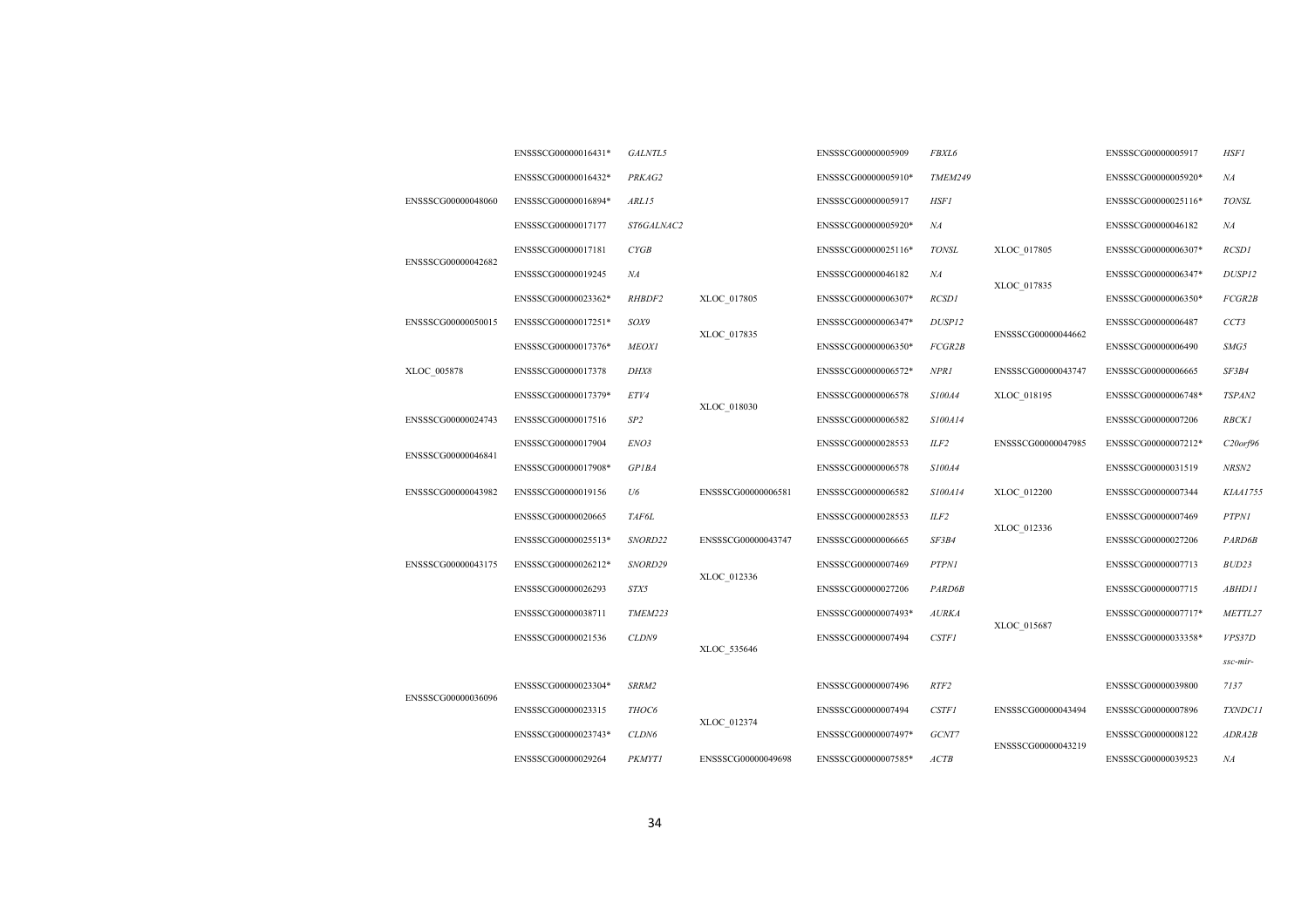|                    |                                          | ENSSSCG00000016431* | GALNTL5       |                     | ENSSSCG00000005909  | FBXL6            |                     | ENSSSCG00000005917  | <b>HSF1</b>    |
|--------------------|------------------------------------------|---------------------|---------------|---------------------|---------------------|------------------|---------------------|---------------------|----------------|
|                    |                                          | ENSSSCG00000016432* | PRKAG2        |                     | ENSSSCG00000005910* | TMEM249          |                     | ENSSSCG00000005920* | NA             |
|                    | ENSSSCG00000048060                       | ENSSSCG00000016894* | ARL15         |                     | ENSSSCG00000005917  | <b>HSF1</b>      |                     | ENSSSCG00000025116* | <b>TONSL</b>   |
|                    | ENSSSCG00000017177                       | ST6GALNAC2          |               | ENSSSCG00000005920* | NA                  |                  | ENSSSCG00000046182  | NA                  |                |
| ENSSSCG00000042682 | ENSSSCG00000017181                       | CYGB                |               | ENSSSCG00000025116* | <b>TONSL</b>        | XLOC_017805      | ENSSSCG00000006307* | <b>RCSD1</b>        |                |
|                    | ENSSSCG00000019245                       | NA                  |               | ENSSSCG00000046182  | NA                  | XLOC_017835      | ENSSSCG00000006347* | DUSP12              |                |
|                    |                                          | ENSSSCG00000023362* | RHBDF2        | XLOC 017805         | ENSSSCG00000006307* | RCSD1            |                     | ENSSSCG00000006350* | FCGR2B         |
|                    | ENSSSCG00000050015                       | ENSSSCG00000017251* | SOX9          | XLOC_017835         | ENSSSCG00000006347* | DUSP12           | ENSSSCG00000044662  | ENSSSCG00000006487  | CCT3           |
|                    |                                          | ENSSSCG00000017376* | <b>MEOXI</b>  |                     | ENSSSCG00000006350* | <b>FCGR2B</b>    |                     | ENSSSCG00000006490  | SMG5           |
|                    | XLOC_005878                              | ENSSSCG00000017378  | DHX8          |                     | ENSSSCG00000006572* | NPRI             | ENSSSCG00000043747  | ENSSSCG00000006665  | SF3B4          |
|                    | ENSSSCG00000024743<br>ENSSSCG00000046841 | ENSSSCG00000017379* | ETV4          | XLOC 018030         | ENSSSCG00000006578  | S100A4           | XLOC_018195         | ENSSSCG00000006748* | TSPAN2         |
|                    |                                          | ENSSSCG00000017516  | SP2           |                     | ENSSSCG00000006582  | S100A14          | ENSSSCG00000047985  | ENSSSCG00000007206  | <b>RBCK1</b>   |
|                    |                                          | ENSSSCG00000017904  | ENO3          |                     | ENSSSCG00000028553  | ILF <sub>2</sub> |                     | ENSSSCG00000007212* | $C20$ orf $96$ |
|                    |                                          | ENSSSCG00000017908* | <b>GP1BA</b>  |                     | ENSSSCG00000006578  | S100A4           |                     | ENSSSCG00000031519  | NRSN2          |
|                    | ENSSSCG00000043982                       | ENSSSCG00000019156  | U6            | ENSSSCG00000006581  | ENSSSCG00000006582  | S100A14          | XLOC_012200         | ENSSSCG00000007344  | KIAA1755       |
|                    |                                          | ENSSSCG00000020665  | TAF6L         |                     | ENSSSCG00000028553  | ILF2             | XLOC_012336         | ENSSSCG00000007469  | <b>PTPN1</b>   |
|                    |                                          | ENSSSCG00000025513* | SNORD22       | ENSSSCG00000043747  | ENSSSCG00000006665  | SF3B4            |                     | ENSSSCG00000027206  | PARD6B         |
|                    | ENSSSCG00000043175                       | ENSSSCG00000026212* | SNORD29       | XLOC 012336         | ENSSSCG00000007469  | <b>PTPN1</b>     |                     | ENSSSCG00000007713  | BUD23          |
|                    |                                          | ENSSSCG00000026293  | STX5          |                     | ENSSSCG00000027206  | PARD6B           |                     | ENSSSCG00000007715  | ABHD11         |
|                    |                                          | ENSSSCG00000038711  | TMEM223       |                     | ENSSSCG00000007493* | <b>AURKA</b>     | XLOC_015687         | ENSSSCG00000007717* | METTL27        |
|                    |                                          | ENSSSCG00000021536  | CLDN9         | XLOC_535646         | ENSSSCG00000007494  | <b>CSTF1</b>     |                     | ENSSSCG00000033358* | VPS37D         |
|                    |                                          |                     |               |                     |                     |                  |                     |                     | ssc-mir-       |
|                    | ENSSSCG00000036096                       | ENSSSCG00000023304* | SRRM2         |                     | ENSSSCG00000007496  | RTF2             |                     | ENSSSCG00000039800  | 7137           |
|                    |                                          | ENSSSCG00000023315  | THOC6         | XLOC 012374         | ENSSSCG00000007494  | <b>CSTF1</b>     | ENSSSCG00000043494  | ENSSSCG00000007896  | <b>TXNDC11</b> |
|                    |                                          | ENSSSCG00000023743* | CLDN6         |                     | ENSSSCG00000007497* | GCNT7            |                     | ENSSSCG00000008122  | ADRA2B         |
|                    |                                          | ENSSSCG00000029264  | <b>PKMYTI</b> | ENSSSCG00000049698  | ENSSSCG00000007585* | ACTB             | ENSSSCG00000043219  | ENSSSCG00000039523  | NA             |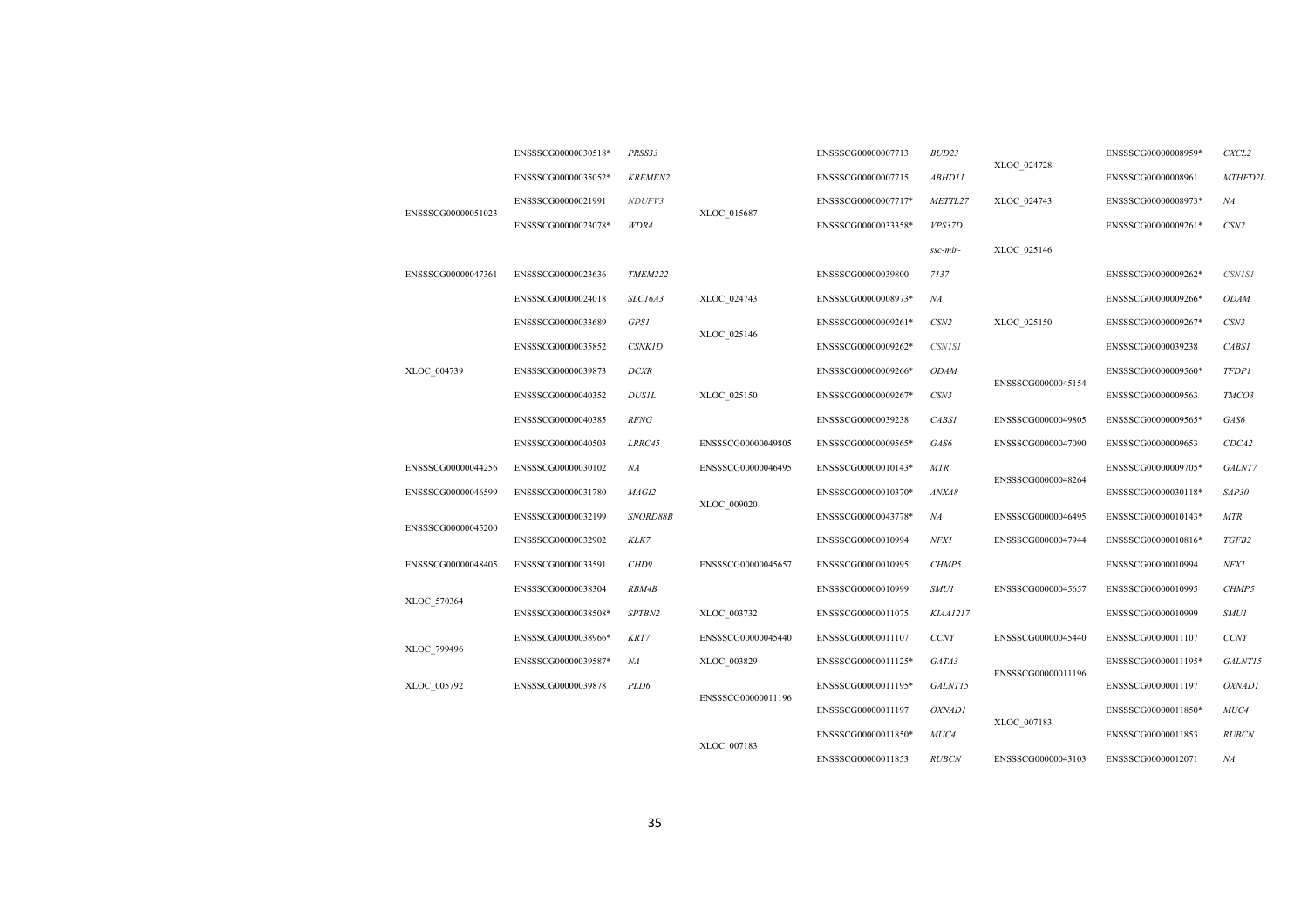|                    |                    | ENSSSCG00000030518* | PRSS33         |                    | ENSSSCG00000007713  | BUD23           |                    | ENSSSCG00000008959* | CXCL2         |
|--------------------|--------------------|---------------------|----------------|--------------------|---------------------|-----------------|--------------------|---------------------|---------------|
|                    |                    | ENSSSCG00000035052* | <b>KREMEN2</b> |                    | ENSSSCG00000007715  | ABHD11          | XLOC_024728        | ENSSSCG00000008961  | MTHFD2L       |
| ENSSSCG00000051023 |                    | ENSSSCG00000021991  | NDUFV3         |                    | ENSSSCG00000007717* | METTL27         | XLOC_024743        | ENSSSCG00000008973* | NA            |
|                    |                    | ENSSSCG00000023078* | WDR4           | XLOC_015687        | ENSSSCG00000033358* | VPS37D          |                    | ENSSSCG00000009261* | CSN2          |
|                    |                    |                     |                |                    |                     | ssc-mir-        | XLOC_025146        |                     |               |
|                    | ENSSSCG00000047361 | ENSSSCG00000023636  | TMEM222        |                    | ENSSSCG00000039800  | 7137            |                    | ENSSSCG00000009262* | <b>CSN1S1</b> |
|                    |                    | ENSSSCG00000024018  | SLC16A3        | XLOC 024743        | ENSSSCG00000008973* | NA              |                    | ENSSSCG00000009266* | <b>ODAM</b>   |
|                    |                    | ENSSSCG00000033689  | <b>GPS1</b>    | XLOC_025146        | ENSSSCG00000009261* | CSN2            | XLOC_025150        | ENSSSCG00000009267* | CSN3          |
|                    |                    | ENSSSCG00000035852  | <b>CSNK1D</b>  |                    | ENSSSCG00000009262* | <b>CSN1S1</b>   |                    | ENSSSCG00000039238  | <b>CABS1</b>  |
|                    | XLOC_004739        | ENSSSCG00000039873  | <b>DCXR</b>    |                    | ENSSSCG00000009266* | <b>ODAM</b>     | ENSSSCG00000045154 | ENSSSCG00000009560* | <b>TFDP1</b>  |
|                    |                    | ENSSSCG00000040352  | DUSIL          | XLOC_025150        | ENSSSCG00000009267* | CSN3            |                    | ENSSSCG00000009563  | TMCO3         |
|                    |                    | ENSSSCG00000040385  | <b>RFNG</b>    |                    | ENSSSCG00000039238  | <b>CABS1</b>    | ENSSSCG00000049805 | ENSSSCG00000009565* | GAS6          |
|                    |                    | ENSSSCG00000040503  | LRRC45         | ENSSSCG00000049805 | ENSSSCG00000009565* | GAS6            | ENSSSCG00000047090 | ENSSSCG00000009653  | CDCA2         |
|                    | ENSSSCG00000044256 | ENSSSCG00000030102  | NA             | ENSSSCG00000046495 | ENSSSCG00000010143* | <b>MTR</b>      | ENSSSCG00000048264 | ENSSSCG00000009705* | GALNT7        |
|                    | ENSSSCG00000046599 | ENSSSCG00000031780  | MAGI2          | XLOC_009020        | ENSSSCG00000010370* | ANXA8           |                    | ENSSSCG00000030118* | SAP30         |
|                    | ENSSSCG00000045200 | ENSSSCG00000032199  | SNORD88B       |                    | ENSSSCG00000043778* | NA              | ENSSSCG00000046495 | ENSSSCG00000010143* | MTR           |
|                    |                    | ENSSSCG00000032902  | KLK7           |                    | ENSSSCG00000010994  | NFX1            | ENSSSCG00000047944 | ENSSSCG00000010816* | TGFB2         |
|                    | ENSSSCG00000048405 | ENSSSCG00000033591  | CHD9           | ENSSSCG00000045657 | ENSSSCG00000010995  | CHMP5           |                    | ENSSSCG00000010994  | <b>NFX1</b>   |
|                    |                    | ENSSSCG00000038304  | RBM4B          |                    | ENSSSCG00000010999  | <b>SMU1</b>     | ENSSSCG00000045657 | ENSSSCG00000010995  | CHMP5         |
|                    | XLOC_570364        | ENSSSCG00000038508* | SPTBN2         | XLOC_003732        | ENSSSCG00000011075  | <i>KIAA1217</i> |                    | ENSSSCG00000010999  | <b>SMU1</b>   |
|                    | XLOC_799496        | ENSSSCG00000038966* | KRT7           | ENSSSCG00000045440 | ENSSSCG00000011107  | <b>CCNY</b>     | ENSSSCG00000045440 | ENSSSCG00000011107  | <b>CCNY</b>   |
|                    |                    | ENSSSCG00000039587* | NA             | XLOC_003829        | ENSSSCG00000011125* | GATA3           | ENSSSCG00000011196 | ENSSSCG00000011195* | GALNT15       |
|                    | XLOC 005792        | ENSSSCG00000039878  | PLD6           |                    | ENSSSCG00000011195* | GALNT15         |                    | ENSSSCG00000011197  | OXNAD1        |
|                    |                    |                     |                | ENSSSCG00000011196 | ENSSSCG00000011197  | OXNAD1          |                    | ENSSSCG00000011850* | MUC4          |
|                    |                    |                     |                |                    | ENSSSCG00000011850* | MUC4            | XLOC_007183        | ENSSSCG00000011853  | <b>RUBCN</b>  |
|                    |                    |                     |                | XLOC 007183        | ENSSSCG00000011853  | <b>RUBCN</b>    | ENSSSCG00000043103 | ENSSSCG00000012071  | NA            |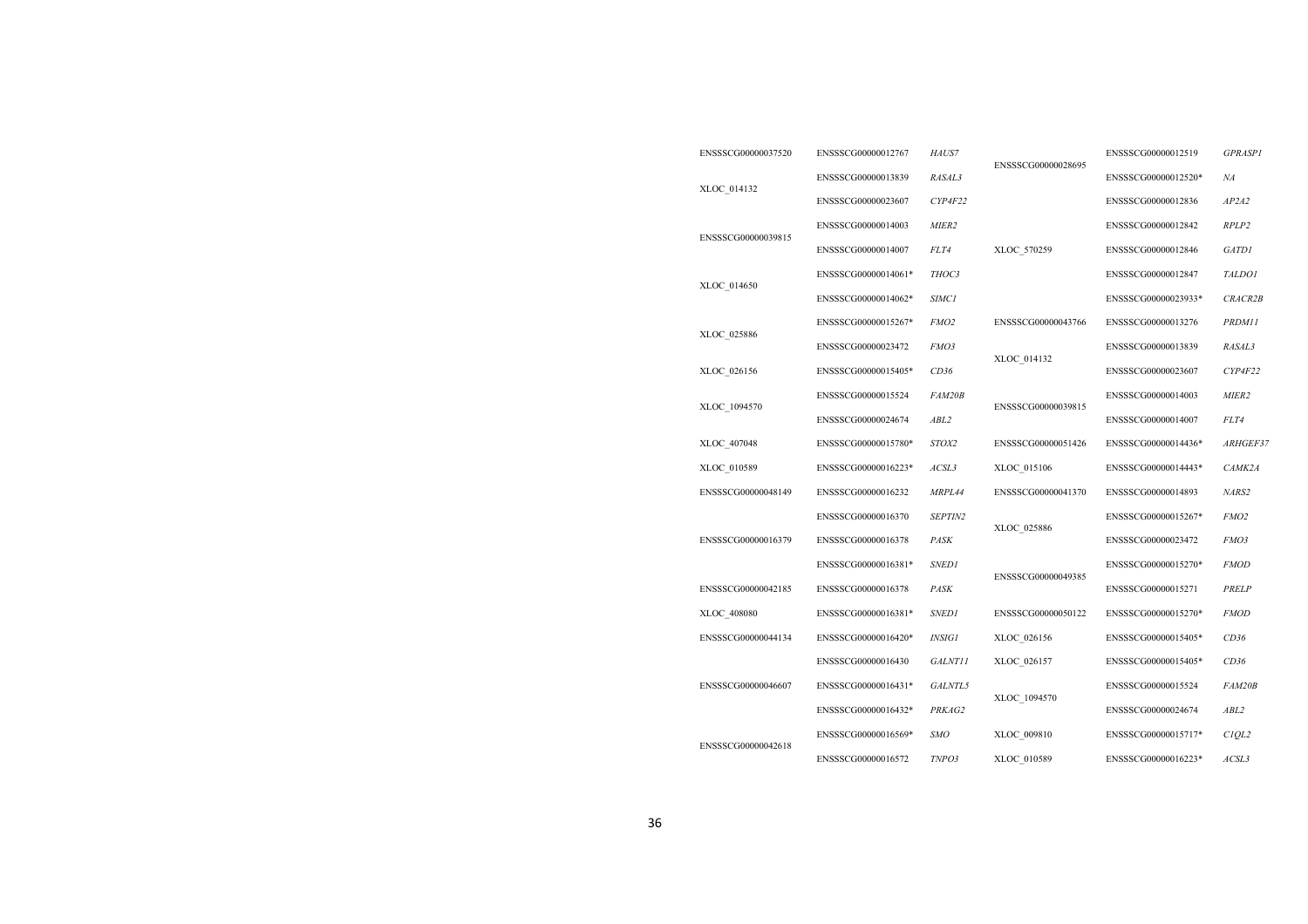|  | ENSSSCG00000037520 | ENSSSCG00000012767  | <i>HAUS7</i>      | ENSSSCG00000028695 | ENSSSCG00000012519  | <b>GPRASP1</b>                 |
|--|--------------------|---------------------|-------------------|--------------------|---------------------|--------------------------------|
|  |                    | ENSSSCG00000013839  | RASAL3            |                    | ENSSSCG00000012520* | NA                             |
|  | XLOC_014132        | ENSSSCG00000023607  | CYP4F22           |                    | ENSSSCG00000012836  | AP2A2                          |
|  | ENSSSCG00000039815 | ENSSSCG00000014003  | MIER <sub>2</sub> |                    | ENSSSCG00000012842  | RPLP <sub>2</sub>              |
|  |                    | ENSSSCG00000014007  | FLT4              | XLOC_570259        | ENSSSCG00000012846  | <b>GATD1</b>                   |
|  | XLOC_014650        | ENSSSCG00000014061* | THOC3             |                    | ENSSSCG00000012847  | TALDO1                         |
|  |                    | ENSSSCG00000014062* | <b>SIMC1</b>      |                    | ENSSSCG00000023933* | CRACR2B                        |
|  |                    | ENSSSCG00000015267* | FMO <sub>2</sub>  | ENSSSCG00000043766 | ENSSSCG00000013276  | PRDM11                         |
|  | XLOC_025886        | ENSSSCG00000023472  | FMO3              |                    | ENSSSCG00000013839  | RASAL3                         |
|  | XLOC 026156        | ENSSSCG00000015405* | CD36              | XLOC_014132        | ENSSSCG00000023607  | CYP4F22                        |
|  | XLOC 1094570       | ENSSSCG00000015524  | FAM20B            |                    | ENSSSCG00000014003  | MIER <sub>2</sub>              |
|  |                    | ENSSSCG00000024674  | ABL2              | ENSSSCG00000039815 | ENSSSCG00000014007  | FLT4                           |
|  | XLOC 407048        | ENSSSCG00000015780* | STOX2             | ENSSSCG00000051426 | ENSSSCG00000014436* | ARHGEF37                       |
|  | XLOC 010589        | ENSSSCG00000016223* | ACSL3             | XLOC_015106        | ENSSSCG00000014443* | CAMK2A                         |
|  | ENSSSCG00000048149 | ENSSSCG00000016232  | MRPL44            | ENSSSCG00000041370 | ENSSSCG00000014893  | NARS2                          |
|  |                    | ENSSSCG00000016370  | SEPTIN2           |                    | ENSSSCG00000015267* | FMO <sub>2</sub>               |
|  | ENSSSCG00000016379 | ENSSSCG00000016378  | PASK              | XLOC_025886        | ENSSSCG00000023472  | FMO3                           |
|  |                    | ENSSSCG00000016381* | <b>SNED1</b>      |                    | ENSSSCG00000015270* | <b>FMOD</b>                    |
|  | ENSSSCG00000042185 | ENSSSCG00000016378  | PASK              | ENSSSCG00000049385 | ENSSSCG00000015271  | PRELP                          |
|  | XLOC_408080        | ENSSSCG00000016381* | SNED1             | ENSSSCG00000050122 | ENSSSCG00000015270* | <b>FMOD</b>                    |
|  | ENSSSCG00000044134 | ENSSSCG00000016420* | <i>INSIG1</i>     | XLOC 026156        | ENSSSCG00000015405* | CD36                           |
|  |                    | ENSSSCG00000016430  | <b>GALNT11</b>    | XLOC 026157        | ENSSSCG00000015405* | CD36                           |
|  | ENSSSCG00000046607 | ENSSSCG00000016431* | GALNTL5           |                    | ENSSSCG00000015524  | <b>FAM20B</b>                  |
|  |                    | ENSSSCG00000016432* | PRKAG2            | XLOC_1094570       | ENSSSCG00000024674  | ABL2                           |
|  |                    | ENSSSCG00000016569* | <b>SMO</b>        | XLOC_009810        | ENSSSCG00000015717* | C <sub>1</sub> QL <sub>2</sub> |
|  | ENSSSCG00000042618 | ENSSSCG00000016572  | TNPO3             | XLOC 010589        | ENSSSCG00000016223* | ACSL3                          |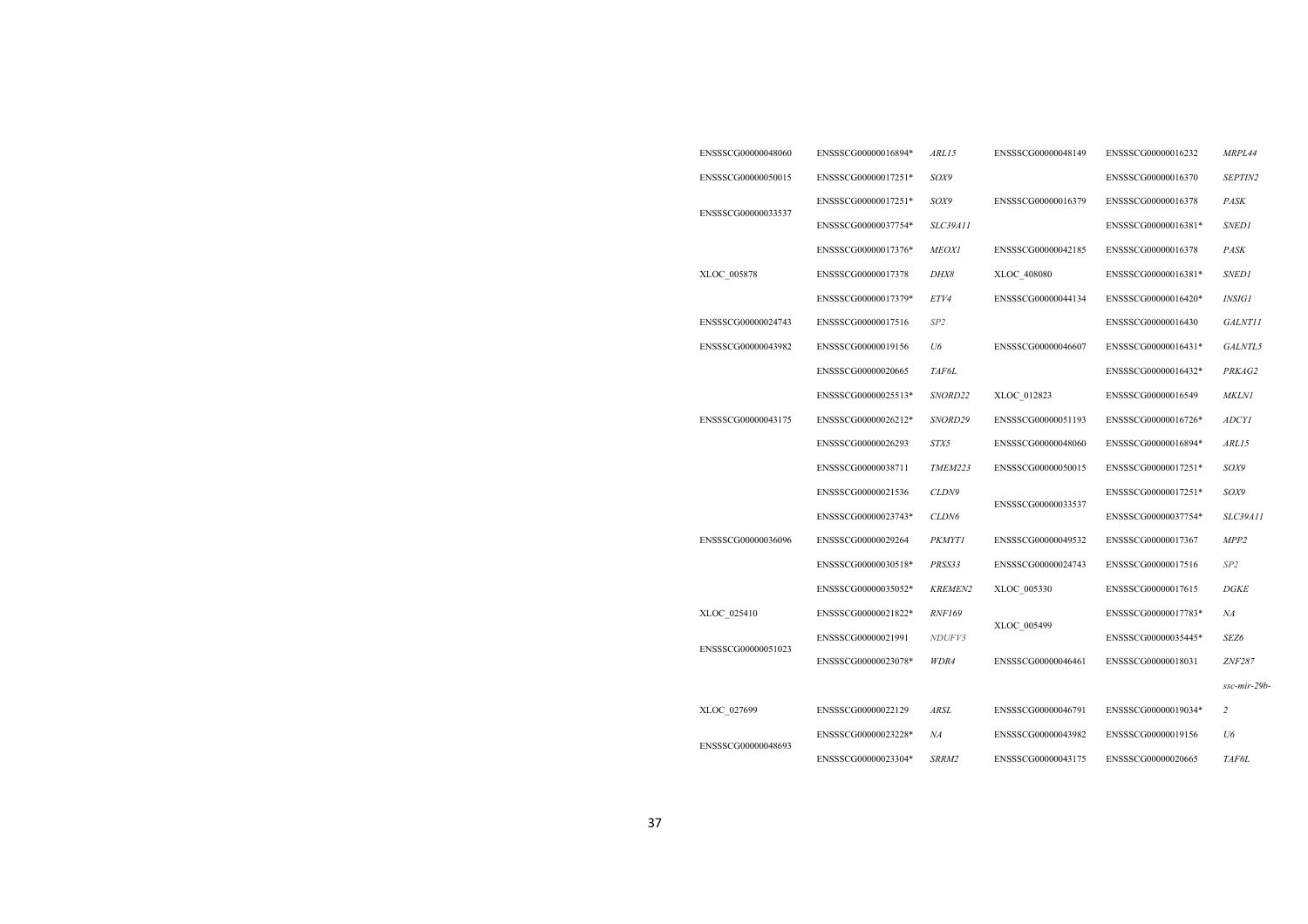| ENSSSCG00000048060 | ENSSSCG00000016894* | ARL15           | ENSSSCG00000048149 | ENSSSCG00000016232  | MRPL44           |
|--------------------|---------------------|-----------------|--------------------|---------------------|------------------|
| ENSSSCG00000050015 | ENSSSCG00000017251* | SOX9            |                    | ENSSSCG00000016370  | SEPTIN2          |
|                    | ENSSSCG00000017251* | SOX9            | ENSSSCG00000016379 | ENSSSCG00000016378  | PASK             |
| ENSSSCG00000033537 | ENSSSCG00000037754* | SLC39A11        |                    | ENSSSCG00000016381* | <b>SNED1</b>     |
|                    | ENSSSCG00000017376* | <b>MEOXI</b>    | ENSSSCG00000042185 | ENSSSCG00000016378  | PASK             |
| XLOC_005878        | ENSSSCG00000017378  | DHX8            | XLOC_408080        | ENSSSCG00000016381* | <b>SNED1</b>     |
|                    | ENSSSCG00000017379* | ETV4            | ENSSSCG00000044134 | ENSSSCG00000016420* | <b>INSIG1</b>    |
| ENSSSCG00000024743 | ENSSSCG00000017516  | SP <sub>2</sub> |                    | ENSSSCG00000016430  | <b>GALNT11</b>   |
| ENSSSCG00000043982 | ENSSSCG00000019156  | U6              | ENSSSCG00000046607 | ENSSSCG00000016431* | GALNTL5          |
|                    | ENSSSCG00000020665  | TAF6L           |                    | ENSSSCG00000016432* | PRKAG2           |
|                    | ENSSSCG00000025513* | SNORD22         | XLOC_012823        | ENSSSCG00000016549  | <b>MKLN1</b>     |
| ENSSSCG00000043175 | ENSSSCG00000026212* | SNORD29         | ENSSSCG00000051193 | ENSSSCG00000016726* | <b>ADCYI</b>     |
|                    | ENSSSCG00000026293  | STX5            | ENSSSCG00000048060 | ENSSSCG00000016894* | ARLI5            |
|                    | ENSSSCG00000038711  | TMEM223         | ENSSSCG00000050015 | ENSSSCG00000017251* | SOX9             |
|                    | ENSSSCG00000021536  | CLDN9           | ENSSSCG00000033537 | ENSSSCG00000017251* | SOX9             |
|                    | ENSSSCG00000023743* | CLDN6           |                    | ENSSSCG00000037754* | SLC39A11         |
| ENSSSCG00000036096 | ENSSSCG00000029264  | <b>PKMYT1</b>   | ENSSSCG00000049532 | ENSSSCG00000017367  | MPP <sub>2</sub> |
|                    | ENSSSCG00000030518* | PRSS33          | ENSSSCG00000024743 | ENSSSCG00000017516  | SP2              |
|                    | ENSSSCG00000035052* | <b>KREMEN2</b>  | XLOC_005330        | ENSSSCG00000017615  | <b>DGKE</b>      |
| XLOC_025410        | ENSSSCG00000021822* | <b>RNF169</b>   | XLOC_005499        | ENSSSCG00000017783* | NA               |
| ENSSSCG00000051023 | ENSSSCG00000021991  | NDUFV3          |                    | ENSSSCG00000035445* | SEZ6             |
|                    | ENSSSCG00000023078* | WDR4            | ENSSSCG00000046461 | ENSSSCG00000018031  | ZNF287           |
|                    |                     |                 |                    |                     | ssc-mir-29b-     |
| XLOC_027699        | ENSSSCG00000022129  | <b>ARSL</b>     | ENSSSCG00000046791 | ENSSSCG00000019034* | $\overline{c}$   |
| ENSSSCG00000048693 | ENSSSCG00000023228* | NA              | ENSSSCG00000043982 | ENSSSCG00000019156  | U6               |
|                    | ENSSSCG00000023304* | SRRM2           | ENSSSCG00000043175 | ENSSSCG00000020665  | TAF6L            |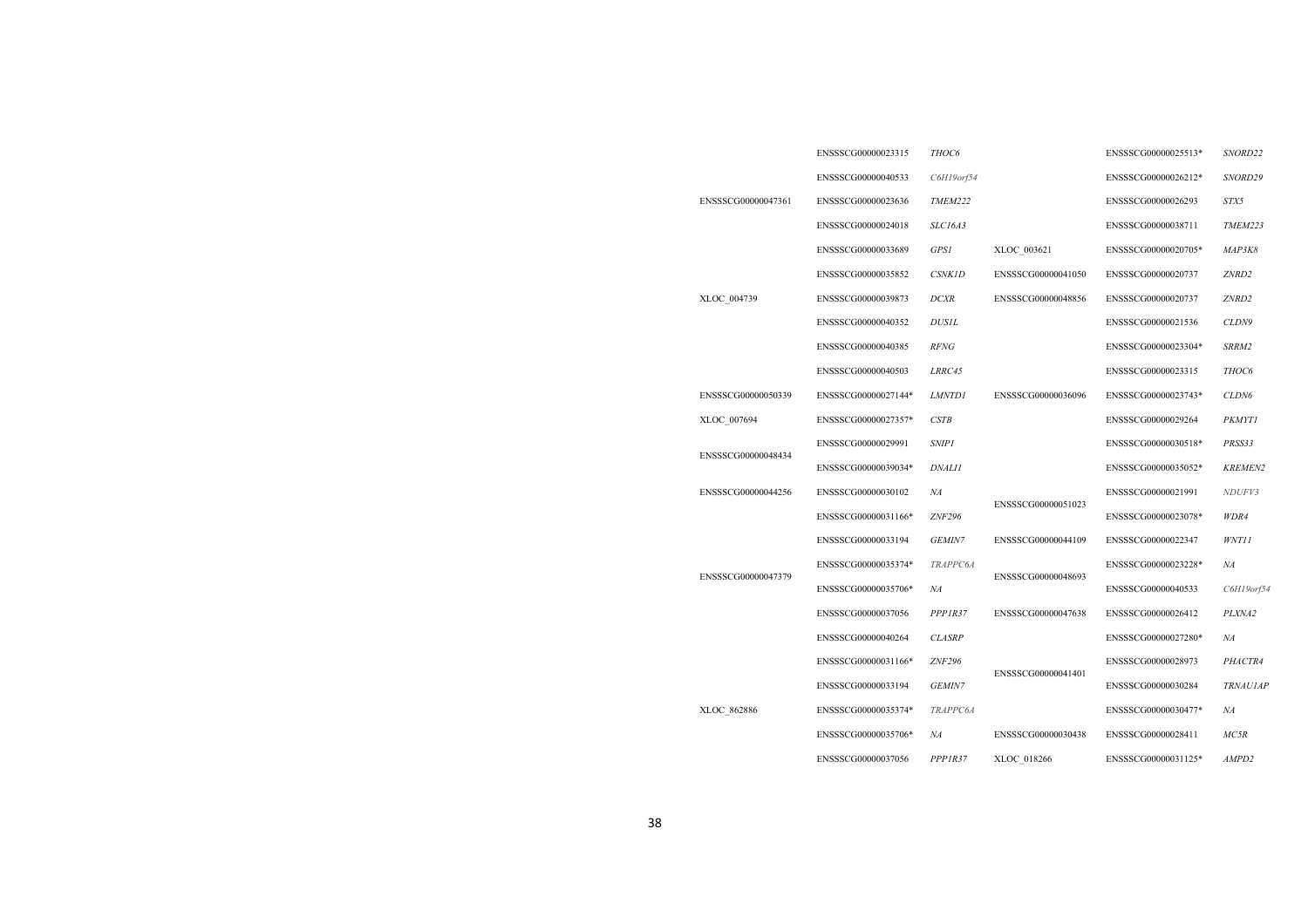|                    | ENSSSCG00000023315  | THOC6          |                    | ENSSSCG00000025513* | <i>SNORD22</i>    |
|--------------------|---------------------|----------------|--------------------|---------------------|-------------------|
|                    | ENSSSCG00000040533  | C6H19orf54     |                    | ENSSSCG00000026212* | SNORD29           |
| ENSSSCG00000047361 | ENSSSCG00000023636  | TMEM222        |                    | ENSSSCG00000026293  | STX5              |
|                    | ENSSSCG00000024018  | <b>SLC16A3</b> |                    | ENSSSCG00000038711  | TMEM223           |
|                    | ENSSSCG00000033689  | <b>GPS1</b>    | XLOC 003621        | ENSSSCG00000020705* | MAP3K8            |
|                    | ENSSSCG00000035852  | <b>CSNK1D</b>  | ENSSSCG00000041050 | ENSSSCG00000020737  | ZNRD <sub>2</sub> |
| XLOC_004739        | ENSSSCG00000039873  | <b>DCXR</b>    | ENSSSCG00000048856 | ENSSSCG00000020737  | ZNRD <sub>2</sub> |
|                    | ENSSSCG00000040352  | <b>DUSIL</b>   |                    | ENSSSCG00000021536  | CLDN9             |
|                    | ENSSSCG00000040385  | <b>RFNG</b>    |                    | ENSSSCG00000023304* | SRRM2             |
|                    | ENSSSCG00000040503  | LRRC45         |                    | ENSSSCG00000023315  | THOC <sub>6</sub> |
| ENSSSCG00000050339 | ENSSSCG00000027144* | <i>LMNTD1</i>  | ENSSSCG00000036096 | ENSSSCG00000023743* | CLDN6             |
| XLOC 007694        | ENSSSCG00000027357* | <b>CSTB</b>    |                    | ENSSSCG00000029264  | <b>PKMYTI</b>     |
| ENSSSCG00000048434 | ENSSSCG00000029991  | <b>SNIP1</b>   |                    | ENSSSCG00000030518* | PRSS33            |
|                    | ENSSSCG00000039034* | <b>DNALII</b>  |                    | ENSSSCG00000035052* | <b>KREMEN2</b>    |
| ENSSSCG00000044256 | ENSSSCG00000030102  | NA             | ENSSSCG00000051023 | ENSSSCG00000021991  | NDUFV3            |
|                    | ENSSSCG00000031166* | <b>ZNF296</b>  |                    | ENSSSCG00000023078* | WDR4              |
|                    | ENSSSCG00000033194  | GEMIN7         | ENSSSCG00000044109 | ENSSSCG00000022347  | <i>WNT11</i>      |
| ENSSSCG00000047379 | ENSSSCG00000035374* | TRAPPC6A       | ENSSSCG00000048693 | ENSSSCG00000023228* | NA                |
|                    | ENSSSCG00000035706* | NA             |                    | ENSSSCG00000040533  | C6H19orf54        |
|                    | ENSSSCG00000037056  | PPPIR37        | ENSSSCG00000047638 | ENSSSCG00000026412  | PLXNA2            |
|                    | ENSSSCG00000040264  | <b>CLASRP</b>  |                    | ENSSSCG00000027280* | NA                |
|                    | ENSSSCG00000031166* | <b>ZNF296</b>  | ENSSSCG00000041401 | ENSSSCG00000028973  | PHACTR4           |
|                    | ENSSSCG00000033194  | GEMIN7         |                    | ENSSSCG00000030284  | <b>TRNAU1AP</b>   |
| XLOC 862886        | ENSSSCG00000035374* | TRAPPC6A       |                    | ENSSSCG00000030477* | NA                |
|                    | ENSSSCG00000035706* | NA             | ENSSSCG00000030438 | ENSSSCG00000028411  | MC5R              |
|                    | ENSSSCG00000037056  | PPPIR37        | XLOC 018266        | ENSSSCG00000031125* | AMP <sub>D2</sub> |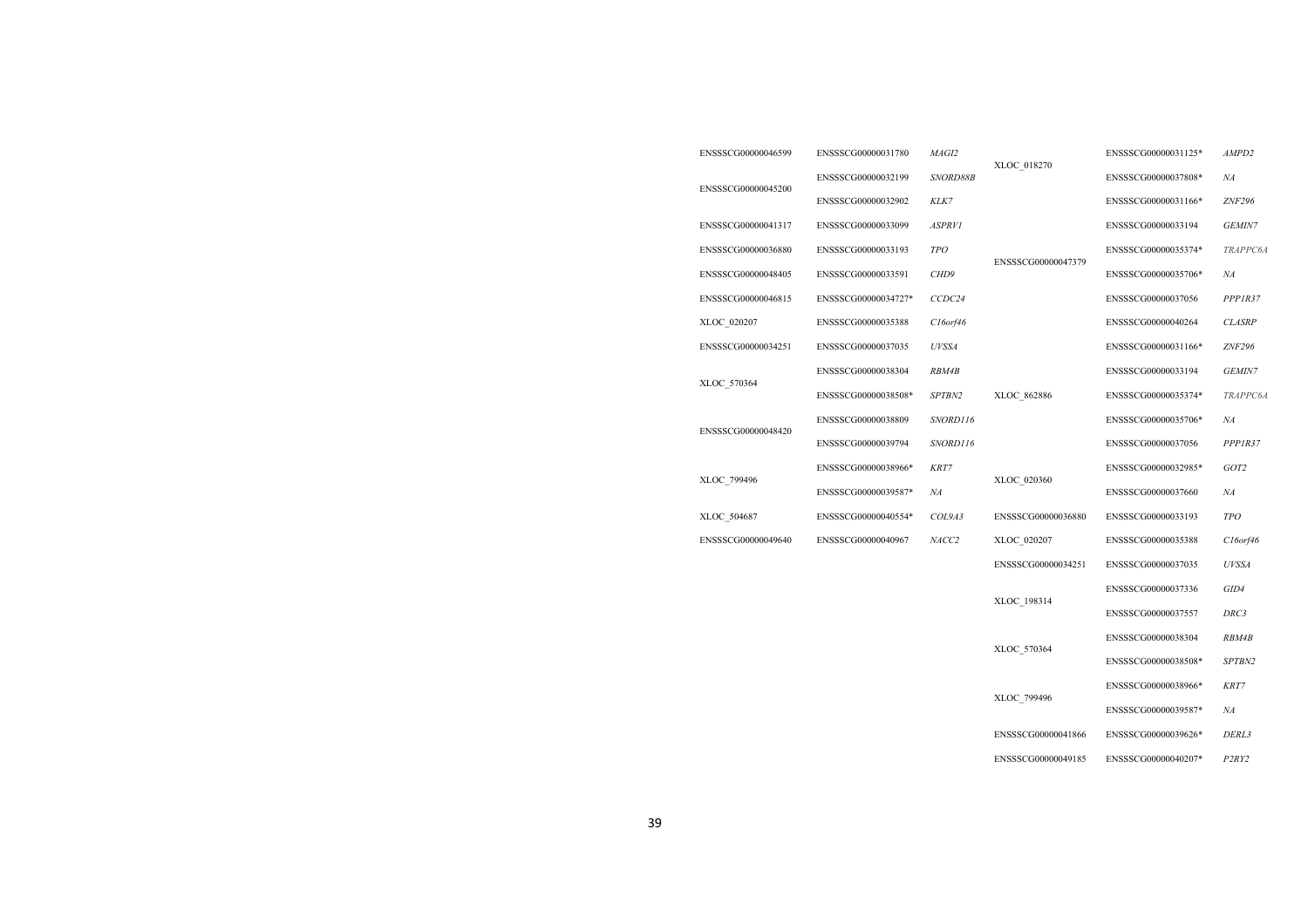| ENSSSCG00000046599 | ENSSSCG00000031780  | MAGI2             | XLOC 018270        | ENSSSCG00000031125* | AMPD <sub>2</sub>              |
|--------------------|---------------------|-------------------|--------------------|---------------------|--------------------------------|
|                    | ENSSSCG00000032199  | SNORD88B          |                    | ENSSSCG00000037808* | NA                             |
| ENSSSCG00000045200 | ENSSSCG00000032902  | KLK7              |                    | ENSSSCG00000031166* | <b>ZNF296</b>                  |
| ENSSSCG00000041317 | ENSSSCG00000033099  | <b>ASPRV1</b>     |                    | ENSSSCG00000033194  | GEMIN7                         |
| ENSSSCG00000036880 | ENSSSCG00000033193  | <b>TPO</b>        |                    | ENSSSCG00000035374* | TRAPPC6A                       |
| ENSSSCG00000048405 | ENSSSCG00000033591  | CHD9              | ENSSSCG00000047379 | ENSSSCG00000035706* | NA                             |
| ENSSSCG00000046815 | ENSSSCG00000034727* | CCDC24            |                    | ENSSSCG00000037056  | PPP1R37                        |
| XLOC_020207        | ENSSSCG00000035388  | $Cl$ 6orf46       |                    | ENSSSCG00000040264  | <b>CLASRP</b>                  |
| ENSSSCG00000034251 | ENSSSCG00000037035  | <b>UVSSA</b>      |                    | ENSSSCG00000031166* | <b>ZNF296</b>                  |
|                    | ENSSSCG00000038304  | <i>RBM4B</i>      |                    | ENSSSCG00000033194  | <b>GEMIN7</b>                  |
| XLOC_570364        | ENSSSCG00000038508* | SPTBN2            | XLOC 862886        | ENSSSCG00000035374* | TRAPPC6A                       |
|                    | ENSSSCG00000038809  | SNORD116          |                    | ENSSSCG00000035706* | NA                             |
| ENSSSCG00000048420 | ENSSSCG00000039794  | SNORD116          |                    | ENSSSCG00000037056  | PPP1R37                        |
|                    | ENSSSCG00000038966* | KRT7              |                    | ENSSSCG00000032985* | GOT2                           |
| XLOC 799496        | ENSSSCG00000039587* | NA                | XLOC 020360        | ENSSSCG00000037660  | NA                             |
| XLOC_504687        | ENSSSCG00000040554* | COL9A3            | ENSSSCG00000036880 | ENSSSCG00000033193  | $T\hspace{-1.1mm}P\mathcal{O}$ |
| ENSSSCG00000049640 | ENSSSCG00000040967  | NACC <sub>2</sub> | XLOC_020207        | ENSSSCG00000035388  | $C16$ orf46                    |
|                    |                     |                   | ENSSSCG00000034251 | ENSSSCG00000037035  | <b>UVSSA</b>                   |
|                    |                     |                   |                    | ENSSSCG00000037336  | GID4                           |
|                    |                     |                   | XLOC 198314        | ENSSSCG00000037557  | DRC3                           |
|                    |                     |                   |                    | ENSSSCG00000038304  | <i>RBM4B</i>                   |
|                    |                     |                   | XLOC_570364        | ENSSSCG00000038508* | SPTBN2                         |
|                    |                     |                   |                    | ENSSSCG00000038966* | KRT7                           |
|                    |                     |                   | XLOC 799496        | ENSSSCG00000039587* | NA                             |
|                    |                     |                   | ENSSSCG00000041866 | ENSSSCG00000039626* | DERL3                          |
|                    |                     |                   | ENSSSCG00000049185 | ENSSSCG00000040207* | P <sub>2</sub> RY <sub>2</sub> |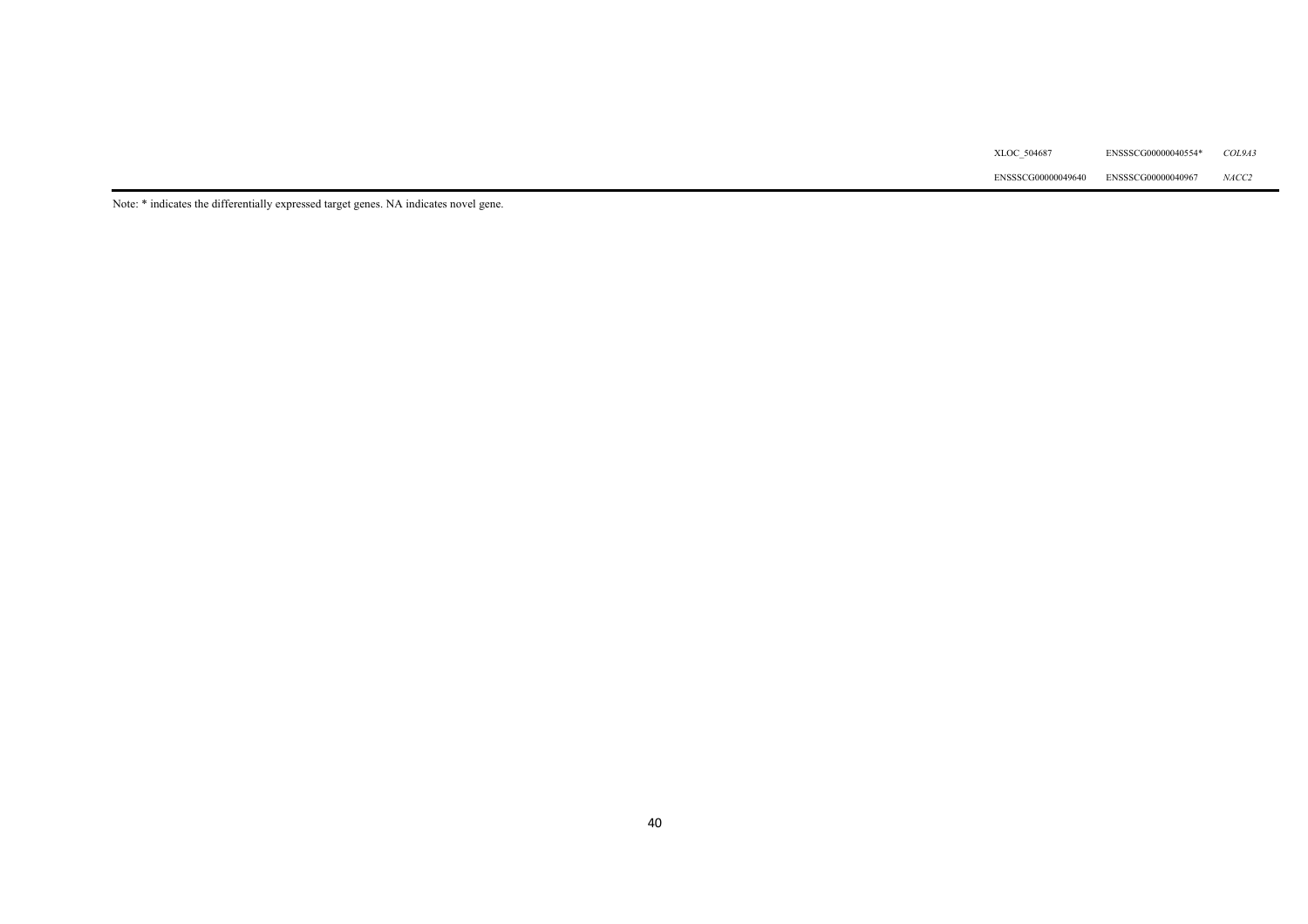| XLOC 504687<br>_____ | ENSSSCG00000040554* | COL9A:            |
|----------------------|---------------------|-------------------|
| ENSSSCG00000049640   | ENSSSCG00000040967  | NACC <sub>2</sub> |

Note: \* indicates the differentially expressed target genes. NA indicates novel gene.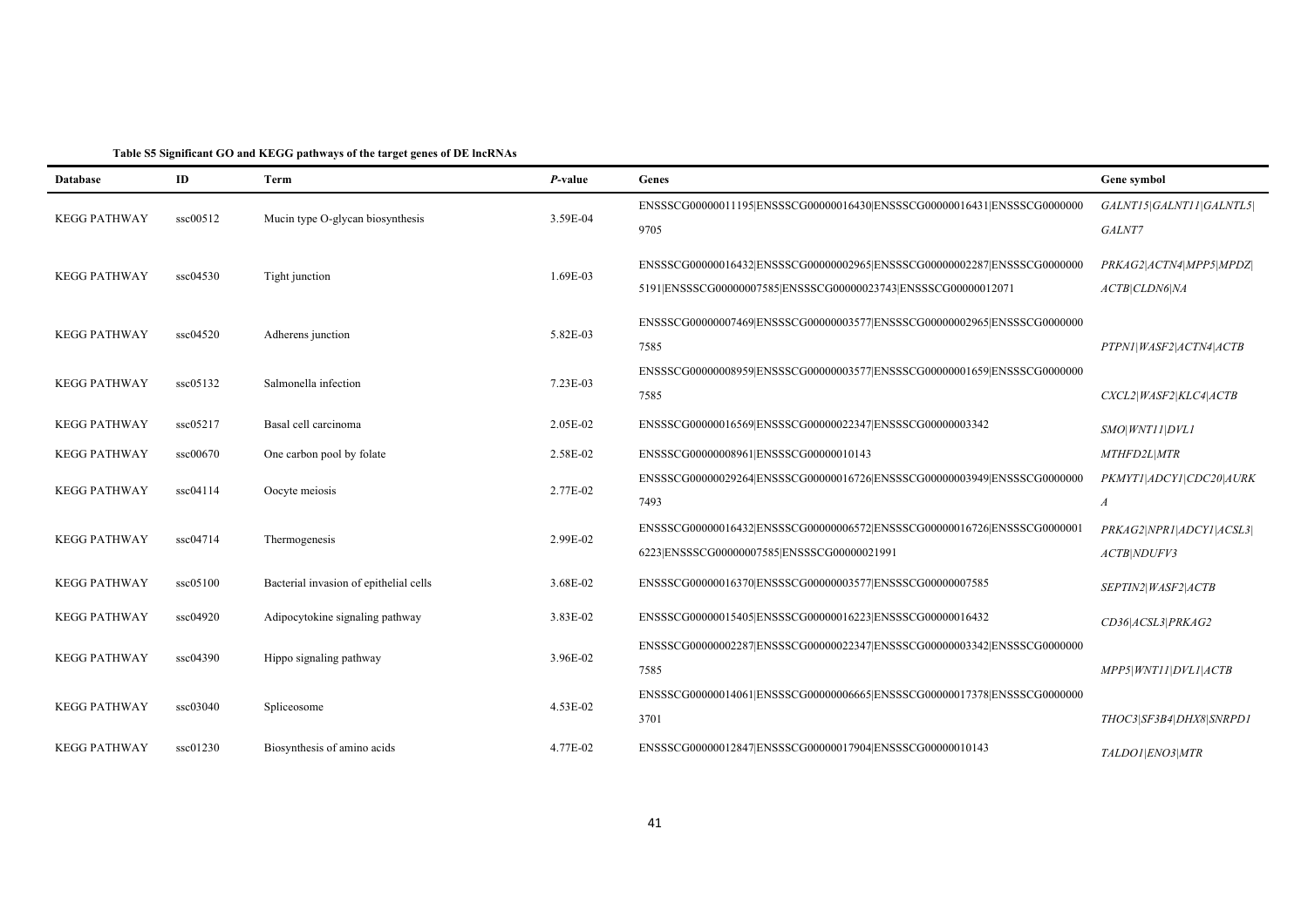| <b>Database</b>     | ID       | Term                                   | P-value  | Genes                                                                   | Gene symbol              |
|---------------------|----------|----------------------------------------|----------|-------------------------------------------------------------------------|--------------------------|
| <b>KEGG PATHWAY</b> | ssc00512 | Mucin type O-glycan biosynthesis       | 3.59E-04 | ENSSSCG00000011195 ENSSSCG00000016430 ENSSSCG00000016431 ENSSSCG0000000 | GALNT15 GALNT11 GALNTL5  |
|                     |          |                                        |          | 9705                                                                    | GALNT7                   |
| <b>KEGG PATHWAY</b> | ssc04530 | Tight junction                         | 1.69E-03 | ENSSSCG00000016432 ENSSSCG00000002965 ENSSSCG00000002287 ENSSSCG0000000 | PRKAG2 ACTN4 MPP5 MPDZ   |
|                     |          |                                        |          | 5191 ENSSSCG00000007585 ENSSSCG00000023743 ENSSSCG00000012071           | ACTB CLDN6 NA            |
| <b>KEGG PATHWAY</b> | ssc04520 | Adherens junction                      | 5.82E-03 | ENSSSCG00000007469 ENSSSCG00000003577 ENSSSCG00000002965 ENSSSCG0000000 |                          |
|                     |          |                                        |          | 7585                                                                    | PTPN1 WASF2 ACTN4 ACTB   |
| <b>KEGG PATHWAY</b> | ssc05132 | Salmonella infection                   | 7.23E-03 | ENSSSCG00000008959 ENSSSCG00000003577 ENSSSCG00000001659 ENSSSCG0000000 |                          |
|                     |          |                                        |          | 7585                                                                    | CXCL2\WASF2\KLC4\ACTB    |
| <b>KEGG PATHWAY</b> | ssc05217 | Basal cell carcinoma                   | 2.05E-02 | ENSSSCG00000016569 ENSSSCG00000022347 ENSSSCG00000003342                | SMO WNT11 DVL1           |
| <b>KEGG PATHWAY</b> | ssc00670 | One carbon pool by folate              | 2.58E-02 | ENSSSCG00000008961 ENSSSCG00000010143                                   | MTHFD2L MTR              |
| <b>KEGG PATHWAY</b> | ssc04114 | Oocyte meiosis                         | 2.77E-02 | ENSSSCG00000029264 ENSSSCG00000016726 ENSSSCG00000003949 ENSSSCG0000000 | PKMYT1 ADCY1 CDC20 AURK  |
|                     |          |                                        |          | 7493                                                                    | $\boldsymbol{A}$         |
| <b>KEGG PATHWAY</b> | ssc04714 | Thermogenesis                          | 2.99E-02 | ENSSSCG00000016432 ENSSSCG00000006572 ENSSSCG00000016726 ENSSSCG0000001 | PRKAG2\NPR1\ADCY1\ACSL3\ |
|                     |          |                                        |          | 6223 ENSSSCG00000007585 ENSSSCG00000021991                              | ACTB NDUFV3              |
| <b>KEGG PATHWAY</b> | ssc05100 | Bacterial invasion of epithelial cells | 3.68E-02 | ENSSSCG00000016370 ENSSSCG00000003577 ENSSSCG00000007585                | SEPTIN2 WASF2 ACTB       |
| <b>KEGG PATHWAY</b> | ssc04920 | Adipocytokine signaling pathway        | 3.83E-02 | ENSSSCG00000015405 ENSSSCG00000016223 ENSSSCG00000016432                | CD36 ACSL3 PRKAG2        |
| <b>KEGG PATHWAY</b> | ssc04390 | Hippo signaling pathway                | 3.96E-02 | ENSSSCG00000002287 ENSSSCG00000022347 ENSSSCG00000003342 ENSSSCG0000000 |                          |
|                     |          |                                        |          | 7585                                                                    | MPP5 WNT11 DVL1 ACTB     |
| <b>KEGG PATHWAY</b> | ssc03040 | Spliceosome                            | 4.53E-02 | ENSSSCG00000014061 ENSSSCG00000006665 ENSSSCG00000017378 ENSSSCG0000000 |                          |
|                     |          |                                        |          | 3701                                                                    | THOC3\SF3B4\DHX8\SNRPD1  |
| <b>KEGG PATHWAY</b> | ssc01230 | Biosynthesis of amino acids            | 4.77E-02 | ENSSSCG00000012847 ENSSSCG00000017904 ENSSSCG00000010143                | TALDO1 ENO3 MTR          |

**Table S5 Significant GO and KEGG pathways of the target genes of DE lncRNAs**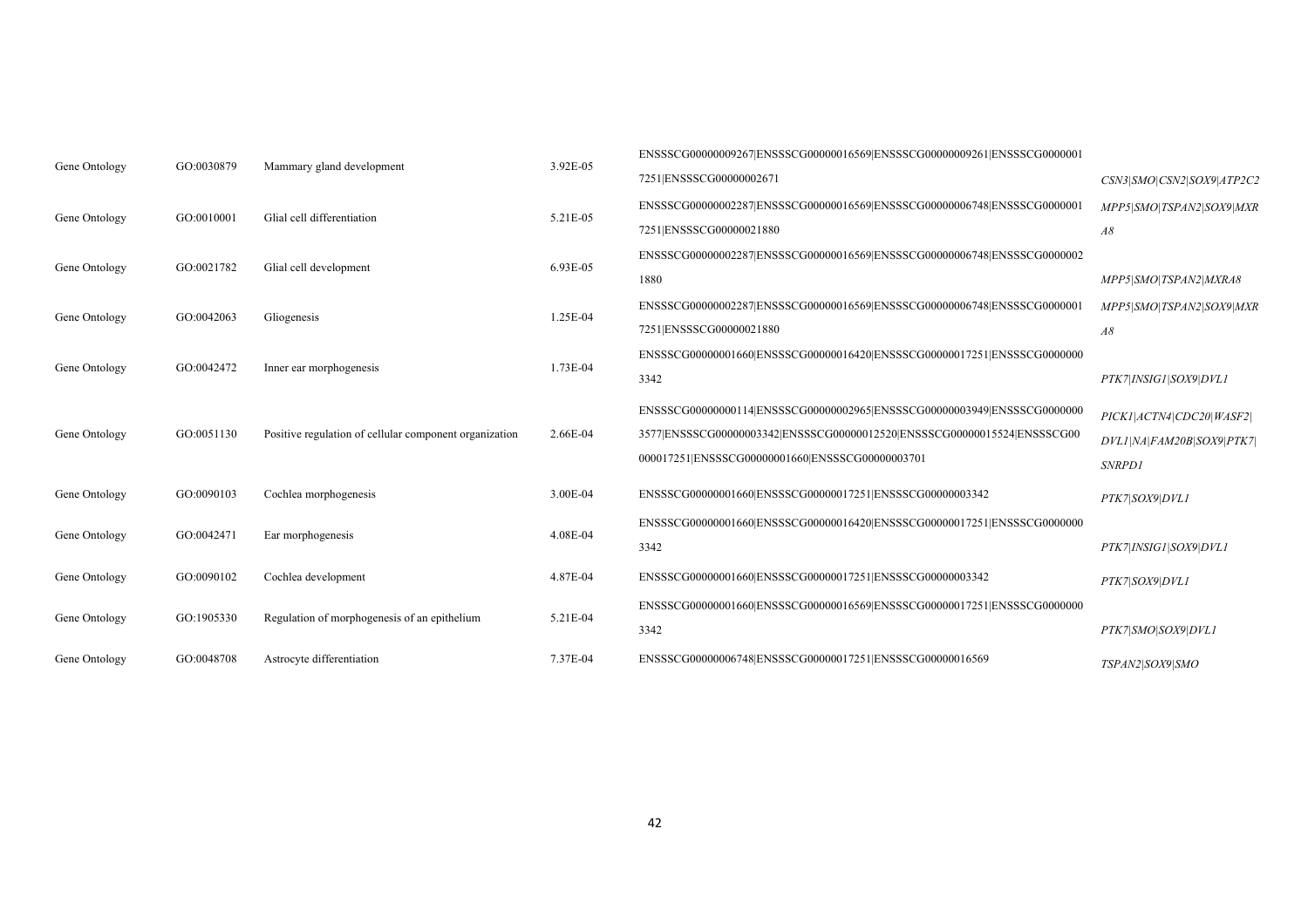| Gene Ontology | GO:0030879 | Mammary gland development                              | 3.92E-05 | ENSSSCG00000009267 ENSSSCG00000016569 ENSSSCG0000009261 ENSSSCG0000001  |                           |
|---------------|------------|--------------------------------------------------------|----------|-------------------------------------------------------------------------|---------------------------|
|               |            |                                                        |          | 7251 ENSSSCG00000002671                                                 | CSN3 SMO CSN2 SOX9 ATP2C2 |
| Gene Ontology | GO:0010001 | Glial cell differentiation                             | 5.21E-05 | ENSSSCG00000002287 ENSSSCG00000016569 ENSSSCG00000006748 ENSSSCG0000001 | MPP5 SMO TSPAN2 SOX9 MXR  |
|               |            |                                                        |          | 7251 ENSSSCG00000021880                                                 | A8                        |
| Gene Ontology | GO:0021782 | Glial cell development                                 | 6.93E-05 | ENSSSCG00000002287 ENSSSCG00000016569 ENSSSCG00000006748 ENSSSCG0000002 |                           |
|               |            |                                                        |          | 1880                                                                    | MPP5\SMO\TSPAN2\MXRA8     |
| Gene Ontology | GO:0042063 | Gliogenesis                                            | 1.25E-04 | ENSSSCG00000002287 ENSSSCG00000016569 ENSSSCG00000006748 ENSSSCG0000001 | MPP5 SMO TSPAN2 SOX9 MXR  |
|               |            |                                                        |          | 7251 ENSSSCG00000021880                                                 | A8                        |
| Gene Ontology | GO:0042472 | Inner ear morphogenesis                                | 1.73E-04 | ENSSSCG00000001660 ENSSSCG00000016420 ENSSSCG00000017251 ENSSSCG0000000 |                           |
|               |            |                                                        |          | 3342                                                                    | PTK7 INSIG1 SOX9 DVL1     |
|               |            |                                                        |          | ENSSSCG00000000114 ENSSSCG00000002965 ENSSSCG00000003949 ENSSSCG0000000 | PICK1 ACTN4 CDC20 WASF2   |
| Gene Ontology | GO:0051130 | Positive regulation of cellular component organization | 2.66E-04 | 3577 ENSSSCG00000003342 ENSSSCG00000012520 ENSSSCG00000015524 ENSSSCG00 | DVL1 NA FAM20B SOX9 PTK7  |
|               |            |                                                        |          | 000017251 ENSSSCG00000001660 ENSSSCG00000003701                         | SNRPD1                    |
| Gene Ontology | GO:0090103 | Cochlea morphogenesis                                  | 3.00E-04 | ENSSSCG00000001660 ENSSSCG00000017251 ENSSSCG00000003342                | PTK7 SOX9 DVL1            |
| Gene Ontology | GO:0042471 | Ear morphogenesis                                      | 4.08E-04 | ENSSSCG00000001660 ENSSSCG00000016420 ENSSSCG00000017251 ENSSSCG0000000 |                           |
|               |            |                                                        |          | 3342                                                                    | PTK7 INSIG1 SOX9 DVL1     |
| Gene Ontology | GO:0090102 | Cochlea development                                    | 4.87E-04 | ENSSSCG00000001660 ENSSSCG00000017251 ENSSSCG00000003342                | PTK7 SOX9 DVL1            |
| Gene Ontology | GO:1905330 | Regulation of morphogenesis of an epithelium           | 5.21E-04 | ENSSSCG00000001660 ENSSSCG00000016569 ENSSSCG00000017251 ENSSSCG0000000 |                           |
|               |            |                                                        |          | 3342                                                                    | PTK7 SMO SOX9 DVL1        |
| Gene Ontology | GO:0048708 | Astrocyte differentiation                              | 7.37E-04 | ENSSSCG00000006748 ENSSSCG00000017251 ENSSSCG00000016569                | TSPAN2 SOX9 SMO           |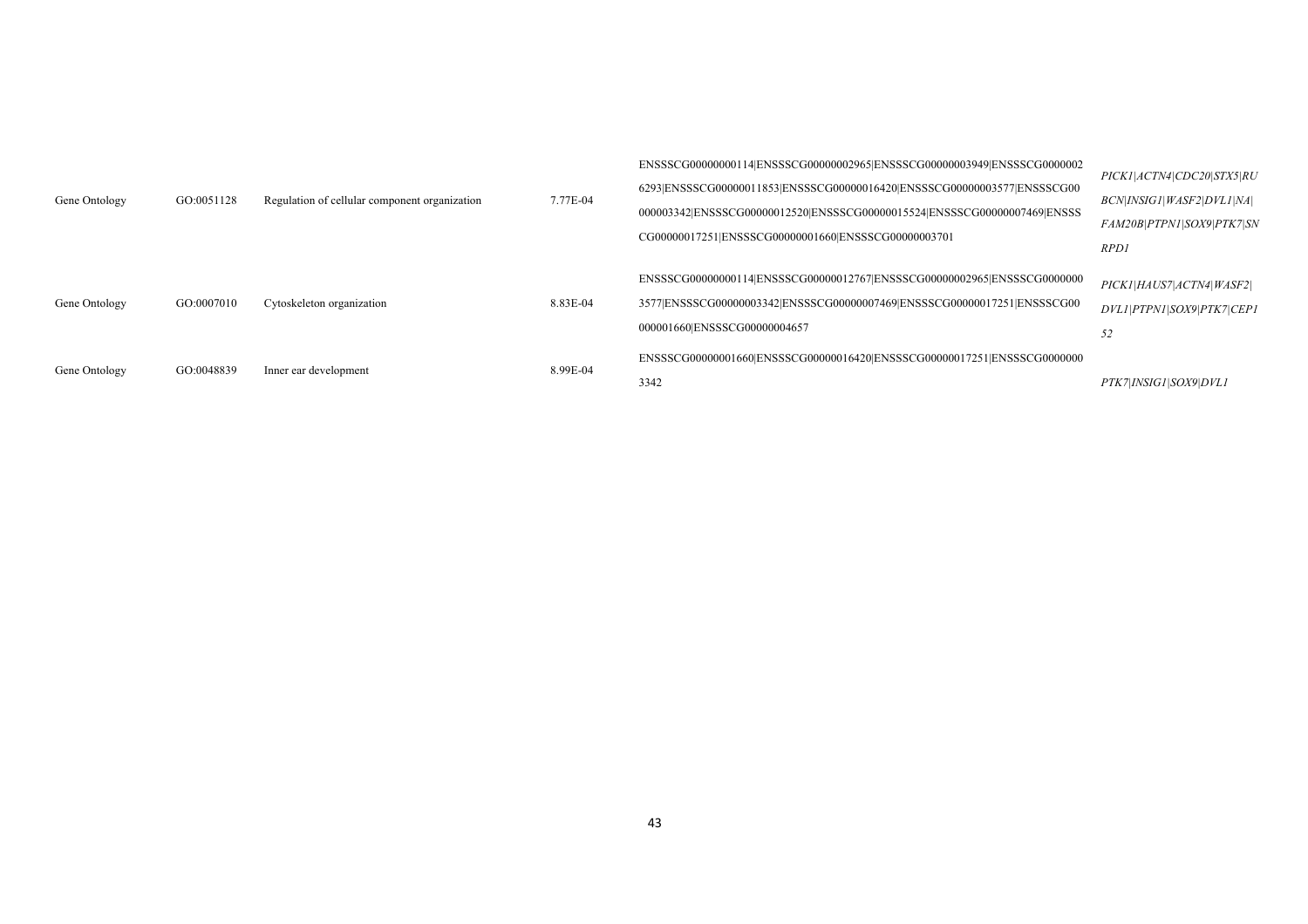| Gene Ontology | GO:0051128 | Regulation of cellular component organization | 7.77E-04 | ENSSSCG00000000114 ENSSSCG00000002965 ENSSSCG00000003949 ENSSSCG0000002<br>6293 ENSSSCG00000011853 ENSSSCG00000016420 ENSSSCG00000003577 ENSSSCG00<br>000003342 ENSSSCG00000012520 ENSSSCG00000015524 ENSSSCG00000007469 ENSSS<br>CG00000017251 ENSSSCG00000001660 ENSSSCG00000003701 | PICK1 ACTN4 CDC20 STX5 RU<br>BCN INSIG1 WASF2 DVL1 NA <br>FAM20B PTPN1 SOX9 PTK7 SN<br>RPD1 |
|---------------|------------|-----------------------------------------------|----------|---------------------------------------------------------------------------------------------------------------------------------------------------------------------------------------------------------------------------------------------------------------------------------------|---------------------------------------------------------------------------------------------|
| Gene Ontology | GO:0007010 | Cytoskeleton organization                     | 8.83E-04 | ENSSSCG00000000114 ENSSSCG00000012767 ENSSSCG00000002965 ENSSSCG0000000<br>3577 ENSSSCG00000003342 ENSSSCG00000007469 ENSSSCG00000017251 ENSSSCG00<br>000001660 ENSSSCG00000004657                                                                                                    | PICK1\HAUS7\ACTN4\WASF2\<br>DVL1 PTPN1 SOX9 PTK7 CEP1<br>52                                 |
| Gene Ontology | GO:0048839 | Inner ear development                         | 8.99E-04 | ENSSSCG00000001660 ENSSSCG00000016420 ENSSSCG00000017251 ENSSSCG0000000<br>3342                                                                                                                                                                                                       | PTK7 INSIG1 SOX9 DVL1                                                                       |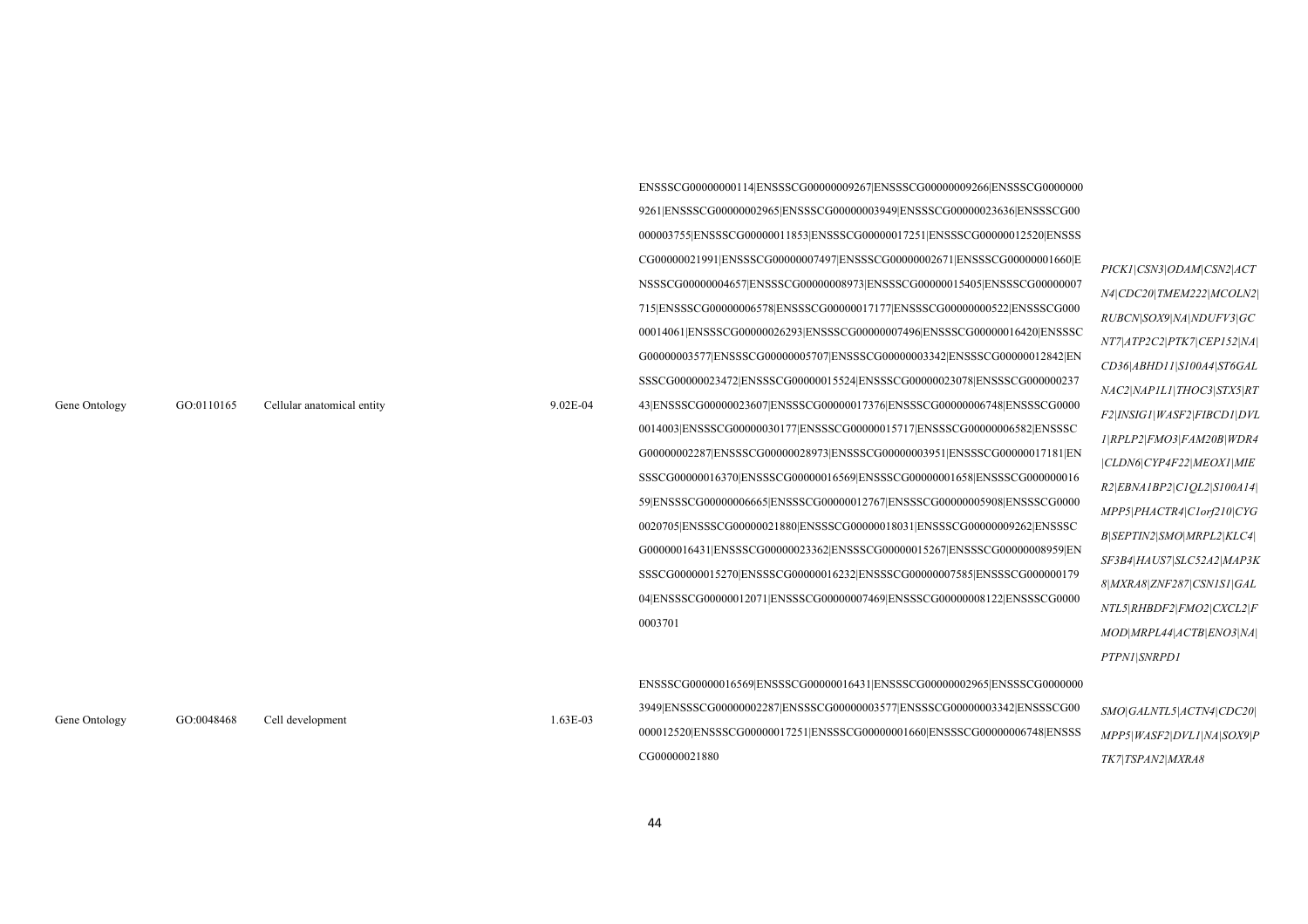Gene Ontology GO:0110165 Cellular anatomical entity 9.02E-04 ENSSSCG00000000114|ENSSSCG00000009267|ENSSSCG00000009266|ENSSSCG0000000 9261|ENSSSCG00000002965|ENSSSCG00000003949|ENSSSCG00000023636|ENSSSCG00 000003755|ENSSSCG00000011853|ENSSSCG00000017251|ENSSSCG00000012520|ENSSS CG00000021991|ENSSSCG00000007497|ENSSSCG00000002671|ENSSSCG00000001660|E NSSSCG00000004657|ENSSSCG00000008973|ENSSSCG00000015405|ENSSSCG00000007 715|ENSSSCG00000006578|ENSSSCG00000017177|ENSSSCG00000000522|ENSSSCG000 00014061|ENSSSCG00000026293|ENSSSCG00000007496|ENSSSCG00000016420|ENSSSC G00000003577|ENSSSCG00000005707|ENSSSCG00000003342|ENSSSCG00000012842|EN SSSCG00000023472|ENSSSCG00000015524|ENSSSCG00000023078|ENSSSCG000000237 43|ENSSSCG00000023607|ENSSSCG00000017376|ENSSSCG00000006748|ENSSSCG0000 0014003|ENSSSCG00000030177|ENSSSCG00000015717|ENSSSCG00000006582|ENSSSC G00000002287|ENSSSCG00000028973|ENSSSCG00000003951|ENSSSCG00000017181|EN SSSCG00000016370|ENSSSCG00000016569|ENSSSCG00000001658|ENSSSCG000000016 59|ENSSSCG00000006665|ENSSSCG00000012767|ENSSSCG00000005908|ENSSSCG0000 0020705|ENSSSCG00000021880|ENSSSCG00000018031|ENSSSCG00000009262|ENSSSC G00000016431|ENSSSCG00000023362|ENSSSCG00000015267|ENSSSCG00000008959|EN SSSCG00000015270|ENSSSCG00000016232|ENSSSCG00000007585|ENSSSCG000000179 04|ENSSSCG00000012071|ENSSSCG00000007469|ENSSSCG00000008122|ENSSSCG0000 0003701 *PICK1|CSN3|ODAM|CSN2|ACT N4|CDC20|TMEM222|MCOLN2| RUBCN|SOX9|NA|NDUFV3|GC NT7|ATP2C2|PTK7|CEP152|NA| CD36|ABHD11|S100A4|ST6GAL NAC2|NAP1L1|THOC3|STX5|RT F2|INSIG1|WASF2|FIBCD1|DVL 1|RPLP2|FMO3|FAM20B|WDR4 |CLDN6|CYP4F22|MEOX1|MIE R2|EBNA1BP2|C1QL2|S100A14| MPP5|PHACTR4|C1orf210|CYG B|SEPTIN2|SMO|MRPL2|KLC4| SF3B4|HAUS7|SLC52A2|MAP3K 8|MXRA8|ZNF287|CSN1S1|GAL NTL5|RHBDF2|FMO2|CXCL2|F MOD|MRPL44|ACTB|ENO3|NA| PTPN1|SNRPD1* Gene Ontology GO:0048468 Cell development 1.63E-03 ENSSSCG00000016569|ENSSSCG00000016431|ENSSSCG00000002965|ENSSSCG0000000 3949|ENSSSCG00000002287|ENSSSCG00000003577|ENSSSCG00000003342|ENSSSCG00 000012520|ENSSSCG00000017251|ENSSSCG00000001660|ENSSSCG00000006748|ENSSS *SMO|GALNTL5|ACTN4|CDC20| MPP5|WASF2|DVL1|NA|SOX9|P*

CG00000021880

*TK7|TSPAN2|MXRA8*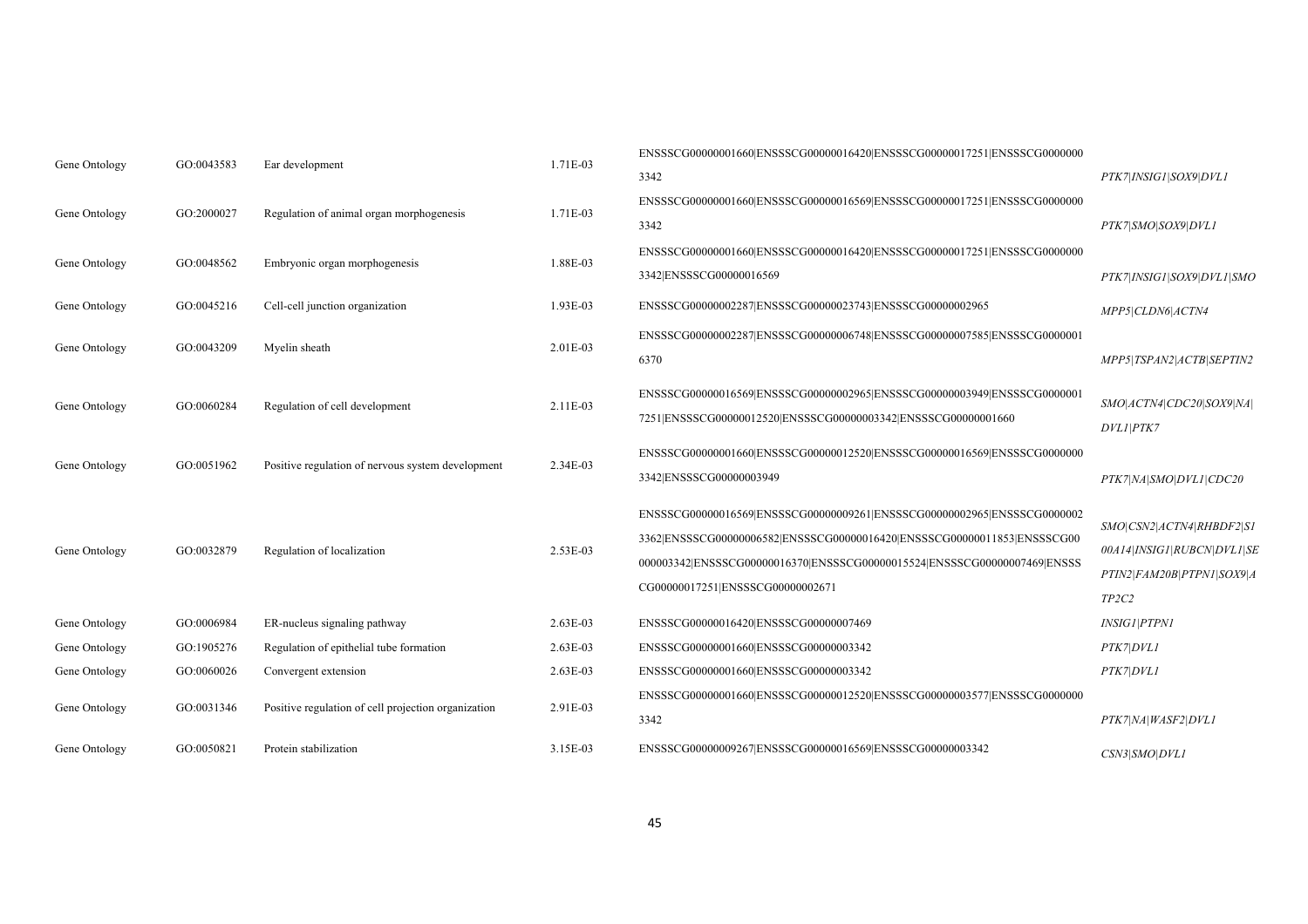| Gene Ontology | GO:0043583 | Ear development                                     | 1.71E-03   | ENSSSCG00000001660 ENSSSCG00000016420 ENSSSCG00000017251 ENSSSCG0000000                            |                                 |
|---------------|------------|-----------------------------------------------------|------------|----------------------------------------------------------------------------------------------------|---------------------------------|
|               |            |                                                     |            | 3342                                                                                               | PTK7 INSIG1 SOX9 DVL1           |
| Gene Ontology | GO:2000027 | Regulation of animal organ morphogenesis            | 1.71E-03   | ENSSSCG00000001660 ENSSSCG00000016569 ENSSSCG00000017251 ENSSSCG0000000                            |                                 |
|               |            |                                                     |            | 3342                                                                                               | PTK7 SMO SOX9 DVL1              |
| Gene Ontology | GO:0048562 | Embryonic organ morphogenesis                       | 1.88E-03   | ENSSSCG00000001660 ENSSSCG00000016420 ENSSSCG00000017251 ENSSSCG0000000                            |                                 |
|               |            |                                                     |            | 3342 ENSSSCG00000016569                                                                            | PTK7 INSIG1 SOX9 DVL1 SMO       |
| Gene Ontology | GO:0045216 | Cell-cell junction organization                     | 1.93E-03   | ENSSSCG00000002287 ENSSSCG00000023743 ENSSSCG00000002965                                           | MPP5 CLDN6 ACTN4                |
| Gene Ontology | GO:0043209 | Myelin sheath                                       | 2.01E-03   | ENSSSCG00000002287 ENSSSCG00000006748 ENSSSCG00000007585 ENSSSCG0000001                            |                                 |
|               |            |                                                     |            | 6370                                                                                               | MPP5 TSPAN2 ACTB SEPTIN2        |
|               |            |                                                     |            | ENSSSCG00000016569 ENSSSCG00000002965 ENSSSCG00000003949 ENSSSCG0000001                            |                                 |
| Gene Ontology | GO:0060284 | Regulation of cell development                      | 2.11E-03   | 7251 ENSSSCG00000012520 ENSSSCG00000003342 ENSSSCG00000001660                                      | SMO   ACTN4   CDC20   SOX9   NA |
|               |            |                                                     |            |                                                                                                    | DVL1 PTK7                       |
| Gene Ontology | GO:0051962 | Positive regulation of nervous system development   | 2.34E-03   | ENSSSCG00000001660 ENSSSCG00000012520 ENSSSCG00000016569 ENSSSCG0000000<br>3342 ENSSSCG00000003949 |                                 |
|               |            |                                                     |            |                                                                                                    | PTK7 NA SMO DVL1 CDC20          |
|               |            |                                                     |            | ENSSSCG00000016569 ENSSSCG00000009261 ENSSSCG00000002965 ENSSSCG0000002                            | SMO CSN2 ACTN4 RHBDF2 S1        |
| Gene Ontology | GO:0032879 | Regulation of localization                          | 2.53E-03   | 3362 ENSSSCG00000006582 ENSSSCG00000016420 ENSSSCG00000011853 ENSSSCG00                            | 00A14 INSIG1 RUBCN DVL1 SE      |
|               |            |                                                     |            | 000003342 ENSSSCG00000016370 ENSSSCG00000015524 ENSSSCG00000007469 ENSSS                           | PTIN2 FAM20B PTPN1 SOX9 A       |
|               |            |                                                     |            | CG00000017251 ENSSSCG00000002671                                                                   | TP2C2                           |
| Gene Ontology | GO:0006984 | ER-nucleus signaling pathway                        | $2.63E-03$ | ENSSSCG00000016420 ENSSSCG00000007469                                                              | <i>INSIG1\PTPN1</i>             |
| Gene Ontology | GO:1905276 | Regulation of epithelial tube formation             | $2.63E-03$ | ENSSSCG00000001660 ENSSSCG00000003342                                                              | PTK7 DVL1                       |
| Gene Ontology | GO:0060026 | Convergent extension                                | $2.63E-03$ | ENSSSCG00000001660 ENSSSCG00000003342                                                              | PTK7 DVL1                       |
| Gene Ontology | GO:0031346 | Positive regulation of cell projection organization | 2.91E-03   | ENSSSCG00000001660 ENSSSCG00000012520 ENSSSCG00000003577 ENSSSCG0000000                            |                                 |
|               |            |                                                     |            | 3342                                                                                               | PTK7 NA WASF2 DVL1              |
| Gene Ontology | GO:0050821 | Protein stabilization                               | 3.15E-03   | ENSSSCG00000009267 ENSSSCG00000016569 ENSSSCG00000003342                                           | CSN3 SMO DVL1                   |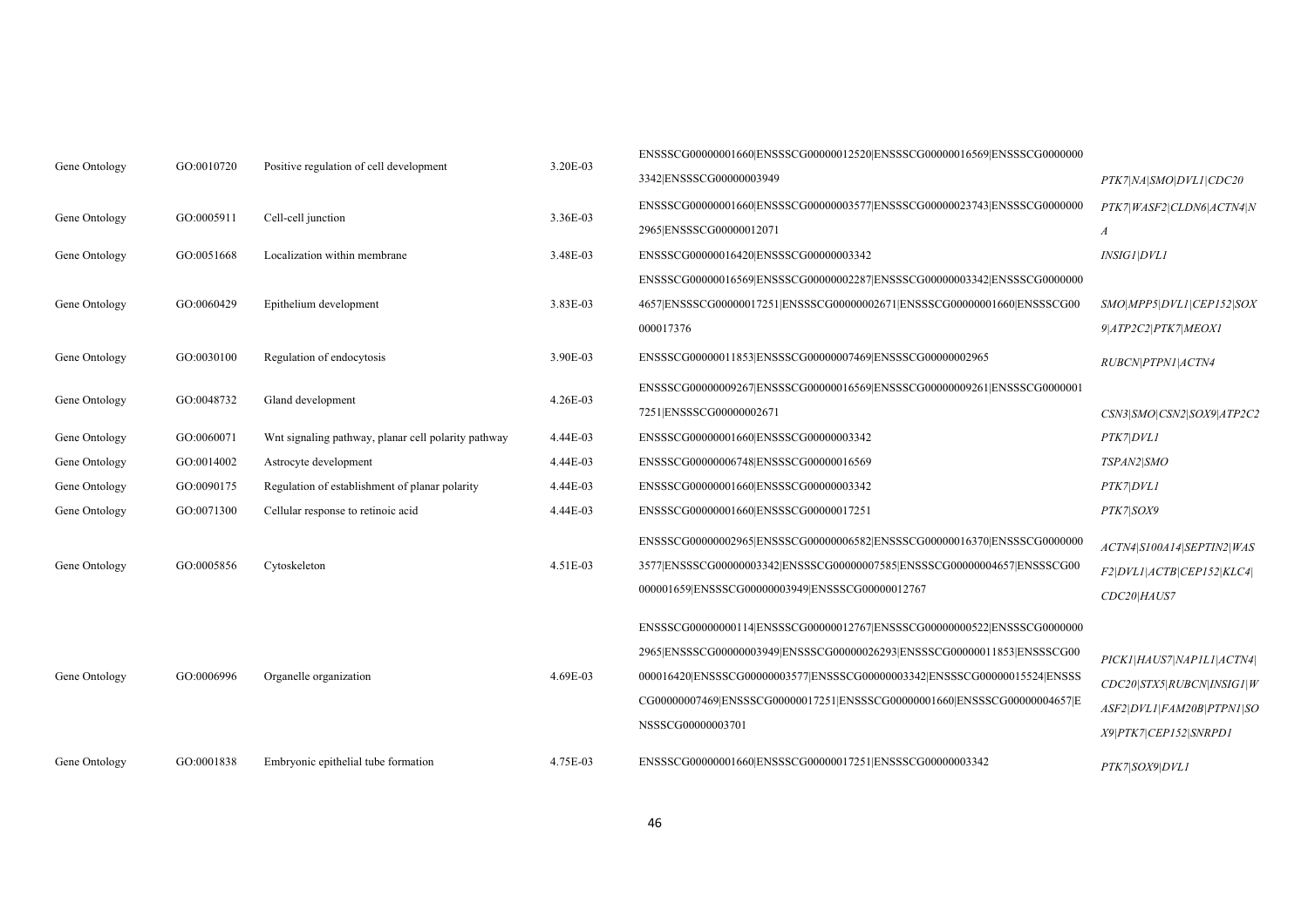| Gene Ontology | GO:0010720 | Positive regulation of cell development             | 3.20E-03 | ENSSSCG00000001660 ENSSSCG00000012520 ENSSSCG00000016569 ENSSSCG0000000  |                           |
|---------------|------------|-----------------------------------------------------|----------|--------------------------------------------------------------------------|---------------------------|
|               |            |                                                     |          | 3342 ENSSSCG00000003949                                                  | PTK7 NA SMO DVL1 CDC20    |
| Gene Ontology | GO:0005911 | Cell-cell junction                                  | 3.36E-03 | ENSSSCG00000001660 ENSSSCG00000003577 ENSSSCG00000023743 ENSSSCG0000000  | PTK7 WASF2 CLDN6 ACTN4 N  |
|               |            |                                                     |          | 2965 ENSSSCG00000012071                                                  | $\boldsymbol{A}$          |
| Gene Ontology | GO:0051668 | Localization within membrane                        | 3.48E-03 | ENSSSCG00000016420 ENSSSCG00000003342                                    | <b>INSIG1\DVL1</b>        |
|               |            |                                                     |          | ENSSSCG00000016569 ENSSSCG00000002287 ENSSSCG00000003342 ENSSSCG0000000  |                           |
| Gene Ontology | GO:0060429 | Epithelium development                              | 3.83E-03 | 4657 ENSSSCG00000017251 ENSSSCG00000002671 ENSSSCG00000001660 ENSSSCG00  | SMO MPP5 DVL1 CEP152 SOX  |
|               |            |                                                     |          | 000017376                                                                | 9 ATP2C2 PTK7 MEOX1       |
| Gene Ontology | GO:0030100 | Regulation of endocytosis                           | 3.90E-03 | ENSSSCG00000011853 ENSSSCG00000007469 ENSSSCG00000002965                 | RUBCN PTPN1 ACTN4         |
| Gene Ontology |            |                                                     | 4.26E-03 | ENSSSCG00000009267 ENSSSCG00000016569 ENSSSCG0000009261 ENSSSCG0000001   |                           |
|               | GO:0048732 | Gland development                                   |          | 7251 ENSSSCG00000002671                                                  | CSN3 SMO CSN2 SOX9 ATP2C2 |
| Gene Ontology | GO:0060071 | Wnt signaling pathway, planar cell polarity pathway | 4.44E-03 | ENSSSCG00000001660 ENSSSCG00000003342                                    | PTK7 DVL1                 |
| Gene Ontology | GO:0014002 | Astrocyte development                               | 4.44E-03 | ENSSSCG00000006748 ENSSSCG00000016569                                    | TSPAN2 SMO                |
| Gene Ontology | GO:0090175 | Regulation of establishment of planar polarity      | 4.44E-03 | ENSSSCG00000001660 ENSSSCG00000003342                                    | PTK7 DVL1                 |
| Gene Ontology | GO:0071300 | Cellular response to retinoic acid                  | 4.44E-03 | ENSSSCG00000001660 ENSSSCG00000017251                                    | PTK7 SOX9                 |
|               |            |                                                     |          | ENSSSCG00000002965 ENSSSCG00000006582 ENSSSCG00000016370 ENSSSCG0000000  | ACTN4 S100A14 SEPTIN2 WAS |
| Gene Ontology | GO:0005856 | Cytoskeleton                                        | 4.51E-03 | 3577 ENSSSCG00000003342 ENSSSCG00000007585 ENSSSCG00000004657 ENSSSCG00  | F2 DVL1 ACTB CEP152 KLC4  |
|               |            |                                                     |          | 000001659 ENSSSCG00000003949 ENSSSCG00000012767                          | CDC20 HAUS7               |
|               |            |                                                     |          | ENSSSCG00000000114 ENSSSCG00000012767 ENSSSCG0000000522 ENSSSCG0000000   |                           |
|               |            |                                                     |          | 2965 ENSSSCG00000003949 ENSSSCG00000026293 ENSSSCG00000011853 ENSSSCG00  | PICK1 HAUS7 NAP1L1 ACTN4  |
| Gene Ontology | GO:0006996 | Organelle organization                              | 4.69E-03 | 000016420 ENSSSCG00000003577 ENSSSCG00000003342 ENSSSCG00000015524 ENSSS | CDC20 STX5 RUBCN INSIGI W |
|               |            |                                                     |          | CG00000007469 ENSSSCG00000017251 ENSSSCG00000001660 ENSSSCG00000004657 E | ASF2 DVL1 FAM20B PTPN1 SO |
|               |            |                                                     |          | NSSSCG00000003701                                                        | X9 PTK7 CEP152 SNRPD1     |
| Gene Ontology | GO:0001838 | Embryonic epithelial tube formation                 | 4.75E-03 | ENSSSCG00000001660 ENSSSCG00000017251 ENSSSCG00000003342                 | PTK7 SOX9 DVL1            |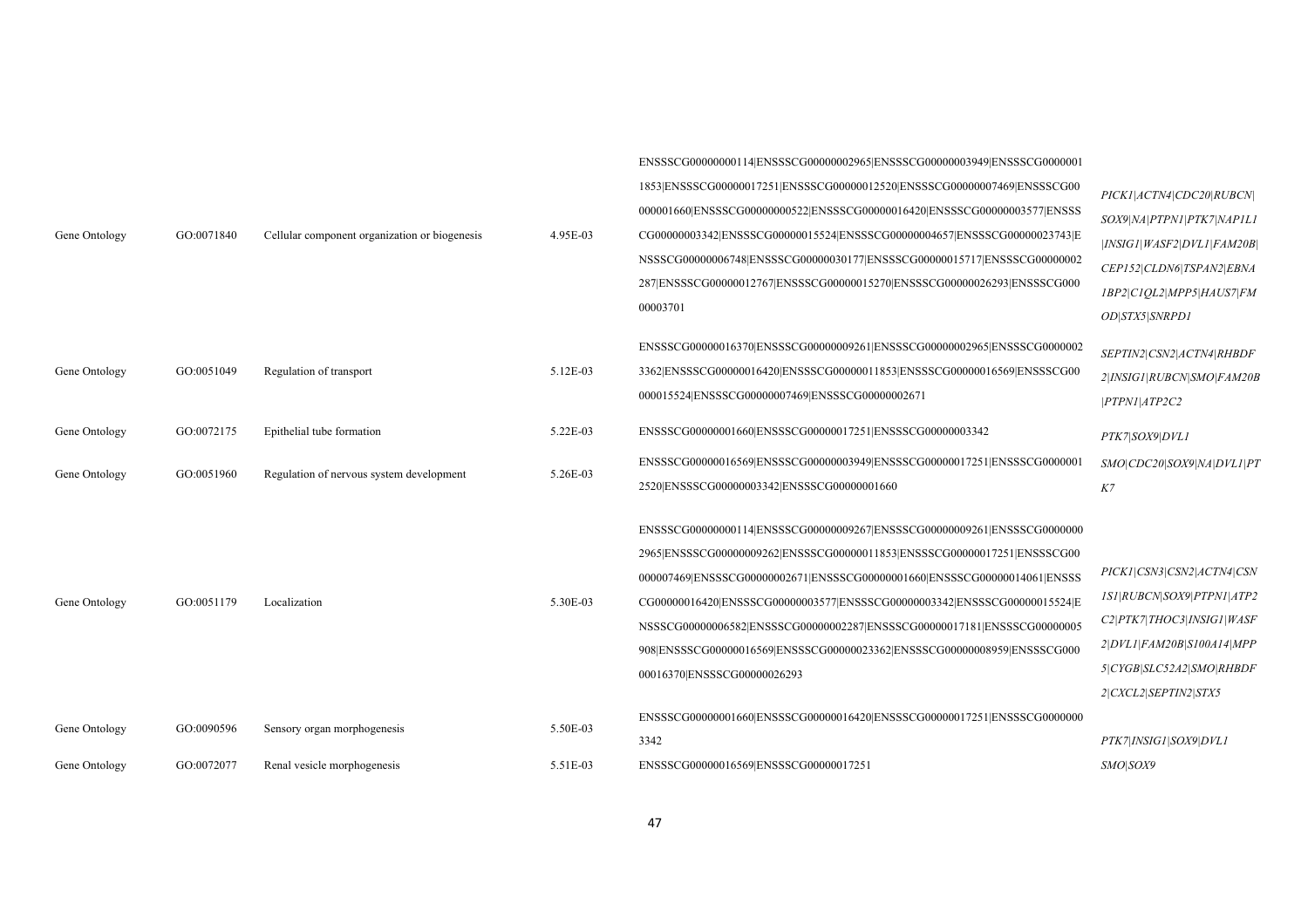|               |            |                                               |          | ENSSSCG00000000114 ENSSSCG00000002965 ENSSSCG00000003949 ENSSSCG0000001  |                           |
|---------------|------------|-----------------------------------------------|----------|--------------------------------------------------------------------------|---------------------------|
|               |            |                                               |          | 1853 ENSSSCG00000017251 ENSSSCG00000012520 ENSSSCG00000007469 ENSSSCG00  | PICK1\ACTN4\CDC20\RUBCN\  |
|               |            |                                               |          | 000001660 ENSSSCG00000000522 ENSSSCG00000016420 ENSSSCG00000003577 ENSSS | SOX9 NA PTPN1 PTK7 NAP1L1 |
| Gene Ontology | GO:0071840 | Cellular component organization or biogenesis | 4.95E-03 | CG00000003342 ENSSSCG00000015524 ENSSSCG00000004657 ENSSSCG00000023743 E | INSIGI WASE2 DVLI FAM20B  |
|               |            |                                               |          | NSSSCG00000006748 ENSSSCG00000030177 ENSSSCG00000015717 ENSSSCG00000002  | CEP152 CLDN6 TSPAN2 EBNA  |
|               |            |                                               |          | 287 ENSSSCG00000012767 ENSSSCG00000015270 ENSSSCG00000026293 ENSSSCG000  | 1BP2 C1QL2 MPP5 HAUS7 FM  |
|               |            |                                               |          | 00003701                                                                 | OD STX5 SNRPD1            |
|               |            |                                               |          | ENSSSCG00000016370 ENSSSCG00000009261 ENSSSCG00000002965 ENSSSCG0000002  | SEPTIN2 CSN2 ACTN4 RHBDF  |
| Gene Ontology | GO:0051049 | Regulation of transport                       | 5.12E-03 | 3362 ENSSSCG00000016420 ENSSSCG00000011853 ENSSSCG00000016569 ENSSSCG00  | 2 INSIG1 RUBCN SMO FAM20B |
|               |            |                                               |          | 000015524 ENSSSCG00000007469 ENSSSCG00000002671                          | PTPNI ATP2C2              |
| Gene Ontology | GO:0072175 | Epithelial tube formation                     | 5.22E-03 | ENSSSCG00000001660 ENSSSCG00000017251 ENSSSCG00000003342                 | PTK7 SOX9 DVL1            |
|               |            |                                               |          | ENSSSCG00000016569 ENSSSCG00000003949 ENSSSCG00000017251 ENSSSCG0000001  | SMO CDC20 SOX9 NA DVLI PT |
| Gene Ontology | GO:0051960 | Regulation of nervous system development      | 5.26E-03 | 2520 ENSSSCG00000003342 ENSSSCG00000001660                               | K7                        |
|               |            |                                               |          |                                                                          |                           |
|               |            |                                               |          | ENSSSCG00000000114 ENSSSCG00000009267 ENSSSCG00000009261 ENSSSCG0000000  |                           |
|               |            |                                               |          | 2965 ENSSSCG00000009262 ENSSSCG00000011853 ENSSSCG00000017251 ENSSSCG00  |                           |
|               |            |                                               |          | 000007469 ENSSSCG00000002671 ENSSSCG00000001660 ENSSSCG00000014061 ENSSS | PICK1 CSN3 CSN2 ACTN4 CSN |
| Gene Ontology | GO:0051179 | Localization                                  | 5.30E-03 | CG00000016420 ENSSSCG00000003577 ENSSSCG00000003342 ENSSSCG00000015524 E | 1S1 RUBCN SOX9 PTPN1 ATP2 |
|               |            |                                               |          | NSSSCG00000006582 ENSSSCG00000002287 ENSSSCG00000017181 ENSSSCG00000005  | C2 PTK7 THOC3 INSIG1 WASF |
|               |            |                                               |          | 908 ENSSSCG00000016569 ENSSSCG00000023362 ENSSSCG00000008959 ENSSSCG000  | 2 DVLI FAM20B S100A14 MPP |
|               |            |                                               |          | 00016370 ENSSSCG00000026293                                              | 5 CYGB SLC52A2 SMO RHBDF  |
|               |            |                                               |          | ENSSSCG00000001660 ENSSSCG00000016420 ENSSSCG00000017251 ENSSSCG0000000  | 2 CXCL2 SEPTIN2 STX5      |
| Gene Ontology | GO:0090596 | Sensory organ morphogenesis                   | 5.50E-03 | 3342                                                                     | PTK7 INSIG1 SOX9 DVL1     |
| Gene Ontology | GO:0072077 | Renal vesicle morphogenesis                   | 5.51E-03 | ENSSSCG00000016569 ENSSSCG00000017251                                    | SMO SOX9                  |
|               |            |                                               |          |                                                                          |                           |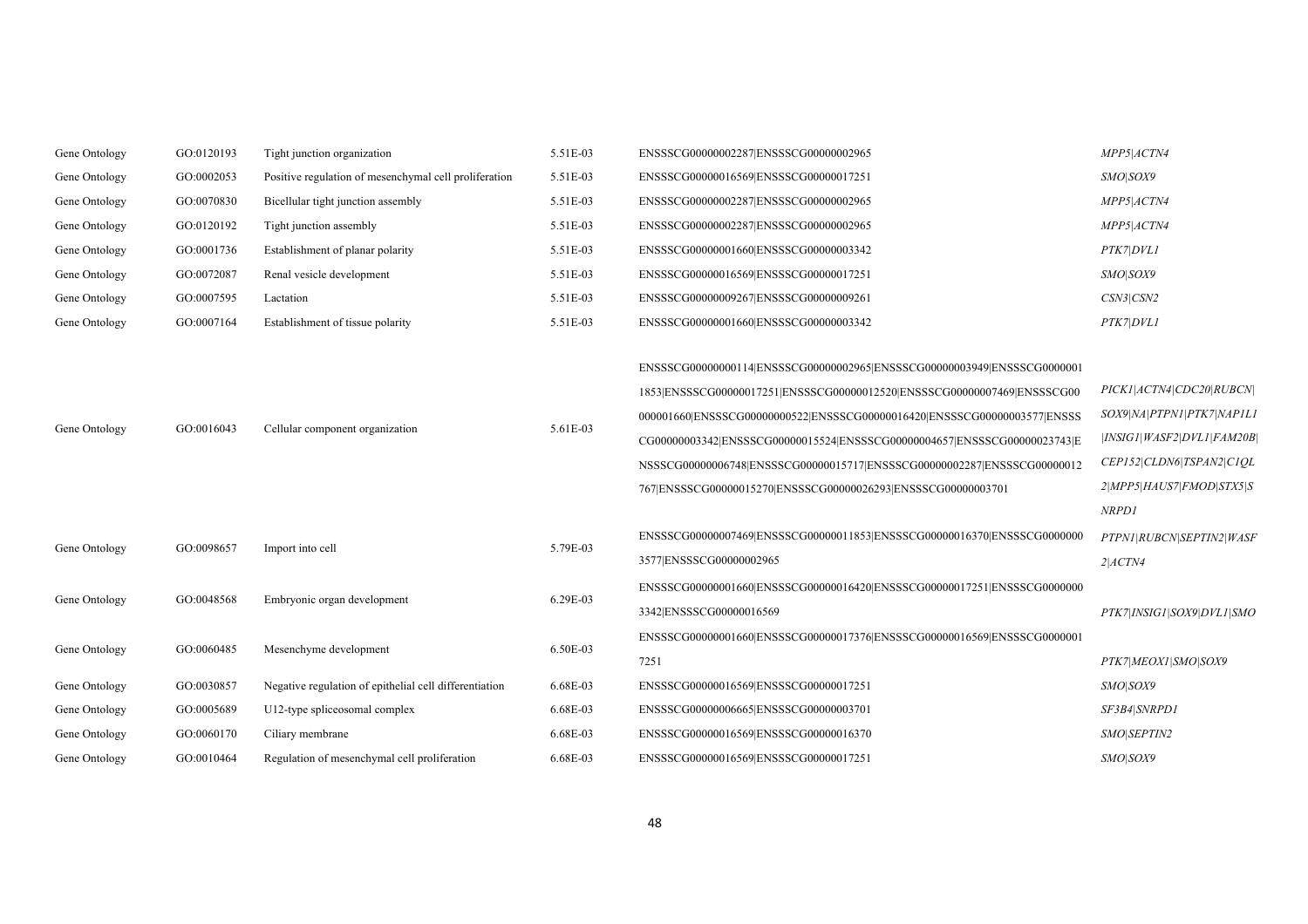| Gene Ontology | GO:0120193 | Tight junction organization                            | 5.51E-03 | ENSSSCG00000002287 ENSSSCG00000002965                                    | MPP5 ACTN4                |
|---------------|------------|--------------------------------------------------------|----------|--------------------------------------------------------------------------|---------------------------|
| Gene Ontology | GO:0002053 | Positive regulation of mesenchymal cell proliferation  | 5.51E-03 | ENSSSCG00000016569 ENSSSCG00000017251                                    | SMO SOX9                  |
| Gene Ontology | GO:0070830 | Bicellular tight junction assembly                     | 5.51E-03 | ENSSSCG00000002287 ENSSSCG00000002965                                    | MPP5 ACTN4                |
| Gene Ontology | GO:0120192 | Tight junction assembly                                | 5.51E-03 | ENSSSCG00000002287 ENSSSCG00000002965                                    | MPP5 ACTN4                |
| Gene Ontology | GO:0001736 | Establishment of planar polarity                       | 5.51E-03 | ENSSSCG00000001660 ENSSSCG00000003342                                    | PTK7 DVL1                 |
| Gene Ontology | GO:0072087 | Renal vesicle development                              | 5.51E-03 | ENSSSCG00000016569 ENSSSCG00000017251                                    | SMO SOX9                  |
| Gene Ontology | GO:0007595 | Lactation                                              | 5.51E-03 | ENSSSCG00000009267 ENSSSCG00000009261                                    | CSN3 CSN2                 |
| Gene Ontology | GO:0007164 | Establishment of tissue polarity                       | 5.51E-03 | ENSSSCG00000001660 ENSSSCG00000003342                                    | PTK7 DVL1                 |
|               |            |                                                        |          |                                                                          |                           |
|               |            |                                                        | 5.61E-03 | ENSSSCG00000000114 ENSSSCG00000002965 ENSSSCG00000003949 ENSSSCG0000001  |                           |
|               |            | Cellular component organization                        |          | 1853 ENSSSCG00000017251 ENSSSCG00000012520 ENSSSCG00000007469 ENSSSCG00  | PICK1 ACTN4 CDC20 RUBCN   |
|               | GO:0016043 |                                                        |          | 000001660 ENSSSCG00000000522 ENSSSCG00000016420 ENSSSCG00000003577 ENSSS | SOX9 NA PTPN1 PTK7 NAP1L1 |
| Gene Ontology |            |                                                        |          | CG00000003342 ENSSSCG00000015524 ENSSSCG00000004657 ENSSSCG00000023743 E | INSIGI WASE2 DVLI FAM20B  |
|               |            |                                                        |          | NSSSCG00000006748 ENSSSCG00000015717 ENSSSCG00000002287 ENSSSCG00000012  | CEP152 CLDN6 TSPAN2 C1QL  |
|               |            |                                                        |          | 767 ENSSSCG00000015270 ENSSSCG00000026293 ENSSSCG00000003701             | 2 MPP5 HAUS7 FMOD STX5 S  |
|               |            |                                                        |          |                                                                          | NRPD1                     |
| Gene Ontology | GO:0098657 |                                                        |          | ENSSSCG00000007469 ENSSSCG00000011853 ENSSSCG00000016370 ENSSSCG0000000  | PTPN1\RUBCN\SEPTIN2\WASF  |
|               |            | Import into cell                                       | 5.79E-03 | 3577 ENSSSCG00000002965                                                  | 2 ACTN4                   |
|               |            |                                                        |          | ENSSSCG00000001660 ENSSSCG00000016420 ENSSSCG00000017251 ENSSSCG0000000  |                           |
| Gene Ontology | GO:0048568 | Embryonic organ development                            | 6.29E-03 | 3342 ENSSSCG00000016569                                                  | PTK7 INSIG1 SOX9 DVL1 SMO |
|               |            |                                                        |          | ENSSSCG00000001660 ENSSSCG00000017376 ENSSSCG00000016569 ENSSSCG0000001  |                           |
| Gene Ontology | GO:0060485 | Mesenchyme development                                 | 6.50E-03 | 7251                                                                     | PTK7 MEOX1 SMO SOX9       |
| Gene Ontology | GO:0030857 | Negative regulation of epithelial cell differentiation | 6.68E-03 | ENSSSCG00000016569 ENSSSCG00000017251                                    | SMO SOX9                  |
| Gene Ontology | GO:0005689 | U12-type spliceosomal complex                          | 6.68E-03 | ENSSSCG00000006665 ENSSSCG00000003701                                    | SF3B4\SNRPD1              |
| Gene Ontology | GO:0060170 | Ciliary membrane                                       | 6.68E-03 | ENSSSCG00000016569 ENSSSCG00000016370                                    | SMO SEPTIN2               |
| Gene Ontology | GO:0010464 | Regulation of mesenchymal cell proliferation           | 6.68E-03 | ENSSSCG00000016569 ENSSSCG00000017251                                    | SMO SOX9                  |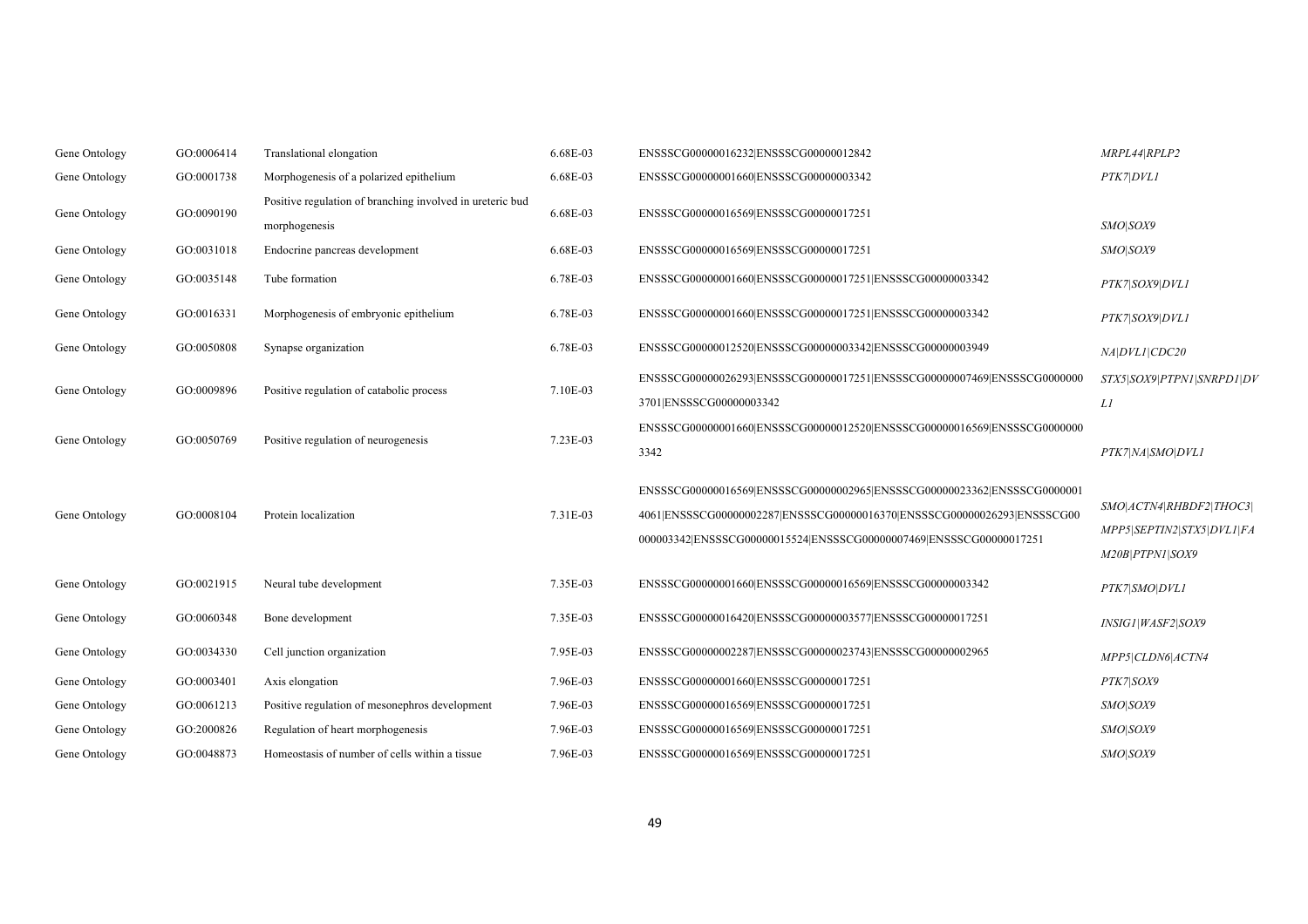| Gene Ontology | GO:0006414 | Translational elongation                                                   | 6.68E-03 | ENSSSCG00000016232 ENSSSCG00000012842                                                                                                                                                                                    | MRPL44 RPLP2                                                                   |
|---------------|------------|----------------------------------------------------------------------------|----------|--------------------------------------------------------------------------------------------------------------------------------------------------------------------------------------------------------------------------|--------------------------------------------------------------------------------|
| Gene Ontology | GO:0001738 | Morphogenesis of a polarized epithelium                                    | 6.68E-03 | ENSSSCG00000001660 ENSSSCG00000003342                                                                                                                                                                                    | PTK7 DVL1                                                                      |
| Gene Ontology | GO:0090190 | Positive regulation of branching involved in ureteric bud<br>morphogenesis | 6.68E-03 | ENSSSCG00000016569 ENSSSCG00000017251                                                                                                                                                                                    | SMO SOX9                                                                       |
| Gene Ontology | GO:0031018 | Endocrine pancreas development                                             | 6.68E-03 | ENSSSCG00000016569 ENSSSCG00000017251                                                                                                                                                                                    | SMO SOX9                                                                       |
| Gene Ontology | GO:0035148 | Tube formation                                                             | 6.78E-03 | ENSSSCG00000001660JENSSSCG00000017251JENSSSCG00000003342                                                                                                                                                                 | PTK7 SOX9 DVL1                                                                 |
| Gene Ontology | GO:0016331 | Morphogenesis of embryonic epithelium                                      | 6.78E-03 | ENSSSCG00000001660 ENSSSCG00000017251 ENSSSCG00000003342                                                                                                                                                                 | PTK7 SOX9 DVL1                                                                 |
| Gene Ontology | GO:0050808 | Synapse organization                                                       | 6.78E-03 | ENSSSCG00000012520 ENSSSCG00000003342 ENSSSCG00000003949                                                                                                                                                                 | NA DVL1 CDC20                                                                  |
| Gene Ontology | GO:0009896 | Positive regulation of catabolic process                                   | 7.10E-03 | ENSSSCG00000026293 ENSSSCG00000017251 ENSSSCG00000007469 ENSSSCG0000000<br>3701 ENSSSCG00000003342                                                                                                                       | STX5 SOX9 PTPN1 SNRPD1 DV<br>L1                                                |
| Gene Ontology | GO:0050769 | Positive regulation of neurogenesis                                        | 7.23E-03 | ENSSSCG00000001660 ENSSSCG00000012520 ENSSSCG00000016569 ENSSSCG0000000<br>3342                                                                                                                                          | PTK7 NA SMO DVL1                                                               |
| Gene Ontology | GO:0008104 | Protein localization                                                       | 7.31E-03 | ENSSSCG00000016569 ENSSSCG00000002965 ENSSSCG00000023362 ENSSSCG0000001<br>4061 ENSSSCG00000002287 ENSSSCG00000016370 ENSSSCG00000026293 ENSSSCG00<br>000003342 ENSSSCG00000015524 ENSSSCG00000007469 ENSSSCG00000017251 | SMO   ACTN4   RHBDF2   THOC3  <br>MPP5 SEPTIN2 STX5 DVL1 FA<br>M20B PTPN1 SOX9 |
| Gene Ontology | GO:0021915 | Neural tube development                                                    | 7.35E-03 | ENSSSCG00000001660 ENSSSCG00000016569 ENSSSCG00000003342                                                                                                                                                                 | PTK7 SMO DVL1                                                                  |
| Gene Ontology | GO:0060348 | Bone development                                                           | 7.35E-03 | ENSSSCG00000016420 ENSSSCG00000003577 ENSSSCG00000017251                                                                                                                                                                 | INSIG1\WASF2\SOX9                                                              |
| Gene Ontology | GO:0034330 | Cell junction organization                                                 | 7.95E-03 | ENSSSCG00000002287 ENSSSCG00000023743 ENSSSCG00000002965                                                                                                                                                                 | MPP5 CLDN6 ACTN4                                                               |
| Gene Ontology | GO:0003401 | Axis elongation                                                            | 7.96E-03 | ENSSSCG00000001660 ENSSSCG00000017251                                                                                                                                                                                    | PTK7 SOX9                                                                      |
| Gene Ontology | GO:0061213 | Positive regulation of mesonephros development                             | 7.96E-03 | ENSSSCG00000016569 ENSSSCG00000017251                                                                                                                                                                                    | SMO SOX9                                                                       |
| Gene Ontology | GO:2000826 | Regulation of heart morphogenesis                                          | 7.96E-03 | ENSSSCG00000016569 ENSSSCG00000017251                                                                                                                                                                                    | SMO SOX9                                                                       |
| Gene Ontology | GO:0048873 | Homeostasis of number of cells within a tissue                             | 7.96E-03 | ENSSSCG00000016569 ENSSSCG00000017251                                                                                                                                                                                    | SMO SOX9                                                                       |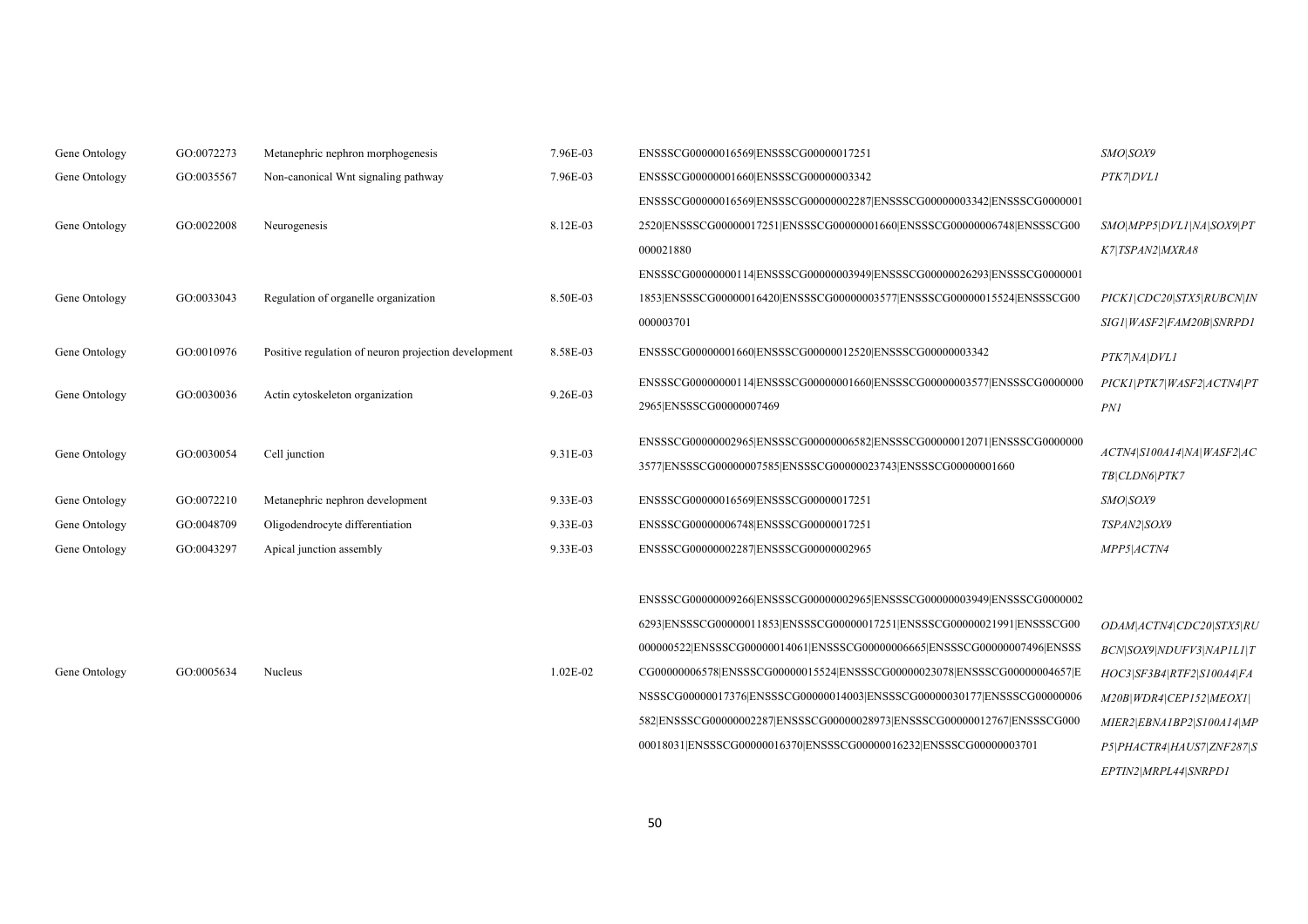| Gene Ontology | GO:0072273 | Metanephric nephron morphogenesis                    | 7.96E-03     | ENSSSCG00000016569 ENSSSCG00000017251                                    | SMO SOX9                  |
|---------------|------------|------------------------------------------------------|--------------|--------------------------------------------------------------------------|---------------------------|
| Gene Ontology | GO:0035567 | Non-canonical Wnt signaling pathway                  | 7.96E-03     | ENSSSCG00000001660 ENSSSCG00000003342                                    | PTK7 DVL1                 |
|               |            |                                                      |              | ENSSSCG00000016569 ENSSSCG00000002287 ENSSSCG00000003342 ENSSSCG0000001  |                           |
| Gene Ontology | GO:0022008 | Neurogenesis                                         | 8.12E-03     | 2520 ENSSSCG00000017251 ENSSSCG00000001660 ENSSSCG00000006748 ENSSSCG00  | SMO MPP5 DVL1 NA SOX9 PT  |
|               |            |                                                      |              | 000021880                                                                | K7 TSPAN2 MXRA8           |
|               |            |                                                      |              | ENSSSCG00000000114 ENSSSCG00000003949 ENSSSCG00000026293 ENSSSCG0000001  |                           |
| Gene Ontology | GO:0033043 | Regulation of organelle organization                 | 8.50E-03     | 1853 ENSSSCG00000016420 ENSSSCG00000003577 ENSSSCG00000015524 ENSSSCG00  | PICK1 CDC20 STX5 RUBCN IN |
|               |            |                                                      |              | 000003701                                                                | SIG1\WASF2\FAM20B\SNRPD1  |
| Gene Ontology | GO:0010976 | Positive regulation of neuron projection development | 8.58E-03     | ENSSSCG00000001660 ENSSSCG00000012520 ENSSSCG00000003342                 | PTK7 NA DVL1              |
|               |            | Actin cytoskeleton organization                      |              | ENSSSCG00000000114 ENSSSCG00000001660 ENSSSCG00000003577 ENSSSCG0000000  | PICK1\PTK7\WASF2\ACTN4\PT |
| Gene Ontology | GO:0030036 |                                                      | 9.26E-03     | 2965 ENSSSCG00000007469                                                  | PNI                       |
|               | GO:0030054 | Cell junction                                        | 9.31E-03     | ENSSSCG00000002965 ENSSSCG00000006582 ENSSSCG00000012071 ENSSSCG0000000  |                           |
| Gene Ontology |            |                                                      |              | 3577 ENSSSCG00000007585 ENSSSCG00000023743 ENSSSCG0000001660             | ACTN4 S100A14 NA WASF2 AC |
|               |            |                                                      |              |                                                                          | TB CLDN6 PTK7             |
| Gene Ontology | GO:0072210 | Metanephric nephron development                      | 9.33E-03     | ENSSSCG00000016569 ENSSSCG00000017251                                    | SMO SOX9                  |
| Gene Ontology | GO:0048709 | Oligodendrocyte differentiation                      | 9.33E-03     | ENSSSCG00000006748 ENSSSCG00000017251                                    | TSPAN2\SOX9               |
| Gene Ontology | GO:0043297 | Apical junction assembly                             | 9.33E-03     | ENSSSCG00000002287 ENSSSCG00000002965                                    | MPP5 ACTN4                |
|               |            |                                                      |              |                                                                          |                           |
|               |            |                                                      |              | ENSSSCG00000009266 ENSSSCG00000002965 ENSSSCG00000003949 ENSSSCG0000002  |                           |
|               |            |                                                      |              | 6293 ENSSSCG00000011853 ENSSSCG00000017251 ENSSSCG00000021991 ENSSSCG00  | ODAM ACTN4 CDC20 STX5 RU  |
|               |            |                                                      | $1.02E - 02$ | 000000522 ENSSSCG00000014061 ENSSSCG00000006665 ENSSSCG00000007496 ENSSS | BCN\SOX9\NDUFV3\NAP1L1\T  |
| Gene Ontology | GO:0005634 | Nucleus                                              |              | CG00000006578 ENSSSCG00000015524 ENSSSCG00000023078 ENSSSCG00000004657 E | HOC3 SF3B4 RTF2 S100A4 FA |
|               |            |                                                      |              | NSSSCG00000017376 ENSSSCG00000014003 ENSSSCG00000030177 ENSSSCG00000006  | M20B WDR4 CEP152 MEOXI    |
|               |            |                                                      |              | 582 ENSSSCG00000002287 ENSSSCG00000028973 ENSSSCG00000012767 ENSSSCG000  | MIER2 EBNA1BP2 S100A14 MP |
|               |            |                                                      |              | 00018031 ENSSSCG00000016370 ENSSSCG00000016232 ENSSSCG00000003701        | P5 PHACTR4 HAUS7 ZNF287 S |

50

*EPTIN2|MRPL44|SNRPD1*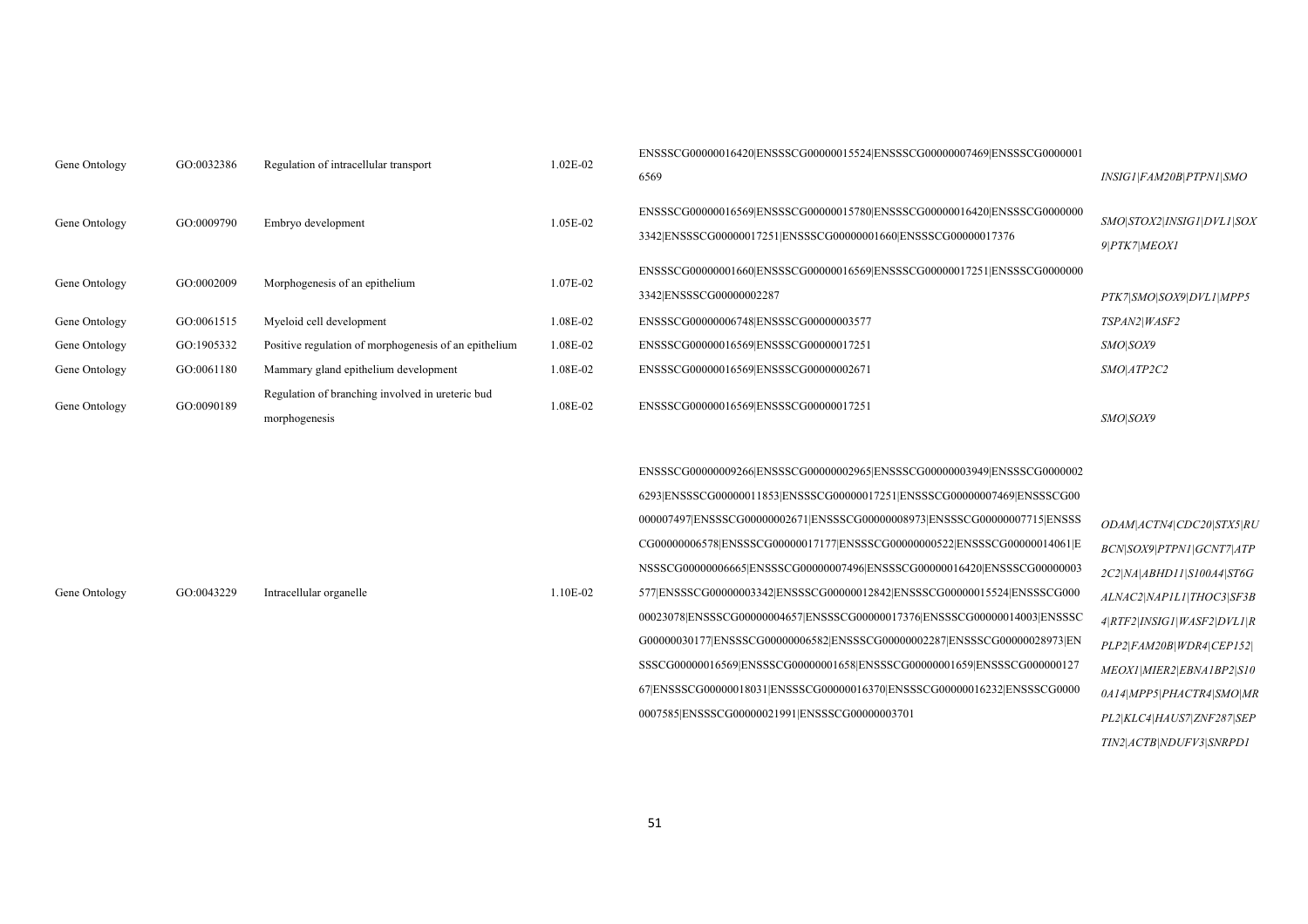| Gene Ontology | GO:0032386 | Regulation of intracellular transport                             | 1.02E-02 | ENSSSCG00000016420 ENSSSCG00000015524 ENSSSCG0000007469 ENSSSCG0000001<br>6569                                                                                                                                                                                                                                                                                                                                                                                                                                                                                                                                                                                                                                                                                                                                                  | INSIG1\FAM20B\PTPN1\SMO                                                                                                                                                                                                                                      |
|---------------|------------|-------------------------------------------------------------------|----------|---------------------------------------------------------------------------------------------------------------------------------------------------------------------------------------------------------------------------------------------------------------------------------------------------------------------------------------------------------------------------------------------------------------------------------------------------------------------------------------------------------------------------------------------------------------------------------------------------------------------------------------------------------------------------------------------------------------------------------------------------------------------------------------------------------------------------------|--------------------------------------------------------------------------------------------------------------------------------------------------------------------------------------------------------------------------------------------------------------|
| Gene Ontology | GO:0009790 | Embryo development                                                | 1.05E-02 | ENSSSCG00000016569 ENSSSCG00000015780 ENSSSCG00000016420 ENSSSCG0000000<br>3342 ENSSSCG00000017251 ENSSSCG00000001660 ENSSSCG00000017376                                                                                                                                                                                                                                                                                                                                                                                                                                                                                                                                                                                                                                                                                        | SMO STOX2   INSIG1   DVL1   SOX<br>9 PTK7 MEOX1                                                                                                                                                                                                              |
| Gene Ontology | GO:0002009 | Morphogenesis of an epithelium                                    | 1.07E-02 | ENSSSCG00000001660 ENSSSCG00000016569 ENSSSCG00000017251 ENSSSCG0000000<br>3342 ENSSSCG00000002287                                                                                                                                                                                                                                                                                                                                                                                                                                                                                                                                                                                                                                                                                                                              | PTK7 SMO SOX9 DVL1 MPP5                                                                                                                                                                                                                                      |
| Gene Ontology | GO:0061515 | Myeloid cell development                                          | 1.08E-02 | ENSSSCG00000006748 ENSSSCG00000003577                                                                                                                                                                                                                                                                                                                                                                                                                                                                                                                                                                                                                                                                                                                                                                                           | TSPAN2 WASF2                                                                                                                                                                                                                                                 |
| Gene Ontology | GO:1905332 | Positive regulation of morphogenesis of an epithelium             | 1.08E-02 | ENSSSCG00000016569 ENSSSCG00000017251                                                                                                                                                                                                                                                                                                                                                                                                                                                                                                                                                                                                                                                                                                                                                                                           | SMO SOX9                                                                                                                                                                                                                                                     |
| Gene Ontology | GO:0061180 | Mammary gland epithelium development                              | 1.08E-02 | ENSSSCG00000016569 ENSSSCG00000002671                                                                                                                                                                                                                                                                                                                                                                                                                                                                                                                                                                                                                                                                                                                                                                                           | SMO ATP2C2                                                                                                                                                                                                                                                   |
| Gene Ontology | GO:0090189 | Regulation of branching involved in ureteric bud<br>morphogenesis | 1.08E-02 | ENSSSCG00000016569 ENSSSCG00000017251                                                                                                                                                                                                                                                                                                                                                                                                                                                                                                                                                                                                                                                                                                                                                                                           | SMO SOX9                                                                                                                                                                                                                                                     |
| Gene Ontology | GO:0043229 | Intracellular organelle                                           | 1.10E-02 | ENSSSCG00000009266 ENSSSCG00000002965 ENSSSCG00000003949 ENSSSCG0000002<br>6293 ENSSSCG00000011853 ENSSSCG00000017251 ENSSSCG00000007469 ENSSSCG00<br>000007497 ENSSSCG00000002671 ENSSSCG00000008973 ENSSSCG00000007715 ENSSS<br>CG00000006578 ENSSSCG00000017177 ENSSSCG00000000522 ENSSSCG00000014061 E<br>NSSSCG00000006665 ENSSSCG00000007496 ENSSSCG00000016420 ENSSSCG00000003<br>577 ENSSSCG00000003342 ENSSSCG00000012842 ENSSSCG00000015524 ENSSSCG000<br>00023078 ENSSSCG00000004657 ENSSSCG00000017376 ENSSSCG00000014003 ENSSSC<br>G00000030177 ENSSSCG00000006582 ENSSSCG00000002287 ENSSSCG00000028973 EN<br>SSSCG00000016569 ENSSSCG00000001658 ENSSSCG00000001659 ENSSSCG000000127<br>67 ENSSSCG00000018031 ENSSSCG00000016370 ENSSSCG00000016232 ENSSSCG0000<br>0007585 ENSSSCG00000021991 ENSSSCG00000003701 | ODAM ACTN4 CDC20 STX5 RU<br>BCN SOX9 PTPN1 GCNT7 ATP<br>2C2 NA ABHD11 S100A4 ST6G<br>ALNAC2 NAPIL1 THOC3 SF3B<br>4 RTF2 INSIGI WASF2 DVLI R<br>PLP2 FAM20B WDR4 CEP152 <br>MEOXI MIER2 EBNA1BP2 S10<br>0A14 MPP5 PHACTR4 SMO MR<br>PL2 KLC4 HAUS7 ZNF287 SEP |

*TIN2|ACTB|NDUFV3|SNRPD1*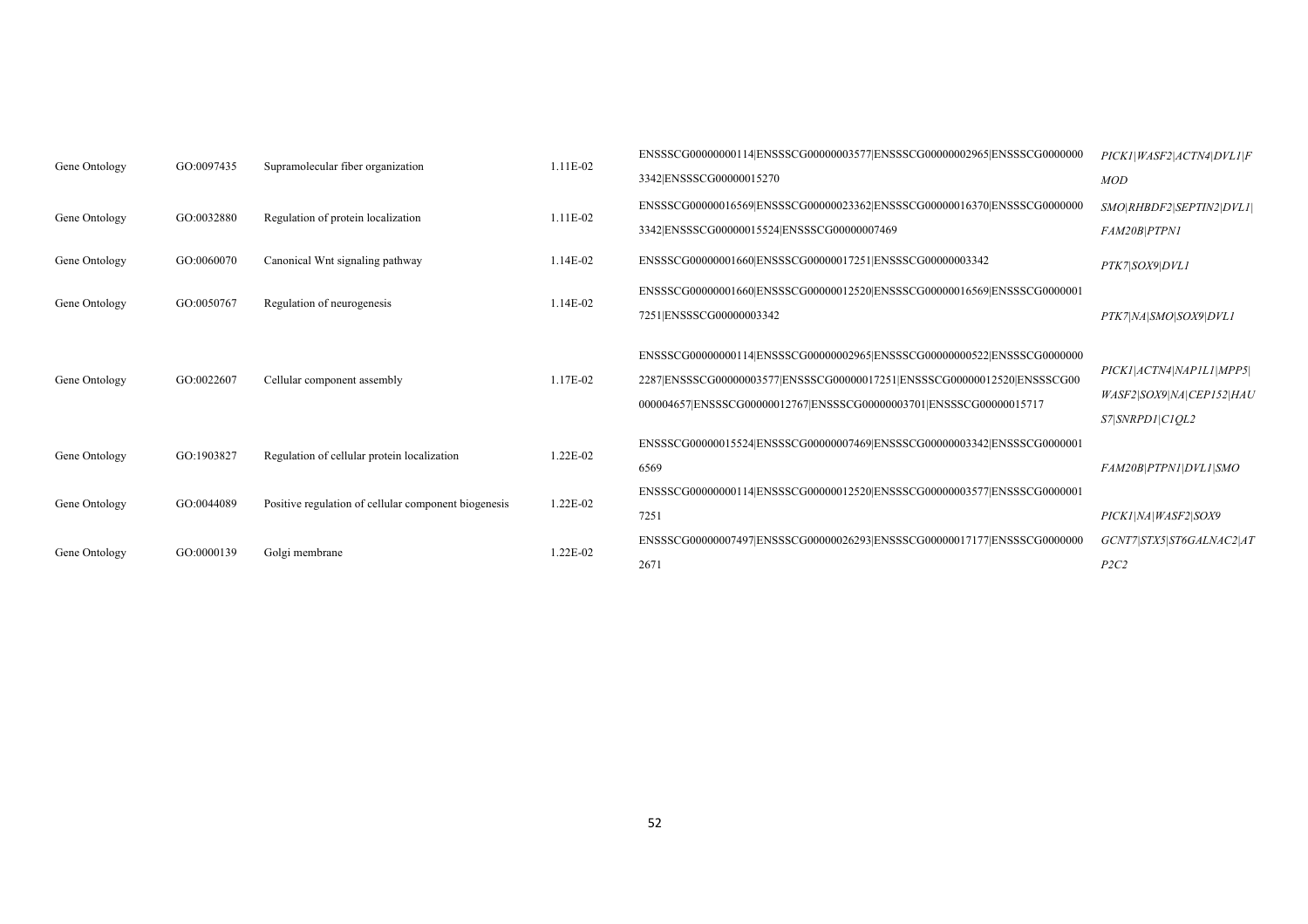| Gene Ontology | GO:0097435 | Supramolecular fiber organization                    | 1.11E-02                                   | ENSSSCG00000000114 ENSSSCG00000003577 ENSSSCG00000002965 ENSSSCG0000000                                                                                                                                                  | PICK1\WASF2\ACTN4\DVL1\F                                                |
|---------------|------------|------------------------------------------------------|--------------------------------------------|--------------------------------------------------------------------------------------------------------------------------------------------------------------------------------------------------------------------------|-------------------------------------------------------------------------|
|               |            |                                                      |                                            | 3342 ENSSSCG00000015270                                                                                                                                                                                                  | MOD                                                                     |
| Gene Ontology | GO:0032880 | Regulation of protein localization                   | 1.11E-02                                   | ENSSSCG00000016569 ENSSSCG00000023362 ENSSSCG00000016370 ENSSSCG0000000                                                                                                                                                  | SMO RHBDF2 SEPTIN2   DVL1                                               |
|               |            |                                                      | 3342 ENSSSCG00000015524 ENSSSCG00000007469 | FAM20B PTPN1                                                                                                                                                                                                             |                                                                         |
| Gene Ontology | GO:0060070 | Canonical Wnt signaling pathway                      | $1.14E-02$                                 | ENSSSCG00000001660 ENSSSCG00000017251 ENSSSCG00000003342                                                                                                                                                                 | PTK7 SOX9 DVL1                                                          |
|               | GO:0050767 |                                                      |                                            | ENSSSCG00000001660 ENSSSCG00000012520 ENSSSCG00000016569 ENSSSCG0000001                                                                                                                                                  |                                                                         |
| Gene Ontology |            | Regulation of neurogenesis                           | 1.14E-02                                   | 7251 ENSSSCG00000003342                                                                                                                                                                                                  | PTK7 NA SMO SOX9 DVL1                                                   |
| Gene Ontology | GO:0022607 | Cellular component assembly                          | 1.17E-02                                   | ENSSSCG00000000114 ENSSSCG00000002965 ENSSSCG00000000522 ENSSSCG0000000<br>2287 ENSSSCG00000003577 ENSSSCG00000017251 ENSSSCG00000012520 ENSSSCG00<br>000004657 ENSSSCG00000012767 ENSSSCG00000003701 ENSSSCG00000015717 | PICK1 ACTN4 NAP1L1 MPP5 <br>WASF2\SOX9\NA\CEP152\HAU<br>S7 SNRPD1 C1QL2 |
|               | GO:1903827 |                                                      |                                            | ENSSSCG00000015524 ENSSSCG00000007469 ENSSSCG00000003342 ENSSSCG0000001                                                                                                                                                  |                                                                         |
| Gene Ontology |            | Regulation of cellular protein localization          | 1.22E-02                                   | 6569                                                                                                                                                                                                                     | FAM20B PTPN1 DVL1 SMO                                                   |
| Gene Ontology | GO:0044089 | Positive regulation of cellular component biogenesis | 1.22E-02                                   | ENSSSCG00000000114 ENSSSCG00000012520 ENSSSCG00000003577 ENSSSCG0000001                                                                                                                                                  |                                                                         |
|               |            |                                                      |                                            | 7251                                                                                                                                                                                                                     | PICK1\NA\WASF2\SOX9                                                     |
| Gene Ontology | GO:0000139 | Golgi membrane                                       | 1.22E-02                                   | ENSSSCG00000007497 ENSSSCG00000026293 ENSSSCG00000017177 ENSSSCG0000000                                                                                                                                                  | GCNT7 STX5 ST6GALNAC2 AT                                                |
|               |            |                                                      |                                            | 2671                                                                                                                                                                                                                     | P2C2                                                                    |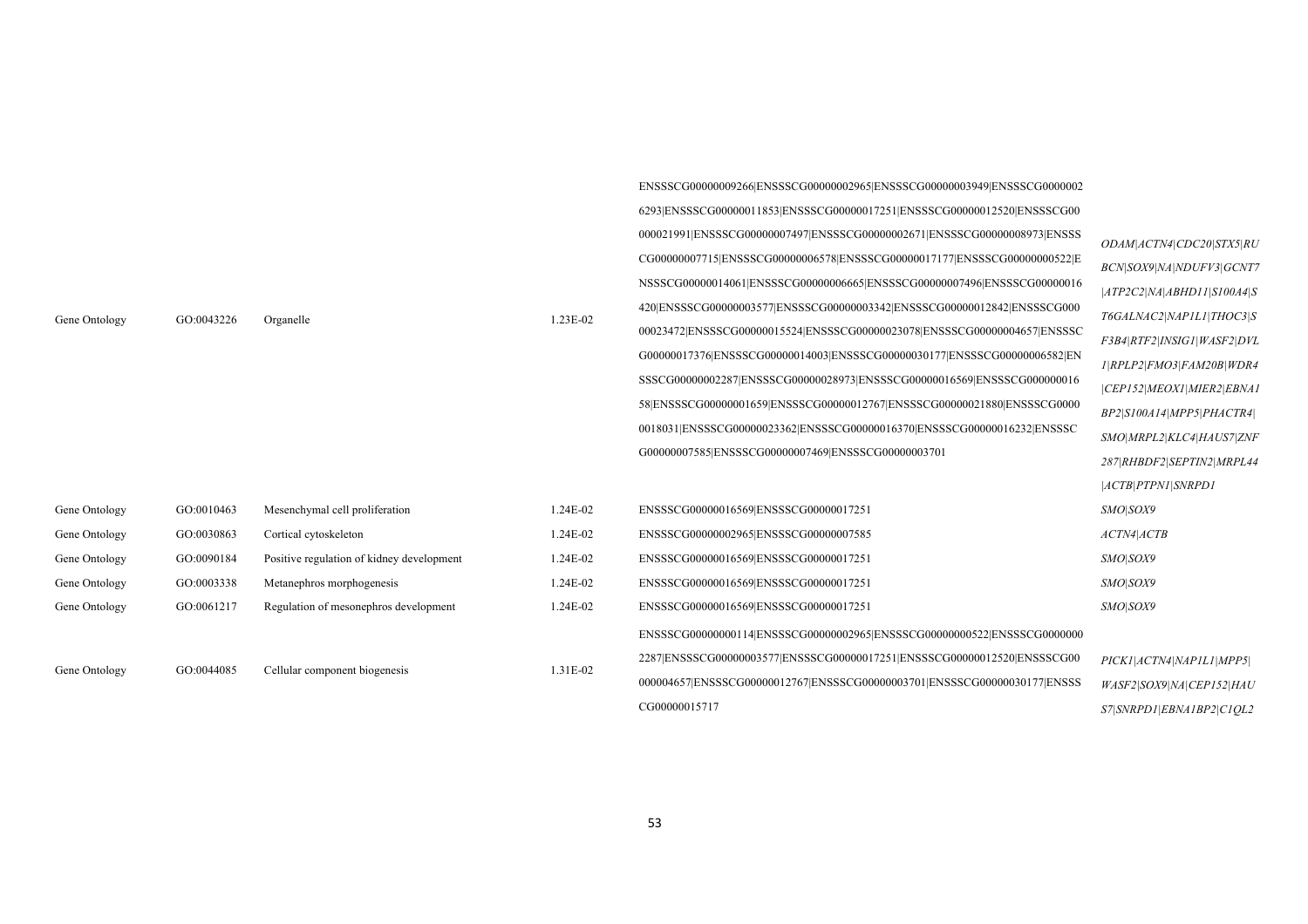|               |            |                                           |          | ENSSSCG00000009266 ENSSSCG00000002965 ENSSSCG00000003949 ENSSSCG0000002  |                            |
|---------------|------------|-------------------------------------------|----------|--------------------------------------------------------------------------|----------------------------|
|               |            |                                           |          | 6293 ENSSSCG00000011853 ENSSSCG00000017251 ENSSSCG00000012520 ENSSSCG00  |                            |
|               |            |                                           |          | 000021991 ENSSSCG00000007497 ENSSSCG00000002671 ENSSSCG00000008973 ENSSS | ODAM ACTN4 CDC20 STX5 RU   |
|               |            |                                           |          | CG00000007715JENSSSCG00000006578JENSSSCG00000017177JENSSSCG00000000522JE | BCN SOX9 NA NDUFV3 GCNT7   |
|               |            |                                           |          | NSSSCG00000014061 ENSSSCG00000006665 ENSSSCG00000007496 ENSSSCG00000016  | ATP2C2 NA ABHD11 S100A4 S  |
|               |            |                                           |          | 420 ENSSSCG00000003577 ENSSSCG00000003342 ENSSSCG00000012842 ENSSSCG000  |                            |
| Gene Ontology | GO:0043226 | Organelle                                 | 1.23E-02 | 00023472 ENSSSCG00000015524 ENSSSCG00000023078 ENSSSCG00000004657 ENSSSC | T6GALNAC2 NAP1L1 THOC3 S   |
|               |            |                                           |          | G00000017376 ENSSSCG00000014003 ENSSSCG00000030177 ENSSSCG00000006582 EN | F3B4 RTF2 INSIG1 WASF2 DVL |
|               |            |                                           |          | SSSCG00000002287 ENSSSCG00000028973 ENSSSCG00000016569 ENSSSCG000000016  | I RPLP2 FMO3 FAM20B WDR4   |
|               |            |                                           |          | 58 ENSSSCG00000001659 ENSSSCG00000012767 ENSSSCG00000021880 ENSSSCG0000  | CEP152 MEOXI MIER2 EBNAI   |
|               |            |                                           |          | 0018031 ENSSSCG00000023362 ENSSSCG00000016370 ENSSSCG00000016232 ENSSSC  | BP2 S100A14 MPP5 PHACTR4   |
|               |            |                                           |          | G00000007585 ENSSSCG00000007469 ENSSSCG00000003701                       | SMO MRPL2 KLC4 HAUS7 ZNF   |
|               |            |                                           |          |                                                                          | 287 RHBDF2 SEPTIN2 MRPL44  |
|               |            |                                           |          |                                                                          | ACTB PTPNI SNRPDI          |
| Gene Ontology | GO:0010463 | Mesenchymal cell proliferation            | 1.24E-02 | ENSSSCG00000016569 ENSSSCG00000017251                                    | SMO SOX9                   |
| Gene Ontology | GO:0030863 | Cortical cytoskeleton                     | 1.24E-02 | ENSSSCG00000002965 ENSSSCG00000007585                                    | ACTN4\ACTB                 |
| Gene Ontology | GO:0090184 | Positive regulation of kidney development | 1.24E-02 | ENSSSCG00000016569 ENSSSCG00000017251                                    | SMO SOX9                   |
| Gene Ontology | GO:0003338 | Metanephros morphogenesis                 | 1.24E-02 | ENSSSCG00000016569 ENSSSCG00000017251                                    | SMO SOX9                   |
| Gene Ontology | GO:0061217 | Regulation of mesonephros development     | 1.24E-02 | ENSSSCG00000016569 ENSSSCG00000017251                                    | SMO SOX9                   |
|               |            |                                           |          | ENSSSCG00000000114 ENSSSCG00000002965 ENSSSCG00000000522 ENSSSCG0000000  |                            |
|               |            |                                           |          | 2287 ENSSSCG00000003577 ENSSSCG00000017251 ENSSSCG00000012520 ENSSSCG00  | PICK1 ACTN4 NAP1L1 MPP5    |
| Gene Ontology | GO:0044085 | Cellular component biogenesis             | 1.31E-02 | 000004657 ENSSSCG00000012767 ENSSSCG00000003701 ENSSSCG00000030177 ENSSS | WASF2\SOX9\NA\CEP152\HAU   |
|               |            |                                           |          | CG00000015717                                                            | S7 SNRPD1 EBNA1BP2 C1QL2   |
|               |            |                                           |          |                                                                          |                            |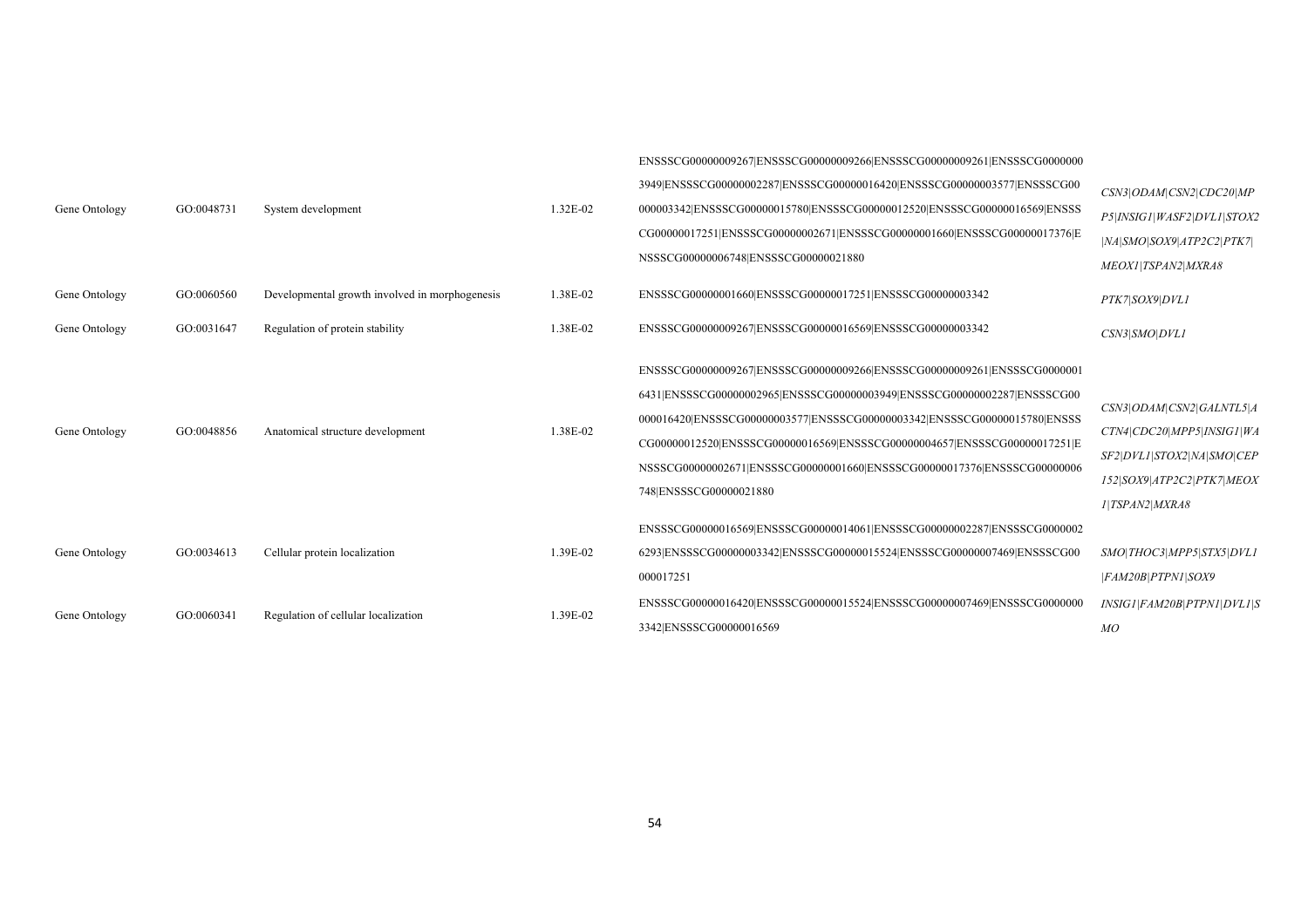|               |            |                                                |          | ENSSSCG00000009267 ENSSSCG00000009266 ENSSSCG0000009261 ENSSSCG0000000   |                                                       |
|---------------|------------|------------------------------------------------|----------|--------------------------------------------------------------------------|-------------------------------------------------------|
|               |            |                                                |          | 3949 ENSSSCG00000002287 ENSSSCG00000016420 ENSSSCG00000003577 ENSSSCG00  | CSN3 ODAM CSN2 CDC20 MP                               |
| Gene Ontology | GO:0048731 | System development                             | 1.32E-02 | 000003342 ENSSSCG00000015780 ENSSSCG00000012520 ENSSSCG00000016569 ENSSS | P5 INSIG1 WASF2 DVL1 STOX2                            |
|               |            |                                                |          | CG00000017251 ENSSSCG00000002671 ENSSSCG00000001660 ENSSSCG00000017376 E | NA SMO SOX9 ATP2C2 PTK7                               |
|               |            |                                                |          | NSSSCG00000006748 ENSSSCG00000021880                                     | MEOXI\TSPAN2\MXRA8                                    |
| Gene Ontology | GO:0060560 | Developmental growth involved in morphogenesis | 1.38E-02 | ENSSSCG00000001660 ENSSSCG00000017251 ENSSSCG00000003342                 | PTK7 SOX9 DVL1                                        |
| Gene Ontology | GO:0031647 | Regulation of protein stability                | 1.38E-02 | ENSSSCG00000009267 ENSSSCG00000016569 ENSSSCG00000003342                 | CSN3\SMO\DVL1                                         |
|               |            |                                                |          | ENSSSCG00000009267 ENSSSCG00000009266 ENSSSCG00000009261 ENSSSCG0000001  |                                                       |
|               | GO:0048856 | Anatomical structure development               | 1.38E-02 | 6431 ENSSSCG00000002965 ENSSSCG00000003949 ENSSSCG00000002287 ENSSSCG00  | CSN3 ODAM CSN2 GALNTL5 A<br>CTN4 CDC20 MPP5 INSIG1 WA |
| Gene Ontology |            |                                                |          | 000016420 ENSSSCG00000003577 ENSSSCG00000003342 ENSSSCG00000015780 ENSSS |                                                       |
|               |            |                                                |          | CG00000012520 ENSSSCG00000016569 ENSSSCG00000004657 ENSSSCG00000017251 E | SF2 DVL1 STOX2 NA SMO CEP                             |
|               |            |                                                |          | NSSSCG00000002671 ENSSSCG00000001660 ENSSSCG00000017376 ENSSSCG00000006  | 152 SOX9 ATP2C2 PTK7 MEOX                             |
|               |            |                                                |          | 748 ENSSSCG00000021880                                                   | 1 TSPAN2 MXRA8                                        |
|               |            |                                                |          | ENSSSCG00000016569 ENSSSCG00000014061 ENSSSCG00000002287 ENSSSCG0000002  |                                                       |
| Gene Ontology | GO:0034613 | Cellular protein localization                  | 1.39E-02 | 6293 ENSSSCG00000003342 ENSSSCG00000015524 ENSSSCG00000007469 ENSSSCG00  | SMO THOC3 MPP5 STX5 DVL1                              |
|               |            |                                                |          | 000017251                                                                | FAM20B PTPNI SOX9                                     |
|               |            |                                                |          | ENSSSCG00000016420 ENSSSCG00000015524 ENSSSCG00000007469 ENSSSCG0000000  | INSIG1\FAM20B\PTPN1\DVL1\S                            |
| Gene Ontology | GO:0060341 | Regulation of cellular localization            | 1.39E-02 | 3342 ENSSSCG00000016569                                                  | MO                                                    |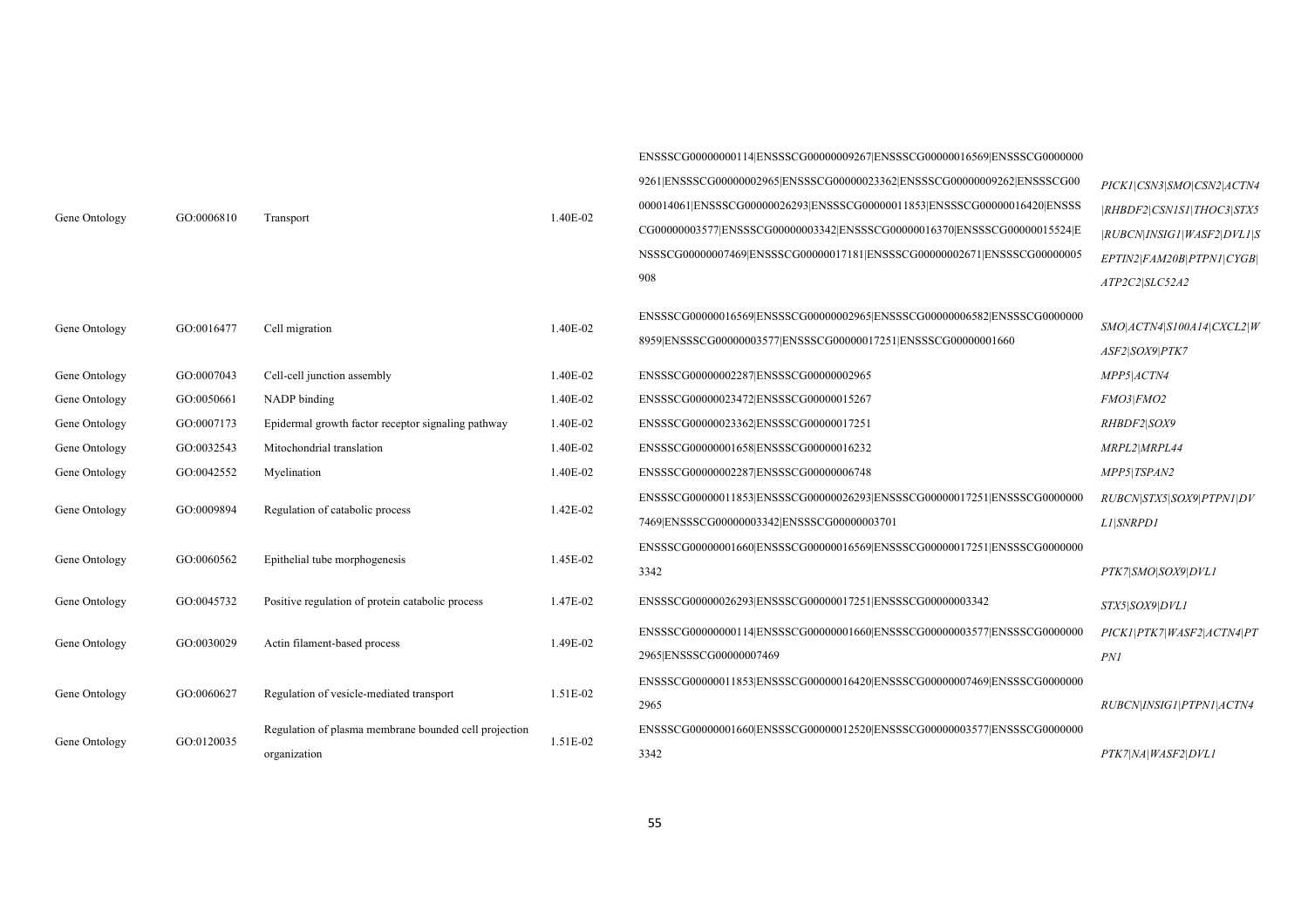|               |                                                                                                                                                                                                                              |                                                       |          | 9261 ENSSSCG00000002965 ENSSSCG00000023362 ENSSSCG00000009262 ENSSSCG00  | PICK1 CSN3 SMO CSN2 ACTN4 |
|---------------|------------------------------------------------------------------------------------------------------------------------------------------------------------------------------------------------------------------------------|-------------------------------------------------------|----------|--------------------------------------------------------------------------|---------------------------|
| Gene Ontology | GO:0006810                                                                                                                                                                                                                   | Transport                                             | 1.40E-02 | 000014061 ENSSSCG00000026293 ENSSSCG00000011853 ENSSSCG00000016420 ENSSS | RHBDF2 CNISI THOC3 STX5   |
|               |                                                                                                                                                                                                                              |                                                       |          | CG00000003577 ENSSSCG00000003342 ENSSSCG00000016370 ENSSSCG00000015524 E | RUBCN INSIGI WASE2 DVLI S |
|               |                                                                                                                                                                                                                              |                                                       |          | NSSSCG00000007469 ENSSSCG00000017181 ENSSSCG00000002671 ENSSSCG00000005  | EPTIN2 FAM20B PTPN1 CYGB  |
|               |                                                                                                                                                                                                                              |                                                       |          | 908                                                                      | ATP2C2 SLC52A2            |
|               |                                                                                                                                                                                                                              |                                                       |          |                                                                          |                           |
| Gene Ontology | GO:0016477                                                                                                                                                                                                                   | Cell migration                                        | 1.40E-02 | 8959 ENSSSCG00000003577 ENSSSCG00000017251 ENSSSCG00000001660            | SMO ACTN4 S100A14 CXCL2 W |
|               |                                                                                                                                                                                                                              |                                                       |          |                                                                          | ASF2\SOX9\PTK7            |
| Gene Ontology | GO:0007043                                                                                                                                                                                                                   | Cell-cell junction assembly                           | 1.40E-02 | ENSSSCG00000002287 ENSSSCG00000002965                                    | MPP5 ACTN4                |
| Gene Ontology | GO:0050661                                                                                                                                                                                                                   | NADP binding                                          | 1.40E-02 | ENSSSCG00000023472 ENSSSCG00000015267                                    | FMO3 FMO2                 |
| Gene Ontology | GO:0007173                                                                                                                                                                                                                   | Epidermal growth factor receptor signaling pathway    | 1.40E-02 | ENSSSCG00000023362 ENSSSCG00000017251                                    | RHBDF2 SOX9               |
| Gene Ontology | GO:0032543                                                                                                                                                                                                                   | Mitochondrial translation                             | 1.40E-02 | ENSSSCG00000001658 ENSSSCG00000016232                                    | MRPL2 MRPL44              |
| Gene Ontology | GO:0042552                                                                                                                                                                                                                   | Myelination                                           | 1.40E-02 | ENSSSCG00000002287 ENSSSCG00000006748                                    | MPP5 TSPAN2               |
|               |                                                                                                                                                                                                                              | Regulation of catabolic process                       | 1.42E-02 | ENSSSCG00000011853 ENSSSCG00000026293 ENSSSCG00000017251 ENSSSCG0000000  | RUBCN\STX5\SOX9\PTPN1\DV  |
|               |                                                                                                                                                                                                                              |                                                       |          | 7469 ENSSSCG00000003342 ENSSSCG00000003701                               | L1\SNRPD1                 |
|               |                                                                                                                                                                                                                              |                                                       | 1.45E-02 | ENSSSCG00000001660 ENSSSCG00000016569 ENSSSCG00000017251 ENSSSCG0000000  |                           |
|               | GO:0009894<br>Gene Ontology<br>GO:0060562<br>Gene Ontology<br>Epithelial tube morphogenesis<br>GO:0045732<br>Positive regulation of protein catabolic process<br>GO:0030029<br>Gene Ontology<br>Actin filament-based process |                                                       | 3342     | PTK7 SMO SOX9 DVL1                                                       |                           |
| Gene Ontology |                                                                                                                                                                                                                              |                                                       | 1.47E-02 | ENSSSCG00000026293 ENSSSCG00000017251 ENSSSCG00000003342                 | STX5 SOX9 DVL1            |
|               |                                                                                                                                                                                                                              |                                                       | 1.49E-02 | ENSSSCG00000000114 ENSSSCG0000001660 ENSSSCG00000003577 ENSSSCG0000000   | PICK1 PTK7 WASF2 ACTN4 PT |
|               |                                                                                                                                                                                                                              |                                                       |          | 2965 ENSSSCG00000007469                                                  | PNI                       |
| Gene Ontology | GO:0060627                                                                                                                                                                                                                   | Regulation of vesicle-mediated transport              | 1.51E-02 | ENSSSCG00000011853 ENSSSCG00000016420 ENSSSCG00000007469 ENSSSCG0000000  |                           |
|               |                                                                                                                                                                                                                              |                                                       |          | 2965                                                                     | RUBCN INSIG1 PTPN1 ACTN4  |
| Gene Ontology |                                                                                                                                                                                                                              | Regulation of plasma membrane bounded cell projection | 1.51E-02 | ENSSSCG00000001660 ENSSSCG00000012520 ENSSSCG00000003577 ENSSSCG0000000  |                           |
|               | GO:0120035                                                                                                                                                                                                                   | organization                                          |          | 3342                                                                     | PTK7 NA WASF2 DVL1        |

ENSSSCG00000000114|ENSSSCG00000009267|ENSSSCG00000016569|ENSSSCG0000000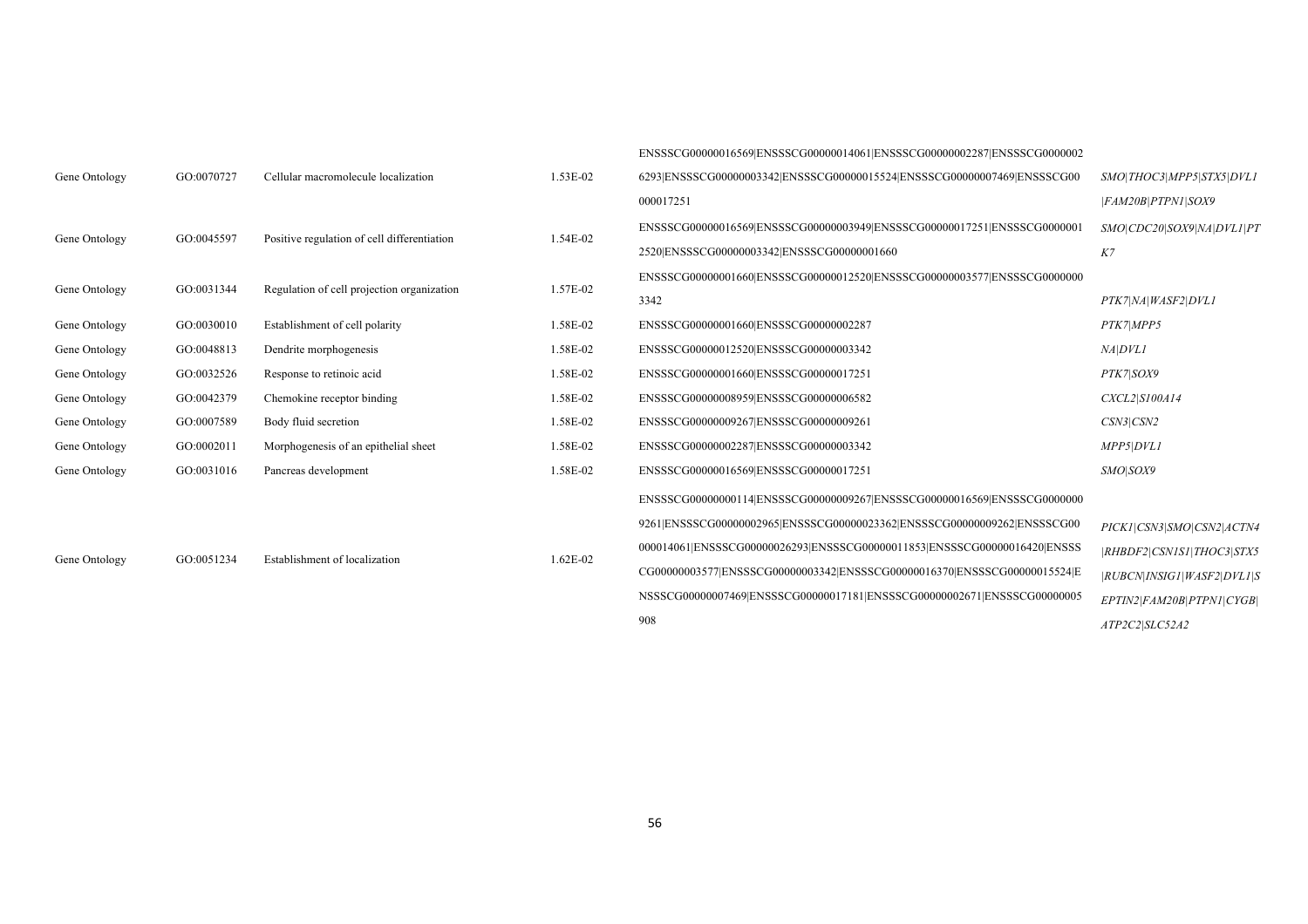| Gene Ontology | GO:0070727 | Cellular macromolecule localization         | 1.53E-02             | 6293 ENSSSCG00000003342 ENSSSCG00000015524 ENSSSCG00000007469 ENSSSCG00  | SMO THOC3 MPP5 STX5 DVL1  |
|---------------|------------|---------------------------------------------|----------------------|--------------------------------------------------------------------------|---------------------------|
|               |            |                                             |                      | 000017251                                                                | FAM20B PTPNI SOX9         |
|               |            |                                             |                      | ENSSSCG00000016569 ENSSSCG00000003949 ENSSSCG00000017251 ENSSSCG0000001  | SMO CDC20 SOX9 NA DVL1 PT |
| Gene Ontology | GO:0045597 | Positive regulation of cell differentiation | 1.54E-02             | 2520 ENSSSCG00000003342 ENSSSCG00000001660                               | $K\mathcal{I}$            |
|               |            |                                             |                      | ENSSSCG00000001660 ENSSSCG00000012520 ENSSSCG00000003577 ENSSSCG0000000  |                           |
| Gene Ontology | GO:0031344 | Regulation of cell projection organization  | 1.57E-02             | 3342                                                                     | PTK7 NA WASF2 DVL1        |
| Gene Ontology | GO:0030010 | Establishment of cell polarity              | 1.58E-02             | ENSSSCG00000001660 ENSSSCG00000002287                                    | PTK7 MPP5                 |
| Gene Ontology | GO:0048813 | Dendrite morphogenesis                      | 1.58E-02             | ENSSSCG00000012520 ENSSSCG00000003342                                    | NA DVLI                   |
| Gene Ontology | GO:0032526 | Response to retinoic acid                   | 1.58E-02             | ENSSSCG00000001660 ENSSSCG00000017251                                    | PTK7 SOX9                 |
| Gene Ontology | GO:0042379 | Chemokine receptor binding                  | 1.58E-02             | ENSSSCG00000008959 ENSSSCG00000006582                                    | CXCL2 S100A14             |
| Gene Ontology | GO:0007589 | Body fluid secretion                        | 1.58E-02             | ENSSSCG00000009267 ENSSSCG00000009261                                    | CSN3 CSN2                 |
| Gene Ontology | GO:0002011 | Morphogenesis of an epithelial sheet        | 1.58E-02<br>1.58E-02 | ENSSSCG00000002287 ENSSSCG00000003342                                    | MPP5 DVL1                 |
| Gene Ontology | GO:0031016 | Pancreas development                        |                      | ENSSSCG00000016569 ENSSSCG00000017251                                    | SMO SOX9                  |
|               |            | Establishment of localization               | $1.62E - 02$         | ENSSSCG00000000114 ENSSSCG00000009267 ENSSSCG00000016569 ENSSSCG0000000  |                           |
|               |            |                                             |                      | 9261 ENSSSCG00000002965 ENSSSCG00000023362 ENSSSCG00000009262 ENSSSCG00  | PICK1\CSN3\SMO\CSN2\ACTN4 |
| Gene Ontology | GO:0051234 |                                             |                      | 000014061 ENSSSCG00000026293 ENSSSCG00000011853 ENSSSCG00000016420 ENSSS | RHBDF2 CSNIS1 THOC3 STX5  |
|               |            |                                             |                      | CG00000003577 ENSSSCG00000003342 ENSSSCG00000016370 ENSSSCG00000015524 E | RUBCN INSIGI WASE2 DVLI S |
|               |            |                                             |                      | NSSSCG00000007469 ENSSSCG00000017181 ENSSSCG00000002671 ENSSSCG00000005  | EPTIN2 FAM20B PTPN1 CYGB  |
|               |            |                                             |                      | 908                                                                      | ATP2C2 SLC52A2            |

ENSSSCG00000016569|ENSSSCG00000014061|ENSSSCG00000002287|ENSSSCG0000002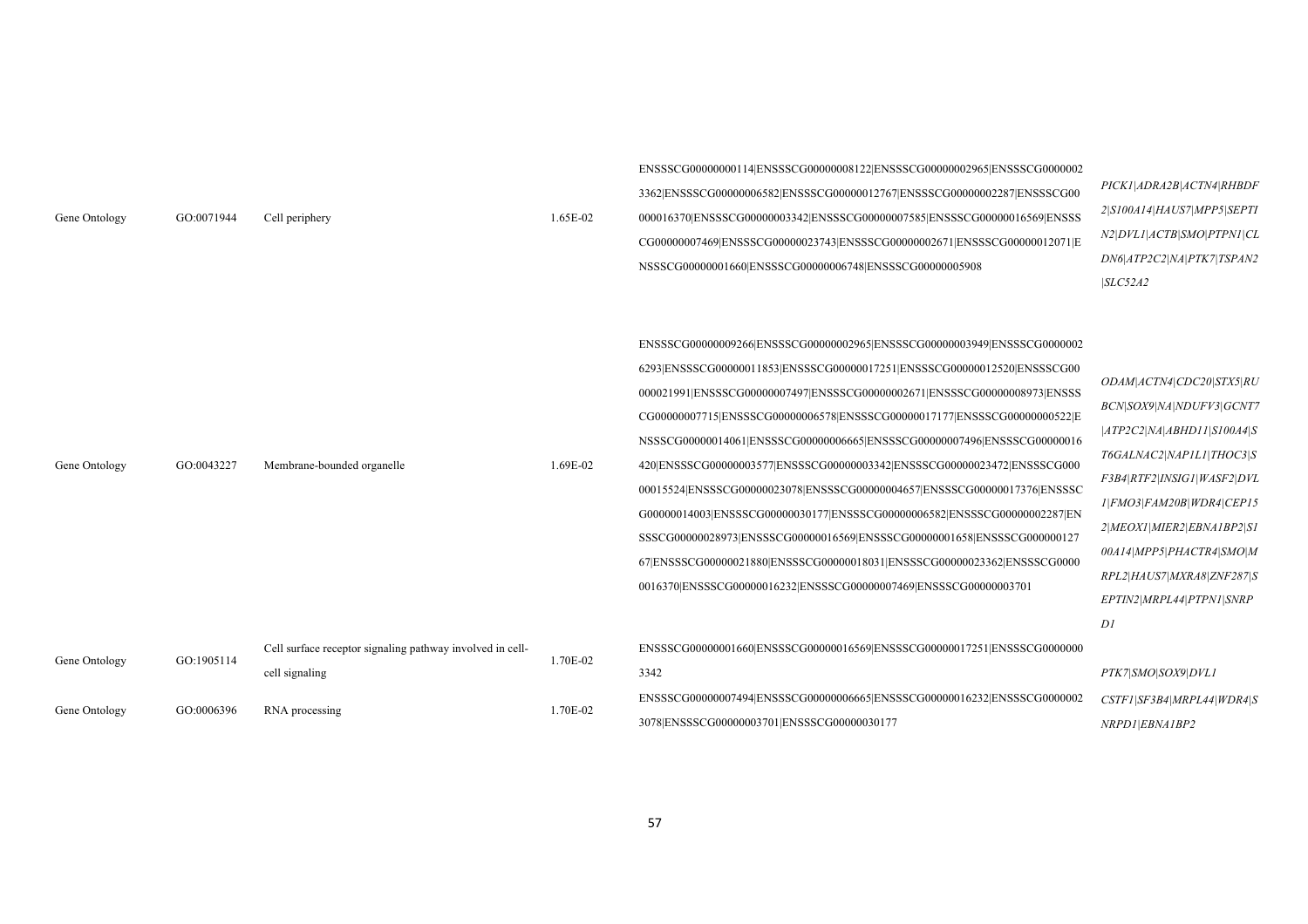| Gene Ontology | GO:0071944 | Cell periphery                                                              | $1.65E-02$ | ENSSSCG00000000114 ENSSSCG00000008122 ENSSSCG00000002965 ENSSSCG0000002<br>3362 ENSSSCG00000006582 ENSSSCG00000012767 ENSSSCG00000002287 ENSSSCG00<br>000016370JENSSSCG00000003342JENSSSCG00000007585JENSSSCG00000016569JENSSS<br>CG00000007469 ENSSSCG00000023743 ENSSSCG00000002671 ENSSSCG00000012071 E<br>NSSSCG00000001660 ENSSSCG00000006748 ENSSSCG00000005908<br>ENSSSCG00000009266 ENSSSCG00000002965 ENSSSCG00000003949 ENSSSCG0000002                                                                                                                                                                                                                                                                                                                        | PICK1\ADRA2B\ACTN4\RHBDF<br>2 S100A14 HAUS7 MPP5 SEPTI<br>N2 DVL1 ACTB SMO PTPN1 CL<br>DN6 ATP2C2 NA PTK7 TSPAN2<br> SLC52A2                                                                                                                                                                     |
|---------------|------------|-----------------------------------------------------------------------------|------------|-------------------------------------------------------------------------------------------------------------------------------------------------------------------------------------------------------------------------------------------------------------------------------------------------------------------------------------------------------------------------------------------------------------------------------------------------------------------------------------------------------------------------------------------------------------------------------------------------------------------------------------------------------------------------------------------------------------------------------------------------------------------------|--------------------------------------------------------------------------------------------------------------------------------------------------------------------------------------------------------------------------------------------------------------------------------------------------|
| Gene Ontology | GO:0043227 | Membrane-bounded organelle                                                  | 1.69E-02   | 6293 ENSSSCG00000011853 ENSSSCG00000017251 ENSSSCG00000012520 ENSSSCG00<br>000021991 ENSSSCG00000007497 ENSSSCG00000002671 ENSSSCG00000008973 ENSSS<br>CG00000007715 ENSSSCG00000006578 ENSSSCG00000017177 ENSSSCG00000000522 E<br>NSSSCG00000014061 ENSSSCG00000006665 ENSSSCG00000007496 ENSSSCG00000016<br>420 ENSSSCG00000003577 ENSSSCG00000003342 ENSSSCG00000023472 ENSSSCG000<br>00015524 ENSSSCG00000023078 ENSSSCG00000004657 ENSSSCG00000017376 ENSSSC<br>G00000014003 ENSSSCG00000030177 ENSSSCG00000006582 ENSSSCG00000002287 EN<br>SSSCG00000028973 ENSSSCG00000016569 ENSSSCG00000001658 ENSSSCG000000127<br>67 ENSSSCG00000021880 ENSSSCG00000018031 ENSSSCG00000023362 ENSSSCG0000<br>0016370 ENSSSCG00000016232 ENSSSCG00000007469 ENSSSCG00000003701 | ODAM ACTN4 CDC20 STX5 RU<br>BCN SOX9 NA NDUFV3 GCNT7<br> ATP2C2 NA ABHD11 S100A4 S<br>T6GALNAC2 NAP1L1 THOC3 S<br>F3B4 RTF2 INSIG1 WASF2 DVL<br>I FMO3 FAM20B WDR4 CEP15<br>2 MEOXI MIER2 EBNAIBP2 SI<br>00A14 MPP5 PHACTR4 SMO M<br>RPL2 HAUS7 MXRA8 ZNF287 S<br>EPTIN2 MRPL44 PTPN1 SNRP<br>DI |
| Gene Ontology | GO:1905114 | Cell surface receptor signaling pathway involved in cell-<br>cell signaling | 1.70E-02   | ENSSSCG00000001660 ENSSSCG00000016569 ENSSSCG00000017251 ENSSSCG0000000<br>3342                                                                                                                                                                                                                                                                                                                                                                                                                                                                                                                                                                                                                                                                                         | PTK7 SMO SOX9 DVL1                                                                                                                                                                                                                                                                               |
| Gene Ontology | GO:0006396 | RNA processing                                                              | 1.70E-02   | ENSSSCG00000007494 ENSSSCG00000006665 ENSSSCG00000016232 ENSSSCG0000002<br>3078 ENSSSCG00000003701 ENSSSCG00000030177                                                                                                                                                                                                                                                                                                                                                                                                                                                                                                                                                                                                                                                   | CSTFI SF3B4 MRPL44 WDR4 S<br>NRPD1\EBNA1BP2                                                                                                                                                                                                                                                      |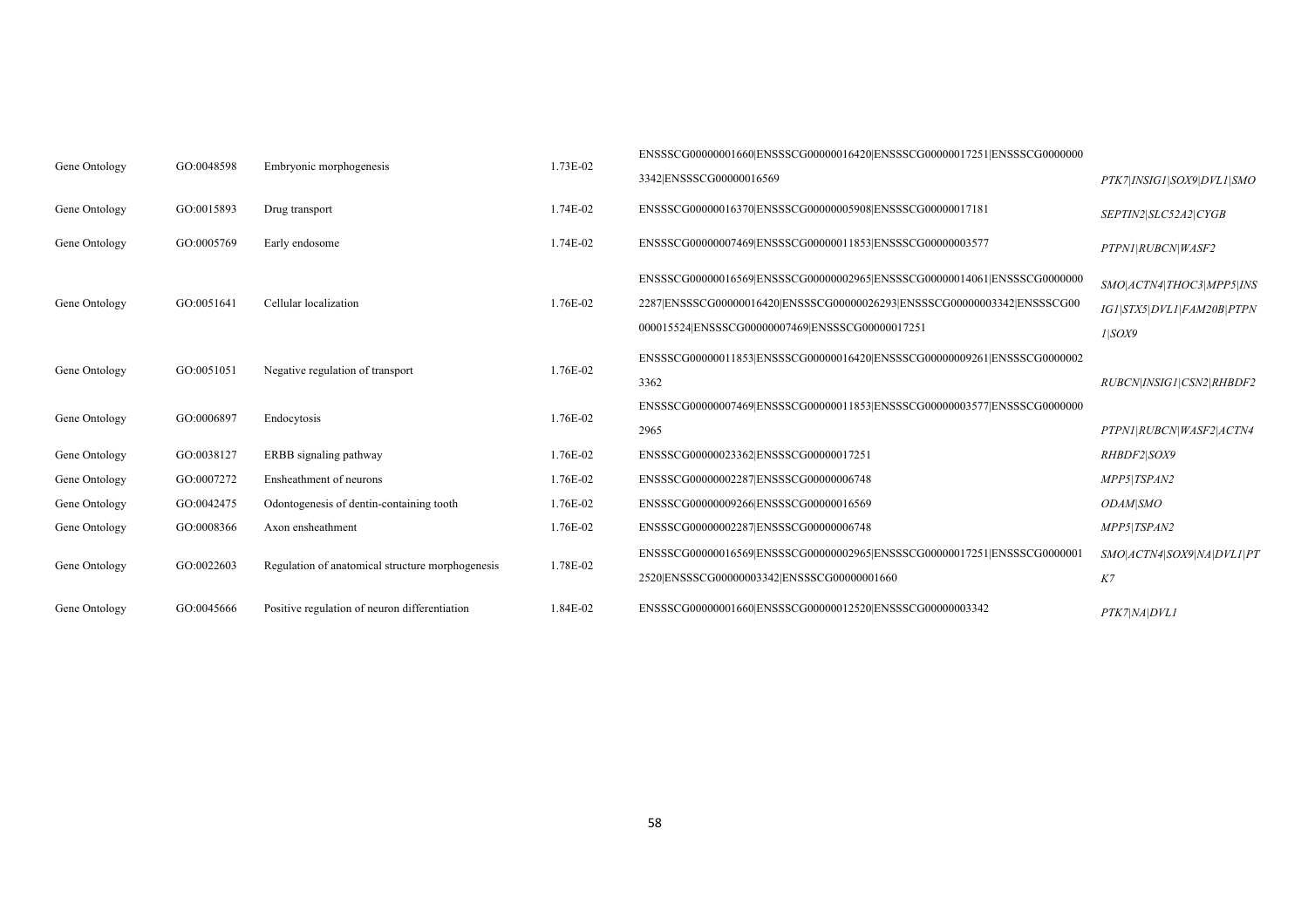|               |            |                                                  | 1.73E-02 | ENSSSCG00000001660 ENSSSCG00000016420 ENSSSCG00000017251 ENSSSCG0000000 |                                  |
|---------------|------------|--------------------------------------------------|----------|-------------------------------------------------------------------------|----------------------------------|
| Gene Ontology | GO:0048598 | Embryonic morphogenesis                          |          | 3342 ENSSSCG00000016569                                                 | PTK7 INSIG1 SOX9 DVL1 SMO        |
| Gene Ontology | GO:0015893 | Drug transport                                   | 1.74E-02 | ENSSSCG00000016370 ENSSSCG00000005908 ENSSSCG00000017181                | SEPTIN2 SLC52A2 CYGB             |
| Gene Ontology | GO:0005769 | Early endosome                                   | 1.74E-02 | ENSSSCG00000007469 ENSSSCG00000011853 ENSSSCG00000003577                | PTPN1 RUBCN WASF2                |
|               |            |                                                  |          | ENSSSCG00000016569 ENSSSCG00000002965 ENSSSCG00000014061 ENSSSCG0000000 | SMO   ACTN4   THOC3   MPP5   INS |
| Gene Ontology | GO:0051641 | Cellular localization                            | 1.76E-02 | 2287 ENSSSCG00000016420 ENSSSCG00000026293 ENSSSCG00000003342 ENSSSCG00 | IG1\STX5\DVL1\FAM20B\PTPN        |
|               |            |                                                  |          | 000015524 ENSSSCG00000007469 ENSSSCG00000017251                         | I SOX9                           |
| Gene Ontology | GO:0051051 | Negative regulation of transport                 | 1.76E-02 | ENSSSCG00000011853 ENSSSCG00000016420 ENSSSCG00000009261 ENSSSCG0000002 |                                  |
|               |            |                                                  |          | 3362                                                                    | RUBCN INSIG1 CSN2 RHBDF2         |
|               | GO:0006897 | Endocytosis                                      | 1.76E-02 | ENSSSCG00000007469 ENSSSCG00000011853 ENSSSCG00000003577 ENSSSCG0000000 |                                  |
| Gene Ontology |            |                                                  |          | 2965                                                                    | PTPN1\RUBCN\WASF2\ACTN4          |
| Gene Ontology | GO:0038127 | ERBB signaling pathway                           | 1.76E-02 | ENSSSCG00000023362 ENSSSCG00000017251                                   | RHBDF2\SOX9                      |
| Gene Ontology | GO:0007272 | Ensheathment of neurons                          | 1.76E-02 | ENSSSCG00000002287 ENSSSCG00000006748                                   | MPP5 TSPAN2                      |
| Gene Ontology | GO:0042475 | Odontogenesis of dentin-containing tooth         | 1.76E-02 | ENSSSCG00000009266 ENSSSCG00000016569                                   | <i><b>ODAM\SMO</b></i>           |
| Gene Ontology | GO:0008366 | Axon ensheathment                                | 1.76E-02 | ENSSSCG00000002287 ENSSSCG00000006748                                   | MPP5 TSPAN2                      |
|               |            | Regulation of anatomical structure morphogenesis | 1.78E-02 | ENSSSCG00000016569 ENSSSCG00000002965 ENSSSCG00000017251 ENSSSCG0000001 | SMO ACTN4 SOX9 NA DVL1 PT        |
| Gene Ontology | GO:0022603 |                                                  |          | 2520 ENSSSCG00000003342 ENSSSCG00000001660                              | $K$ 7                            |
| Gene Ontology | GO:0045666 | Positive regulation of neuron differentiation    | 1.84E-02 | ENSSSCG00000001660 ENSSSCG00000012520 ENSSSCG00000003342                | PTK7 NA DVL1                     |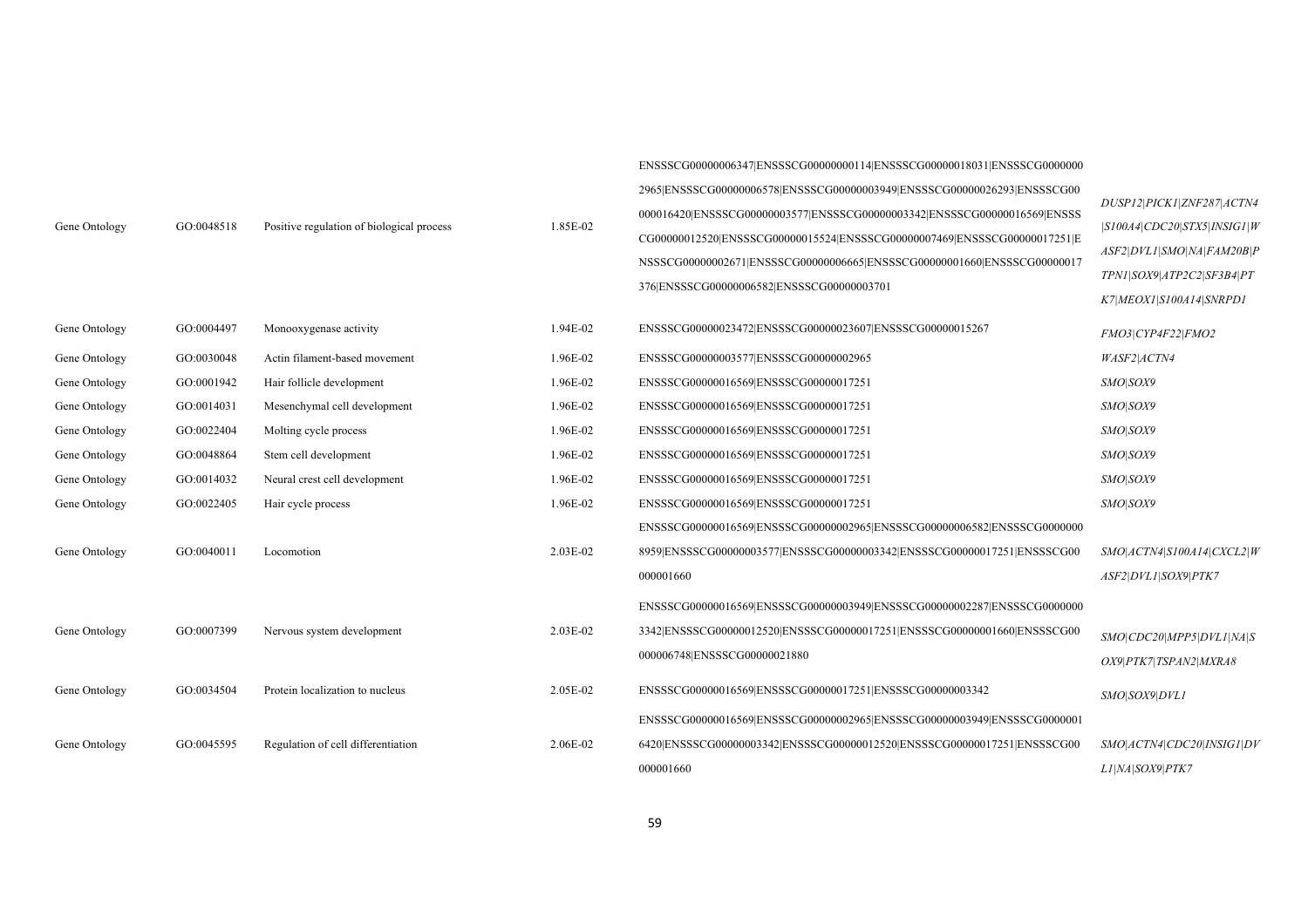| Gene Ontology | GO:0048518 | Positive regulation of biological process | 1.85E-02 | ENSSSCG00000006347 ENSSSCG00000000114 ENSSSCG00000018031 ENSSSCG0000000<br>2965 ENSSSCG00000006578 ENSSSCG00000003949 ENSSSCG00000026293 ENSSSCG00<br>000016420 ENSSSCG00000003577 ENSSSCG00000003342 ENSSSCG00000016569 ENSSS<br>CG00000012520 ENSSSCG00000015524 ENSSSCG00000007469 ENSSSCG00000017251 E<br>NSSSCG00000002671 ENSSSCG00000006665 ENSSSCG00000001660 ENSSSCG00000017<br>376 ENSSSCG00000006582 ENSSSCG00000003701 | DUSP12 PICK1 ZNF287 ACTN4<br> S100A4 CDC20 STX5 INSIGI W<br>ASF2 DVL1 SMO NA FAM20B P<br>TPN1 SOX9 ATP2C2 SF3B4 PT<br>K7 MEOX1 S100A14 SNRPD1 |
|---------------|------------|-------------------------------------------|----------|------------------------------------------------------------------------------------------------------------------------------------------------------------------------------------------------------------------------------------------------------------------------------------------------------------------------------------------------------------------------------------------------------------------------------------|-----------------------------------------------------------------------------------------------------------------------------------------------|
| Gene Ontology | GO:0004497 | Monooxygenase activity                    | 1.94E-02 | ENSSSCG00000023472 ENSSSCG00000023607 ENSSSCG00000015267                                                                                                                                                                                                                                                                                                                                                                           | FMO3 CYP4F22 FMO2                                                                                                                             |
| Gene Ontology | GO:0030048 | Actin filament-based movement             | 1.96E-02 | ENSSSCG00000003577 ENSSSCG00000002965                                                                                                                                                                                                                                                                                                                                                                                              | WASF2\ACTN4                                                                                                                                   |
| Gene Ontology | GO:0001942 | Hair follicle development                 | 1.96E-02 | ENSSSCG00000016569 ENSSSCG00000017251                                                                                                                                                                                                                                                                                                                                                                                              | SMO SOX9                                                                                                                                      |
| Gene Ontology | GO:0014031 | Mesenchymal cell development              | 1.96E-02 | ENSSSCG00000016569 ENSSSCG00000017251                                                                                                                                                                                                                                                                                                                                                                                              | SMO SOX9                                                                                                                                      |
| Gene Ontology | GO:0022404 | Molting cycle process                     | 1.96E-02 | ENSSSCG00000016569 ENSSSCG00000017251                                                                                                                                                                                                                                                                                                                                                                                              | SMO SOX9                                                                                                                                      |
| Gene Ontology | GO:0048864 | Stem cell development                     | 1.96E-02 | ENSSSCG00000016569 ENSSSCG00000017251                                                                                                                                                                                                                                                                                                                                                                                              | SMO SOX9                                                                                                                                      |
| Gene Ontology | GO:0014032 | Neural crest cell development             | 1.96E-02 | ENSSSCG00000016569 ENSSSCG00000017251                                                                                                                                                                                                                                                                                                                                                                                              | SMO SOX9                                                                                                                                      |
| Gene Ontology | GO:0022405 | Hair cycle process                        | 1.96E-02 | ENSSSCG00000016569 ENSSSCG00000017251                                                                                                                                                                                                                                                                                                                                                                                              | SMO SOX9                                                                                                                                      |
| Gene Ontology | GO:0040011 | Locomotion                                | 2.03E-02 | ENSSSCG00000016569 ENSSSCG00000002965 ENSSSCG00000006582 ENSSSCG0000000<br>8959 ENSSSCG00000003577 ENSSSCG00000003342 ENSSSCG00000017251 ENSSSCG00<br>000001660                                                                                                                                                                                                                                                                    | SMO ACTN4 S100A14 CXCL2 W<br>ASF2 DVL1 SOX9 PTK7                                                                                              |
| Gene Ontology | GO:0007399 | Nervous system development                | 2.03E-02 | ENSSSCG00000016569 ENSSSCG00000003949 ENSSSCG00000002287 ENSSSCG0000000<br>3342 ENSSSCG00000012520 ENSSSCG00000017251 ENSSSCG00000001660 ENSSSCG00<br>000006748 ENSSSCG00000021880                                                                                                                                                                                                                                                 | SMO CDC20 MPP5 DVLI NA S<br>OX9\PTK7\TSPAN2\MXRA8                                                                                             |
| Gene Ontology | GO:0034504 | Protein localization to nucleus           | 2.05E-02 | ENSSSCG00000016569 ENSSSCG00000017251 ENSSSCG00000003342                                                                                                                                                                                                                                                                                                                                                                           | SMO SOX9 DVL1                                                                                                                                 |
|               |            |                                           |          | ENSSSCG00000016569 ENSSSCG00000002965 ENSSSCG00000003949 ENSSSCG0000001                                                                                                                                                                                                                                                                                                                                                            |                                                                                                                                               |
| Gene Ontology | GO:0045595 | Regulation of cell differentiation        | 2.06E-02 | 6420JENSSSCG00000003342JENSSSCG00000012520JENSSSCG00000017251JENSSSCG00                                                                                                                                                                                                                                                                                                                                                            | SMO ACTN4 CDC20 INSIG1 DV                                                                                                                     |
|               |            |                                           |          | 000001660                                                                                                                                                                                                                                                                                                                                                                                                                          | L1 NA SOX9 PTK7                                                                                                                               |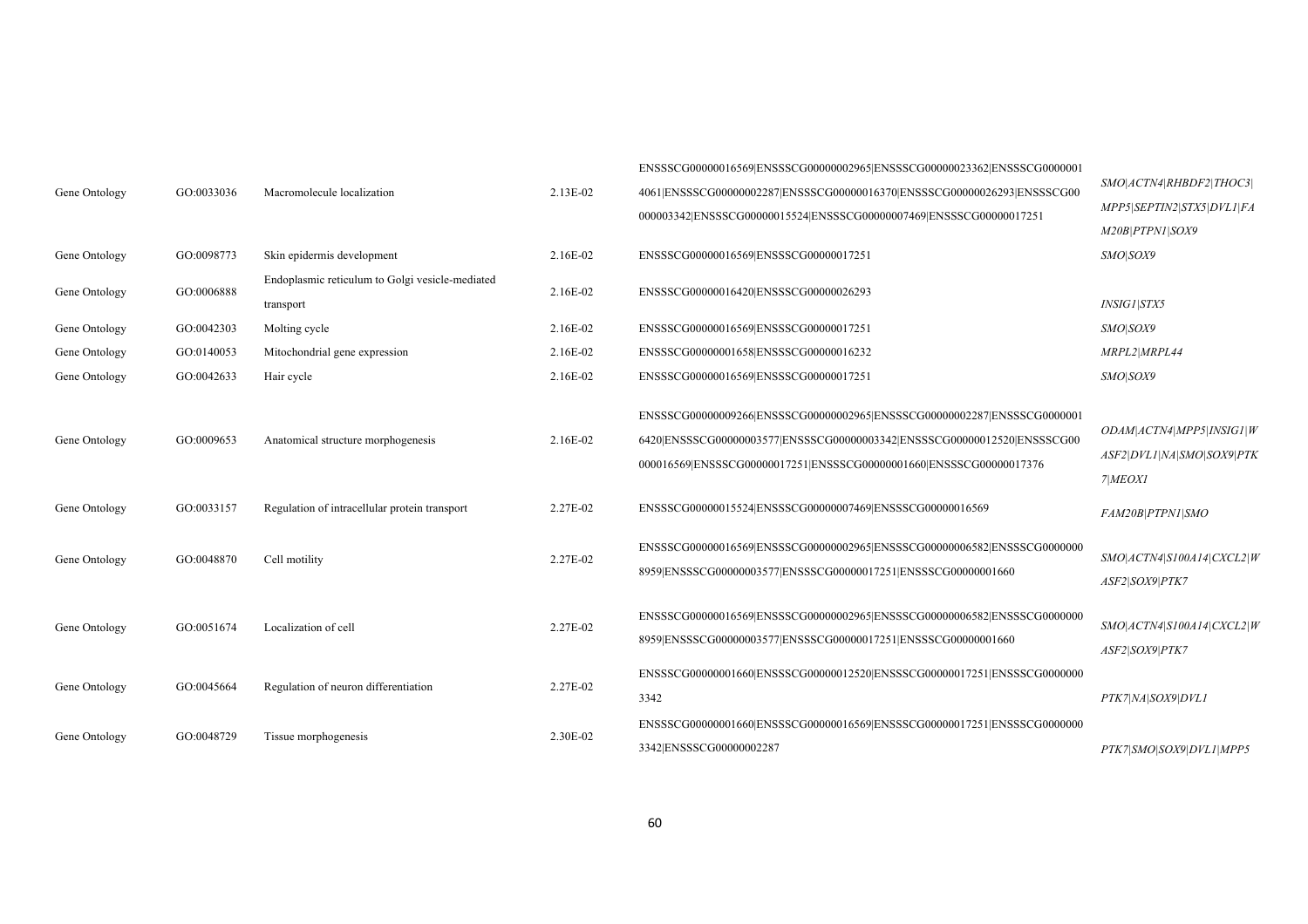|               |            |                                                 |          | ENSSSCG00000016569 ENSSSCG00000002965 ENSSSCG00000023362 ENSSSCG0000001 |                           |
|---------------|------------|-------------------------------------------------|----------|-------------------------------------------------------------------------|---------------------------|
| Gene Ontology | GO:0033036 | Macromolecule localization                      | 2.13E-02 | 4061 ENSSSCG00000002287 ENSSSCG00000016370 ENSSSCG00000026293 ENSSSCG00 | SMO ACTN4 RHBDF2 THOC3    |
|               |            |                                                 |          | 000003342 ENSSSCG00000015524 ENSSSCG00000007469 ENSSSCG00000017251      | MPP5 SEPTIN2 STX5 DVL1 FA |
|               |            |                                                 |          |                                                                         | M20B PTPN1 SOX9           |
| Gene Ontology | GO:0098773 | Skin epidermis development                      | 2.16E-02 | ENSSSCG00000016569 ENSSSCG00000017251                                   | SMO SOX9                  |
|               | GO:0006888 | Endoplasmic reticulum to Golgi vesicle-mediated | 2.16E-02 | ENSSSCG00000016420 ENSSSCG00000026293                                   |                           |
| Gene Ontology |            | transport                                       |          |                                                                         | <i><b>INSIG1\STX5</b></i> |
| Gene Ontology | GO:0042303 | Molting cycle                                   | 2.16E-02 | ENSSSCG00000016569 ENSSSCG00000017251                                   | SMO SOX9                  |
| Gene Ontology | GO:0140053 | Mitochondrial gene expression                   | 2.16E-02 | ENSSSCG00000001658 ENSSSCG00000016232                                   | MRPL2 MRPL44              |
| Gene Ontology | GO:0042633 | Hair cycle                                      | 2.16E-02 | ENSSSCG00000016569 ENSSSCG00000017251                                   | SMO SOX9                  |
|               |            |                                                 |          |                                                                         |                           |
|               |            |                                                 |          | ENSSSCG00000009266 ENSSSCG00000002965 ENSSSCG00000002287 ENSSSCG0000001 | ODAM ACTN4 MPP5 INSIG1 W  |
| Gene Ontology | GO:0009653 | Anatomical structure morphogenesis              | 2.16E-02 | 6420 ENSSSCG00000003577 ENSSSCG00000003342 ENSSSCG00000012520 ENSSSCG00 | ASF2 DVL1 NA SMO SOX9 PTK |
|               |            |                                                 |          | 000016569 ENSSSCG00000017251 ENSSSCG00000001660 ENSSSCG00000017376      | 7 MEOX1                   |
|               |            |                                                 |          |                                                                         |                           |
| Gene Ontology | GO:0033157 | Regulation of intracellular protein transport   | 2.27E-02 | ENSSSCG00000015524 ENSSSCG00000007469 ENSSSCG00000016569                | FAM20B PTPN1 SMO          |
|               |            |                                                 |          | ENSSSCG00000016569 ENSSSCG00000002965 ENSSSCG00000006582 ENSSSCG0000000 |                           |
| Gene Ontology | GO:0048870 | Cell motility                                   | 2.27E-02 | 8959 ENSSSCG00000003577 ENSSSCG00000017251 ENSSSCG00000001660           | SMO ACTN4 S100A14 CXCL2 W |
|               |            |                                                 |          |                                                                         | ASF2 SOX9 PTK7            |
| Gene Ontology | GO:0051674 | Localization of cell                            | 2.27E-02 | ENSSSCG00000016569 ENSSSCG00000002965 ENSSSCG00000006582 ENSSSCG0000000 | SMO ACTN4 S100A14 CXCL2 W |
|               |            |                                                 |          | 8959 ENSSSCG00000003577 ENSSSCG00000017251 ENSSSCG00000001660           | ASF2 SOX9 PTK7            |
|               |            |                                                 |          | ENSSSCG00000001660 ENSSSCG00000012520 ENSSSCG00000017251 ENSSSCG0000000 |                           |
| Gene Ontology | GO:0045664 | Regulation of neuron differentiation            | 2.27E-02 | 3342                                                                    | PTK7 NA SOX9 DVL1         |
|               |            |                                                 |          |                                                                         |                           |
| Gene Ontology | GO:0048729 | Tissue morphogenesis                            | 2.30E-02 | ENSSSCG00000001660 ENSSSCG00000016569 ENSSSCG00000017251 ENSSSCG0000000 |                           |
|               |            |                                                 |          | 3342 ENSSSCG00000002287                                                 | PTK7 SMO SOX9 DVL1 MPP5   |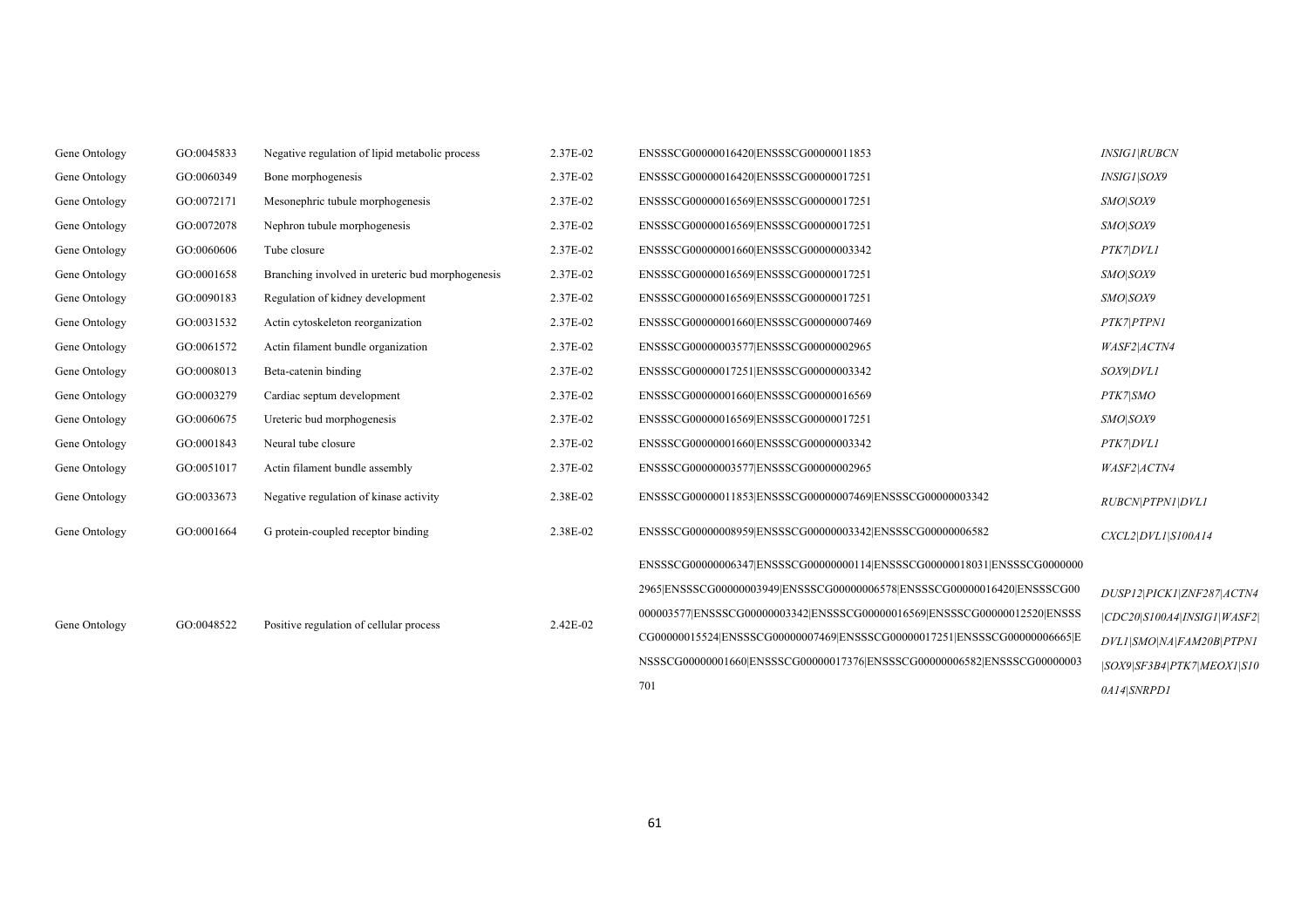| Gene Ontology | GO:0045833 | Negative regulation of lipid metabolic process   | 2.37E-02 | ENSSSCG00000016420 ENSSSCG00000011853                                    | <b>INSIG1\RUBCN</b>       |
|---------------|------------|--------------------------------------------------|----------|--------------------------------------------------------------------------|---------------------------|
| Gene Ontology | GO:0060349 | Bone morphogenesis                               | 2.37E-02 | ENSSSCG00000016420 ENSSSCG00000017251                                    | INSIG1\SOX9               |
| Gene Ontology | GO:0072171 | Mesonephric tubule morphogenesis                 | 2.37E-02 | ENSSSCG00000016569 ENSSSCG00000017251                                    | SMO SOX9                  |
| Gene Ontology | GO:0072078 | Nephron tubule morphogenesis                     | 2.37E-02 | ENSSSCG00000016569 ENSSSCG00000017251                                    | SMO SOX9                  |
| Gene Ontology | GO:0060606 | Tube closure                                     | 2.37E-02 | ENSSSCG00000001660 ENSSSCG00000003342                                    | PTK7 DVL1                 |
| Gene Ontology | GO:0001658 | Branching involved in ureteric bud morphogenesis | 2.37E-02 | ENSSSCG00000016569 ENSSSCG00000017251                                    | SMO SOX9                  |
| Gene Ontology | GO:0090183 | Regulation of kidney development                 | 2.37E-02 | ENSSSCG00000016569 ENSSSCG00000017251                                    | SMO SOX9                  |
| Gene Ontology | GO:0031532 | Actin cytoskeleton reorganization                | 2.37E-02 | ENSSSCG00000001660 ENSSSCG00000007469                                    | PTK7 PTPN1                |
| Gene Ontology | GO:0061572 | Actin filament bundle organization               | 2.37E-02 | ENSSSCG00000003577 ENSSSCG00000002965                                    | WASF2\ACTN4               |
| Gene Ontology | GO:0008013 | Beta-catenin binding                             | 2.37E-02 | ENSSSCG00000017251 ENSSSCG00000003342                                    | SOX9 DVL1                 |
| Gene Ontology | GO:0003279 | Cardiac septum development                       | 2.37E-02 | ENSSSCG00000001660 ENSSSCG00000016569                                    | PTK7 SMO                  |
| Gene Ontology | GO:0060675 | Ureteric bud morphogenesis                       | 2.37E-02 | ENSSSCG00000016569 ENSSSCG00000017251                                    | SMO SOX9                  |
| Gene Ontology | GO:0001843 | Neural tube closure                              | 2.37E-02 | ENSSSCG00000001660 ENSSSCG00000003342                                    | PTK7 DVL1                 |
| Gene Ontology | GO:0051017 | Actin filament bundle assembly                   | 2.37E-02 | ENSSSCG00000003577 ENSSSCG00000002965                                    | WASF2\ACTN4               |
| Gene Ontology | GO:0033673 | Negative regulation of kinase activity           | 2.38E-02 | ENSSSCG00000011853 ENSSSCG00000007469 ENSSSCG00000003342                 | RUBCN PTPN1 DVL1          |
| Gene Ontology | GO:0001664 | G protein-coupled receptor binding               | 2.38E-02 | ENSSSCG00000008959 ENSSSCG00000003342 ENSSSCG00000006582                 | CXCL2 DVL1 S100A14        |
|               |            |                                                  |          | ENSSSCG00000006347 ENSSSCG00000000114 ENSSSCG00000018031 ENSSSCG0000000  |                           |
|               |            |                                                  | 2.42E-02 | 2965 ENSSSCG00000003949 ENSSSCG00000006578 ENSSSCG00000016420 ENSSSCG00  | DUSP12 PICK1 ZNF287 ACTN4 |
| Gene Ontology | GO:0048522 | Positive regulation of cellular process          |          | 000003577 ENSSSCG00000003342 ENSSSCG00000016569 ENSSSCG00000012520 ENSSS | CDC20 S100A4 INSIG1 WASE2 |
|               |            |                                                  |          | CG00000015524 ENSSSCG00000007469 ENSSSCG00000017251 ENSSSCG00000006665 E | DVL1 SMO NA FAM20B PTPN1  |
|               |            |                                                  |          | NSSSCG00000001660 ENSSSCG00000017376 ENSSSCG00000006582 ENSSSCG00000003  | SOX9 SF3B4 PTK7 MEOX1 S10 |
|               |            |                                                  |          | 701                                                                      | 0A14 SNRPD1               |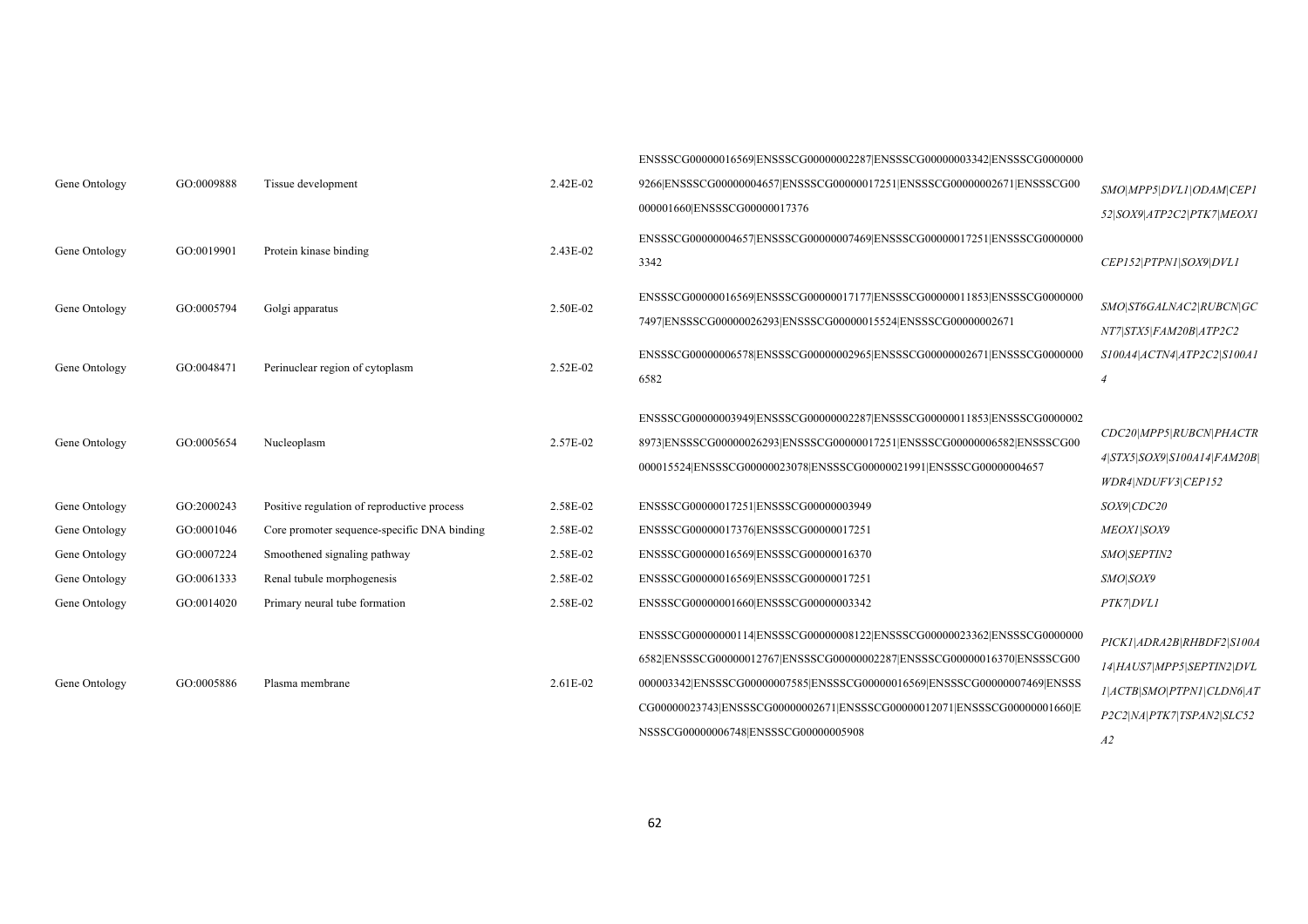|               |            |                                             |            | ENSSSCG00000016569 ENSSSCG00000002287 ENSSSCG00000003342 ENSSSCG0000000  |                             |
|---------------|------------|---------------------------------------------|------------|--------------------------------------------------------------------------|-----------------------------|
| Gene Ontology | GO:0009888 | Tissue development                          | 2.42E-02   | 9266[ENSSSCG00000004657]ENSSSCG00000017251[ENSSSCG00000002671]ENSSSCG00  | SMO MPP5   DVL1   ODAM CEP1 |
|               |            |                                             |            | 000001660 ENSSSCG00000017376                                             | 52 SOX9 ATP2C2 PTK7 MEOX1   |
|               |            |                                             |            | ENSSSCG00000004657 ENSSSCG00000007469 ENSSSCG00000017251 ENSSSCG0000000  |                             |
| Gene Ontology | GO:0019901 | Protein kinase binding                      | 2.43E-02   | 3342                                                                     | CEP152 PTPN1 SOX9 DVL1      |
|               |            |                                             |            | ENSSSCG00000016569 ENSSSCG00000017177 ENSSSCG00000011853 ENSSSCG0000000  |                             |
| Gene Ontology | GO:0005794 | Golgi apparatus                             | 2.50E-02   | 7497 ENSSSCG00000026293 ENSSSCG00000015524 ENSSSCG0000002671             | SMO ST6GALNAC2 RUBCN GC     |
|               |            |                                             |            |                                                                          | NT7 STX5 FAM20B ATP2C2      |
| Gene Ontology | GO:0048471 | Perinuclear region of cytoplasm             | $2.52E-02$ | ENSSSCG00000006578 ENSSSCG00000002965 ENSSSCG00000002671 ENSSSCG0000000  | S100A4 ACTN4 ATP2C2 S100A1  |
|               |            |                                             |            | 6582                                                                     |                             |
|               |            |                                             |            |                                                                          |                             |
|               |            |                                             |            | ENSSSCG00000003949 ENSSSCG00000002287 ENSSSCG00000011853 ENSSSCG0000002  | CDC20 MPP5 RUBCN PHACTR     |
| Gene Ontology | GO:0005654 | Nucleoplasm                                 | $2.57E-02$ | 8973 ENSSSCG00000026293 ENSSSCG00000017251 ENSSSCG00000006582 ENSSSCG00  | 4 STX5 SOX9 S100A14 FAM20B  |
|               |            |                                             |            | 000015524 ENSSSCG00000023078 ENSSSCG00000021991 ENSSSCG00000004657       |                             |
|               |            |                                             |            |                                                                          | WDR4\NDUFV3\CEP152          |
| Gene Ontology | GO:2000243 | Positive regulation of reproductive process | 2.58E-02   | ENSSSCG00000017251 ENSSSCG00000003949                                    | SOX9 CDC20                  |
| Gene Ontology | GO:0001046 | Core promoter sequence-specific DNA binding | 2.58E-02   | ENSSSCG00000017376 ENSSSCG00000017251                                    | MEOX1 SOX9                  |
| Gene Ontology | GO:0007224 | Smoothened signaling pathway                | 2.58E-02   | ENSSSCG00000016569 ENSSSCG00000016370                                    | SMO SEPTIN2                 |
| Gene Ontology | GO:0061333 | Renal tubule morphogenesis                  | 2.58E-02   | ENSSSCG00000016569 ENSSSCG00000017251                                    | SMO SOX9                    |
| Gene Ontology | GO:0014020 | Primary neural tube formation               | 2.58E-02   | ENSSSCG00000001660 ENSSSCG00000003342                                    | PTK7 DVL1                   |
|               |            |                                             |            |                                                                          |                             |
|               |            |                                             |            | ENSSSCG00000000114 ENSSSCG00000008122 ENSSSCG00000023362 ENSSSCG0000000  | PICK1\ADRA2B\RHBDF2\S100A   |
|               |            |                                             |            | 6582 ENSSSCG00000012767 ENSSSCG00000002287 ENSSSCG00000016370 ENSSSCG00  | 14 HAUS7 MPP5 SEPTIN2 DVL   |
| Gene Ontology | GO:0005886 | Plasma membrane                             | 2.61E-02   | 000003342 ENSSSCG00000007585 ENSSSCG00000016569 ENSSSCG00000007469 ENSSS | I ACTB SMO PTPNI CLDN6 AT   |
|               |            |                                             |            | CG00000023743 ENSSSCG0000002671 ENSSSCG00000012071 ENSSSCG00000001660 E  | P2C2 NA PTK7 TSPAN2 SLC52   |
|               |            |                                             |            | NSSSCG00000006748 ENSSSCG00000005908                                     | <i>A2</i>                   |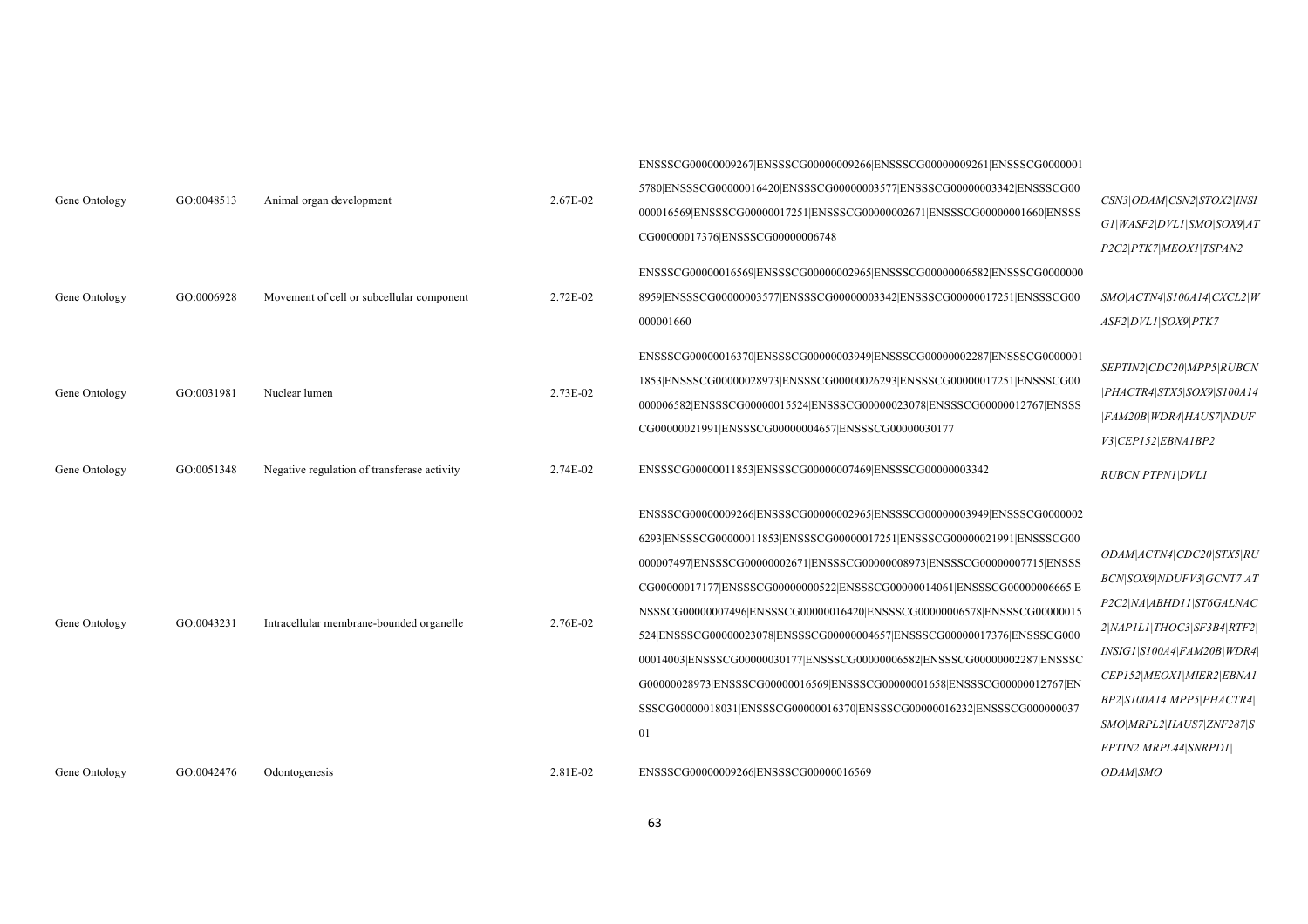| Gene Ontology | GO:0048513 | Animal organ development                    | 2.67E-02 | ENSSSCG00000009267 ENSSSCG00000009266 ENSSSCG00000009261 ENSSSCG0000001<br>5780 ENSSSCG00000016420 ENSSSCG00000003577 ENSSSCG00000003342 ENSSSCG00<br>000016569 ENSSSCG00000017251 ENSSSCG00000002671 ENSSSCG00000001660 ENSSS<br>CG00000017376 ENSSSCG00000006748                                                                                                                                                                                                                                                                                                                                                                                                                                      | CSN3 ODAM CSN2 STOX2 INSI<br>GI WAST2 DVL1 SMO SOX9 AT<br>P2C2 PTK7 MEOX1 TSPAN2                                                                                                                                                                          |
|---------------|------------|---------------------------------------------|----------|---------------------------------------------------------------------------------------------------------------------------------------------------------------------------------------------------------------------------------------------------------------------------------------------------------------------------------------------------------------------------------------------------------------------------------------------------------------------------------------------------------------------------------------------------------------------------------------------------------------------------------------------------------------------------------------------------------|-----------------------------------------------------------------------------------------------------------------------------------------------------------------------------------------------------------------------------------------------------------|
| Gene Ontology | GO:0006928 | Movement of cell or subcellular component   | 2.72E-02 | ENSSSCG00000016569 ENSSSCG00000002965 ENSSSCG00000006582 ENSSSCG0000000<br>8959 ENSSSCG00000003577 ENSSSCG00000003342 ENSSSCG00000017251 ENSSSCG00<br>000001660                                                                                                                                                                                                                                                                                                                                                                                                                                                                                                                                         | SMO ACTN4 S100A14 CXCL2 W<br>ASF2 DVL1 SOX9 PTK7                                                                                                                                                                                                          |
| Gene Ontology | GO:0031981 | Nuclear lumen                               | 2.73E-02 | ENSSSCG00000016370 ENSSSCG00000003949 ENSSSCG00000002287 ENSSSCG0000001<br>1853 ENSSSCG00000028973 ENSSSCG00000026293 ENSSSCG00000017251 ENSSSCG00<br>000006582 ENSSSCG00000015524 ENSSSCG00000023078 ENSSSCG00000012767 ENSSS<br>CG00000021991 ENSSSCG00000004657 ENSSSCG00000030177                                                                                                                                                                                                                                                                                                                                                                                                                   | SEPTIN2 CDC20 MPP5 RUBCN<br> PHACTR4 STX5 SOX9 S100A14<br> FAM20B WDR4 HAUS7 NDUF<br>V3 CEP152 EBNA1BP2                                                                                                                                                   |
| Gene Ontology | GO:0051348 | Negative regulation of transferase activity | 2.74E-02 | ENSSSCG00000011853 ENSSSCG00000007469 ENSSSCG00000003342                                                                                                                                                                                                                                                                                                                                                                                                                                                                                                                                                                                                                                                | RUBCN PTPN1 DVL1                                                                                                                                                                                                                                          |
| Gene Ontology | GO:0043231 | Intracellular membrane-bounded organelle    | 2.76E-02 | ENSSSCG00000009266 ENSSSCG00000002965 ENSSSCG00000003949 ENSSSCG0000002<br>6293 ENSSSCG00000011853 ENSSSCG00000017251 ENSSSCG00000021991 ENSSSCG00<br>000007497 ENSSSCG00000002671 ENSSSCG00000008973 ENSSSCG00000007715 ENSSS<br>CG00000017177 ENSSSCG0000000522 ENSSSCG00000014061 ENSSSCG00000006665 E<br>NSSSCG0000007496 ENSSSCG00000016420 ENSSSCG00000006578 ENSSSCG00000015<br>524 ENSSSCG00000023078 ENSSSCG00000004657 ENSSSCG00000017376 ENSSSCG000<br>00014003 ENSSSCG00000030177 ENSSSCG00000006582 ENSSSCG00000002287 ENSSSC<br>G00000028973 ENSSSCG00000016569 ENSSSCG00000001658 ENSSSCG00000012767 EN<br>SSSCG00000018031 ENSSSCG00000016370 ENSSSCG00000016232 ENSSSCG000000037<br>01 | ODAM ACTN4 CDC20 STX5 RU<br>BCN SOX9 NDUFV3 GCNT7 AT<br>P2C2 NA ABHD11 ST6GALNAC<br>2 NAPILI THOC3 SF3B4 RTF2 <br>INSIG1\S100A4\FAM20B\WDR4\<br>CEP152 MEOX1 MIER2 EBNA1<br>BP2 S100A14 MPP5 PHACTR4 <br>SMO MRPL2 HAUS7 ZNF287 S<br>EPTIN2 MRPL44 SNRPD1 |
| Gene Ontology | GO:0042476 | Odontogenesis                               | 2.81E-02 | ENSSSCG00000009266 ENSSSCG00000016569                                                                                                                                                                                                                                                                                                                                                                                                                                                                                                                                                                                                                                                                   | ODAM SMO                                                                                                                                                                                                                                                  |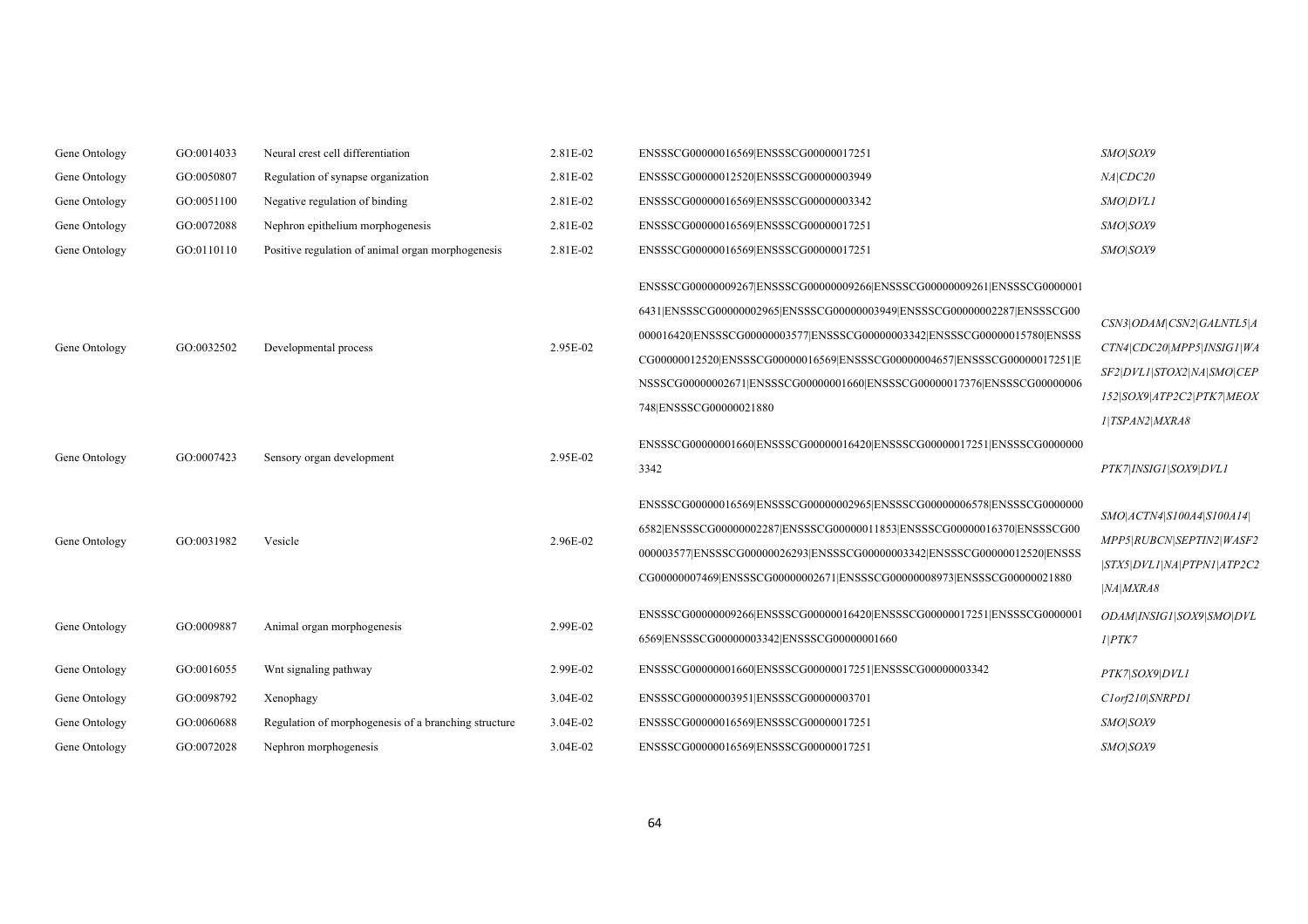| Gene Ontology | GO:0014033 | Neural crest cell differentiation                    | 2.81E-02 | ENSSSCG00000016569 ENSSSCG00000017251                                                                                                                                                                                                                                                                                                                                                                           | SMO SOX9                                                                                                                          |
|---------------|------------|------------------------------------------------------|----------|-----------------------------------------------------------------------------------------------------------------------------------------------------------------------------------------------------------------------------------------------------------------------------------------------------------------------------------------------------------------------------------------------------------------|-----------------------------------------------------------------------------------------------------------------------------------|
| Gene Ontology | GO:0050807 | Regulation of synapse organization                   | 2.81E-02 | ENSSSCG00000012520 ENSSSCG00000003949                                                                                                                                                                                                                                                                                                                                                                           | NA CDC20                                                                                                                          |
| Gene Ontology | GO:0051100 | Negative regulation of binding                       | 2.81E-02 | ENSSSCG00000016569 ENSSSCG00000003342                                                                                                                                                                                                                                                                                                                                                                           | <i>SMO\DVL1</i>                                                                                                                   |
| Gene Ontology | GO:0072088 | Nephron epithelium morphogenesis                     | 2.81E-02 | ENSSSCG00000016569 ENSSSCG00000017251                                                                                                                                                                                                                                                                                                                                                                           | SMO SOX9                                                                                                                          |
| Gene Ontology | GO:0110110 | Positive regulation of animal organ morphogenesis    | 2.81E-02 | ENSSSCG00000016569 ENSSSCG00000017251                                                                                                                                                                                                                                                                                                                                                                           | SMO SOX9                                                                                                                          |
| Gene Ontology | GO:0032502 | Developmental process                                | 2.95E-02 | ENSSSCG00000009267 ENSSSCG00000009266 ENSSSCG00000009261 ENSSSCG0000001<br>6431 ENSSSCG00000002965 ENSSSCG00000003949 ENSSSCG00000002287 ENSSSCG00<br>000016420 ENSSSCG00000003577 ENSSSCG00000003342 ENSSSCG00000015780 ENSSS<br>CG00000012520 ENSSSCG00000016569 ENSSSCG00000004657 ENSSSCG00000017251 E<br>NSSSCG00000002671 ENSSSCG00000001660 ENSSSCG00000017376 ENSSSCG00000006<br>748 ENSSSCG00000021880 | CSN3 ODAM CSN2 GALNTL5 A<br>CTN4 CDC20 MPP5 INSIGI WA<br>SF2 DVL1 STOX2 NA SMO CEP<br>152 SOX9 ATP2C2 PTK7 MEOX<br>1 TSPAN2 MXRA8 |
| Gene Ontology | GO:0007423 | Sensory organ development                            | 2.95E-02 | ENSSSCG00000001660 ENSSSCG00000016420 ENSSSCG00000017251 ENSSSCG0000000<br>3342                                                                                                                                                                                                                                                                                                                                 | PTK7 INSIG1 SOX9 DVL1                                                                                                             |
| Gene Ontology | GO:0031982 | Vesicle                                              | 2.96E-02 | ENSSSCG00000016569 ENSSSCG00000002965 ENSSSCG00000006578 ENSSSCG0000000<br>6582 ENSSSCG00000002287 ENSSSCG00000011853 ENSSSCG00000016370 ENSSSCG00<br>000003577 ENSSSCG00000026293 ENSSSCG00000003342 ENSSSCG00000012520 ENSSS<br>CG00000007469 ENSSSCG00000002671 ENSSSCG00000008973 ENSSSCG00000021880                                                                                                        | SMO   ACTN4   S100A4   S100A14  <br>MPP5\RUBCN\SEPTIN2\WASF2<br> STX5 DVLI NA PTPNI ATP2C2<br> NA MXRA8                           |
| Gene Ontology | GO:0009887 | Animal organ morphogenesis                           | 2.99E-02 | ENSSSCG00000009266 ENSSSCG00000016420 ENSSSCG00000017251 ENSSSCG0000001<br>6569 ENSSSCG00000003342 ENSSSCG00000001660                                                                                                                                                                                                                                                                                           | <i><b>ODAM\INSIG1\SOX9\SMO\DVL</b></i><br>$I$ $PTK$ 7                                                                             |
| Gene Ontology | GO:0016055 | Wnt signaling pathway                                | 2.99E-02 | ENSSSCG00000001660 ENSSSCG00000017251 ENSSSCG00000003342                                                                                                                                                                                                                                                                                                                                                        | PTK7 SOX9 DVL1                                                                                                                    |
| Gene Ontology | GO:0098792 | Xenophagy                                            | 3.04E-02 | ENSSSCG00000003951 ENSSSCG00000003701                                                                                                                                                                                                                                                                                                                                                                           | Clorf210 SNRPD1                                                                                                                   |
| Gene Ontology | GO:0060688 | Regulation of morphogenesis of a branching structure | 3.04E-02 | ENSSSCG00000016569 ENSSSCG00000017251                                                                                                                                                                                                                                                                                                                                                                           | SMO SOX9                                                                                                                          |
| Gene Ontology | GO:0072028 | Nephron morphogenesis                                | 3.04E-02 | ENSSSCG00000016569 ENSSSCG00000017251                                                                                                                                                                                                                                                                                                                                                                           | SMO SOX9                                                                                                                          |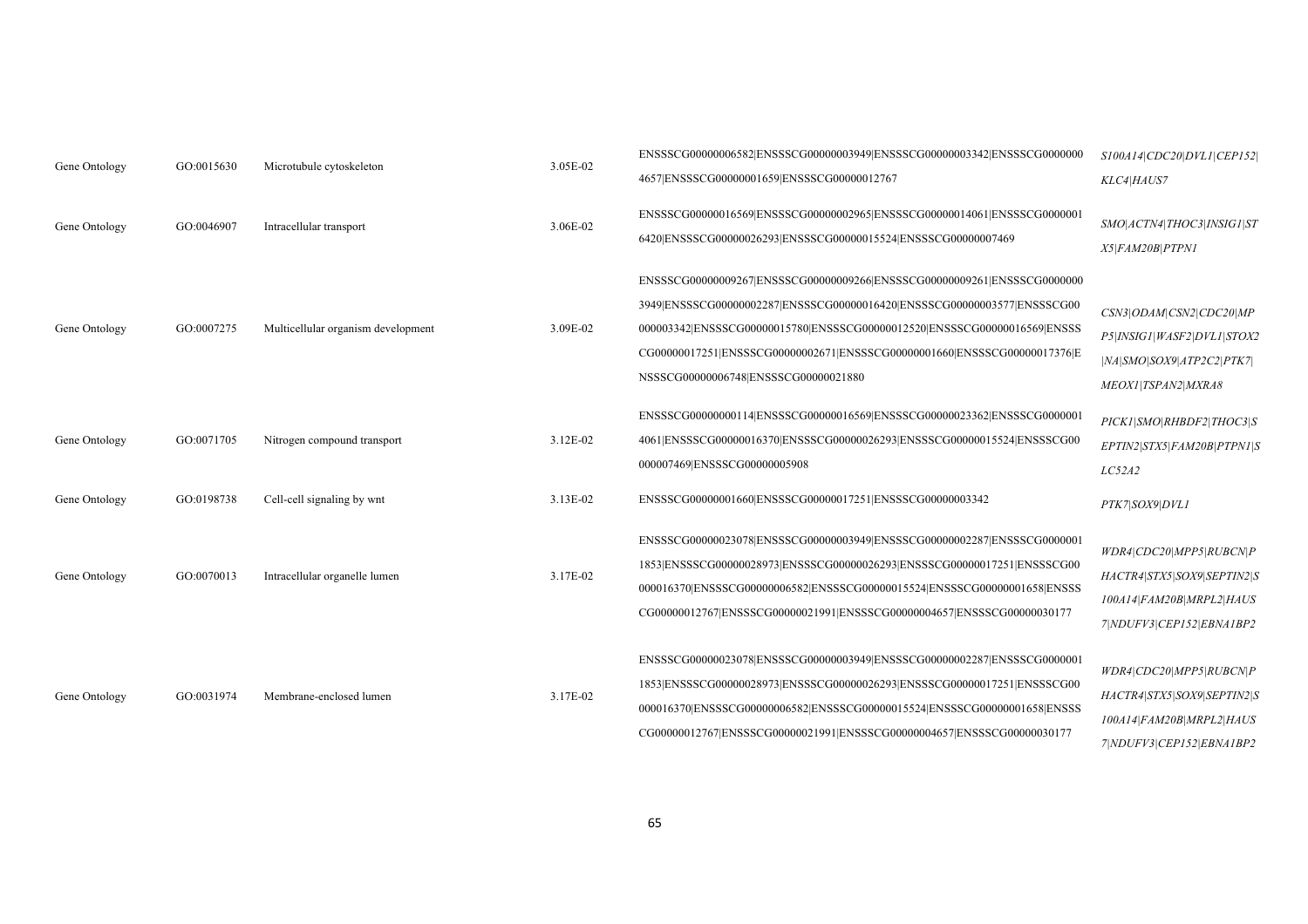| Gene Ontology | GO:0015630 | Microtubule cytoskeleton           | 3.05E-02 | ENSSSCG00000006582 ENSSSCG00000003949 ENSSSCG00000003342 ENSSSCG0000000<br>4657 ENSSSCG00000001659 ENSSSCG00000012767                                                                                                                                                                                                                              | S100A14 CDC20 DVL1 CEP152 <br>KLC4\HAUS7                                                                      |
|---------------|------------|------------------------------------|----------|----------------------------------------------------------------------------------------------------------------------------------------------------------------------------------------------------------------------------------------------------------------------------------------------------------------------------------------------------|---------------------------------------------------------------------------------------------------------------|
| Gene Ontology | GO:0046907 | Intracellular transport            | 3.06E-02 | ENSSSCG00000016569 ENSSSCG00000002965 ENSSSCG00000014061 ENSSSCG0000001<br>6420 ENSSSCG00000026293 ENSSSCG00000015524 ENSSSCG00000007469                                                                                                                                                                                                           | SMO ACTN4   THOC3   INSIG1   ST<br>X5 FAM20B PTPN1                                                            |
| Gene Ontology | GO:0007275 | Multicellular organism development | 3.09E-02 | ENSSSCG00000009267 ENSSSCG00000009266 ENSSSCG00000009261 ENSSSCG0000000<br>3949 ENSSSCG00000002287 ENSSSCG00000016420 ENSSSCG00000003577 ENSSSCG00<br>000003342 ENSSSCG00000015780 ENSSSCG00000012520 ENSSSCG00000016569 ENSSS<br>CG00000017251 ENSSSCG00000002671 ENSSSCG00000001660 ENSSSCG00000017376 E<br>NSSSCG00000006748 ENSSSCG00000021880 | CSN3 ODAM CSN2 CDC20 MP<br>P5 INSIG1 WASF2 DVL1 STOX2<br> NA SMO SOX9 ATP2C2 PTK7 <br>MEOXI TSPAN2 MXRA8      |
| Gene Ontology | GO:0071705 | Nitrogen compound transport        | 3.12E-02 | ENSSSCG00000000114 ENSSSCG00000016569 ENSSSCG00000023362 ENSSSCG0000001<br>4061 ENSSSCG00000016370 ENSSSCG00000026293 ENSSSCG00000015524 ENSSSCG00<br>000007469 ENSSSCG00000005908                                                                                                                                                                 | PICK1 SMO RHBDF2 THOC3 S<br>EPTIN2\STX5\FAM20B\PTPN1\S<br>LC52A2                                              |
| Gene Ontology | GO:0198738 | Cell-cell signaling by wnt         | 3.13E-02 | ENSSSCG00000001660 ENSSSCG00000017251 ENSSSCG00000003342                                                                                                                                                                                                                                                                                           | PTK7 SOX9 DVL1                                                                                                |
| Gene Ontology | GO:0070013 | Intracellular organelle lumen      | 3.17E-02 | ENSSSCG00000023078 ENSSSCG00000003949 ENSSSCG00000002287 ENSSSCG0000001<br>1853 ENSSSCG00000028973 ENSSSCG00000026293 ENSSSCG00000017251 ENSSSCG00<br>000016370JENSSSCG00000006582JENSSSCG00000015524JENSSSCG00000001658JENSSS<br>CG00000012767 ENSSSCG00000021991 ENSSSCG00000004657 ENSSSCG00000030177                                           | WDR4 CDC20 MPP5 RUBCN P<br>HACTR4 STX5 SOX9 SEPTIN2 S<br>100A14 FAM20B MRPL2 HAUS<br>7 NDUFV3 CEP152 EBNA1BP2 |
| Gene Ontology | GO:0031974 | Membrane-enclosed lumen            | 3.17E-02 | ENSSSCG00000023078 ENSSSCG00000003949 ENSSSCG00000002287 ENSSSCG0000001<br>1853 ENSSSCG00000028973 ENSSSCG00000026293 ENSSSCG00000017251 ENSSSCG00<br>000016370 ENSSSCG00000006582 ENSSSCG00000015524 ENSSSCG00000001658 ENSSS<br>CG00000012767 ENSSSCG00000021991 ENSSSCG00000004657 ENSSSCG00000030177                                           | WDR4 CDC20 MPP5 RUBCN P<br>HACTR4 STX5 SOX9 SEPTIN2 S<br>100A14 FAM20B MRPL2 HAUS<br>7 NDUFV3 CEP152 EBNA1BP2 |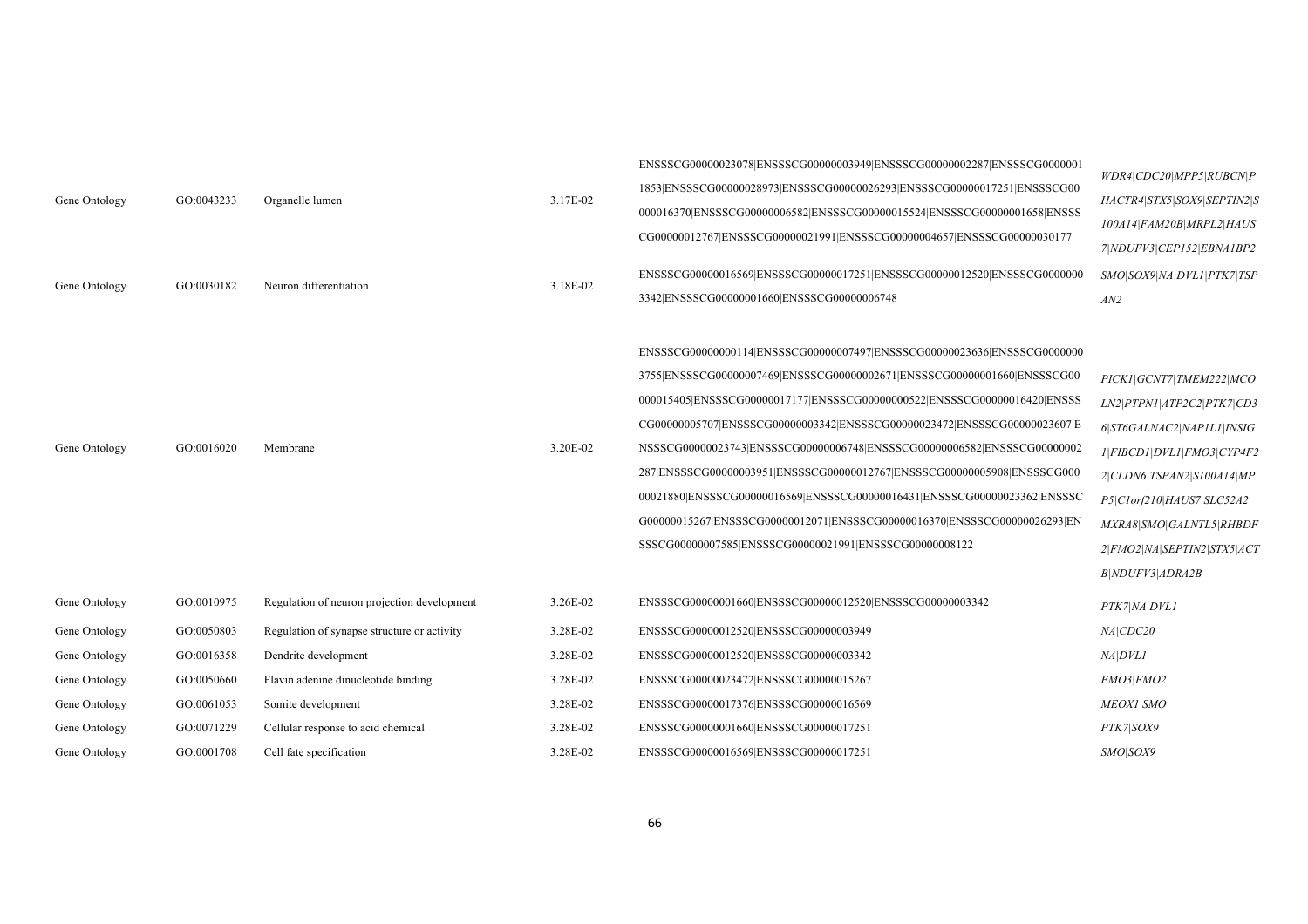| Gene Ontology<br>Gene Ontology | GO:0043233<br>GO:0030182 | Organelle lumen<br>Neuron differentiation   | 3.17E-02<br>3.18E-02 | ENSSSCG00000023078 ENSSSCG00000003949 ENSSSCG00000002287 ENSSSCG0000001<br>1853 ENSSSCG00000028973 ENSSSCG00000026293 ENSSSCG00000017251 ENSSSCG00<br>000016370JENSSSCG00000006582JENSSSCG00000015524JENSSSCG00000001658JENSSS<br>CG00000012767 ENSSSCG00000021991 ENSSSCG00000004657 ENSSSCG00000030177<br>ENSSSCG00000016569 ENSSSCG00000017251 ENSSSCG00000012520 ENSSSCG0000000<br>3342 ENSSSCG00000001660 ENSSSCG00000006748                                                                                                                                                                                                                                                  | WDR4 CDC20 MPP5 RUBCN P<br>HACTR4 STX5 SOX9 SEPTIN2 S<br>100A14 FAM20B MRPL2 HAUS<br>7 NDUFV3 CEP152 EBNA1BP2<br>SMO SOX9 NA DVL1 PTK7 TSP<br>AN2                                                                                                     |
|--------------------------------|--------------------------|---------------------------------------------|----------------------|------------------------------------------------------------------------------------------------------------------------------------------------------------------------------------------------------------------------------------------------------------------------------------------------------------------------------------------------------------------------------------------------------------------------------------------------------------------------------------------------------------------------------------------------------------------------------------------------------------------------------------------------------------------------------------|-------------------------------------------------------------------------------------------------------------------------------------------------------------------------------------------------------------------------------------------------------|
| Gene Ontology                  | GO:0016020               | Membrane                                    | 3.20E-02             | ENSSSCG00000000114 ENSSSCG00000007497 ENSSSCG00000023636 ENSSSCG0000000<br>3755 ENSSSCG00000007469 ENSSSCG00000002671 ENSSSCG00000001660 ENSSSCG00<br>000015405 ENSSSCG00000017177 ENSSSCG00000000522 ENSSSCG00000016420 ENSSS<br>CG00000005707 ENSSSCG00000003342 ENSSSCG00000023472 ENSSSCG00000023607 E<br>NSSSCG00000023743 ENSSSCG00000006748 ENSSSCG00000006582 ENSSSCG00000002<br>287 ENSSSCG00000003951 ENSSSCG00000012767 ENSSSCG00000005908 ENSSSCG000<br>00021880JENSSSCG00000016569JENSSSCG00000016431JENSSSCG00000023362JENSSSC<br>G00000015267 ENSSSCG00000012071 ENSSSCG00000016370 ENSSSCG00000026293 EN<br>SSSCG00000007585 ENSSSCG00000021991 ENSSSCG00000008122 | PICK1\GCNT7\TMEM222\MCO<br>LN2 PTPN1 ATP2C2 PTK7 CD3<br>6 ST6GALNAC2 NAP1L1 INSIG<br>I FIBCDI DVLI FMO3 CYP4F2<br>2 CLDN6 TSPAN2 S100A14 MP<br>P5 C1orf210 HAUS7 SLC52A2 <br>MXRA8 SMO GALNTL5 RHBDF<br>2 FMO2 NA SEPTIN2 STX5 ACT<br>B NDUFV3 ADRA2B |
| Gene Ontology                  | GO:0010975               | Regulation of neuron projection development | 3.26E-02             | ENSSSCG00000001660 ENSSSCG00000012520 ENSSSCG00000003342                                                                                                                                                                                                                                                                                                                                                                                                                                                                                                                                                                                                                           | PTK7 NA DVL1                                                                                                                                                                                                                                          |
| Gene Ontology                  | GO:0050803               | Regulation of synapse structure or activity | 3.28E-02             | ENSSSCG00000012520 ENSSSCG00000003949                                                                                                                                                                                                                                                                                                                                                                                                                                                                                                                                                                                                                                              | NA CDC20                                                                                                                                                                                                                                              |
| Gene Ontology                  | GO:0016358               | Dendrite development                        | 3.28E-02             | ENSSSCG00000012520 ENSSSCG00000003342                                                                                                                                                                                                                                                                                                                                                                                                                                                                                                                                                                                                                                              | NA DVLI                                                                                                                                                                                                                                               |
| Gene Ontology                  | GO:0050660               | Flavin adenine dinucleotide binding         | 3.28E-02             | ENSSSCG00000023472 ENSSSCG00000015267                                                                                                                                                                                                                                                                                                                                                                                                                                                                                                                                                                                                                                              | FMO3 FMO2                                                                                                                                                                                                                                             |
| Gene Ontology                  | GO:0061053               | Somite development                          | 3.28E-02             | ENSSSCG00000017376 ENSSSCG00000016569                                                                                                                                                                                                                                                                                                                                                                                                                                                                                                                                                                                                                                              | MEOX1\SMO                                                                                                                                                                                                                                             |
| Gene Ontology                  | GO:0071229               | Cellular response to acid chemical          | 3.28E-02             | ENSSSCG00000001660 ENSSSCG00000017251                                                                                                                                                                                                                                                                                                                                                                                                                                                                                                                                                                                                                                              | PTK7 SOX9                                                                                                                                                                                                                                             |
| Gene Ontology                  | GO:0001708               | Cell fate specification                     | 3.28E-02             | ENSSSCG00000016569 ENSSSCG00000017251                                                                                                                                                                                                                                                                                                                                                                                                                                                                                                                                                                                                                                              | SMO SOX9                                                                                                                                                                                                                                              |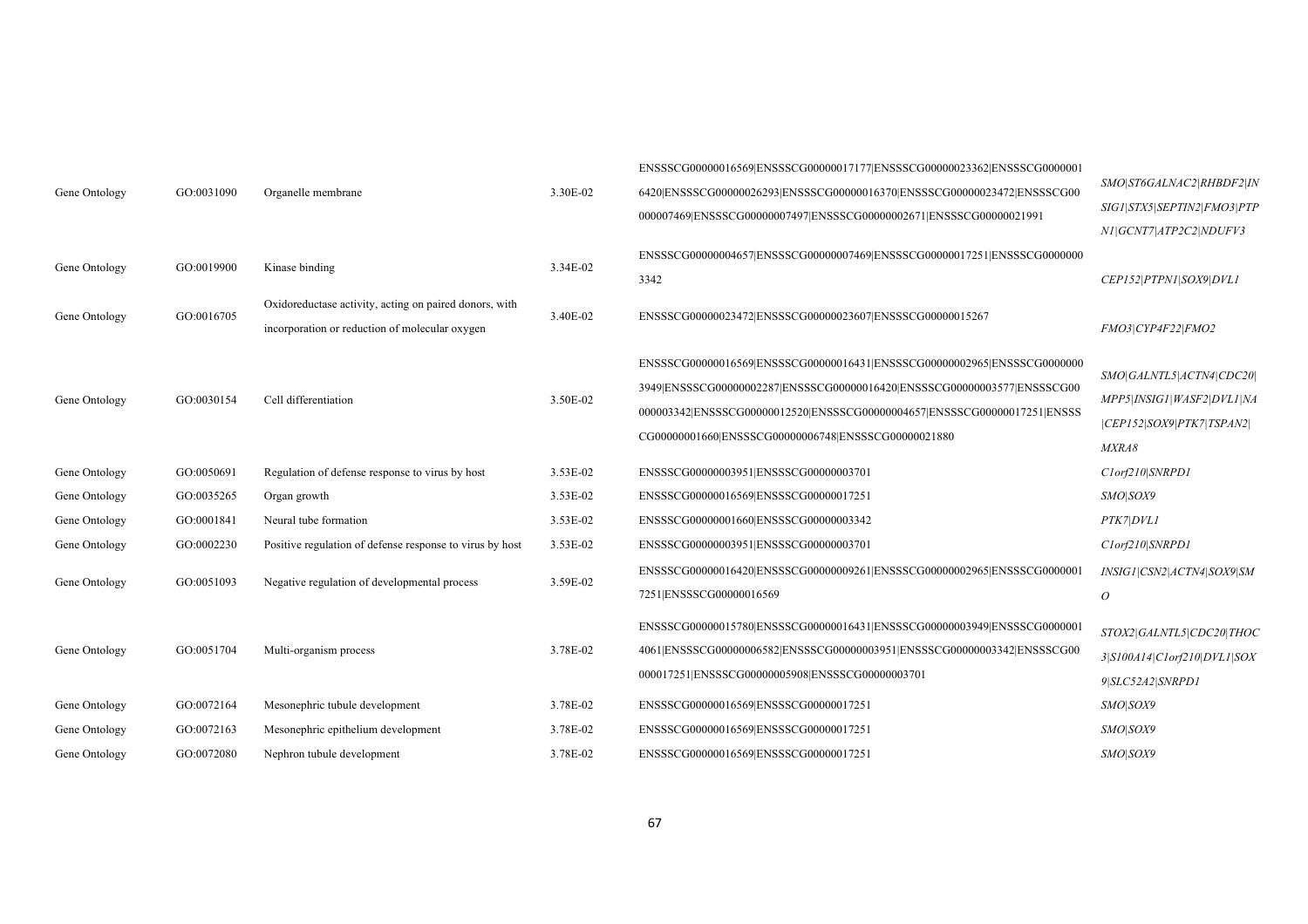|               |            |                                                          |          | ENSSSCG00000016569 ENSSSCG00000017177 ENSSSCG00000023362 ENSSSCG0000001  |                             |
|---------------|------------|----------------------------------------------------------|----------|--------------------------------------------------------------------------|-----------------------------|
| Gene Ontology | GO:0031090 | Organelle membrane                                       | 3.30E-02 | 6420 ENSSSCG00000026293 ENSSSCG00000016370 ENSSSCG00000023472 ENSSSCG00  | SMO ST6GALNAC2 RHBDF2 IN    |
|               |            |                                                          |          | 000007469 ENSSSCG00000007497 ENSSSCG00000002671 ENSSSCG00000021991       | SIG1\STX5\SEPTIN2\FMO3\PTP  |
|               |            |                                                          |          |                                                                          | N1 GCNT7 ATP2C2 NDUFV3      |
|               | GO:0019900 | Kinase binding                                           | 3.34E-02 | ENSSSCG00000004657 ENSSSCG00000007469 ENSSSCG00000017251 ENSSSCG0000000  |                             |
| Gene Ontology |            |                                                          |          | 3342                                                                     | CEP152 PTPN1 SOX9 DVL1      |
|               | GO:0016705 | Oxidoreductase activity, acting on paired donors, with   | 3.40E-02 |                                                                          |                             |
| Gene Ontology |            | incorporation or reduction of molecular oxygen           |          | ENSSSCG00000023472 ENSSSCG00000023607 ENSSSCG00000015267                 | FMO3 CYP4F22 FMO2           |
|               |            |                                                          |          | ENSSSCG00000016569 ENSSSCG00000016431 ENSSSCG00000002965 ENSSSCG0000000  |                             |
|               |            |                                                          |          | 3949 ENSSSCG00000002287 ENSSSCG00000016420 ENSSSCG00000003577 ENSSSCG00  | SMO GALNTL5   ACTN4   CDC20 |
| Gene Ontology | GO:0030154 | Cell differentiation                                     | 3.50E-02 | 000003342 ENSSSCG00000012520 ENSSSCG00000004657 ENSSSCG00000017251 ENSSS | MPP5 INSIG1 WASF2 DVL1 NA   |
|               |            |                                                          |          | CG00000001660 ENSSSCG00000006748 ENSSSCG00000021880                      | CEP152 SOX9 PTK7 TSPAN2     |
|               |            |                                                          |          |                                                                          | MXRA8                       |
| Gene Ontology | GO:0050691 | Regulation of defense response to virus by host          | 3.53E-02 | ENSSSCG00000003951 ENSSSCG00000003701                                    | Clorf210 SNRPD1             |
| Gene Ontology | GO:0035265 | Organ growth                                             | 3.53E-02 | ENSSSCG00000016569 ENSSSCG00000017251                                    | SMO SOX9                    |
| Gene Ontology | GO:0001841 | Neural tube formation                                    | 3.53E-02 | ENSSSCG00000001660 ENSSSCG00000003342                                    | PTK7 DVL1                   |
| Gene Ontology | GO:0002230 | Positive regulation of defense response to virus by host | 3.53E-02 | ENSSSCG00000003951 ENSSSCG00000003701                                    | Clorf210 SNRPD1             |
| Gene Ontology | GO:0051093 |                                                          |          | ENSSSCG00000016420 ENSSSCG00000009261 ENSSSCG00000002965 ENSSSCG0000001  | INSIG1\CSN2\ACTN4\SOX9\SM   |
|               |            | Negative regulation of developmental process             | 3.59E-02 | 7251 ENSSSCG00000016569                                                  | $\overline{O}$              |
|               |            |                                                          |          | ENSSSCG00000015780 ENSSSCG00000016431 ENSSSCG00000003949 ENSSSCG0000001  | STOX2 GALNTL5 CDC20 THOC    |
| Gene Ontology | GO:0051704 | Multi-organism process                                   | 3.78E-02 | 4061 ENSSSCG00000006582 ENSSSCG00000003951 ENSSSCG00000003342 ENSSSCG00  | 3 S100A14 Clorf210 DVL1 SOX |
|               |            |                                                          |          | 000017251 ENSSSCG00000005908 ENSSSCG00000003701                          | 9 SLC52A2 SNRPDI            |
| Gene Ontology | GO:0072164 | Mesonephric tubule development                           | 3.78E-02 | ENSSSCG00000016569 ENSSSCG00000017251                                    | SMO SOX9                    |
| Gene Ontology | GO:0072163 | Mesonephric epithelium development                       | 3.78E-02 | ENSSSCG00000016569 ENSSSCG00000017251                                    | SMO SOX9                    |
| Gene Ontology | GO:0072080 | Nephron tubule development                               | 3.78E-02 | ENSSSCG00000016569 ENSSSCG00000017251                                    | SMO SOX9                    |
|               |            |                                                          |          |                                                                          |                             |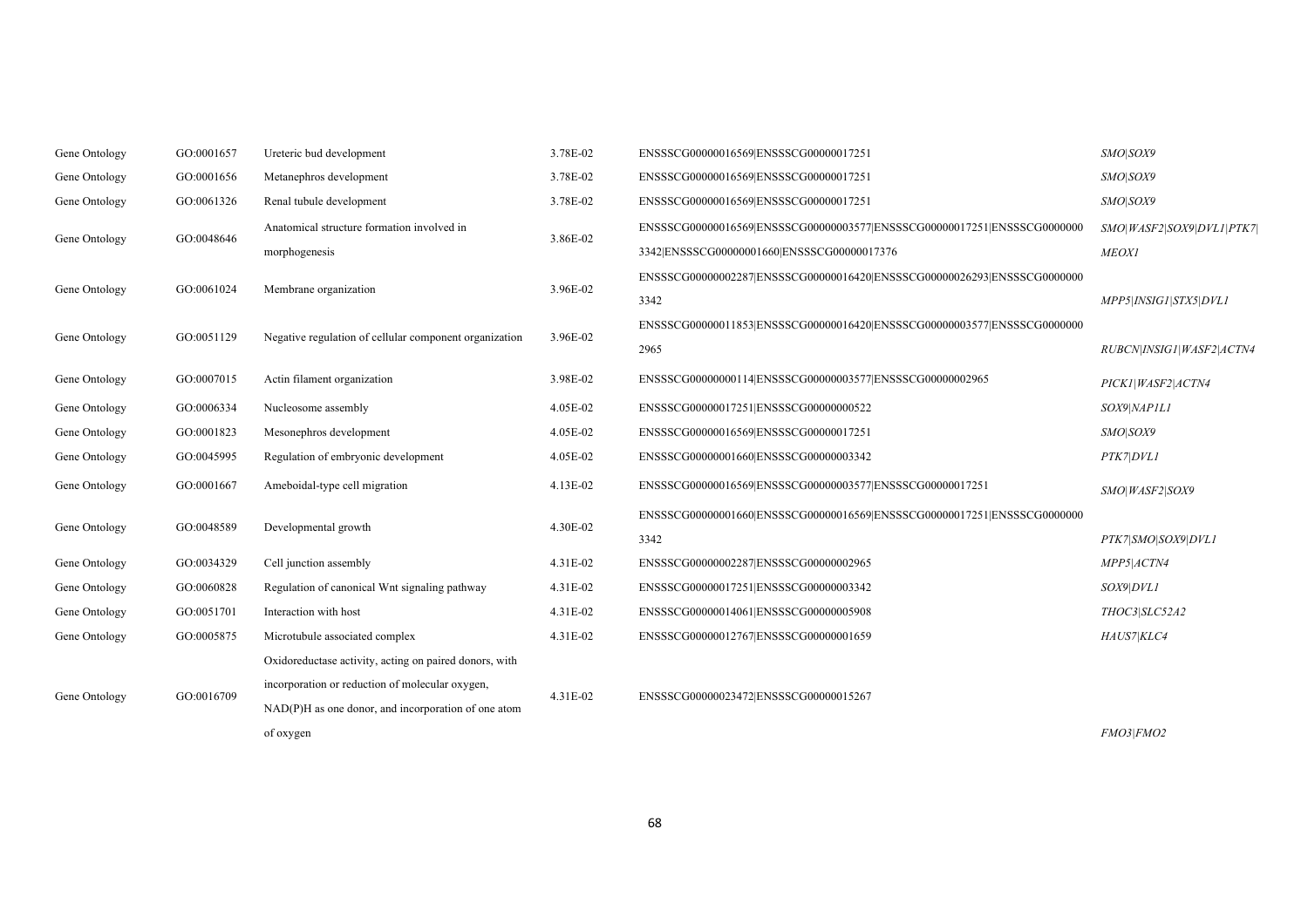| Gene Ontology | GO:0001657 | Ureteric bud development                               | 3.78E-02 | ENSSSCG00000016569 ENSSSCG00000017251                                   | SMO SOX9                 |
|---------------|------------|--------------------------------------------------------|----------|-------------------------------------------------------------------------|--------------------------|
| Gene Ontology | GO:0001656 | Metanephros development                                | 3.78E-02 | ENSSSCG00000016569 ENSSSCG00000017251                                   | SMO SOX9                 |
| Gene Ontology | GO:0061326 | Renal tubule development                               | 3.78E-02 | ENSSSCG00000016569 ENSSSCG00000017251                                   | SMO SOX9                 |
|               |            | Anatomical structure formation involved in             |          | ENSSSCG00000016569 ENSSSCG00000003577 ENSSSCG00000017251 ENSSSCG0000000 | SMO WASF2 SOX9 DVL1 PTK7 |
| Gene Ontology | GO:0048646 | morphogenesis                                          | 3.86E-02 | 3342 ENSSSCG00000001660 ENSSSCG00000017376                              | <b>MEOXI</b>             |
|               |            |                                                        | 3.96E-02 | ENSSSCG00000002287 ENSSSCG00000016420 ENSSSCG00000026293 ENSSSCG0000000 |                          |
| Gene Ontology | GO:0061024 | Membrane organization                                  |          | 3342                                                                    | MPP5 INSIG1 STX5 DVL1    |
|               | GO:0051129 |                                                        |          | ENSSSCG00000011853 ENSSSCG00000016420 ENSSSCG00000003577 ENSSSCG0000000 |                          |
| Gene Ontology |            | Negative regulation of cellular component organization | 3.96E-02 | 2965                                                                    | RUBCN INSIG1 WASF2 ACTN4 |
| Gene Ontology | GO:0007015 | Actin filament organization                            | 3.98E-02 | ENSSSCG00000000114 ENSSSCG00000003577 ENSSSCG00000002965                | PICK1\WASF2\ACTN4        |
| Gene Ontology | GO:0006334 | Nucleosome assembly                                    | 4.05E-02 | ENSSSCG00000017251 ENSSSCG00000000522                                   | SOX9 NAP1L1              |
| Gene Ontology | GO:0001823 | Mesonephros development                                | 4.05E-02 | ENSSSCG00000016569 ENSSSCG00000017251                                   | SMO SOX9                 |
| Gene Ontology | GO:0045995 | Regulation of embryonic development                    | 4.05E-02 | ENSSSCG00000001660 ENSSSCG00000003342                                   | PTK7 DVL1                |
| Gene Ontology | GO:0001667 | Ameboidal-type cell migration                          | 4.13E-02 | ENSSSCG00000016569 ENSSSCG00000003577 ENSSSCG00000017251                | SMO WASF2 SOX9           |
|               |            | Developmental growth                                   | 4.30E-02 | ENSSSCG00000001660 ENSSSCG00000016569 ENSSSCG00000017251 ENSSSCG0000000 |                          |
| Gene Ontology | GO:0048589 |                                                        |          | 3342                                                                    | PTK7 SMO SOX9 DVL1       |
| Gene Ontology | GO:0034329 | Cell junction assembly                                 | 4.31E-02 | ENSSSCG00000002287 ENSSSCG00000002965                                   | MPP5 ACTN4               |
| Gene Ontology | GO:0060828 | Regulation of canonical Wnt signaling pathway          | 4.31E-02 | ENSSSCG00000017251 ENSSSCG00000003342                                   | SOX9 DVL1                |
| Gene Ontology | GO:0051701 | Interaction with host                                  | 4.31E-02 | ENSSSCG00000014061 ENSSSCG00000005908                                   | THOC3 SLC52A2            |
| Gene Ontology | GO:0005875 | Microtubule associated complex                         | 4.31E-02 | ENSSSCG00000012767 ENSSSCG00000001659                                   | HAUS7 KLC4               |
|               |            | Oxidoreductase activity, acting on paired donors, with |          |                                                                         |                          |
|               | GO:0016709 | incorporation or reduction of molecular oxygen,        | 4.31E-02 | ENSSSCG00000023472 ENSSSCG00000015267                                   |                          |
| Gene Ontology |            | NAD(P)H as one donor, and incorporation of one atom    |          |                                                                         |                          |
|               |            | of oxygen                                              |          |                                                                         | FMO3 FMO2                |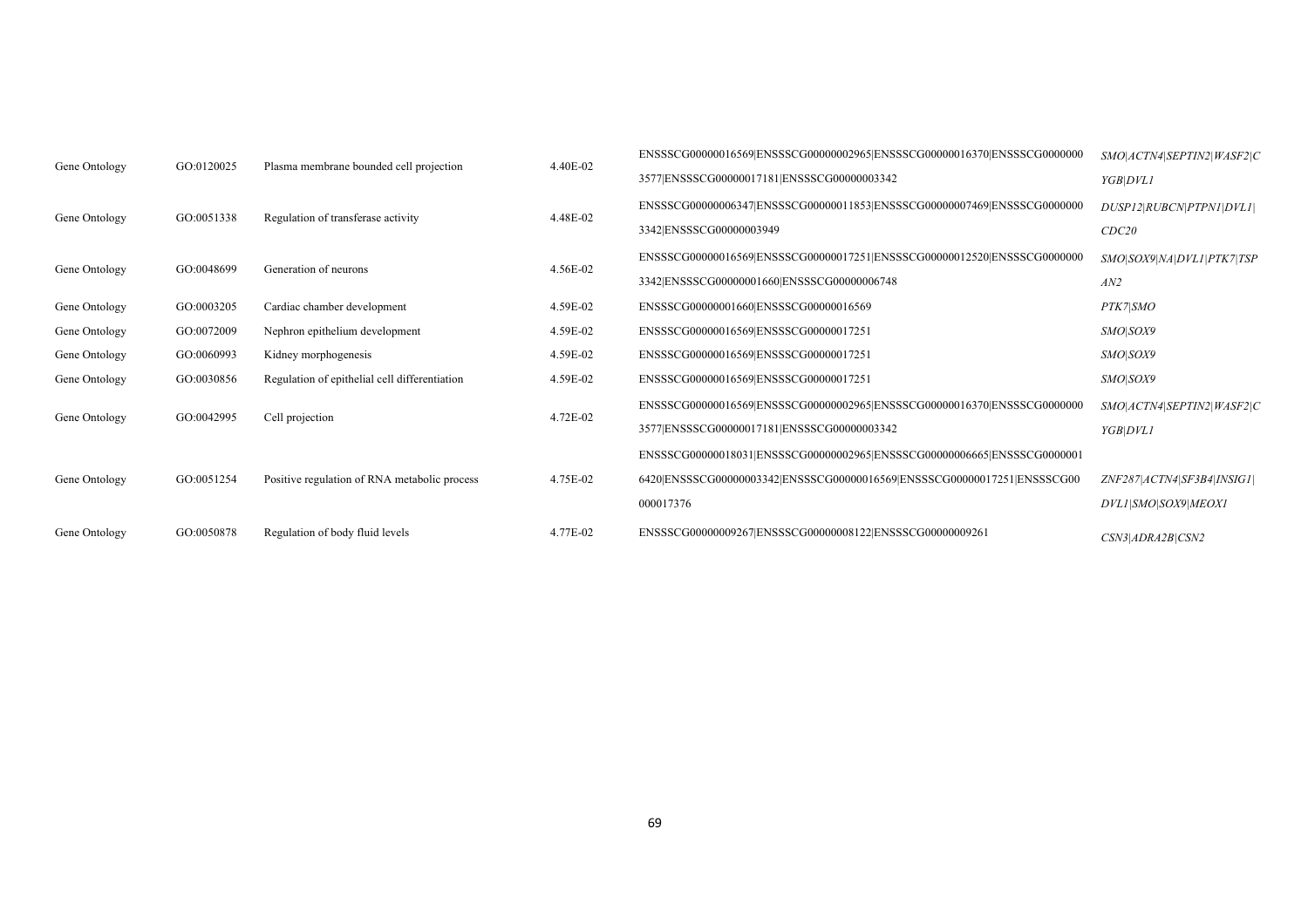| Gene Ontology | GO:0120025 | Plasma membrane bounded cell projection       | 4.40E-02 | ENSSSCG00000016569 ENSSSCG00000002965 ENSSSCG00000016370 ENSSSCG0000000 | SMO ACTN4 SEPTIN2 WASF2 C |
|---------------|------------|-----------------------------------------------|----------|-------------------------------------------------------------------------|---------------------------|
|               |            |                                               |          | 3577 ENSSSCG00000017181 ENSSSCG00000003342                              | YGB DVL1                  |
| Gene Ontology | GO:0051338 | Regulation of transferase activity            | 4.48E-02 | ENSSSCG00000006347 ENSSSCG00000011853 ENSSSCG00000007469 ENSSSCG0000000 | DUSP12 RUBCN PTPN1 DVL1   |
|               |            |                                               |          | 3342 ENSSSCG00000003949                                                 | CDC20                     |
| Gene Ontology | GO:0048699 | Generation of neurons                         | 4.56E-02 | ENSSSCG00000016569 ENSSSCG00000017251 ENSSSCG00000012520 ENSSSCG0000000 | SMO SOX9 NA DVL1 PTK7 TSP |
|               |            |                                               |          | 3342 ENSSSCG00000001660 ENSSSCG00000006748                              | AN2                       |
| Gene Ontology | GO:0003205 | Cardiac chamber development                   | 4.59E-02 | ENSSSCG00000001660 ENSSSCG00000016569                                   | PTK7 SMO                  |
| Gene Ontology | GO:0072009 | Nephron epithelium development                | 4.59E-02 | ENSSSCG00000016569 ENSSSCG00000017251                                   | <i>SMO\SOX9</i>           |
| Gene Ontology | GO:0060993 | Kidney morphogenesis                          | 4.59E-02 | ENSSSCG00000016569 ENSSSCG00000017251                                   | SMO SOX9                  |
| Gene Ontology | GO:0030856 | Regulation of epithelial cell differentiation | 4.59E-02 | ENSSSCG00000016569 ENSSSCG00000017251                                   | SMO SOX9                  |
| Gene Ontology |            | Cell projection                               | 4.72E-02 | ENSSSCG00000016569 ENSSSCG00000002965 ENSSSCG00000016370 ENSSSCG0000000 | SMO ACTN4 SEPTIN2 WASE2 C |
|               | GO:0042995 |                                               |          | 3577 ENSSSCG00000017181 ENSSSCG00000003342                              | YGB DVL1                  |
|               |            |                                               |          | ENSSSCG00000018031 ENSSSCG00000002965 ENSSSCG00000006665 ENSSSCG0000001 |                           |
| Gene Ontology | GO:0051254 | Positive regulation of RNA metabolic process  | 4.75E-02 | 6420 ENSSSCG00000003342 ENSSSCG00000016569 ENSSSCG00000017251 ENSSSCG00 | ZNF287 ACTN4 SF3B4 INSIGI |
|               |            |                                               |          | 000017376                                                               | DVL1 SMO SOX9 MEOX1       |
| Gene Ontology | GO:0050878 | Regulation of body fluid levels               | 4.77E-02 | ENSSSCG00000009267 ENSSSCG00000008122 ENSSSCG00000009261                | CSN3 ADRA2B CSN2          |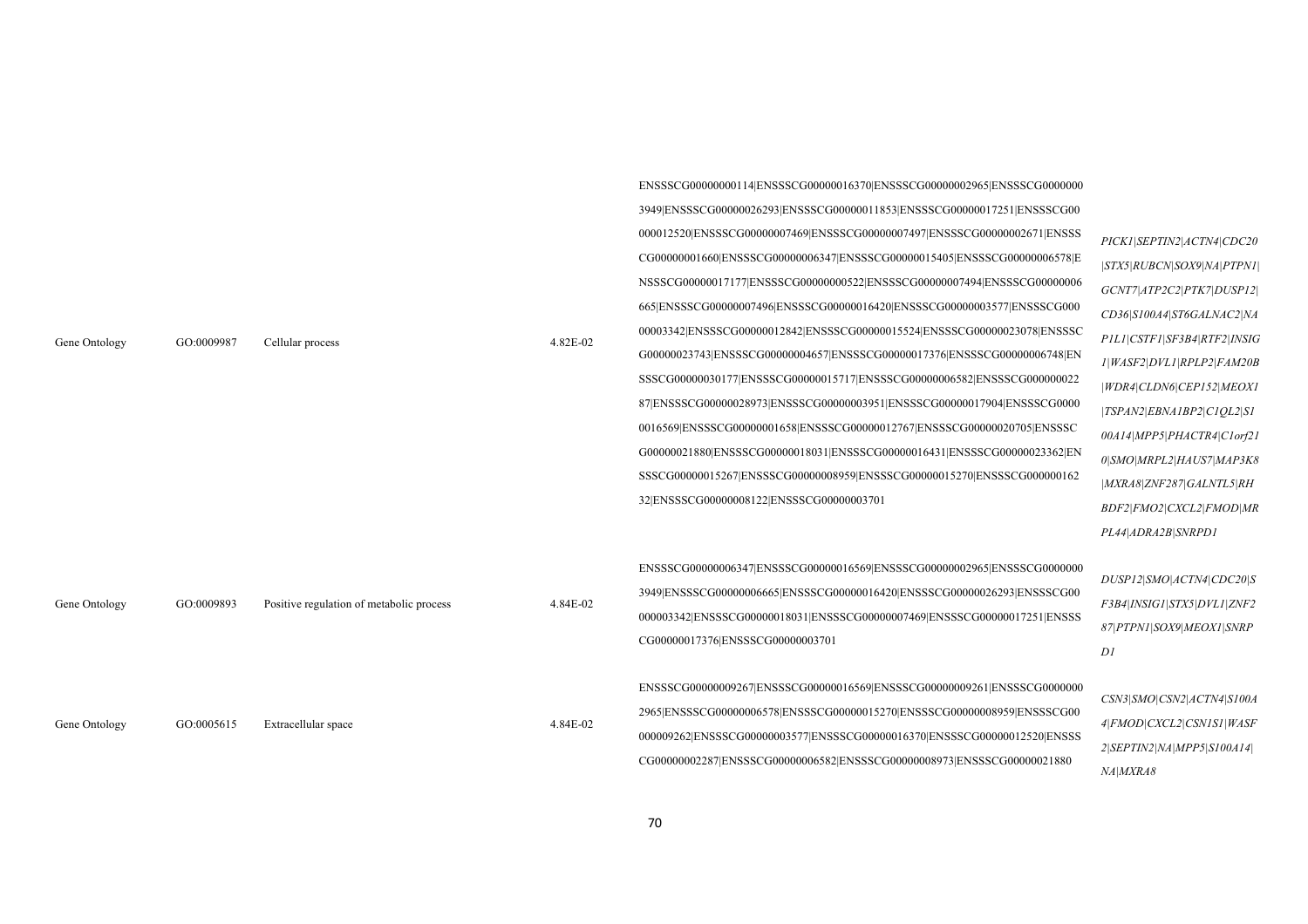| Gene Ontology | GO:0009987 | Cellular process                         | 4.82E-02 | ENSSSCG00000000114 ENSSSCG00000016370 ENSSSCG00000002965 ENSSSCG0000000<br>3949 ENSSSCG00000026293 ENSSSCG00000011853 ENSSSCG00000017251 ENSSSCG00<br>000012520 ENSSSCG00000007469 ENSSSCG00000007497 ENSSSCG00000002671 ENSSS<br>CG00000001660 ENSSSCG00000006347 ENSSSCG00000015405 ENSSSCG00000006578 E<br>NSSSCG00000017177 ENSSSCG00000000522 ENSSSCG00000007494 ENSSSCG00000006<br>665 ENSSSCG00000007496 ENSSSCG00000016420 ENSSSCG00000003577 ENSSSCG000<br>00003342 ENSSSCG00000012842 ENSSSCG00000015524 ENSSSCG00000023078 ENSSSC<br>G00000023743 ENSSSCG00000004657 ENSSSCG00000017376 ENSSSCG00000006748 EN<br>SSSCG00000030177 ENSSSCG00000015717 ENSSSCG00000006582 ENSSSCG000000022<br>87 ENSSSCG00000028973 ENSSSCG00000003951 ENSSSCG00000017904 ENSSSCG0000<br>0016569 ENSSSCG00000001658 ENSSSCG00000012767 ENSSSCG00000020705 ENSSSC<br>G00000021880 ENSSSCG00000018031 ENSSSCG00000016431 ENSSSCG00000023362 EN<br>SSSCG00000015267 ENSSSCG00000008959 ENSSSCG00000015270 ENSSSCG000000162<br>32 ENSSSCG00000008122 ENSSSCG00000003701 | PICK1 SEPTIN2 ACTN4 CDC20<br> STX5 RUBCN SOX9 NA PTPNI <br>GCNT7 ATP2C2 PTK7 DUSP12 <br>CD36 S100A4 ST6GALNAC2 NA<br>PIL1 CSTF1 SF3B4 RTF2 INSIG<br>I WASE2 DVL1 RPLP2 FAM20B<br> WDR4 CLDN6 CEP152 MEOXI<br> TSPAN2 EBNA1BP2 C1QL2 S1<br>00A14 MPP5 PHACTR4 Clorf21<br>0 SMO MRPL2 HAUS7 MAP3K8<br> MXRA8 ZNF287 GALNTL5 RH<br>BDF2 FMO2 CXCL2 FMOD MR<br>PL44 ADRA2B SNRPD1 |
|---------------|------------|------------------------------------------|----------|--------------------------------------------------------------------------------------------------------------------------------------------------------------------------------------------------------------------------------------------------------------------------------------------------------------------------------------------------------------------------------------------------------------------------------------------------------------------------------------------------------------------------------------------------------------------------------------------------------------------------------------------------------------------------------------------------------------------------------------------------------------------------------------------------------------------------------------------------------------------------------------------------------------------------------------------------------------------------------------------------------------------------------------------------------------|-------------------------------------------------------------------------------------------------------------------------------------------------------------------------------------------------------------------------------------------------------------------------------------------------------------------------------------------------------------------------------|
| Gene Ontology | GO:0009893 | Positive regulation of metabolic process | 4.84E-02 | ENSSSCG00000006347 ENSSSCG00000016569 ENSSSCG00000002965 ENSSSCG0000000<br>3949JENSSSCG00000006665JENSSSCG00000016420JENSSSCG00000026293JENSSSCG00<br>000003342 ENSSSCG00000018031 ENSSSCG00000007469 ENSSSCG00000017251 ENSSS<br>CG00000017376 ENSSSCG00000003701                                                                                                                                                                                                                                                                                                                                                                                                                                                                                                                                                                                                                                                                                                                                                                                           | DUSP12 SMO ACTN4 CDC20 S<br>F3B4 INSIG1 STX5 DVL1 ZNF2<br>87 PTPN1 SOX9 MEOX1 SNRP<br>DI                                                                                                                                                                                                                                                                                      |
| Gene Ontology | GO:0005615 | Extracellular space                      | 4.84E-02 | ENSSSCG00000009267 ENSSSCG00000016569 ENSSSCG00000009261 ENSSSCG0000000<br>2965 ENSSSCG00000006578 ENSSSCG00000015270 ENSSSCG00000008959 ENSSSCG00<br>000009262 ENSSSCG00000003577 ENSSSCG00000016370 ENSSSCG00000012520 ENSSS<br>CG00000002287 ENSSSCG00000006582 ENSSSCG00000008973 ENSSSCG00000021880                                                                                                                                                                                                                                                                                                                                                                                                                                                                                                                                                                                                                                                                                                                                                     | CSN3 SMO CSN2 ACTN4 S100A<br>4 FMOD CXCL2 CSN1S1 WASF<br>2 SEPTIN2 NA MPP5 S100A14 <br>NA MXRA8                                                                                                                                                                                                                                                                               |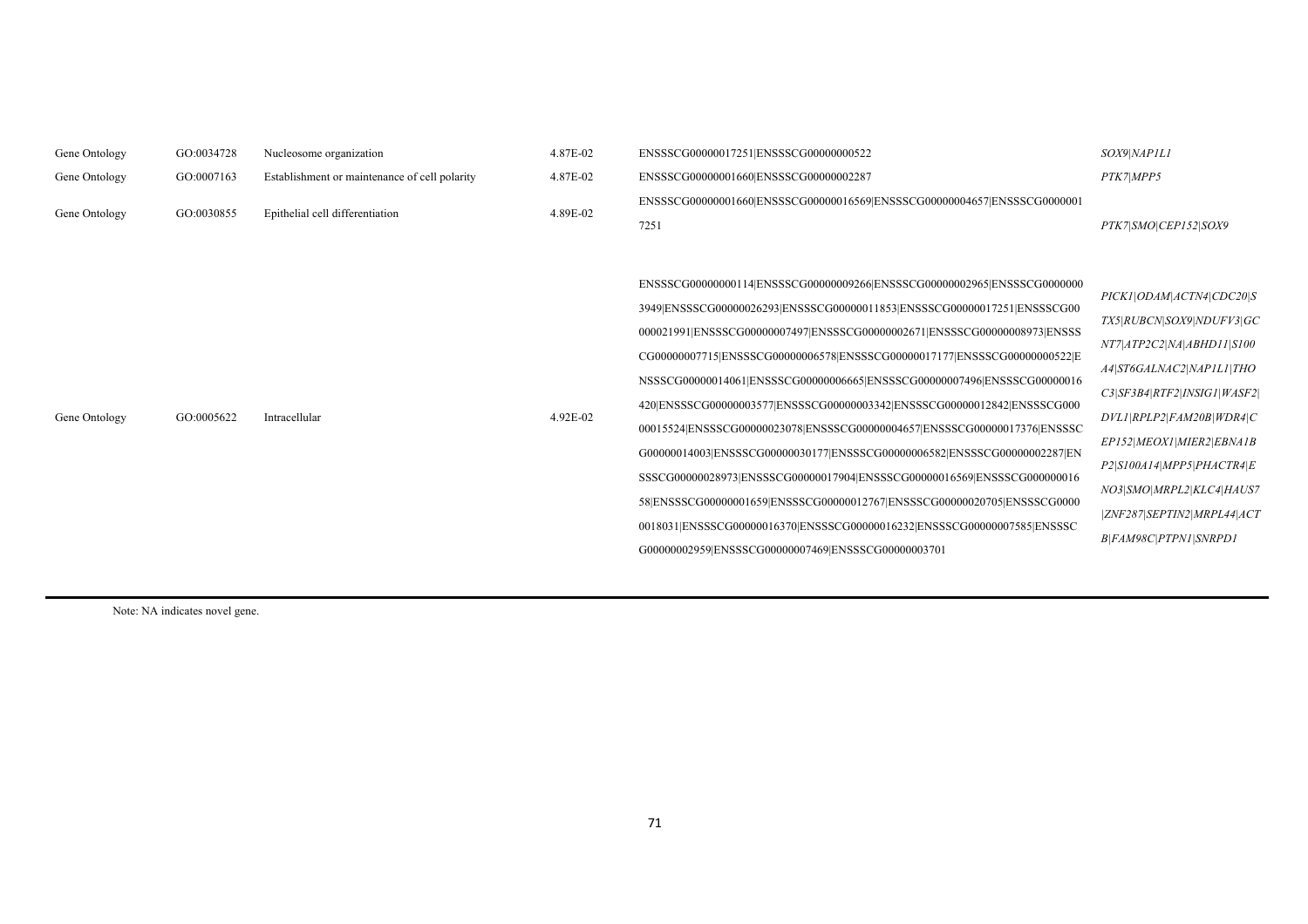| Gene Ontology | GO:0034728 | Nucleosome organization                       | 4.87E-02 | ENSSSCG00000017251 ENSSSCG00000000522                                                                                                                                                                                                                                                                                                                                                                                                                                                                                                                                                                                                                                                                                                                                                                                                                                                                          | SOX9\NAP1L1                                                                                                                                                                                                                                                                                                            |
|---------------|------------|-----------------------------------------------|----------|----------------------------------------------------------------------------------------------------------------------------------------------------------------------------------------------------------------------------------------------------------------------------------------------------------------------------------------------------------------------------------------------------------------------------------------------------------------------------------------------------------------------------------------------------------------------------------------------------------------------------------------------------------------------------------------------------------------------------------------------------------------------------------------------------------------------------------------------------------------------------------------------------------------|------------------------------------------------------------------------------------------------------------------------------------------------------------------------------------------------------------------------------------------------------------------------------------------------------------------------|
| Gene Ontology | GO:0007163 | Establishment or maintenance of cell polarity | 4.87E-02 | ENSSSCG00000001660 ENSSSCG00000002287                                                                                                                                                                                                                                                                                                                                                                                                                                                                                                                                                                                                                                                                                                                                                                                                                                                                          | PTK7 MPP5                                                                                                                                                                                                                                                                                                              |
| Gene Ontology | GO:0030855 | Epithelial cell differentiation               | 4.89E-02 | ENSSSCG00000001660 ENSSSCG00000016569 ENSSSCG0000004657 ENSSSCG0000001<br>7251                                                                                                                                                                                                                                                                                                                                                                                                                                                                                                                                                                                                                                                                                                                                                                                                                                 | PTK7 SMO CEP152 SOX9                                                                                                                                                                                                                                                                                                   |
| Gene Ontology | GO:0005622 | Intracellular                                 | 4.92E-02 | ENSSSCG00000000114ENSSSCG00000009266 ENSSSCG00000002965 ENSSSCG0000000<br>3949 ENSSSCG00000026293 ENSSSCG00000011853 ENSSSCG00000017251 ENSSSCG00<br>000021991 ENSSSCG00000007497 ENSSSCG00000002671 ENSSSCG00000008973 ENSSS<br>CG00000007715 ENSSSCG00000006578 ENSSSCG00000017177 ENSSSCG00000000522 E<br>NSSSCG00000014061 ENSSSCG00000006665 ENSSSCG00000007496 ENSSSCG00000016<br>420 ENSSSCG00000003577 ENSSSCG00000003342 ENSSSCG00000012842 ENSSSCG000<br>00015524 ENSSSCG00000023078 ENSSSCG00000004657 ENSSSCG00000017376 ENSSSC<br>G00000014003 ENSSSCG00000030177 ENSSSCG00000006582 ENSSSCG00000002287 EN<br>SSSCG00000028973 ENSSSCG00000017904 ENSSSCG00000016569 ENSSSCG000000016<br>58 ENSSSCG00000001659 ENSSSCG00000012767 ENSSSCG00000020705 ENSSSCG0000<br>0018031 ENSSSCG00000016370 ENSSSCG00000016232 ENSSSCG00000007585 ENSSSC<br>G00000002959 ENSSSCG00000007469 ENSSSCG00000003701 | PICK1 ODAM ACTN4 CDC20 S<br>TX5 RUBCN SOX9 NDUFV3 GC<br>NT7 ATP2C2 NA ABHD11 S100<br>A4\ST6GALNAC2\NAP1L1\THO<br>C3 SF3B4 RTF2 INSIG1 WASF2 <br>DVLI   RPLP2 FAM20B WDR4 C<br>EP152\MEOX1\MIER2\EBNA1B<br>P2 S100A14 MPP5 PHACTR4 E<br>NO3 SMO MRPL2 KLC4 HAUS7<br> ZNF287 SEPTIN2 MRPL44 ACT<br>B FAM98C PTPN1 SNRPD1 |

Note: NA indicates novel gene.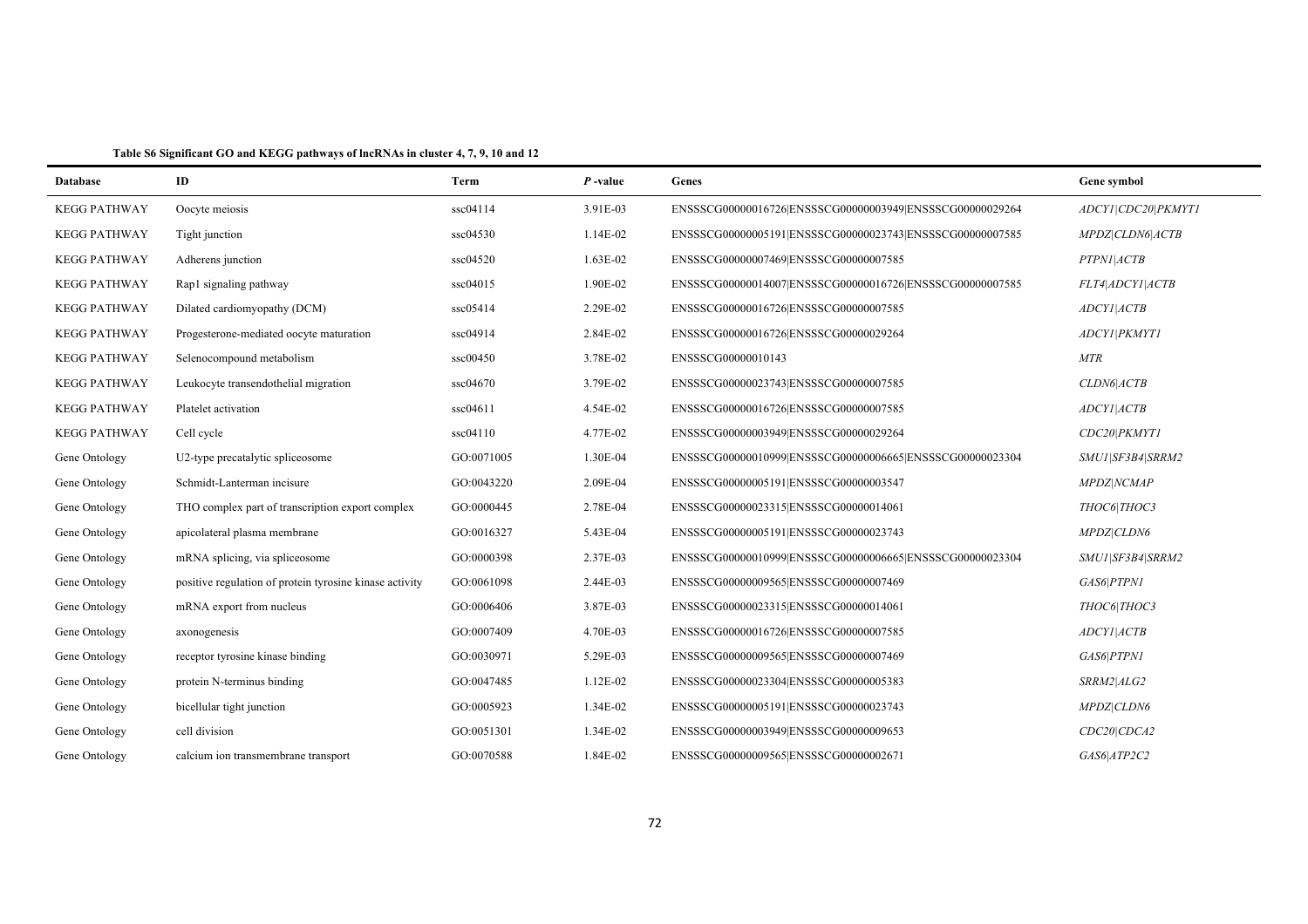| <b>Database</b>     | ID                                                      | Term       | $P$ -value | Genes                                                    | Gene symbol        |
|---------------------|---------------------------------------------------------|------------|------------|----------------------------------------------------------|--------------------|
| <b>KEGG PATHWAY</b> | Oocyte meiosis                                          | ssc04114   | 3.91E-03   | ENSSSCG00000016726 ENSSSCG00000003949 ENSSSCG00000029264 | ADCY1 CDC20 PKMYT1 |
| <b>KEGG PATHWAY</b> | Tight junction                                          | ssc04530   | 1.14E-02   | ENSSSCG00000005191 ENSSSCG00000023743 ENSSSCG00000007585 | MPDZ CLDN6 ACTB    |
| <b>KEGG PATHWAY</b> | Adherens junction                                       | ssc04520   | 1.63E-02   | ENSSSCG00000007469 ENSSSCG00000007585                    | PTPN1 ACTB         |
| <b>KEGG PATHWAY</b> | Rap1 signaling pathway                                  | ssc04015   | 1.90E-02   | ENSSSCG00000014007 ENSSSCG00000016726 ENSSSCG00000007585 | FLT4 ADCY1 ACTB    |
| <b>KEGG PATHWAY</b> | Dilated cardiomyopathy (DCM)                            | ssc05414   | 2.29E-02   | ENSSSCG00000016726 ENSSSCG00000007585                    | ADCYI ACTB         |
| <b>KEGG PATHWAY</b> | Progesterone-mediated oocyte maturation                 | ssc04914   | 2.84E-02   | ENSSSCG00000016726 ENSSSCG00000029264                    | ADCY1\PKMYT1       |
| <b>KEGG PATHWAY</b> | Selenocompound metabolism                               | ssc00450   | 3.78E-02   | ENSSSCG00000010143                                       | $MTR$              |
| <b>KEGG PATHWAY</b> | Leukocyte transendothelial migration                    | ssc04670   | 3.79E-02   | ENSSSCG00000023743 ENSSSCG00000007585                    | CLDN6 ACTB         |
| <b>KEGG PATHWAY</b> | Platelet activation                                     | ssc04611   | 4.54E-02   | ENSSSCG00000016726 ENSSSCG00000007585                    | ADCYI ACTB         |
| <b>KEGG PATHWAY</b> | Cell cycle                                              | ssc04110   | 4.77E-02   | ENSSSCG00000003949 ENSSSCG00000029264                    | CDC20 PKMYT1       |
| Gene Ontology       | U2-type precatalytic spliceosome                        | GO:0071005 | 1.30E-04   | ENSSSCG00000010999 ENSSSCG00000006665 ENSSSCG00000023304 | SMU1 SF3B4 SRRM2   |
| Gene Ontology       | Schmidt-Lanterman incisure                              | GO:0043220 | 2.09E-04   | ENSSSCG00000005191 ENSSSCG00000003547                    | MPDZ NCMAP         |
| Gene Ontology       | THO complex part of transcription export complex        | GO:0000445 | 2.78E-04   | ENSSSCG00000023315 ENSSSCG00000014061                    | THOC6 THOC3        |
| Gene Ontology       | apicolateral plasma membrane                            | GO:0016327 | 5.43E-04   | ENSSSCG00000005191 ENSSSCG00000023743                    | MPDZ CLDN6         |
| Gene Ontology       | mRNA splicing, via spliceosome                          | GO:0000398 | 2.37E-03   | ENSSSCG00000010999 ENSSSCG00000006665 ENSSSCG00000023304 | SMU1 SF3B4 SRRM2   |
| Gene Ontology       | positive regulation of protein tyrosine kinase activity | GO:0061098 | 2.44E-03   | ENSSSCG00000009565 ENSSSCG00000007469                    | GAS6 PTPN1         |
| Gene Ontology       | mRNA export from nucleus                                | GO:0006406 | 3.87E-03   | ENSSSCG00000023315 ENSSSCG00000014061                    | THOC6 THOC3        |
| Gene Ontology       | axonogenesis                                            | GO:0007409 | 4.70E-03   | ENSSSCG00000016726 ENSSSCG00000007585                    | ADCYI   ACTB       |
| Gene Ontology       | receptor tyrosine kinase binding                        | GO:0030971 | 5.29E-03   | ENSSSCG00000009565 ENSSSCG00000007469                    | GAS6 PTPN1         |
| Gene Ontology       | protein N-terminus binding                              | GO:0047485 | 1.12E-02   | ENSSSCG00000023304 ENSSSCG00000005383                    | SRRM2 ALG2         |
| Gene Ontology       | bicellular tight junction                               | GO:0005923 | 1.34E-02   | ENSSSCG00000005191 ENSSSCG00000023743                    | MPDZ CLDN6         |
| Gene Ontology       | cell division                                           | GO:0051301 | 1.34E-02   | ENSSSCG00000003949 ENSSSCG00000009653                    | CDC20 CDCA2        |
| Gene Ontology       | calcium ion transmembrane transport                     | GO:0070588 | 1.84E-02   | ENSSSCG00000009565 ENSSSCG00000002671                    | GAS6 ATP2C2        |

**Table S6 Significant GO and KEGG pathways of lncRNAs in cluster 4, 7, 9, 10 and 12**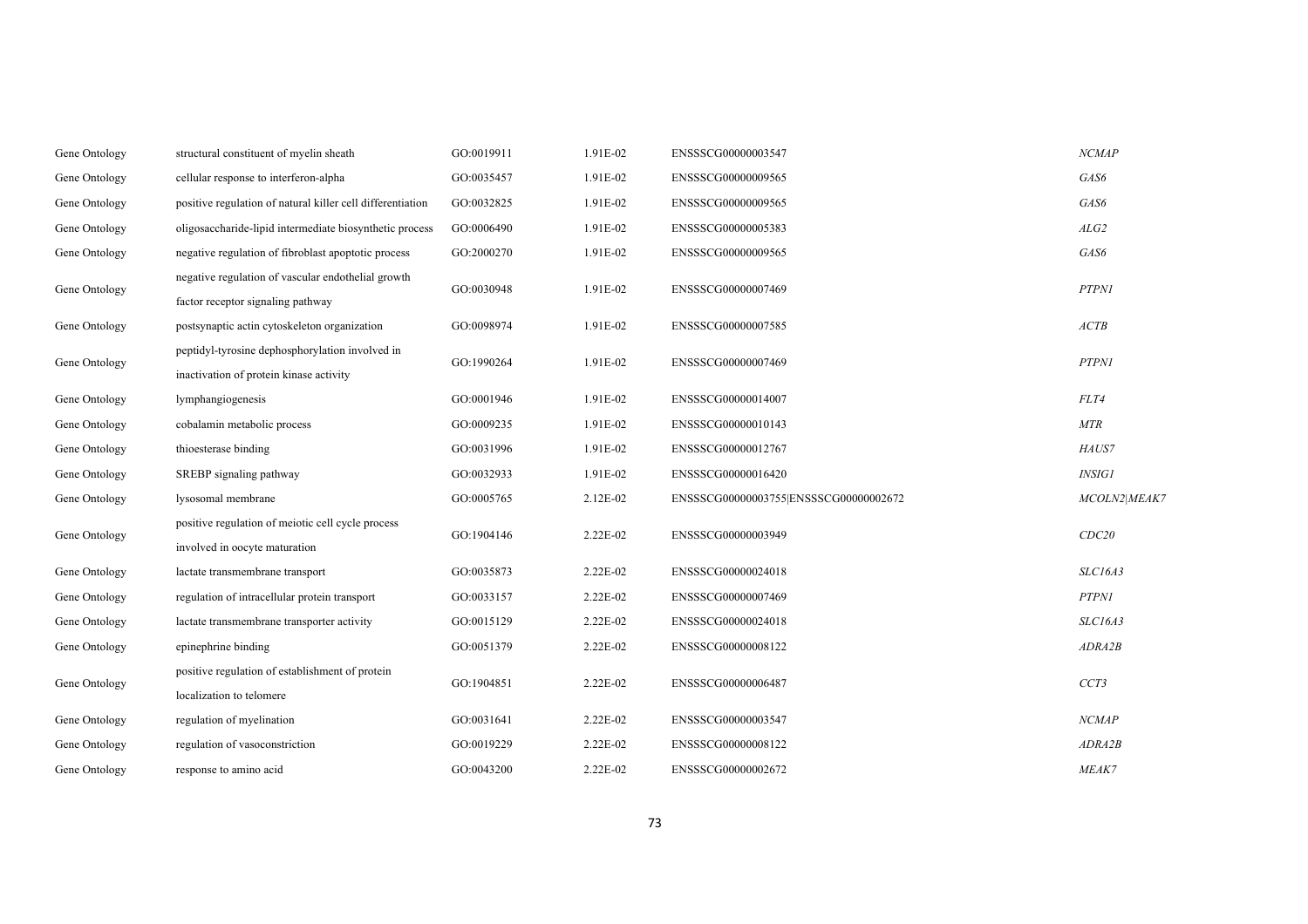| Gene Ontology | structural constituent of myelin sheath                    | GO:0019911 | 1.91E-02 | ENSSSCG00000003547                    | <b>NCMAP</b>   |  |
|---------------|------------------------------------------------------------|------------|----------|---------------------------------------|----------------|--|
| Gene Ontology | cellular response to interferon-alpha                      | GO:0035457 | 1.91E-02 | ENSSSCG00000009565                    | GAS6           |  |
| Gene Ontology | positive regulation of natural killer cell differentiation | GO:0032825 | 1.91E-02 | ENSSSCG00000009565                    | GAS6           |  |
| Gene Ontology | oligosaccharide-lipid intermediate biosynthetic process    | GO:0006490 | 1.91E-02 | ENSSSCG00000005383                    | ALG2           |  |
| Gene Ontology | negative regulation of fibroblast apoptotic process        | GO:2000270 | 1.91E-02 | ENSSSCG00000009565                    | GAS6           |  |
| Gene Ontology | negative regulation of vascular endothelial growth         | GO:0030948 | 1.91E-02 | ENSSSCG00000007469                    | <b>PTPN1</b>   |  |
|               | factor receptor signaling pathway                          |            |          |                                       |                |  |
| Gene Ontology | postsynaptic actin cytoskeleton organization               | GO:0098974 | 1.91E-02 | ENSSSCG00000007585                    | ACTB           |  |
| Gene Ontology | peptidyl-tyrosine dephosphorylation involved in            | GO:1990264 | 1.91E-02 | ENSSSCG00000007469                    | <b>PTPN1</b>   |  |
|               | inactivation of protein kinase activity                    |            |          |                                       |                |  |
| Gene Ontology | lymphangiogenesis                                          | GO:0001946 | 1.91E-02 | ENSSSCG00000014007                    | FLT4           |  |
| Gene Ontology | cobalamin metabolic process                                | GO:0009235 | 1.91E-02 | ENSSSCG00000010143                    | MTR            |  |
| Gene Ontology | thioesterase binding                                       | GO:0031996 | 1.91E-02 | ENSSSCG00000012767                    | HAUS7          |  |
| Gene Ontology | SREBP signaling pathway                                    | GO:0032933 | 1.91E-02 | ENSSSCG00000016420                    | <b>INSIG1</b>  |  |
| Gene Ontology | lysosomal membrane                                         | GO:0005765 | 2.12E-02 | ENSSSCG00000003755 ENSSSCG00000002672 | MCOLN2 MEAK7   |  |
| Gene Ontology | positive regulation of meiotic cell cycle process          | GO:1904146 | 2.22E-02 | ENSSSCG00000003949                    | CDC20          |  |
|               | involved in oocyte maturation                              |            |          |                                       |                |  |
| Gene Ontology | lactate transmembrane transport                            | GO:0035873 | 2.22E-02 | ENSSSCG00000024018                    | SLC16A3        |  |
| Gene Ontology | regulation of intracellular protein transport              | GO:0033157 | 2.22E-02 | ENSSSCG00000007469                    | <i>PTPN1</i>   |  |
| Gene Ontology | lactate transmembrane transporter activity                 | GO:0015129 | 2.22E-02 | ENSSSCG00000024018                    | <b>SLC16A3</b> |  |
| Gene Ontology | epinephrine binding                                        | GO:0051379 | 2.22E-02 | ENSSSCG00000008122                    | ADRA2B         |  |
| Gene Ontology | positive regulation of establishment of protein            | GO:1904851 | 2.22E-02 | ENSSSCG00000006487                    | CCT3           |  |
|               | localization to telomere                                   |            |          |                                       |                |  |
| Gene Ontology | regulation of myelination                                  | GO:0031641 | 2.22E-02 | ENSSSCG00000003547                    | <b>NCMAP</b>   |  |
| Gene Ontology | regulation of vasoconstriction                             | GO:0019229 | 2.22E-02 | ENSSSCG00000008122                    | ADRA2B         |  |
| Gene Ontology | response to amino acid                                     | GO:0043200 | 2.22E-02 | ENSSSCG00000002672                    | MEAK7          |  |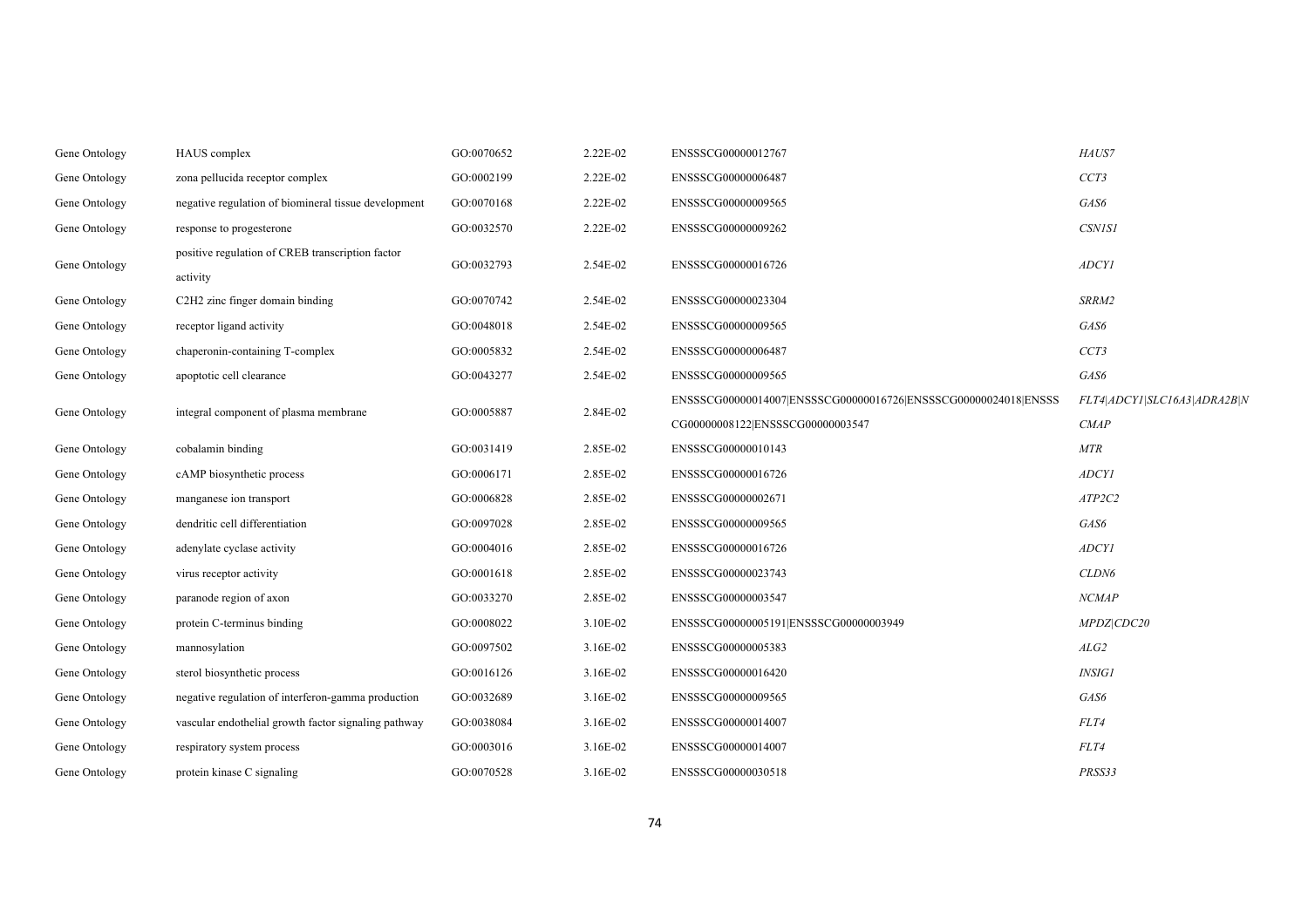| Gene Ontology | HAUS complex                                                 | GO:0070652 | 2.22E-02 | ENSSSCG00000012767                                             | HAUS7                       |
|---------------|--------------------------------------------------------------|------------|----------|----------------------------------------------------------------|-----------------------------|
| Gene Ontology | zona pellucida receptor complex                              | GO:0002199 | 2.22E-02 | ENSSSCG00000006487                                             | CCT3                        |
| Gene Ontology | negative regulation of biomineral tissue development         | GO:0070168 | 2.22E-02 | ENSSSCG00000009565                                             | GAS6                        |
| Gene Ontology | response to progesterone                                     | GO:0032570 | 2.22E-02 | ENSSSCG00000009262                                             | <b>CSN1S1</b>               |
| Gene Ontology | positive regulation of CREB transcription factor<br>activity | GO:0032793 | 2.54E-02 | ENSSSCG00000016726                                             | <b>ADCY1</b>                |
| Gene Ontology | C2H2 zinc finger domain binding                              | GO:0070742 | 2.54E-02 | ENSSSCG00000023304                                             | SRRM2                       |
| Gene Ontology | receptor ligand activity                                     | GO:0048018 | 2.54E-02 | ENSSSCG00000009565                                             | GAS6                        |
| Gene Ontology | chaperonin-containing T-complex                              | GO:0005832 | 2.54E-02 | ENSSSCG00000006487                                             | CCT3                        |
| Gene Ontology | apoptotic cell clearance                                     | GO:0043277 | 2.54E-02 | ENSSSCG00000009565                                             | GAS6                        |
| Gene Ontology | integral component of plasma membrane                        | GO:0005887 | 2.84E-02 | ENSSSCG00000014007 ENSSSCG00000016726 ENSSSCG00000024018 ENSSS | FLT4 ADCY1 SLC16A3 ADRA2B N |
|               |                                                              |            |          | CG00000008122 ENSSSCG00000003547                               | <b>CMAP</b>                 |
| Gene Ontology | cobalamin binding                                            | GO:0031419 | 2.85E-02 | ENSSSCG00000010143                                             | MTR                         |
| Gene Ontology | cAMP biosynthetic process                                    | GO:0006171 | 2.85E-02 | ENSSSCG00000016726                                             | <b>ADCYI</b>                |
| Gene Ontology | manganese ion transport                                      | GO:0006828 | 2.85E-02 | ENSSSCG00000002671                                             | ATP2C2                      |
| Gene Ontology | dendritic cell differentiation                               | GO:0097028 | 2.85E-02 | ENSSSCG00000009565                                             | GAS6                        |
| Gene Ontology | adenylate cyclase activity                                   | GO:0004016 | 2.85E-02 | ENSSSCG00000016726                                             | <b>ADCYI</b>                |
| Gene Ontology | virus receptor activity                                      | GO:0001618 | 2.85E-02 | ENSSSCG00000023743                                             | CLDN6                       |
| Gene Ontology | paranode region of axon                                      | GO:0033270 | 2.85E-02 | ENSSSCG00000003547                                             | NCMAP                       |
| Gene Ontology | protein C-terminus binding                                   | GO:0008022 | 3.10E-02 | ENSSSCG00000005191 ENSSSCG00000003949                          | MPDZ CDC20                  |
| Gene Ontology | mannosylation                                                | GO:0097502 | 3.16E-02 | ENSSSCG00000005383                                             | ALG2                        |
| Gene Ontology | sterol biosynthetic process                                  | GO:0016126 | 3.16E-02 | ENSSSCG00000016420                                             | <b>INSIG1</b>               |
| Gene Ontology | negative regulation of interferon-gamma production           | GO:0032689 | 3.16E-02 | ENSSSCG00000009565                                             | GAS6                        |
| Gene Ontology | vascular endothelial growth factor signaling pathway         | GO:0038084 | 3.16E-02 | ENSSSCG00000014007                                             | FLT4                        |
| Gene Ontology | respiratory system process                                   | GO:0003016 | 3.16E-02 | ENSSSCG00000014007                                             | FLT4                        |
| Gene Ontology | protein kinase C signaling                                   | GO:0070528 | 3.16E-02 | ENSSSCG00000030518                                             | PRSS33                      |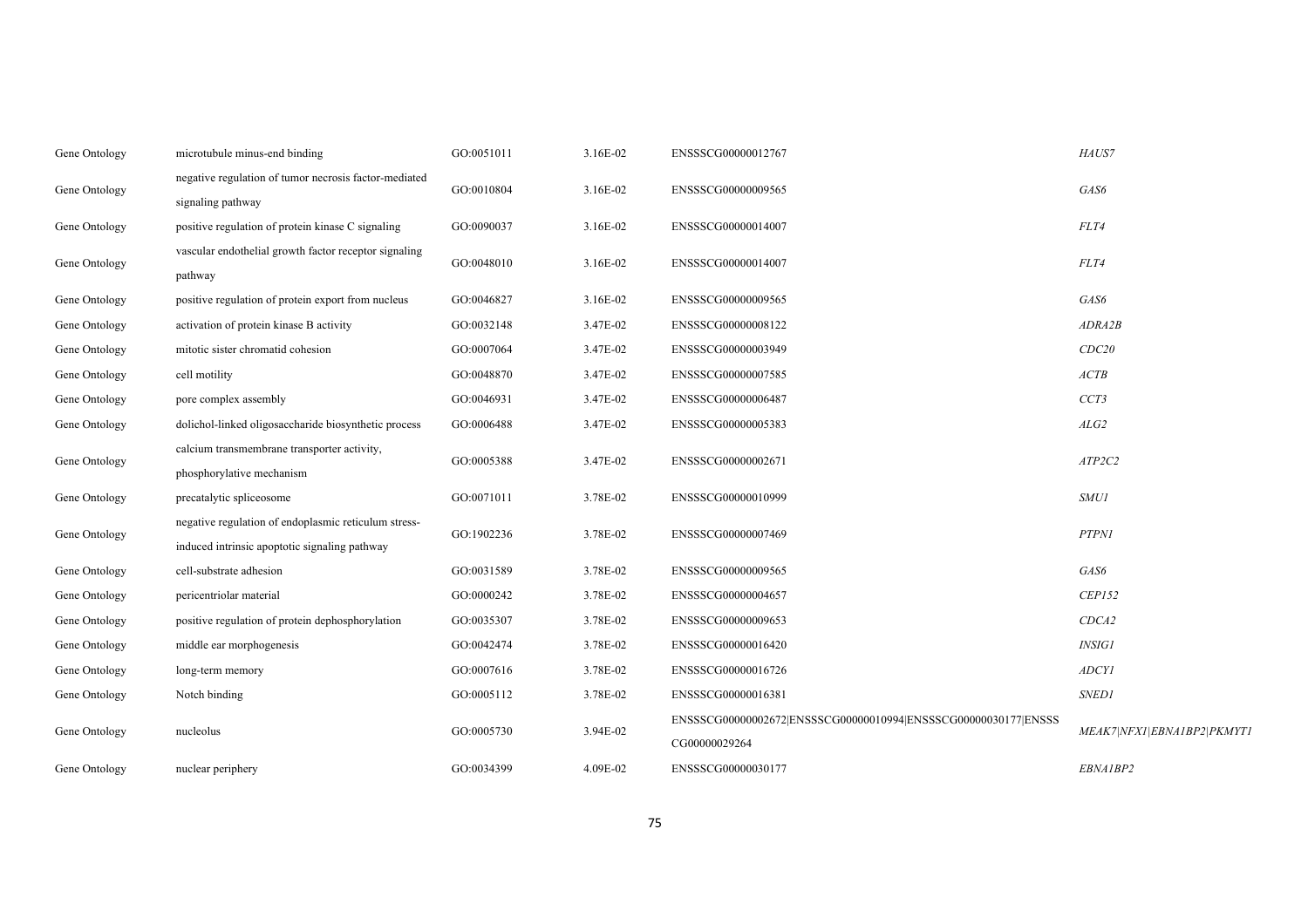| Gene Ontology | microtubule minus-end binding                                                                         | GO:0051011 | 3.16E-02 | ENSSSCG00000012767                                                              | HAUS7                      |
|---------------|-------------------------------------------------------------------------------------------------------|------------|----------|---------------------------------------------------------------------------------|----------------------------|
| Gene Ontology | negative regulation of tumor necrosis factor-mediated<br>signaling pathway                            | GO:0010804 | 3.16E-02 | ENSSSCG00000009565                                                              | GAS6                       |
| Gene Ontology | positive regulation of protein kinase C signaling                                                     | GO:0090037 | 3.16E-02 | ENSSSCG00000014007                                                              | FLT4                       |
| Gene Ontology | vascular endothelial growth factor receptor signaling<br>pathway                                      | GO:0048010 | 3.16E-02 | ENSSSCG00000014007                                                              | FLT4                       |
| Gene Ontology | positive regulation of protein export from nucleus                                                    | GO:0046827 | 3.16E-02 | ENSSSCG00000009565                                                              | GAS6                       |
| Gene Ontology | activation of protein kinase B activity                                                               | GO:0032148 | 3.47E-02 | ENSSSCG00000008122                                                              | ADRA2B                     |
| Gene Ontology | mitotic sister chromatid cohesion                                                                     | GO:0007064 | 3.47E-02 | ENSSSCG00000003949                                                              | CDC20                      |
| Gene Ontology | cell motility                                                                                         | GO:0048870 | 3.47E-02 | ENSSSCG00000007585                                                              | ACTB                       |
| Gene Ontology | pore complex assembly                                                                                 | GO:0046931 | 3.47E-02 | ENSSSCG00000006487                                                              | CCT3                       |
| Gene Ontology | dolichol-linked oligosaccharide biosynthetic process                                                  | GO:0006488 | 3.47E-02 | ENSSSCG00000005383                                                              | ALG2                       |
| Gene Ontology | calcium transmembrane transporter activity,<br>phosphorylative mechanism                              | GO:0005388 | 3.47E-02 | ENSSSCG00000002671                                                              | ATP2C2                     |
| Gene Ontology | precatalytic spliceosome                                                                              | GO:0071011 | 3.78E-02 | ENSSSCG00000010999                                                              | <b>SMU1</b>                |
| Gene Ontology | negative regulation of endoplasmic reticulum stress-<br>induced intrinsic apoptotic signaling pathway | GO:1902236 | 3.78E-02 | ENSSSCG00000007469                                                              | <b>PTPN1</b>               |
| Gene Ontology | cell-substrate adhesion                                                                               | GO:0031589 | 3.78E-02 | ENSSSCG00000009565                                                              | GAS6                       |
| Gene Ontology | pericentriolar material                                                                               | GO:0000242 | 3.78E-02 | ENSSSCG00000004657                                                              | CEPI52                     |
| Gene Ontology | positive regulation of protein dephosphorylation                                                      | GO:0035307 | 3.78E-02 | ENSSSCG00000009653                                                              | CDCA2                      |
| Gene Ontology | middle ear morphogenesis                                                                              | GO:0042474 | 3.78E-02 | ENSSSCG00000016420                                                              | <b>INSIG1</b>              |
| Gene Ontology | long-term memory                                                                                      | GO:0007616 | 3.78E-02 | ENSSSCG00000016726                                                              | <b>ADCYI</b>               |
| Gene Ontology | Notch binding                                                                                         | GO:0005112 | 3.78E-02 | ENSSSCG00000016381                                                              | SNED1                      |
| Gene Ontology | nucleolus                                                                                             | GO:0005730 | 3.94E-02 | ENSSSCG00000002672 ENSSSCG00000010994 ENSSSCG00000030177 ENSSS<br>CG00000029264 | MEAK7 NFX1 EBNA1BP2 PKMYT1 |
| Gene Ontology | nuclear periphery                                                                                     | GO:0034399 | 4.09E-02 | ENSSSCG00000030177                                                              | EBNA1BP2                   |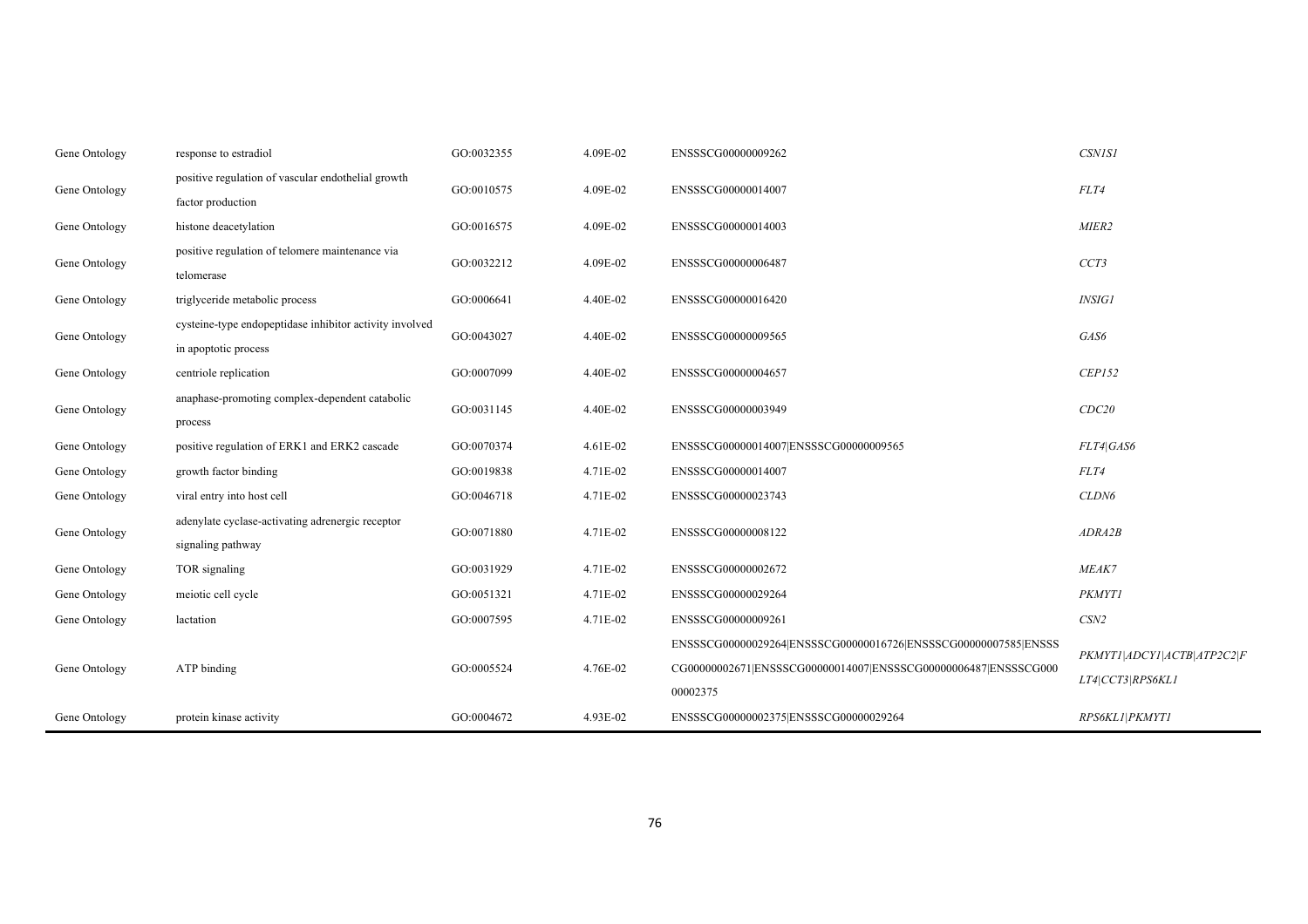| Gene Ontology | response to estradiol                                                           | GO:0032355 | 4.09E-02 | ENSSSCG00000009262                                                                                                                           | <b>CSN1S1</b>                                  |
|---------------|---------------------------------------------------------------------------------|------------|----------|----------------------------------------------------------------------------------------------------------------------------------------------|------------------------------------------------|
| Gene Ontology | positive regulation of vascular endothelial growth<br>factor production         | GO:0010575 | 4.09E-02 | ENSSSCG00000014007                                                                                                                           | FLT4                                           |
| Gene Ontology | histone deacetylation                                                           | GO:0016575 | 4.09E-02 | ENSSSCG00000014003                                                                                                                           | MIER <sub>2</sub>                              |
| Gene Ontology | positive regulation of telomere maintenance via<br>telomerase                   | GO:0032212 | 4.09E-02 | ENSSSCG00000006487                                                                                                                           | CCT3                                           |
| Gene Ontology | triglyceride metabolic process                                                  | GO:0006641 | 4.40E-02 | ENSSSCG00000016420                                                                                                                           | <b>INSIG1</b>                                  |
| Gene Ontology | cysteine-type endopeptidase inhibitor activity involved<br>in apoptotic process | GO:0043027 | 4.40E-02 | ENSSSCG00000009565                                                                                                                           | GAS6                                           |
| Gene Ontology | centriole replication                                                           | GO:0007099 | 4.40E-02 | ENSSSCG00000004657                                                                                                                           | CEPI52                                         |
| Gene Ontology | anaphase-promoting complex-dependent catabolic<br>process                       | GO:0031145 | 4.40E-02 | ENSSSCG00000003949                                                                                                                           | CDC20                                          |
| Gene Ontology | positive regulation of ERK1 and ERK2 cascade                                    | GO:0070374 | 4.61E-02 | ENSSSCG00000014007 ENSSSCG00000009565                                                                                                        | FLT4 GAS6                                      |
| Gene Ontology | growth factor binding                                                           | GO:0019838 | 4.71E-02 | ENSSSCG00000014007                                                                                                                           | FLT4                                           |
| Gene Ontology | viral entry into host cell                                                      | GO:0046718 | 4.71E-02 | ENSSSCG00000023743                                                                                                                           | CLDN6                                          |
| Gene Ontology | adenylate cyclase-activating adrenergic receptor<br>signaling pathway           | GO:0071880 | 4.71E-02 | ENSSSCG00000008122                                                                                                                           | ADRA2B                                         |
| Gene Ontology | TOR signaling                                                                   | GO:0031929 | 4.71E-02 | ENSSSCG00000002672                                                                                                                           | MEAK7                                          |
| Gene Ontology | meiotic cell cycle                                                              | GO:0051321 | 4.71E-02 | ENSSSCG00000029264                                                                                                                           | <b>PKMYT1</b>                                  |
| Gene Ontology | lactation                                                                       | GO:0007595 | 4.71E-02 | ENSSSCG00000009261                                                                                                                           | CSN2                                           |
| Gene Ontology | ATP binding                                                                     | GO:0005524 | 4.76E-02 | ENSSSCG00000029264 ENSSSCG00000016726 ENSSSCG00000007585 ENSSS<br>CG00000002671 ENSSSCG00000014007 ENSSSCG00000006487 ENSSSCG000<br>00002375 | PKMYT1 ADCY1 ACTB ATP2C2 F<br>LT4 CCT3 RPS6KL1 |
| Gene Ontology | protein kinase activity                                                         | GO:0004672 | 4.93E-02 | ENSSSCG00000002375 ENSSSCG00000029264                                                                                                        | RPS6KL1 PKMYT1                                 |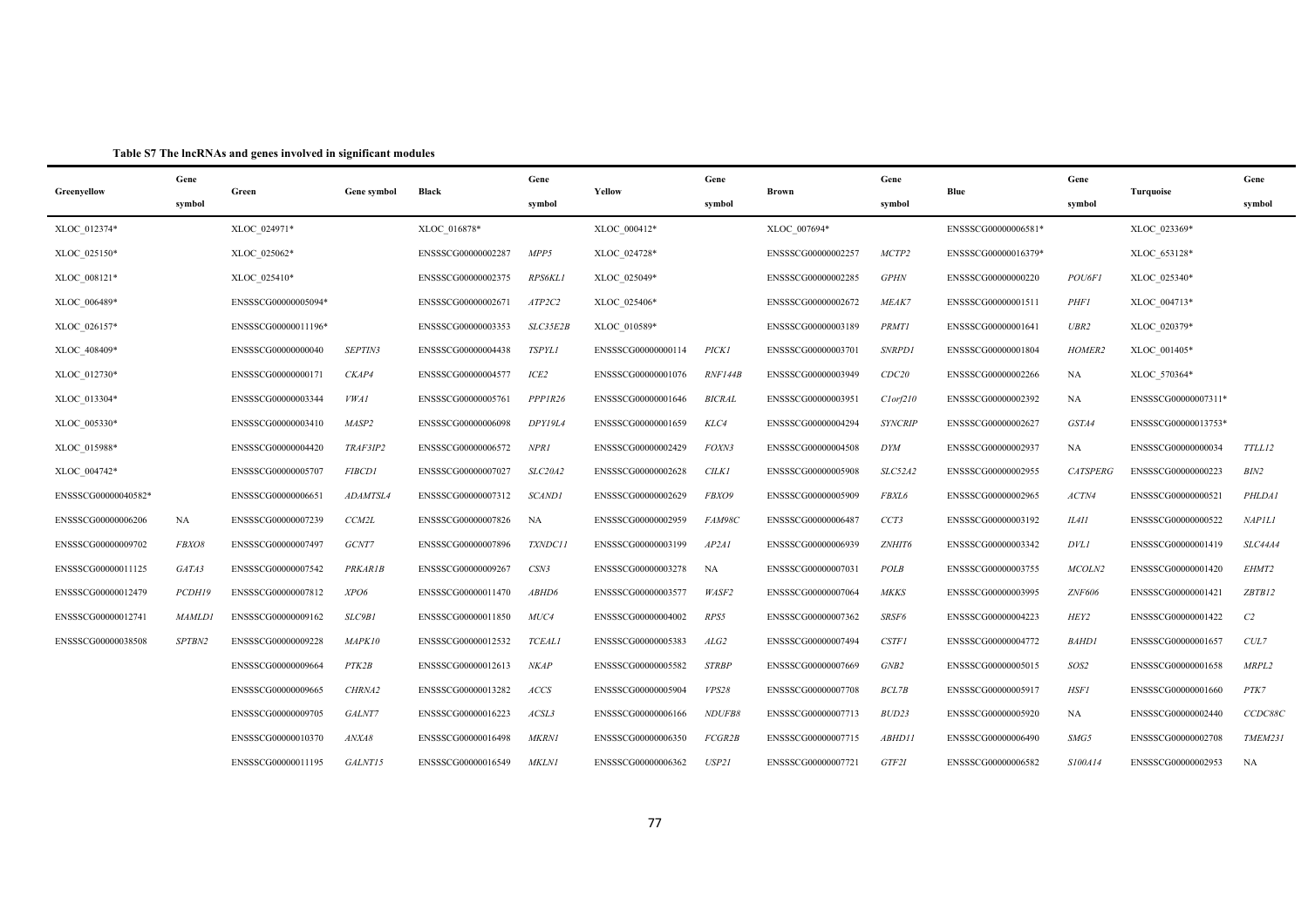|                     | Gene          |                     |                |                    | Gene           |                    | Gene          |                    | Gene             |                     | Gene            |                     | Gene           |
|---------------------|---------------|---------------------|----------------|--------------------|----------------|--------------------|---------------|--------------------|------------------|---------------------|-----------------|---------------------|----------------|
| Greenyellow         | symbol        | Green               | Gene symbol    | Black              | symbol         | Yellow             | symbol        | <b>Brown</b>       | symbol           | Blue                | symbol          | Turquoise           | symbol         |
| XLOC_012374*        |               | XLOC 024971*        |                | XLOC 016878*       |                | XLOC 000412*       |               | XLOC 007694*       |                  | ENSSSCG00000006581* |                 | XLOC 023369*        |                |
| XLOC_025150*        |               | XLOC 025062*        |                | ENSSSCG00000002287 | MPP5           | XLOC 024728*       |               | ENSSSCG00000002257 | MCTP2            | ENSSSCG00000016379* |                 | XLOC_653128*        |                |
| XLOC_008121*        |               | XLOC_025410*        |                | ENSSSCG00000002375 | <b>RPS6KL1</b> | XLOC 025049*       |               | ENSSSCG00000002285 | <b>GPHN</b>      | ENSSSCG00000000220  | POU6F1          | XLOC_025340*        |                |
| XLOC_006489*        |               | ENSSSCG00000005094* |                | ENSSSCG00000002671 | ATP2C2         | XLOC 025406*       |               | ENSSSCG00000002672 | MEAK7            | ENSSSCG00000001511  | <i>PHF1</i>     | XLOC 004713*        |                |
| XLOC_026157*        |               | ENSSSCG00000011196* |                | ENSSSCG00000003353 | SLC35E2B       | XLOC 010589*       |               | ENSSSCG00000003189 | <b>PRMT1</b>     | ENSSSCG00000001641  | UBR2            | XLOC_020379*        |                |
| XLOC_408409*        |               | ENSSSCG00000000040  | SEPTIN3        | ENSSSCG00000004438 | <b>TSPYL1</b>  | ENSSSCG00000000114 | <b>PICK1</b>  | ENSSSCG00000003701 | SNRPD1           | ENSSSCG00000001804  | HOMER2          | XLOC_001405*        |                |
| XLOC_012730*        |               | ENSSSCG00000000171  | CKAP4          | ENSSSCG00000004577 | ICE2           | ENSSSCG00000001076 | RNF144B       | ENSSSCG00000003949 | CDC20            | ENSSSCG00000002266  | NA              | XLOC_570364*        |                |
| XLOC_013304*        |               | ENSSSCG00000003344  | <i>VWA1</i>    | ENSSSCG00000005761 | PPP1R26        | ENSSSCG00000001646 | <b>BICRAL</b> | ENSSSCG00000003951 | Clorf210         | ENSSSCG00000002392  | NA              | ENSSSCG00000007311* |                |
| XLOC_005330*        |               | ENSSSCG00000003410  | MASP2          | ENSSSCG00000006098 | DPY19L4        | ENSSSCG00000001659 | KLC4          | ENSSSCG00000004294 | <b>SYNCRIP</b>   | ENSSSCG00000002627  | GSTA4           | ENSSSCG00000013753* |                |
| XLOC 015988*        |               | ENSSSCG00000004420  | TRAF3IP2       | ENSSSCG00000006572 | <b>NPR1</b>    | ENSSSCG00000002429 | FOXN3         | ENSSSCG00000004508 | <b>DYM</b>       | ENSSSCG00000002937  | NA              | ENSSSCG00000000034  | TTLL12         |
| XLOC_004742*        |               | ENSSSCG00000005707  | <b>FIBCD1</b>  | ENSSSCG00000007027 | SLC20A2        | ENSSSCG00000002628 | <b>CILK1</b>  | ENSSSCG00000005908 | <b>SLC52A2</b>   | ENSSSCG00000002955  | <b>CATSPERG</b> | ENSSSCG00000000223  | BIN2           |
| ENSSSCG00000040582* |               | ENSSSCG00000006651  | ADAMTSL4       | ENSSSCG00000007312 | <b>SCAND1</b>  | ENSSSCG00000002629 | FBXO9         | ENSSSCG00000005909 | FBXL6            | ENSSSCG00000002965  | ACTN4           | ENSSSCG00000000521  | PHLDA1         |
| ENSSSCG00000006206  | NA            | ENSSSCG00000007239  | CCM2L          | ENSSSCG00000007826 | NA             | ENSSSCG00000002959 | FAM98C        | ENSSSCG00000006487 | CCT3             | ENSSSCG00000003192  | IL4I1           | ENSSSCG00000000522  | <b>NAPILI</b>  |
| ENSSSCG00000009702  | FBXO8         | ENSSSCG00000007497  | GCNT7          | ENSSSCG00000007896 | <b>TXNDC11</b> | ENSSSCG00000003199 | AP2AI         | ENSSSCG00000006939 | ZNHIT6           | ENSSSCG00000003342  | DVLI            | ENSSSCG00000001419  | <b>SLC44A4</b> |
| ENSSSCG00000011125  | GATA3         | ENSSSCG00000007542  | <b>PRKARIB</b> | ENSSSCG00000009267 | CSN3           | ENSSSCG00000003278 | <b>NA</b>     | ENSSSCG00000007031 | POLB             | ENSSSCG00000003755  | MCOLN2          | ENSSSCG00000001420  | EHMT2          |
| ENSSSCG00000012479  | PCDH19        | ENSSSCG00000007812  | XPO6           | ENSSSCG00000011470 | ABHD6          | ENSSSCG00000003577 | WASF2         | ENSSSCG00000007064 | <b>MKKS</b>      | ENSSSCG00000003995  | ZNF606          | ENSSSCG00000001421  | ZBTB12         |
| ENSSSCG00000012741  | <b>MAMLD1</b> | ENSSSCG00000009162  | SLC9B1         | ENSSSCG00000011850 | MUC4           | ENSSSCG00000004002 | RPS5          | ENSSSCG00000007362 | SRSF6            | ENSSSCG00000004223  | HEY2            | ENSSSCG00000001422  | C <sub>2</sub> |
| ENSSSCG00000038508  | SPTBN2        | ENSSSCG00000009228  | MAPK10         | ENSSSCG00000012532 | <b>TCEAL1</b>  | ENSSSCG00000005383 | ALG2          | ENSSSCG00000007494 | <b>CSTF1</b>     | ENSSSCG00000004772  | <b>BAHD1</b>    | ENSSSCG00000001657  | CUL7           |
|                     |               | ENSSSCG00000009664  | PTK2B          | ENSSSCG00000012613 | <b>NKAP</b>    | ENSSSCG00000005582 | <b>STRBP</b>  | ENSSSCG00000007669 | GNB <sub>2</sub> | ENSSSCG00000005015  | SOS2            | ENSSSCG00000001658  | MRPL2          |
|                     |               | ENSSSCG00000009665  | CHRNA2         | ENSSSCG00000013282 | <b>ACCS</b>    | ENSSSCG00000005904 | VPS28         | ENSSSCG00000007708 | BCL7B            | ENSSSCG00000005917  | <b>HSF1</b>     | ENSSSCG00000001660  | PTK7           |
|                     |               | ENSSSCG00000009705  | GALNT7         | ENSSSCG00000016223 | ACSL3          | ENSSSCG00000006166 | NDUFB8        | ENSSSCG00000007713 | BUD23            | ENSSSCG00000005920  | NA              | ENSSSCG00000002440  | CCDC88C        |
|                     |               | ENSSSCG00000010370  | ANXA8          | ENSSSCG00000016498 | <b>MKRNI</b>   | ENSSSCG00000006350 | <b>FCGR2B</b> | ENSSSCG00000007715 | ABHD11           | ENSSSCG00000006490  | SMG5            | ENSSSCG00000002708  | TMEM231        |
|                     |               | ENSSSCG00000011195  | GALNT15        | ENSSSCG00000016549 | <b>MKLN1</b>   | ENSSSCG00000006362 | USP21         | ENSSSCG00000007721 | GTF2I            | ENSSSCG00000006582  | S100A14         | ENSSSCG00000002953  | <b>NA</b>      |

÷.

## **Table S7 The lncRNAs and genes involved in significant modules**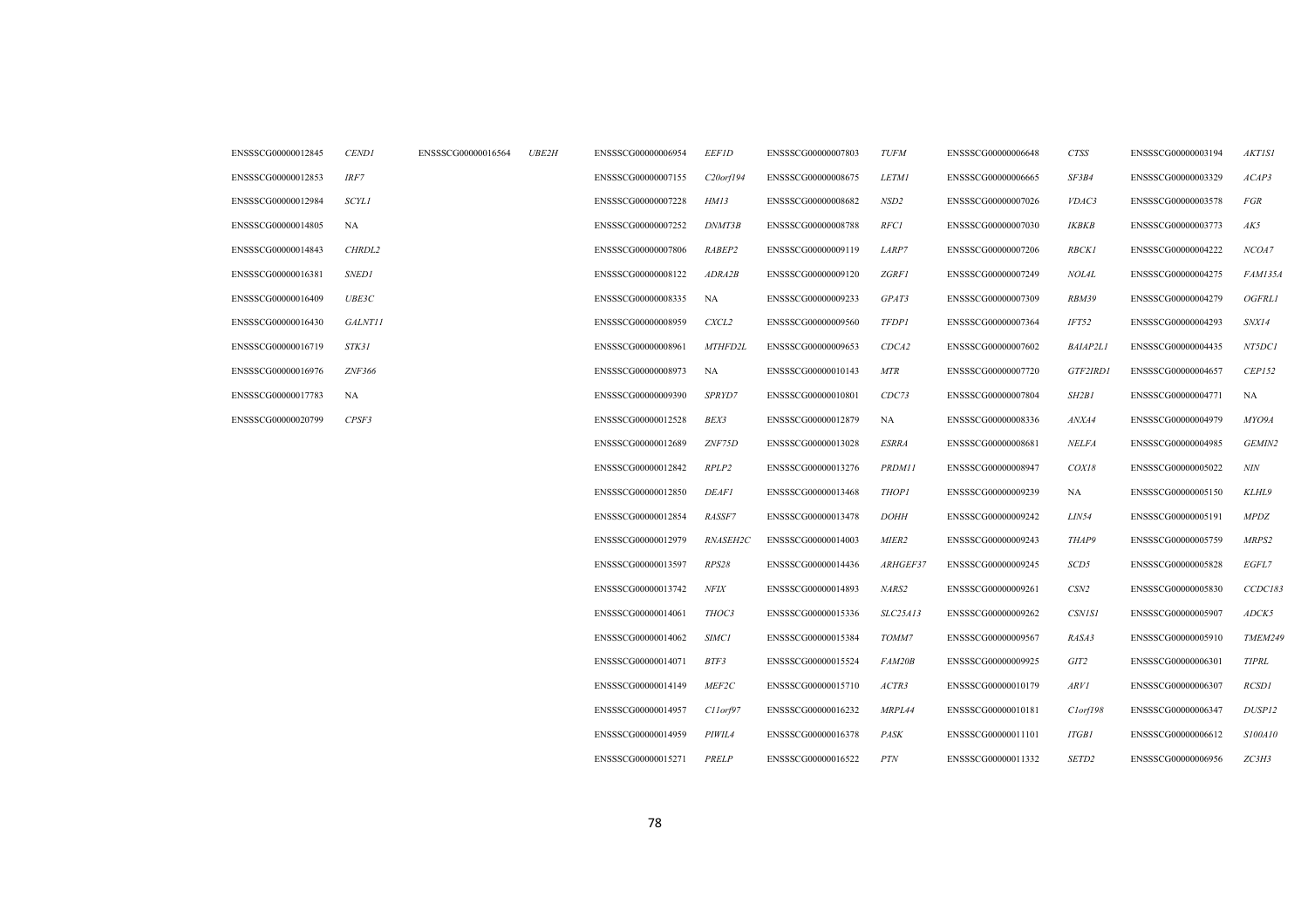| ENSSSCG00000012845 | <b>CEND1</b>   | ENSSSCG00000016564 | <b>UBE2H</b> | ENSSSCG00000006954 | <b>EEF1D</b>   | ENSSSCG00000007803 | <b>TUFM</b>       | ENSSSCG00000006648 | CTSS              | ENSSSCG00000003194 | <b>AKTISI</b>  |
|--------------------|----------------|--------------------|--------------|--------------------|----------------|--------------------|-------------------|--------------------|-------------------|--------------------|----------------|
| ENSSSCG00000012853 | IRF7           |                    |              | ENSSSCG00000007155 | C20 or f194    | ENSSSCG00000008675 | <b>LETMI</b>      | ENSSSCG00000006665 | SF3B4             | ENSSSCG00000003329 | ACAP3          |
| ENSSSCG00000012984 | <b>SCYL1</b>   |                    |              | ENSSSCG00000007228 | HM13           | ENSSSCG00000008682 | NSD <sub>2</sub>  | ENSSSCG00000007026 | VDAC3             | ENSSSCG00000003578 | FGR            |
| ENSSSCG00000014805 | NA             |                    |              | ENSSSCG00000007252 | DNMT3B         | ENSSSCG00000008788 | <b>RFC1</b>       | ENSSSCG00000007030 | <b>IKBKB</b>      | ENSSSCG00000003773 | AK5            |
| ENSSSCG00000014843 | CHRDL2         |                    |              | ENSSSCG00000007806 | RABEP2         | ENSSSCG00000009119 | LARP7             | ENSSSCG00000007206 | <b>RBCK1</b>      | ENSSSCG00000004222 | NCOA7          |
| ENSSSCG00000016381 | <b>SNED1</b>   |                    |              | ENSSSCG00000008122 | ADRA2B         | ENSSSCG00000009120 | <b>ZGRF1</b>      | ENSSSCG00000007249 | NOL4L             | ENSSSCG00000004275 | <b>FAM135A</b> |
| ENSSSCG00000016409 | UBESC          |                    |              | ENSSSCG00000008335 | NA             | ENSSSCG00000009233 | GPAT3             | ENSSSCG00000007309 | RBM39             | ENSSSCG00000004279 | <b>OGFRL1</b>  |
| ENSSSCG00000016430 | <b>GALNT11</b> |                    |              | ENSSSCG00000008959 | CXCL2          | ENSSSCG00000009560 | <b>TFDP1</b>      | ENSSSCG00000007364 | IFT52             | ENSSSCG00000004293 | SNX14          |
| ENSSSCG00000016719 | STK31          |                    |              | ENSSSCG00000008961 | MTHFD2L        | ENSSSCG00000009653 | CDCA2             | ENSSSCG00000007602 | <b>BAIAP2LI</b>   | ENSSSCG00000004435 | NT5DC1         |
| ENSSSCG00000016976 | ZNF366         |                    |              | ENSSSCG00000008973 | NA             | ENSSSCG00000010143 | MTR               | ENSSSCG00000007720 | GTF2IRD1          | ENSSSCG00000004657 | CEPI52         |
| ENSSSCG00000017783 | NA             |                    |              | ENSSSCG00000009390 | SPRYD7         | ENSSSCG00000010801 | CDC73             | ENSSSCG00000007804 | <i>SH2B1</i>      | ENSSSCG00000004771 | NA             |
| ENSSSCG00000020799 | CPSF3          |                    |              | ENSSSCG00000012528 | BEX3           | ENSSSCG00000012879 | NA                | ENSSSCG00000008336 | ANXA4             | ENSSSCG00000004979 | MYO9A          |
|                    |                |                    |              | ENSSSCG00000012689 | ZNF75D         | ENSSSCG00000013028 | <b>ESRRA</b>      | ENSSSCG00000008681 | <i>NELFA</i>      | ENSSSCG00000004985 | GEMIN2         |
|                    |                |                    |              | ENSSSCG00000012842 | RPLP2          | ENSSSCG00000013276 | <b>PRDM11</b>     | ENSSSCG00000008947 | COX18             | ENSSSCG00000005022 | $N\!I\!N$      |
|                    |                |                    |              | ENSSSCG00000012850 | <b>DEAF1</b>   | ENSSSCG00000013468 | <b>THOP1</b>      | ENSSSCG00000009239 | NA                | ENSSSCG00000005150 | KLHL9          |
|                    |                |                    |              | ENSSSCG00000012854 | RASSF7         | ENSSSCG00000013478 | <b>DOHH</b>       | ENSSSCG00000009242 | <i>LIN54</i>      | ENSSSCG00000005191 | <b>MPDZ</b>    |
|                    |                |                    |              | ENSSSCG00000012979 | RNASEH2C       | ENSSSCG00000014003 | MIER <sub>2</sub> | ENSSSCG00000009243 | THAP9             | ENSSSCG00000005759 | MRPS2          |
|                    |                |                    |              | ENSSSCG00000013597 | RPS28          | ENSSSCG00000014436 | ARHGEF37          | ENSSSCG00000009245 | SCD5              | ENSSSCG00000005828 | EGFL7          |
|                    |                |                    |              | ENSSSCG00000013742 | NFLX           | ENSSSCG00000014893 | NARS2             | ENSSSCG00000009261 | CSN2              | ENSSSCG00000005830 | CCDC183        |
|                    |                |                    |              | ENSSSCG00000014061 | THOC3          | ENSSSCG00000015336 | SLC25A13          | ENSSSCG00000009262 | <b>CSN1S1</b>     | ENSSSCG00000005907 | ADCK5          |
|                    |                |                    |              | ENSSSCG00000014062 | <b>SIMC1</b>   | ENSSSCG00000015384 | TOMM7             | ENSSSCG00000009567 | RASA3             | ENSSSCG00000005910 | TMEM249        |
|                    |                |                    |              | ENSSSCG00000014071 | BTF3           | ENSSSCG00000015524 | FAM20B            | ENSSSCG00000009925 | GIT2              | ENSSSCG00000006301 | <b>TIPRL</b>   |
|                    |                |                    |              | ENSSSCG00000014149 | MEF2C          | ENSSSCG00000015710 | ACTR3             | ENSSSCG00000010179 | <i>ARVI</i>       | ENSSSCG00000006307 | <b>RCSD1</b>   |
|                    |                |                    |              | ENSSSCG00000014957 | $C11$ orf $97$ | ENSSSCG00000016232 | MRPL44            | ENSSSCG00000010181 | Clorf198          | ENSSSCG00000006347 | DUSP12         |
|                    |                |                    |              | ENSSSCG00000014959 | PIWIL4         | ENSSSCG00000016378 | PASK              | ENSSSCG00000011101 | <b>ITGB1</b>      | ENSSSCG00000006612 | S100A10        |
|                    |                |                    |              | ENSSSCG00000015271 | PRELP          | ENSSSCG00000016522 | <b>PTN</b>        | ENSSSCG00000011332 | SETD <sub>2</sub> | ENSSSCG00000006956 | ZC3H3          |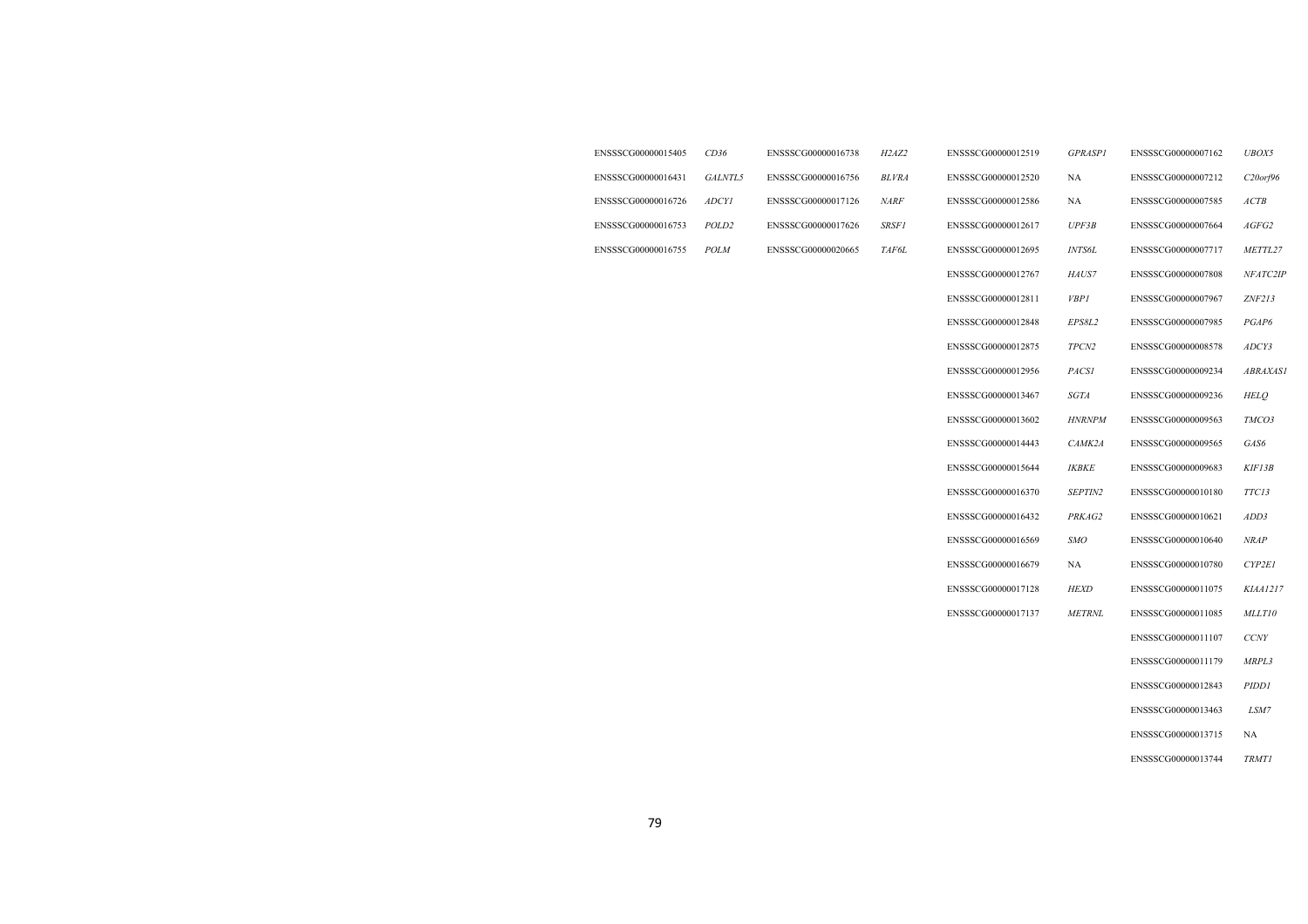| ENSSSCG00000015405 | CD36              | ENSSSCG00000016738 | H2AZ2        | ENSSSCG00000012519 | <b>GPRASP1</b>      | ENSSSCG00000007162 | UBOX5           |
|--------------------|-------------------|--------------------|--------------|--------------------|---------------------|--------------------|-----------------|
| ENSSSCG00000016431 | GALNTL5           | ENSSSCG00000016756 | <b>BLVRA</b> | ENSSSCG00000012520 | <b>NA</b>           | ENSSSCG00000007212 | $C20$ orf $96$  |
| ENSSSCG00000016726 | <b>ADCYI</b>      | ENSSSCG00000017126 | <b>NARF</b>  | ENSSSCG00000012586 | <b>NA</b>           | ENSSSCG00000007585 | ACTB            |
| ENSSSCG00000016753 | POLD <sub>2</sub> | ENSSSCG00000017626 | <b>SRSF1</b> | ENSSSCG00000012617 | UPF3B               | ENSSSCG00000007664 | AGFG2           |
| ENSSSCG00000016755 | <b>POLM</b>       | ENSSSCG00000020665 | TAF6L        | ENSSSCG00000012695 | <b>INTS6L</b>       | ENSSSCG00000007717 | METTL27         |
|                    |                   |                    |              | ENSSSCG00000012767 | HAUS7               | ENSSSCG00000007808 | NFATC2IP        |
|                    |                   |                    |              | ENSSSCG00000012811 | <b>VBP1</b>         | ENSSSCG00000007967 | ZNF213          |
|                    |                   |                    |              | ENSSSCG00000012848 | EPS8L2              | ENSSSCG00000007985 | PGAP6           |
|                    |                   |                    |              | ENSSSCG00000012875 | TPCN <sub>2</sub>   | ENSSSCG00000008578 | ADCY3           |
|                    |                   |                    |              | ENSSSCG00000012956 | <b>PACSI</b>        | ENSSSCG00000009234 | <b>ABRAXASI</b> |
|                    |                   |                    |              | ENSSSCG00000013467 | <b>SGTA</b>         | ENSSSCG00000009236 | <b>HELO</b>     |
|                    |                   |                    |              | ENSSSCG00000013602 | <b>HNRNPM</b>       | ENSSSCG00000009563 | TMCO3           |
|                    |                   |                    |              | ENSSSCG00000014443 | CAMK2A              | ENSSSCG00000009565 | GAS6            |
|                    |                   |                    |              | ENSSSCG00000015644 | <i><b>IKBKE</b></i> | ENSSSCG00000009683 | KIF13B          |
|                    |                   |                    |              | ENSSSCG00000016370 | SEPTIN2             | ENSSSCG00000010180 | TTC13           |
|                    |                   |                    |              | ENSSSCG00000016432 | PRKAG2              | ENSSSCG00000010621 | ADD3            |
|                    |                   |                    |              | ENSSSCG00000016569 | <b>SMO</b>          | ENSSSCG00000010640 | NRAP            |
|                    |                   |                    |              | ENSSSCG00000016679 | NA                  | ENSSSCG00000010780 | CYP2EI          |
|                    |                   |                    |              | ENSSSCG00000017128 | <b>HEXD</b>         | ENSSSCG00000011075 | <b>KIAA1217</b> |
|                    |                   |                    |              | ENSSSCG00000017137 | <b>METRNL</b>       | ENSSSCG00000011085 | MLLT10          |
|                    |                   |                    |              |                    |                     | ENSSSCG00000011107 | <b>CCNY</b>     |
|                    |                   |                    |              |                    |                     | ENSSSCG00000011179 | MRPL3           |
|                    |                   |                    |              |                    |                     | ENSSSCG00000012843 | PIDD1           |
|                    |                   |                    |              |                    |                     | ENSSSCG00000013463 | LSM7            |
|                    |                   |                    |              |                    |                     | ENSSSCG00000013715 | NA              |
|                    |                   |                    |              |                    |                     | ENSSSCG00000013744 | <b>TRMT1</b>    |